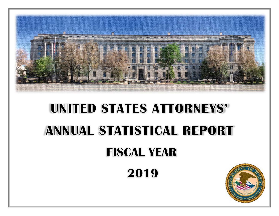

# **UNITED STATES ATTORNEYS' ANNUAL STATISTICAL REPORT**

## **FISCAL YEAR**

2019

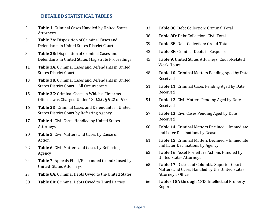#### **DETAILED STATISTICAL TABLES**

- 2**Table 1**: Criminal Cases Handled by United States Attorneys
- 5 **Table 2A**: Disposition of Criminal Cases and Defendants in United States District Court
- 8 **Table 2B**: Disposition of Criminal Cases and Defendants in United States Magistrate Proceedings
- 11 **Table 3A**: Criminal Cases and Defendants in United States District Court
- 13 **Table 3B**: Criminal Cases and Defendants in United States District Court – All Occurrences
- 15 **Table 3C**: Criminal Cases in Which a Firearms Offense was Charged Under 18 U.S.C. § 922 or 924
- 16 **Table 3D**: Criminal Cases and Defendants in United States District Court by Referring Agency
- 17 **Table 4**: Civil Cases Handled by United States Attorneys
- 20 **Table 5**: Civil Matters and Cases by Cause of Action
- 22 **Table 6**: Civil Matters and Cases by Referring Agency
- 24 **Table 7**: Appeals Filed/Responded to and Closed by United States Attorneys
- 27 **Table 8A**: Criminal Debts Owed to the United States
- 30 **Table 8B**: Criminal Debts Owed to Third Parties
- 33 **Table 8C**: Debt Collection: Criminal Total
- 36 **Table 8D**: Debt Collection: Civil Total
- 39 **Table 8E**: Debt Collection: Grand Total
- 42 **Table 8F**: Criminal Debts in Suspense
- 45 **Table 9**: United States Attorneys' Court‐Related Work Hours
- 48 **Table 10**: Criminal Matters Pending Aged by Date Received
- 51 **Table 11**: Criminal Cases Pending Aged by Date Received
- 54 **Table 12**: Civil Matters Pending Aged by Date Received
- 57 **Table 13**: Civil Cases Pending Aged by Date Received
- 60 **Table 14**: Criminal Matters Declined – Immediate and Later Declinations by Reason
- 61 **Table 15**: Criminal Matters Declined – Immediate and Later Declinations by Agency
- 62 **Table 16**: Asset Forfeiture Actions Handled by United States Attorneys
- 65 **Table 17**: District of Columbia Superior Court Matters and Cases Handled by the United States Attorney's Office
- 66 **Tables 18A through 18D**: Intellectual Property Report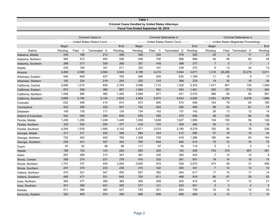|                      |         |          |                                          |         | Table 1                                                  |             |                                          |         |                  |             |                                                 |              |
|----------------------|---------|----------|------------------------------------------|---------|----------------------------------------------------------|-------------|------------------------------------------|---------|------------------|-------------|-------------------------------------------------|--------------|
|                      |         |          |                                          |         | <b>Criminal Cases Handled by United States Attorneys</b> |             |                                          |         |                  |             |                                                 |              |
|                      |         |          |                                          |         | Fiscal Year Ended September 30, 2019                     |             |                                          |         |                  |             |                                                 |              |
|                      |         |          |                                          |         |                                                          |             |                                          |         |                  |             |                                                 |              |
|                      |         |          | <b>Criminal Cases in</b>                 |         |                                                          |             | Criminal Defendants in                   |         |                  |             | Criminal Defendants in                          |              |
|                      |         |          | ----- United States District Court ----- |         |                                                          |             | ----- United States District Court ----- |         |                  |             | ----- United States Magistrate Proceedings ---- |              |
|                      | Begin   |          |                                          | End     | <b>Begin</b>                                             |             |                                          | End     | Begin            |             |                                                 | End          |
| <b>District</b>      | Pending | Filed 1/ | Terminated 2/                            | Pending | Pending                                                  | Filed<br>1/ | Terminated 2/                            | Pending | Pending          | Filed       | Terminated 3/                                   | Pending      |
| Alabama, Middle      | 235     | 186      | 213                                      | 208     | 326                                                      | 202         | 278                                      | 254     | 25               | 9           | 11                                              | 21           |
| Alabama, Northern    | 465     | 573      | 483                                      | 556     | 546                                                      | 706         | 569                                      | 686     | 44               | 56          | 60                                              | 44           |
| Alabama, Southern    | 288     | 317      | 339                                      | 265     | 357                                                      | 416         | 398                                      | 377     | $\overline{7}$   | $\mathbf 0$ | $\overline{7}$                                  | $\mathbf{1}$ |
| Alaska               | 235     | 155      | 181                                      | 211     | 320                                                      | 191         | 239                                      | 272     | $\boldsymbol{9}$ | 13          | 24                                              | 13           |
| Arizona              | 3,469   | 4,060    | 3,584                                    | 3,949   | 4,198                                                    | 4,415       | 3,944                                    | 4,671   | 1,218            | 26,288      | 23,278                                          | 3,811        |
| Arkansas, Eastern    | 540     | 659      | 437                                      | 765     | 959                                                      | 835         | 630                                      | 1,168   | 11               | 18          | 9                                               | 17           |
| Arkansas, Western    | 192     | 234      | 218                                      | 205     | 252                                                      | 315         | 286                                      | 278     | 19               | 30          | 16                                              | 28           |
| California, Central  | 2,698   | 1,010    | 858                                      | 2,783   | 5,096                                                    | 1,712       | 1,328                                    | 5,353   | 1,471            | 857         | 726                                             | 1,559        |
| California, Eastern  | 874     | 358      | 366                                      | 867     | 1,464                                                    | 562         | 563                                      | 1,461   | 350              | 157         | 116                                             | 364          |
| California, Northern | 1,549   | 485      | 360                                      | 1,492   | 2,569                                                    | 671         | 431                                      | 2,470   | 566              | 56          | 80                                              | 581          |
| California, Southern | 3,689   | 5,165    | 5,140                                    | 3,629   | 4,904                                                    | 5,975       | 5,634                                    | 5,092   | 2,252            | 8,878       | 8,978                                           | 1,696        |
| Colorado             | 632     | 458      | 415                                      | 674     | 872                                                      | 600         | 570                                      | 906     | 163              | 79          | 65                                              | 180          |
| Connecticut          | 432     | 306      | 229                                      | 507     | 734                                                      | 522         | 382                                      | 926     | 89               | 53          | 61                                              | 73           |
| Delaware             | 109     | 130      | 117                                      | 124     | 134                                                      | 142         | 137                                      | 142     | 26               | 13          | 12                                              | 14           |
| District of Columbia | 542     | 395      | 284                                      | 639     | 876                                                      | 455         | 375                                      | 946     | 48               | 125         | 84                                              | 94           |
| Florida, Middle      | 1,439   | 1,256    | 1,248                                    | 1,449   | 1,939                                                    | 1,638       | 1,627                                    | 1,956   | 104              | 100         | 56                                              | 146          |
| Florida, Northern    | 320     | 302      | 250                                      | 377     | 419                                                      | 370         | 328                                      | 465     | 30               | 11          | 8                                               | 18           |
| Florida, Southern    | 4,204   | 1,535    | 1,595                                    | 4,102   | 6,471                                                    | 2,074       | 2,180                                    | 6,278   | 192              | 95          | 78                                              | 206          |
| Georgia, Middle      | 317     | 317      | 232                                      | 388     | 584                                                      | 443         | 412                                      | 595     | 37               | 18          | 19                                              | 34           |
| Georgia, Northern    | 722     | 493      | 450                                      | 760     | 1,308                                                    | 729         | 616                                      | 1,386   | 180              | 84          | 85                                              | 184          |
| Georgia, Southern    | 235     | 431      | 327                                      | 343     | 355                                                      | 644         | 492                                      | 514     | 75               | 72          | 76                                              | 70           |
| Guam                 | 97      | 52       | 46                                       | 99      | 117                                                      | 57          | 55                                       | 115     | 5                | 3           | 3                                               | 5            |
| Hawaii               | 198     | 153      | 143                                      | 202     | 293                                                      | 204         | 193                                      | 295     | 743              | 370         | 657                                             | 481          |
| Idaho                | 287     | 369      | 313                                      | 347     | 381                                                      | 430         | 392                                      | 424     | $\overline{7}$   | 13          | 12                                              | 8            |
| Illinois, Central    | 359     | 274      | 231                                      | 378     | 476                                                      | 332         | 281                                      | 501     | 19               | 14          | 16                                              | 15           |
| Illinois, Northern   | 1,747   | 727      | 405                                      | 2,004   | 2,650                                                    | 974         | 528                                      | 2,970   | 473              | 59          | 31                                              | 456          |
| Illinois, Southern   | 247     | 218      | 233                                      | 235     | 310                                                      | 332         | 303                                      | 341     | $\overline{7}$   | 14          | 12                                              | 10           |
| Indiana, Northern    | 470     | 321      | 347                                      | 455     | 657                                                      | 392         | 444                                      | 617     | 17               | 15          | 17                                              | 14           |
| Indiana, Southern    | 495     | 471      | 331                                      | 642     | 763                                                      | 611         | 468                                      | 918     | 80               | 67          | 35                                              | 83           |
| Iowa, Northern       | 364     | 377      | 385                                      | 365     | 426                                                      | 428         | 452                                      | 414     | 19               | 17          | 12                                              | 21           |
| Iowa, Southern       | 401     | 389      | 401                                      | 392     | 517                                                      | 534         | 523                                      | 541     | $5\phantom{1}$   | 3           | $\overline{4}$                                  | 5            |
| Kansas               | 511     | 385      | 360                                      | 527     | 753                                                      | 521         | 504                                      | 759     | 16               | 18          | 14                                              | 20           |
| Kentucky, Eastern    | 322     | 405      | 372                                      | 356     | 569                                                      | 638         | 608                                      | 605     | 8                | 13          | $\overline{7}$                                  | 15           |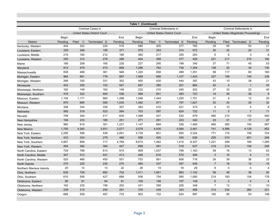|                          |         |             |                                          |         | Table 1 (Continued) |                        |                                          |         |                |                |                                                          |                |
|--------------------------|---------|-------------|------------------------------------------|---------|---------------------|------------------------|------------------------------------------|---------|----------------|----------------|----------------------------------------------------------|----------------|
|                          |         |             | Criminal Cases in                        |         |                     |                        | Criminal Defendants in                   |         |                |                | Criminal Defendants in                                   |                |
|                          |         |             | ----- United States District Court ----- |         |                     |                        | ----- United States District Court ----- |         |                |                | - - - - - United States Magistrate Proceedings - - - - - |                |
|                          | Begin   |             |                                          | End     | Begin               |                        |                                          | End     | Begin          |                |                                                          | End            |
| <b>District</b>          | Pending | Filed<br>1/ | Terminated 2/                            | Pending | Pending             | Filed<br>$\frac{1}{2}$ | Terminated 2/                            | Pending | Pending        | Filed          | Terminated 3/                                            | Pending        |
| Kentucky, Western        | 444     | 322         | 224                                      | 516     | 680                 | 405                    | 277                                      | 765     | 29             | 55             | 53                                                       | 21             |
| Louisiana, Eastern       | 329     | 246         | 195                                      | 371     | 575                 | 343                    | 314                                      | 572     | 30             | 20             | 24                                                       | 31             |
| Louisiana, Middle        | 219     | 160         | 212                                      | 166     | 360                 | 217                    | 305                                      | 263     | 6              | 6              | 3                                                        | 6              |
| Louisiana, Western       | 250     | 312         | 279                                      | 286     | 404                 | 399                    | 377                                      | 429     | 221            | 217            | 215                                                      | 192            |
| Maine                    | 166     | 208         | 165                                      | 226     | 227                 | 295                    | 198                                      | 340     | 27             | 71             | 45                                                       | 53             |
| Maryland                 | 812     | 479         | 474                                      | 808     | 1,286               | 762                    | 736                                      | 1,304   | 138            | 25             | 34                                                       | 130            |
| Massachusetts            | 838     | 499         | 361                                      | 948     | 1,220               | 658                    | 489                                      | 1,351   | 99             | 117            | 60                                                       | 160            |
| Michigan, Eastern        | 964     | 661         | 778                                      | 897     | 1,569               | 908                    | 1,107                                    | 1,424   | 327            | 189            | 140                                                      | 338            |
| Michigan, Western        | 288     | 330         | 331                                      | 302     | 400                 | 420                    | 444                                      | 397     | 43             | 10             | 38                                                       | 21             |
| Minnesota                | 453     | 259         | 153                                      | 547     | 697                 | 385                    | 201                                      | 864     | 42             | $\overline{4}$ | $\mathbf{1}$                                             | 43             |
| Mississippi, Northern    | 162     | 148         | 162                                      | 148     | 232                 | 210                    | 240                                      | 202     | 27             | 33             | 22                                                       | 40             |
| Mississippi, Southern    | 418     | 522         | 404                                      | 536     | 568                 | 641                    | 483                                      | 723     | 14             | 29             | 36                                                       | 9              |
| Missouri, Eastern        | 1,104   | 1,171       | 983                                      | 1,298   | 1,546               | 1,444                  | 1,255                                    | 1,751   | 21             | 9              | 12                                                       | 20             |
| Missouri, Western        | 970     | 665         | 590                                      | 1,035   | 1,482               | 971                    | 797                                      | 1,627   | 30             | 43             | 28                                                       | 33             |
| Montana                  | 308     | 334         | 335                                      | 307     | 383                 | 410                    | 421                                      | 373     | $\overline{4}$ | 10             | $\overline{4}$                                           | 8              |
| Nebraska                 | 560     | 519         | 523                                      | 594     | 703                 | 597                    | 624                                      | 722     | 11             | 5              | $\overline{7}$                                           | 11             |
| Nevada                   | 708     | 344         | 417                                      | 630     | 1,098               | 427                    | 532                                      | 979     | 480            | 210            | 153                                                      | 540            |
| New Hampshire            | 194     | 233         | 180                                      | 251     | 271                 | 291                    | 223                                      | 340     | 23             | 31             | 17                                                       | 27             |
| New Jersey               | 960     | 610         | 301                                      | 1,227   | 1,147               | 684                    | 326                                      | 1,460   | 460            | 285            | 100                                                      | 587            |
| <b>New Mexico</b>        | 1,700   | 4,283       | 3,931                                    | 2,077   | 2,078               | 4,435                  | 4,084                                    | 2,461   | 741            | 4,566          | 4,129                                                    | 852            |
| New York, Eastern        | 2,295   | 556         | 538                                      | 2,091   | 3,730               | 801                    | 830                                      | 3,324   | 771            | 174            | 156                                                      | 724            |
| New York, Northern       | 433     | 324         | 279                                      | 466     | 596                 | 405                    | 345                                      | 636     | 205            | 510            | 401                                                      | 246            |
| New York, Southern       | 4,807   | 858         | 717                                      | 4,769   | 8,674               | 1,462                  | 1,410                                    | 8,307   | 1,221          | 299            | 168                                                      | 1,265          |
| New York, Western        | 454     | 382         | 384                                      | 427     | 699                 | 491                    | 518                                      | 637     | 219            | 214            | 104                                                      | 246            |
| North Carolina, Eastern  | 729     | 788         | 614                                      | 915     | 909                 | 1,037                  | 799                                      | 1,163   | 59             | 16             | 13                                                       | 63             |
| North Carolina, Middle   | 347     | 512         | 447                                      | 413     | 446                 | 616                    | 570                                      | 494     | $\mathbf{3}$   | 10             | $\overline{4}$                                           | 11             |
| North Carolina, Western  | 525     | 466         | 450                                      | 551     | 753                 | 561                    | 608                                      | 716     | 26             | 39             | 36                                                       | 33             |
| <b>North Dakota</b>      | 275     | 225         | 230                                      | 270     | 465                 | 337                    | 357                                      | 445     | $\overline{7}$ | 18             | 12                                                       | 10             |
| Northern Mariana Islands | 20      | 14          | 13                                       | 22      | 26                  | 19                     | 18                                       | 29      | 9              | $\mathbf 0$    | 4                                                        | 4              |
| Ohio, Northern           | 635     | 726         | 692                                      | 702     | 1,011               | 1,061                  | 983                                      | 1,142   | 58             | 48             | 36                                                       | 50             |
| Ohio, Southern           | 610     | 506         | 427                                      | 668     | 936                 | 754                    | 585                                      | 1,080   | 214            | 160            | 154                                                      | 176            |
| Oklahoma, Eastern        | 80      | 91          | 84                                       | 91      | 105                 | 146                    | 107                                      | 148     | 5              | 2              | $\overline{4}$                                           | $\overline{4}$ |
| Oklahoma, Northern       | 162     | 235         | 199                                      | 202     | 241                 | 358                    | 255                                      | 348     | $\overline{7}$ | 12             | 11                                                       | 10             |
| Oklahoma, Western        | 239     | 310         | 254                                      | 291     | 376                 | 439                    | 343                                      | 468     | 313            | 234            | 260                                                      | 221            |
| Oregon                   | 668     | 559         | 497                                      | 733     | 903                 | 722                    | 624                                      | 997     | 160            | 85             | 53                                                       | 148            |
|                          |         |             |                                          |         |                     |                        |                                          |         |                |                |                                                          |                |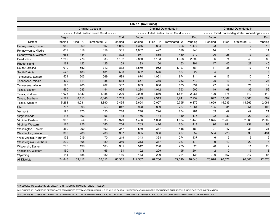|                         |         |             |                                          |         | Table 1 (Continued) |          |                                          |         |                |                |                                                                                                                                                                                                                                                                                                                                                                                                              |                |  |  |
|-------------------------|---------|-------------|------------------------------------------|---------|---------------------|----------|------------------------------------------|---------|----------------|----------------|--------------------------------------------------------------------------------------------------------------------------------------------------------------------------------------------------------------------------------------------------------------------------------------------------------------------------------------------------------------------------------------------------------------|----------------|--|--|
|                         |         |             | Criminal Cases in                        |         |                     |          | Criminal Defendants in                   |         |                |                |                                                                                                                                                                                                                                                                                                                                                                                                              |                |  |  |
|                         |         |             | ----- United States District Court ----- |         |                     |          | ----- United States District Court ----- |         |                |                | Criminal Defendants in<br>- - - - - United States Magistrate Proceedings - - - -<br>Filed<br>Terminated 3/<br>$6\phantom{1}6$<br>$\overline{2}$<br>5<br>5<br>25<br>17<br>74<br>43<br>45<br>27<br>17<br>36<br>3<br>8<br>17<br>10<br>13<br>4<br>12<br>21<br>68<br>36<br>175<br>112<br>31,565<br>14,665<br>31<br>54<br>49<br>49<br>30<br>22<br>2,260<br>2,065<br>281<br>252<br>31<br>47<br>226<br>336<br>5<br>6 |                |  |  |
|                         | Begin   |             |                                          | End     | <b>Begin</b>        |          |                                          | End     | Begin          |                |                                                                                                                                                                                                                                                                                                                                                                                                              | End            |  |  |
| <b>District</b>         | Pending | Filed<br>1/ | Terminated 2/                            | Pending | Pending             | Filed 1/ | Terminated 2/                            | Pending | Pending        |                |                                                                                                                                                                                                                                                                                                                                                                                                              | Pending        |  |  |
| Pennsylvania, Eastern   | 956     | 669         | 507                                      | 1,056   | 1,376               | 894      | 666                                      | 1,477   | 23             |                |                                                                                                                                                                                                                                                                                                                                                                                                              | 16             |  |  |
| Pennsylvania, Middle    | 612     | 319         | 359                                      | 585     | 1,032               | 422      | 528                                      | 940     | 14             |                |                                                                                                                                                                                                                                                                                                                                                                                                              | 11             |  |  |
| Pennsylvania, Western   | 668     | 444         | 301                                      | 802     | 977                 | 665      | 430                                      | 1,212   | 20             |                |                                                                                                                                                                                                                                                                                                                                                                                                              | 24             |  |  |
| Puerto Rico             | 1,250   | 776         | 833                                      | 1,192   | 2,850               | 1,163    | 1,368                                    | 2,592   | 66             |                |                                                                                                                                                                                                                                                                                                                                                                                                              | 82             |  |  |
| Rhode Island            | 161     | 122         | 125                                      | 159     | 193                 | 150      | 153                                      | 191     | 17             |                |                                                                                                                                                                                                                                                                                                                                                                                                              | 40             |  |  |
| South Carolina          | 1,010   | 552         | 712                                      | 832     | 1,579               | 952      | 1,127                                    | 1,384   | 31             |                |                                                                                                                                                                                                                                                                                                                                                                                                              | 41             |  |  |
| South Dakota            | 528     | 483         | 481                                      | 533     | 632                 | 576      | 587                                      | 627     | $\overline{4}$ |                |                                                                                                                                                                                                                                                                                                                                                                                                              | $\overline{7}$ |  |  |
| Tennessee. Eastern      | 524     | 603         | 569                                      | 589     | 874                 | 1,061    | 874                                      | 1,114   | 6              |                |                                                                                                                                                                                                                                                                                                                                                                                                              | 10             |  |  |
| Tennessee, Middle       | 439     | 311         | 188                                      | 538     | 657                 | 375      | 283                                      | 710     | 25             |                |                                                                                                                                                                                                                                                                                                                                                                                                              | 23             |  |  |
| Tennessee, Western      | 525     | 465         | 462                                      | 537     | 809                 | 680      | 673                                      | 834     | 27             |                |                                                                                                                                                                                                                                                                                                                                                                                                              | 19             |  |  |
| Texas, Eastern          | 560     | 583         | 444                                      | 695     | 1,284               | 1,012    | 793                                      | 1,505   | 19             |                |                                                                                                                                                                                                                                                                                                                                                                                                              | 52             |  |  |
| Texas, Northern         | 1,076   | 1,332       | 1,188                                    | 1,226   | 2,099               | 1,870    | 1,881                                    | 2,061   | 129            |                |                                                                                                                                                                                                                                                                                                                                                                                                              | 140            |  |  |
| Texas, Southern         | 4,529   | 8,113       | 6,848                                    | 5,789   | 6,449               | 9,319    | 7,741                                    | 7,959   | 642            | 32,067         |                                                                                                                                                                                                                                                                                                                                                                                                              | 892            |  |  |
| Texas, Western          | 5,263   | 9,081       | 8,890                                    | 5,465   | 6,654               | 10,007   | 9,795                                    | 6,872   | 1,659          | 15,535         |                                                                                                                                                                                                                                                                                                                                                                                                              | 2,061          |  |  |
| Utah                    | 737     | 693         | 653                                      | 842     | 928                 | 839      | 787                                      | 1,064   | 195            |                |                                                                                                                                                                                                                                                                                                                                                                                                              | 105            |  |  |
| Vermont                 | 193     | 170         | 150                                      | 218     | 248                 | 224      | 204                                      | 281     | 39             |                |                                                                                                                                                                                                                                                                                                                                                                                                              | 21             |  |  |
| Virgin Islands          | 118     | 102         | 96                                       | 118     | 176                 | 144      | 140                                      | 175     | 22             |                |                                                                                                                                                                                                                                                                                                                                                                                                              | 20             |  |  |
| Virginia, Eastern       | 998     | 854         | 833                                      | 979     | 1,456               | 1,098    | 1,034                                    | 1,445   | 1,875          |                |                                                                                                                                                                                                                                                                                                                                                                                                              | 2,002          |  |  |
| Virginia, Western       | 178     | 256         | 180                                      | 254     | 265                 | 410      | 264                                      | 411     | 90             |                |                                                                                                                                                                                                                                                                                                                                                                                                              | 94             |  |  |
| Washington, Eastern     | 360     | 290         | 302                                      | 357     | 530                 | 377      | 418                                      | 489     | 21             |                |                                                                                                                                                                                                                                                                                                                                                                                                              | 31             |  |  |
| Washington, Western     | 380     | 288         | 286                                      | 367     | 605                 | 386      | 407                                      | 557     | 554            |                |                                                                                                                                                                                                                                                                                                                                                                                                              | 434            |  |  |
| West Virginia, Northern | 172     | 219         | 170                                      | 219     | 343                 | 368      | 274                                      | 437     | 6              |                |                                                                                                                                                                                                                                                                                                                                                                                                              | $\overline{2}$ |  |  |
| West Virginia, Southern | 239     | 305         | 189                                      | 359     | 313                 | 377      | 237                                      | 470     | 9              | 10             | 22                                                                                                                                                                                                                                                                                                                                                                                                           | 6              |  |  |
| Wisconsin, Eastern      | 293     | 196         | 183                                      | 301     | 512                 | 298      | 275                                      | 525     | 28             | $\overline{4}$ | 11                                                                                                                                                                                                                                                                                                                                                                                                           | 29             |  |  |
| Wisconsin, Western      | 150     | 178         | 165                                      | 161     | 192                 | 209      | 195                                      | 204     | $\overline{2}$ | $\overline{2}$ | $\overline{7}$                                                                                                                                                                                                                                                                                                                                                                                               | 3              |  |  |
| Wyoming                 | 114     | 185         | 182                                      | 116     | 143                 | 209      | 221                                      | 133     | 790            | 167            | 217                                                                                                                                                                                                                                                                                                                                                                                                          | 85             |  |  |
| <b>All Districts</b>    | 74,843  | 69,412      | 63,012                                   | 80,365  | 112,567             | 87.266   | 79,310                                   | 118.646 | 20,678         | 96,572         | 90,805                                                                                                                                                                                                                                                                                                                                                                                                       | 22,870         |  |  |

1/ INCLUDES 146 CASES/149 DEFENDANTS INITIATED BY TRANSFER UNDER RULE 20.

2/ INCLUDES 161 CASES/198 DEFENDANTS TERMINATED BY TRANSFER UNDER RULE 20 AND 18 CASES/128 DEFENDANTS DISMISSED BECAUSE OF SUPERSEDING INDICTMENT OR INFORMATION.

3/ INCLUDES 652 CASES/652 DEFENDANTS TERMINATED BY TRANSFER UNDER RULE 20 AND 2 CASES/2 DEFENDANTS DISMISSED BECAUSE OF SUPERSEDING INDICTMENT OR INFORMATION.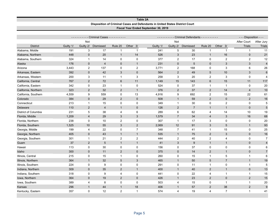| Table 2A                                                                     |
|------------------------------------------------------------------------------|
| Disposition of Criminal Cases and Defendants in United States District Court |
| Fiscal Year Ended September 30, 2019                                         |

|                      |           |                     | - Criminal Cases - - - - - - - - - - |                 |                |           |                | Criminal Defendants - - - - - - - - - - |                |                         | - - - Disposition - - - |                         |
|----------------------|-----------|---------------------|--------------------------------------|-----------------|----------------|-----------|----------------|-----------------------------------------|----------------|-------------------------|-------------------------|-------------------------|
|                      |           | Not                 |                                      |                 |                |           | Not            |                                         |                |                         | After Court             | After Jury              |
| <b>District</b>      | Guilty 1/ | Guilty 2/           | Dismissed                            | Rule 20         | Other 3/       | Guilty 1/ | Guilty 2/      | Dismissed                               | Rule 20        | Other 3/                | <b>Trials</b>           | <b>Trials</b>           |
| Alabama, Middle      | 191       | 3                   | 17                                   | $\mathbf{1}$    | $\overline{1}$ | 241       | 5              | 30                                      | $\mathbf{1}$   | $\mathbf{1}$            | $\mathbf{1}$            | 11                      |
| Alabama, Northern    | 448       | $\mathbf{0}$        | 20                                   | $\mathbf{1}$    | 14             | 526       | 3              | 23                                      | $\mathbf{1}$   | 16                      | $\mathbf{0}$            | 21                      |
| Alabama, Southern    | 324       | $\mathbf{1}$        | 14                                   | 0               | $\mathbf 0$    | 377       | 2              | 17                                      | 0              | $\overline{2}$          | $\overline{2}$          | 12                      |
| Alaska               | 176       | $\mathbf{0}$        | $\overline{4}$                       | $\mathbf 0$     | $\mathbf{1}$   | 231       | $\mathbf 0$    | 5                                       | $\mathbf 0$    | 3                       | 3                       | $\overline{\mathbf{4}}$ |
| Arizona              | 3,443     | $\overline{2}$      | 137                                  | 0               | $\overline{2}$ | 3,771     | $\overline{c}$ | 168                                     | 0              | 3                       | 6                       | 26                      |
| Arkansas, Eastern    | 392       | $\mathbf{0}$        | 42                                   | 3               | $\mathbf 0$    | 564       | 2              | 49                                      | 5              | 10                      | 3                       | $\,6$                   |
| Arkansas, Western    | 200       | $\sqrt{3}$          | 11                                   | 1               | 3              | 258       | 3              | 20                                      | $\overline{c}$ | 3                       | 0                       | 4                       |
| California, Central  | 767       | 2                   | 72                                   | $6\phantom{1}$  | 11             | 1,149     | 15             | 143                                     | $\,6\,$        | 15                      | 11                      | 117                     |
| California, Eastern  | 342       | $\mathbf 0$         | 23                                   | $\mathbf{1}$    | $\mathbf 0$    | 524       | 0              | 37                                      | $\mathbf{1}$   | -1                      | 0                       | 20                      |
| California, Northern | 323       | 2                   | 32                                   | 2               | $\overline{1}$ | 376       | $\overline{2}$ | 37                                      | $\overline{2}$ | 14                      | 4                       | $10$                    |
| California, Southern | 4,559     | 9                   | 559                                  | 0               | 13             | 4,916     | 9              | 692                                     | $\overline{c}$ | 15                      | 22                      | 61                      |
| Colorado             | 384       | $\mathsf{O}\xspace$ | 29                                   | 2               | $\mathbf 0$    | 508       | $\mathbf{1}$   | 59                                      | $\overline{2}$ | $\mathbf 0$             | $\overline{2}$          | 16                      |
| Connecticut          | 213       | $\mathbf{1}$        | 15                                   | 0               | $\mathbf 0$    | 349       | $\mathbf{1}$   | 30                                      | $\pmb{0}$      | $\overline{\mathbf{c}}$ | 0                       | 5                       |
| Delaware             | 110       | 2                   | $\overline{4}$                       | $\mathbf{1}$    | $\mathbf 0$    | 126       | 2              | $\overline{7}$                          | $\mathbf{1}$   | $\mathbf{1}$            | $\mathbf 0$             | $\sqrt{5}$              |
| District of Columbia | 231       | $\overline{5}$      | 38                                   | 4               | 6              | 289       | 6              | 62                                      | 4              | 14                      | 10                      | 19                      |
| Florida, Middle      | 1,209     | $\overline{4}$      | 29                                   | 3               | 3              | 1,579     | $\overline{7}$ | 34                                      | 4              | 3                       | 16                      | 68                      |
| Florida, Northern    | 238       | $\mathbf 0$         | 10                                   | $\overline{2}$  | $\mathbf 0$    | 307       | $\mathbf{1}$   | 17                                      | 3              | $\mathbf 0$             | 0                       | 20                      |
| Florida, Southern    | 1,525     | 10                  | 55                                   | $\mathfrak{Z}$  | $\sqrt{2}$     | 2,069     | 12             | 91                                      | $\mathsf 3$    | $\sqrt{5}$              | $\mathbf{1}$            | 93                      |
| Georgia, Middle      | 199       | $\overline{4}$      | 22                                   | 0               | $\overline{7}$ | 348       | $\overline{7}$ | 41                                      | $\mathbf{1}$   | 15                      | 0                       | 25                      |
| Georgia, Northern    | 405       | $\mathbf 0$         | 43                                   | $\mathbf{1}$    | $\mathbf{1}$   | 535       | $\mathbf{1}$   | 75                                      | $\overline{2}$ | $\sqrt{3}$              | $\mathbf 0$             | 16                      |
| Georgia, Southern    | 301       | $\mathbf{1}$        | 21                                   | $\overline{2}$  | $\overline{2}$ | 444       | $\overline{c}$ | 40                                      | $\overline{2}$ | $\overline{4}$          | 0                       | $\overline{7}$          |
| Guam                 | 37        | 2                   | $\sqrt{5}$                           | $\mathbf{1}$    | $\overline{1}$ | 41        | $\mathbf{3}$   | $9\,$                                   | $\overline{1}$ | $\mathbf{1}$            | $\mathbf 0$             | $\overline{\mathbf{4}}$ |
| Hawaii               | 113       | $\pmb{0}$           | $30\,$                               | 0               | $\mathbf 0$    | 156       | 0              | 37                                      | $\mathbf 0$    | $\mathbf 0$             | 0                       | 6                       |
| Idaho                | 300       | $\mathbf 0$         | 11                                   | 2               | $\mathbf 0$    | 375       | $\mathbf 0$    | 14                                      | $\overline{2}$ | $\mathbf{1}$            | $\mathbf 0$             | $\boldsymbol{7}$        |
| Illinois, Central    | 215       | $\mathbf 0$         | 15                                   | $\mathbf{1}$    | $\mathbf 0$    | 260       | 0              | 15                                      | $\mathbf{1}$   | 5                       | 1                       | 6                       |
| Illinois, Northern   | 364       | $\mathbf{1}$        | 32                                   | $5\phantom{.0}$ | 3              | 465       | $\mathbf{1}$   | 50                                      | 5              | $\overline{7}$          | $\mathbf{1}$            | 19                      |
| Illinois, Southern   | 224       | $\mathbf 0$         | 9                                    | 0               | $\mathbf 0$    | 291       | 0              | 11                                      | $\mathbf{1}$   | $\mathbf 0$             | $\mathbf{1}$            | 5                       |
| Indiana, Northern    | 309       | $\mathbf{0}$        | 35                                   | 2               | $\mathbf{1}$   | 400       | $\mathbf{1}$   | 40                                      | $\overline{2}$ | $\mathbf{1}$            | $\mathbf 0$             | 13                      |
| Indiana, Southern    | 318       | 0                   | 9                                    | 4               | $\mathbf 0$    | 441       | 0              | 22                                      | 4              | $\mathbf{1}$            | $\mathbf{1}$            | 15                      |
| Iowa, Northern       | 364       | $\mathbf 0$         | 19                                   | $\overline{2}$  | $\mathbf 0$    | 426       | $\mathbf 1$    | 23                                      | $\overline{2}$ | $\mathbf 0$             | $\overline{2}$          | 15                      |
| lowa, Southern       | 389       | 4                   | 8                                    | 0               | $\mathbf 0$    | 503       | 4              | 15                                      | 0              | $\mathbf{1}$            | $\mathbf{1}$            | 20                      |
| Kansas               | 296       | $\overline{1}$      | 44                                   | $\mathbf{1}$    | 18             | 406       | $\mathbf 1$    | 57                                      | $\overline{2}$ | 38                      | 2                       | 9                       |
| Kentucky, Eastern    | 357       | $\mathbf 0$         | 12                                   | 2               | $\overline{1}$ | 574       | $\overline{4}$ | 19                                      | 4              | $\overline{7}$          | $\mathbf{1}$            | 41                      |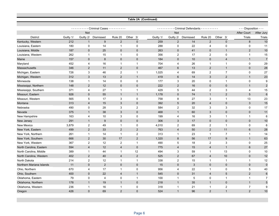|                                         |            |                             |                                      |                           |                   | Table 2A (Continued) |                     |                                         |                                           |                             |                         |                  |
|-----------------------------------------|------------|-----------------------------|--------------------------------------|---------------------------|-------------------|----------------------|---------------------|-----------------------------------------|-------------------------------------------|-----------------------------|-------------------------|------------------|
|                                         |            |                             |                                      |                           |                   |                      |                     |                                         |                                           |                             |                         |                  |
|                                         |            |                             | ---------- Criminal Cases ---------- |                           |                   |                      | .                   | - Criminal Defendants - - - - - - - - - |                                           |                             | - - - Disposition - - - |                  |
|                                         |            | <b>Not</b>                  |                                      |                           |                   |                      | <b>Not</b>          |                                         |                                           |                             | <b>After Court</b>      | After Jury       |
| <b>District</b>                         | Guilty 1/  | Guilty 2/                   | Dismissed                            | Rule 20<br>$\overline{2}$ | Other 3/          | Guilty 1/            | Guilty 2/           | Dismissed                               | Rule 20                                   | Other 3/                    | <b>Trials</b>           | Trials           |
| Kentucky, Western                       | 212        | $\mathbf{1}$<br>$\mathbf 0$ | 9<br>14                              | $\mathbf{1}$              | $\mathbf{0}$<br>0 | 259<br>288           | $\overline{2}$<br>0 | 14                                      | $\overline{2}$<br>$\overline{\mathbf{4}}$ | $\mathbf{0}$<br>$\mathbf 0$ | 8<br>$\mathbf 0$        | 10               |
| Louisiana, Eastern                      | 180<br>187 | $\mathbf{0}$                | 25                                   | $\mathbf{0}$              | $\Omega$          | 263                  | $\pmb{0}$           | 22<br>41                                | $\mathbf 0$                               | $\mathbf{1}$                | $\overline{2}$          | 11<br>10         |
| Louisiana, Middle<br>Louisiana, Western | 262        | $\mathbf{1}$                | 15                                   | $\mathbf{1}$              | $\mathbf 0$       | 356                  | $\overline{c}$      | 17                                      | $\overline{c}$                            | $\mathbf 0$                 | 1                       | 15               |
| Maine                                   | 157        | $\mathbf{0}$                | 8                                    | $\mathbf{0}$              | $\mathbf{0}$      | 184                  | $\mathbf 0$         | 10                                      | $\mathbf 0$                               | $\overline{4}$              | $\mathbf{1}$            | $\overline{7}$   |
| Maryland                                | 452        | $\overline{4}$              | 16                                   | $\mathbf{1}$              | $\overline{1}$    | 704                  | 4                   | 26                                      | $\mathbf{1}$                              | $\mathbf{1}$                | 0                       | 29               |
| Massachusetts                           | 346        | $\overline{2}$              | 11                                   | 2                         | $\mathbf 0$       | 467                  | 6                   | 13                                      | $\overline{2}$                            | $\mathbf{1}$                | $\mathbf 0$             | 28               |
| Michigan, Eastern                       | 726        | 3                           | 46                                   | 2                         | $\mathbf{1}$      | 1,025                | 4                   | 69                                      | $\overline{2}$                            | $\overline{7}$              | 0                       | 27               |
| Michigan, Western                       | 312        | 3                           | 13                                   | 2                         | $\mathbf{1}$      | 419                  | 6                   | 14                                      | 3                                         | $\overline{c}$              | $\mathbf{1}$            | 23               |
| Minnesota                               | 138        | $\mathbf{1}$                | 14                                   | $\pmb{0}$                 | $\mathbf 0$       | 177                  | 3                   | 20                                      | $\pmb{0}$                                 | $\mathbf{1}$                | 0                       | $\boldsymbol{9}$ |
| Mississippi, Northern                   | 148        | 2                           | 12                                   | $\pmb{0}$                 | $\mathbf 0$       | 222                  | $\overline{2}$      | 16                                      | $\mathbf 0$                               | $\mathbf 0$                 | $\mathbf{1}$            | $\overline{2}$   |
| Mississippi, Southern                   | 371        | $\overline{4}$              | 27                                   | $\mathbf{1}$              | $\mathbf{1}$      | 429                  | 5                   | 44                                      | $\overline{2}$                            | 3                           | 4                       | 15               |
| Missouri, Eastern                       | 926        | $\mathbf{0}$                | 55                                   | $\mathbf{1}$              | $\mathbf{1}$      | 1,178                | $\mathbf 0$         | 74                                      | $\mathbf{1}$                              | $\overline{2}$              | 5                       | $\,6\,$          |
| Missouri, Western                       | 565        | 5                           | 17                                   | 3                         | $\mathbf 0$       | 758                  | 8                   | 27                                      | 3                                         | $\mathbf{1}$                | 13                      | 23               |
| Montana                                 | 313        | $\overline{4}$              | 15                                   | 3                         | $\mathbf 0$       | 392                  | 5                   | 20                                      | $\overline{4}$                            | $\mathbf 0$                 | 3                       | 15               |
| Nebraska                                | 490        | $\mathbf 0$                 | 28                                   | 3                         | 2                 | 584                  | $\overline{c}$      | 32                                      | 3                                         | 3                           | 0                       | 17               |
| Nevada                                  | 375        | $\mathbf{1}$                | 38                                   | 3                         | $\mathbf{0}$      | 468                  | $\mathbf{1}$        | 60                                      | 3                                         | $\overline{0}$              | $\mathbf 0$             | 11               |
| New Hampshire                           | 163        | 4                           | 10                                   | 3                         | 0                 | 199                  | 4                   | 16                                      | $\mathsf 3$                               | $\mathbf{1}$                | $\mathbf 1$             | 6                |
| New Jersey                              | 291        | $\mathbf{1}$                | $\boldsymbol{9}$                     | $\pmb{0}$                 | $\mathbf{0}$      | 306                  | 3                   | 17                                      | $\mathbf 0$                               | $\pmb{0}$                   | $\mathbf 0$             | 10               |
| New Mexico                              | 3,879      | $\boldsymbol{2}$            | 49                                   | $\mathbf{1}$              | $\mathbf 0$       | 4,010                | $\overline{c}$      | 69                                      | $\overline{\mathbf{c}}$                   | $\mathbf{1}$                | 0                       | 6                |
| New York, Eastern                       | 499        | $\overline{2}$              | 33                                   | 2                         | $\overline{2}$    | 763                  | $\overline{4}$      | 50                                      | $\overline{2}$                            | 11                          | $6\phantom{.}$          | 28               |
| New York, Northern                      | 261        | $\mathbf{1}$                | 14                                   | $\mathbf{1}$              | $\overline{2}$    | 313                  | $\mathbf{1}$        | 23                                      | $\mathbf{1}$                              | $\overline{7}$              | $\mathbf{1}$            | 14               |
| New York, Southern                      | 666        | 2                           | 30                                   | 17                        | $\overline{2}$    | 1,320                | 8                   | 56                                      | 17                                        | 9                           | $\mathbf{1}$            | 63               |
| New York, Western                       | 367        | $\overline{c}$              | 12                                   | $\overline{2}$            | $\mathbf{1}$      | 490                  | 5                   | 18                                      | $\overline{2}$                            | 3                           | 0                       | 25               |
| North Carolina, Eastern                 | 594        | $\overline{4}$              | 12                                   | $\overline{4}$            | $\mathbf{0}$      | 775                  | $\overline{4}$      | 15                                      | $\overline{4}$                            | $\mathbf{1}$                | 6                       | 27               |
| North Carolina, Middle                  | 389        | $\mathbf{1}$                | 44                                   | $\mathbf{1}$              | 12                | 494                  | 3                   | 59                                      | $\mathbf{1}$                              | 13                          | 0                       | 10               |
| North Carolina, Western                 | 402        | 2                           | 40                                   | $\overline{4}$            | $\overline{2}$    | 525                  | $\overline{2}$      | 67                                      | $\overline{4}$                            | 10                          | $\overline{0}$          | 12               |
| North Dakota                            | 214        | $\overline{2}$              | 12                                   | $\mathbf{1}$              | $\mathbf{1}$      | 338                  | $\overline{2}$      | 15                                      | $\mathbf{1}$                              | $\mathbf{1}$                | $\mathbf 1$             | 12               |
| Northern Mariana Islands                | 11         | $\mathbf{0}$                | $\overline{2}$                       | $\mathbf{0}$              | $\mathbf 0$       | 15                   | 0                   | 3                                       | $\mathbf 0$                               | $\mathbf 0$                 | $\mathbf{0}$            | $\mathbf 0$      |
| Ohio, Northern                          | 670        | $\overline{4}$              | 17                                   | $\mathbf{1}$              | $\mathbf 0$       | 956                  | 4                   | 22                                      | $\mathbf{1}$                              | $\mathbf 0$                 | 5                       | 40               |
| Ohio, Southern                          | 400        | $\overline{0}$              | 22                                   | $\overline{4}$            | $\mathbf{1}$      | 545                  | $\overline{0}$      | 31                                      | $\overline{4}$                            | 5                           | $\overline{2}$          | $6\phantom{1}6$  |
| Oklahoma, Eastern                       | 79         | $\mathbf 0$                 | $\overline{4}$                       | $\mathbf 0$               | $\mathbf{1}$      | 100                  | $\mathbf{1}$        | 5                                       | $\mathbf 0$                               | $\mathbf{1}$                | $\mathbf{1}$            | $\overline{7}$   |
| Oklahoma, Northern                      | 178        | $\mathbf{1}$                | 19                                   | $\mathbf{1}$              | $\mathbf{0}$      | 218                  | $\mathbf{1}$        | 35                                      | $\mathbf{1}$                              | $\mathbf{0}$                | $\mathbf{1}$            | $\sqrt{5}$       |
| Oklahoma, Western                       | 236        | $\mathbf{1}$                | 16                                   | $\mathbf{1}$              | $\mathbf 0$       | 318                  | $\mathbf{1}$        | 21                                      | $\mathbf{1}$                              | $\boldsymbol{2}$            | $\overline{7}$          | $\boldsymbol{9}$ |
| Oregon                                  | 426        | $\mathbf 0$                 | 69                                   | 2                         | $\mathbf{0}$      | 524                  | $\mathbf{1}$        | 96                                      | $\overline{2}$                            | $\mathbf{1}$                | $\overline{2}$          | 10               |
|                                         |            |                             |                                      |                           |                   |                      |                     |                                         |                                           |                             |                         |                  |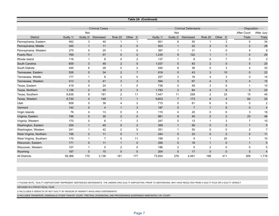|                         |           |                |                    |                |                     | <b>Table 2A (Continued)</b> |                |                       |                |                  |                         |                |
|-------------------------|-----------|----------------|--------------------|----------------|---------------------|-----------------------------|----------------|-----------------------|----------------|------------------|-------------------------|----------------|
|                         |           |                |                    |                |                     |                             |                |                       |                |                  |                         |                |
|                         |           |                | Criminal Cases - - | <u>.</u>       |                     |                             |                | Criminal Defendants - | .              |                  | - - - Disposition - - - |                |
|                         |           | Not            |                    |                |                     |                             | Not            |                       |                |                  | After Court             | After Jury     |
| <b>District</b>         | Guilty 1/ | Guilty 2/      | Dismissed          | Rule 20        | Other <sub>3/</sub> | Guilty 1/                   | Guilty 2/      | <b>Dismissed</b>      | Rule 20        | Other<br>3/      | <b>Trials</b>           | <b>Trials</b>  |
| Pennsylvania, Eastern   | 462       | 3              | 40                 | $\mathbf{1}$   | $\mathbf{1}$        | 601                         | 6              | 55                    | $\mathbf 1$    | 3                | 0                       | 34             |
| Pennsylvania, Middle    | 345       | $\mathbf{1}$   | 11                 | $\overline{2}$ | $\mathbf 0$         | 503                         | $\mathbf{1}$   | 22                    | 2              | $\mathbf 0$      | $\overline{2}$          | 28             |
| Pennsylvania, Western   | 275       | $\mathbf 0$    | 25                 | $\mathbf{1}$   | $\mathbf 0$         | 397                         | 1              | 31                    | $\mathbf 1$    | $\pmb{0}$        | 4                       | $\mathbf{Q}$   |
| Puerto Rico             | 769       | $\overline{7}$ | 57                 | $\mathbf{0}$   | $\mathbf{0}$        | 1,235                       | 9              | 122                   | $\mathbf{1}$   | $\mathbf{1}$     | $\mathbf{0}$            | 29             |
| Rhode Island            | 116       | $\mathbf{1}$   | 6                  | $\mathbf 0$    | 2                   | 137                         | $\mathbf{1}$   | 8                     | $\mathbf 0$    | $\overline{7}$   | $\mathbf 0$             | 3              |
| South Carolina          | 659       | 3              | 48                 | 2              | $\mathbf 0$         | 1,037                       | 5              | 83                    | $\overline{2}$ | $\mathbf 0$      | 5                       | 25             |
| South Dakota            | 445       | 6              | 28                 | $\Omega$       | $\overline{2}$      | 540                         | 8              | 36                    | $\Omega$       | 3                | 4                       | 33             |
| Tennessee, Eastern      | 526       | $\Omega$       | 34                 | 2              | $\overline{7}$      | 818                         | $\mathbf{0}$   | 43                    | 3              | 10               | $\mathbf{0}$            | 22             |
| Tennessee, Middle       | 177       | $\mathbf{1}$   | 8                  | 2              | $\mathbf 0$         | 257                         | 3              | 16                    | $\overline{4}$ | 3                | $\mathbf 0$             | 14             |
| Tennessee, Western      | 413       | $\overline{2}$ | 41                 | 3              | $\mathbf{3}$        | 594                         | 3              | 67                    | $\overline{4}$ | $\sqrt{5}$       | $\overline{4}$          | 15             |
| Texas, Eastern          | 419       | $\mathbf 0$    | 24                 | $\mathbf{1}$   | $\mathbf 0$         | 736                         | 0              | 48                    | 3              | 6                | 1                       | 10             |
| Texas, Northern         | 1,136     | 2              | 45                 | 2              | $\mathbf{3}$        | 1,783                       | 2              | 84                    | $\overline{4}$ | $\boldsymbol{8}$ | 3                       | 24             |
| Texas, Southern         | 6,636     | 8              | 191                | 2              | 11                  | 7,447                       | 11             | 258                   | $\overline{2}$ | 23               | 15                      | 45             |
| Texas, Western          | 8,730     | $\overline{4}$ | 148                | $\overline{7}$ | $\mathbf{1}$        | 9,603                       | $\overline{7}$ | 173                   | 8              | $\overline{4}$   | 64                      | 24             |
| Utah                    | 609       | $\mathbf 0$    | 38                 | $\overline{4}$ | $\overline{2}$      | 715                         | 0              | 61                    | 6              | 5                | 0                       | $\overline{c}$ |
| Vermont                 | 142       | $\mathbf{0}$   | $\overline{4}$     | $\mathbf{1}$   | 3                   | 187                         | $\mathbf 0$    | $\overline{7}$        | $\overline{1}$ | $\boldsymbol{9}$ | $\pmb{0}$               | 4              |
| Virgin Islands          | 76        | $\overline{4}$ | 13                 | $\Omega$       | 3                   | 110                         | 4              | 20                    | $\Omega$       | 6                | 3                       | 18             |
| Virginia, Eastern       | 796       | 5              | 30                 | 2              | $\mathbf 0$         | 981                         | 9              | 40                    | $\overline{2}$ | $\overline{2}$   | 23                      | 46             |
| Virginia, Western       | 170       | $\mathbf 0$    | $6\phantom{1}$     | $\mathbf{1}$   | 3                   | 247                         | 0              | 13                    | $\mathbf 1$    | 3                | $\overline{7}$          | 10             |
| Washington, Eastern     | 254       | $\mathbf{1}$   | 45                 | $\mathbf{0}$   | 2                   | 359                         | $\mathbf{1}$   | 56                    | $\mathbf 0$    | $\overline{2}$   | $\mathbf{1}$            | 5              |
| Washington, Western     | 241       | $\mathbf{1}$   | 42                 | 2              | $\mathbf 0$         | 351                         | 1              | 50                    | 5              | $\pmb{0}$        | 2                       | $\overline{7}$ |
| West Virginia, Northern | 156       | $\overline{2}$ | 11                 | $\mathbf 0$    | $\mathbf{1}$        | 244                         | 5              | 23                    | $\mathbf 0$    | $\overline{2}$   | $\mathbf 0$             | 11             |
| West Virginia, Southern | 170       | $\mathbf{1}$   | $\overline{7}$     | $\mathbf 0$    | 11                  | 199                         | 3              | 9                     | $\mathbf{1}$   | 25               | 1                       | 10             |
| Wisconsin, Eastern      | 171       | $\mathbf{0}$   | 11                 | $\mathbf{1}$   | $\mathbf 0$         | 256                         | $\pmb{0}$      | 18                    | $\mathbf{1}$   | $\pmb{0}$        | $\mathbf{1}$            | 5              |
| Wisconsin, Western      | 157       | $\mathbf{1}$   | 5                  | 2              | $\mathbf 0$         | 186                         | $\overline{2}$ | 5                     | $\overline{2}$ | $\mathbf 0$      | 0                       | 5              |
| Wyoming                 | 167       | $\Omega$       | 15                 | $\Omega$       | $\Omega$            | 204                         | $\Omega$       | 17                    | $\Omega$       | $\mathbf 0$      | 5                       | $\overline{4}$ |
| <b>All Districts</b>    | 59,368    | 170            | 3,136              | 161            | 177                 | 73,934                      | 276            | 4,491                 | 198            | 411              | 309                     | 1,716          |

1/ PLEASE NOTE, "GUILTY DISPOSITIONS" REPRESENT SENTENCED DEFENDANTS. THE UNDERLYING GUILTY DISPOSITION, PRIOR TO SENTENCING, MAY HAVE RESULTED FROM A GUILTY PLEA OR A GUILTY VERDICT

OBTAINED IN A PRIOR FISCAL YEAR.

2/ INLCLUDES 6 VERDICTS OF NOT GUILTY BY REASON OF INSANITY INVOLVING 6 DEFENDANTS.

3/ INCLUDES TRANSFERS, DISMISSALS OTHER THAN BY COURT, PRETRIAL DIVERSIONS, AND PROCEEDINGS SUSPENDED INDEFINITELY BY COURT.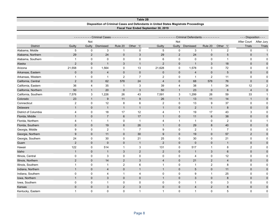|                      |                |              |                                      |                |                | Table zo                                                                             |                |                                         |                |                |                         |                |
|----------------------|----------------|--------------|--------------------------------------|----------------|----------------|--------------------------------------------------------------------------------------|----------------|-----------------------------------------|----------------|----------------|-------------------------|----------------|
|                      |                |              |                                      |                |                | Disposition of Criminal Cases and Defendants in United States Magistrate Proceedings |                |                                         |                |                |                         |                |
|                      |                |              |                                      |                |                | Fiscal Year Ended September 30, 2019                                                 |                |                                         |                |                |                         |                |
|                      |                |              | - Criminal Cases - - - - - - - - - - |                |                |                                                                                      |                | - Criminal Defendants - - - - - - - - - |                |                | - - - Disposition - - - |                |
|                      |                | Not          |                                      |                |                |                                                                                      | Not            |                                         |                |                | After Court             | After Jury     |
| <b>District</b>      | Guilty         | Guilty       | Dismissed                            | Rule 20        | Other 1/       | Guilty                                                                               | Guilty         | Dismissed                               | Rule 20        | Other 1/       | <b>Trials</b>           | <b>Trials</b>  |
| Alabama, Middle      | 5              | $\mathbf 0$  | 3                                    | $\mathbf{1}$   | $\mathbf 0$    | 5                                                                                    | $\mathbf 0$    | 3                                       | $\mathbf{1}$   | 2              | $\mathbf 0$             | $\mathbf{1}$   |
| Alabama, Northern    | 29             | $\sqrt{2}$   | 24                                   | $\mathbf 0$    | 3              | 29                                                                                   | $\overline{2}$ | 24                                      | $\mathbf 0$    | $\sqrt{5}$     | $\mathbf 0$             | $\mathbf 1$    |
| Alabama, Southern    | $\mathbf{1}$   | 0            | 0                                    | 0              | $\pmb{0}$      | 6                                                                                    | $\mathbf 0$    | 0                                       | $\mathbf 0$    | $\mathbf{1}$   | $\mathbf 0$             | $\mathbf 0$    |
| Alaska               | $\overline{2}$ | $\mathbf 0$  | $\mathbf{1}$                         | 3              | $\mathbf{1}$   | $\overline{2}$                                                                       | $\mathbf 0$    | $\mathbf{1}$                            | 3              | 18             | $\mathbf 0$             | $\Omega$       |
| Arizona              | 21,558         | 0            | 1,564                                | 0              | 13             | 21,628                                                                               | 0              | 1,578                                   | 0              | $72\,$         | $\mathbf 0$             | $\mathbf 0$    |
| Arkansas, Eastern    | $\mathbf 0$    | $\mathbf 0$  | $\overline{4}$                       | $\mathbf 0$    | $\mathbf 0$    | $\pmb{0}$                                                                            | $\mathbf 0$    | $\overline{\mathbf{4}}$                 | $\mathbf 0$    | 5              | $\mathbf 0$             | $\mathbf 0$    |
| Arkansas, Western    | $\mathbf 1$    | 0            | $\mathbf{1}$                         | 2              | $\overline{7}$ | $\overline{2}$                                                                       | $\mathbf 0$    | $\mathbf{1}$                            | $\overline{2}$ | 11             | $\mathbf 0$             | $\mathbf 0$    |
| California, Central  | $\overline{2}$ | $\mathbf 0$  | 62                                   | 578            | 24             | $\overline{4}$                                                                       | $\mathbf 0$    | 68                                      | 578            | 76             | $\mathbf{0}$            | $\mathbf 0$    |
| California, Eastern  | 36             | 4            | 35                                   | $\mathbf 1$    | 3              | 39                                                                                   | $\overline{4}$ | 38                                      | $\overline{1}$ | 34             | 12                      | $\overline{2}$ |
| California, Northern | 50             | $\mathbf{1}$ | 20                                   | $\mathbf{0}$   | 3              | 50                                                                                   | $\mathbf{1}$   | 23                                      | $\mathbf{0}$   | $6\phantom{1}$ | $\overline{4}$          | $\mathbf 0$    |
| California, Southern | 7,576          | 3            | 1,226                                | 26             | 43             | 7,591                                                                                | 3              | 1,299                                   | 26             | 59             | 33                      | $\mathbf{1}$   |
| Colorado             | 23             | $\mathbf{1}$ | $\boldsymbol{9}$                     | 11             | $9\,$          | 26                                                                                   | $\mathbf{1}$   | 13                                      | 11             | 14             | $\mathbf{1}$            | $\pmb{0}$      |
| Connecticut          | 2              | 0            | 12                                   | 8              | 6              | $\overline{2}$                                                                       | 0              | 13                                      | 9              | 37             | 0                       | $\Omega$       |
| Delaware             | $\mathbf{1}$   | 0            | $\mathbf{1}$                         | $\overline{1}$ | $\mathbf{1}$   | $\mathbf{1}$                                                                         | $\mathbf 0$    | 2                                       | $\overline{1}$ | 8              | $\mathbf{0}$            | $\mathbf{0}$   |
| District of Columbia | 4              | 0            | 18                                   | 17             | 12             | 4                                                                                    | $\overline{1}$ | 19                                      | 17             | 43             | $\sqrt{3}$              | 0              |
| Florida, Middle      | $\mathbf{1}$   | $\mathbf 0$  | $\overline{7}$                       | $6\phantom{1}$ | 17             | $\mathbf{1}$                                                                         | $\mathbf 0$    | 11                                      | $6\phantom{1}$ | 38             | $\mathbf 0$             | $\Omega$       |
| Florida, Northern    | 4              | $\mathbf{1}$ | $\mathbf{1}$                         | 0              | $\mathbf{1}$   | $\overline{4}$                                                                       | $\mathbf{1}$   | $\mathbf{1}$                            | 0              | $\overline{2}$ | 0                       | $\mathbf 1$    |
| Florida, Southern    | $\Omega$       | $\mathbf 0$  | 19                                   | $\bf 8$        | 26             | $\mathbf{1}$                                                                         | $\pmb{0}$      | 29                                      | 8              | 40             | $\mathbf 0$             | $\pmb{0}$      |
| Georgia, Middle      | 9              | 0            | 2                                    | $\mathbf{1}$   | $\overline{7}$ | 9                                                                                    | $\mathbf 0$    | $\overline{2}$                          | $\mathbf 1$    | $\overline{7}$ | $\mathbf 0$             | 0              |
| Georgia, Northern    | 9              | 0            | 11                                   | $\mathbf{0}$   | 30             | 9                                                                                    | $\mathbf 0$    | 19                                      | $\mathbf{0}$   | 57             | $\overline{2}$          | $\mathbf 0$    |
| Georgia, Southern    | 24             | 0            | 30                                   | 0              | 21             | 25                                                                                   | 0              | 30                                      | 0              | 21             | $\mathbf 0$             | 0              |
| Guam                 | $\overline{2}$ | 0            | $\pmb{0}$                            | $\mathbf{0}$   | $\mathbf{1}$   | $\overline{2}$                                                                       | $\mathbf 0$    | $\mathbf 0$                             | $\mathbf{0}$   | $\mathbf{1}$   | $\mathbf 0$             | $\mathbf 0$    |
| Hawaii               | 122            | 0            | 514                                  | $\mathbf{1}$   | 3              | 131                                                                                  | 0              | 517                                     | $\mathbf{1}$   | 8              | $\overline{c}$          | $\mathbf 0$    |
| Idaho                | $\mathbf{1}$   | $\mathbf 0$  | $\mathbf{1}$                         | 3              | $\overline{2}$ | $\overline{2}$                                                                       | $\mathbf 0$    | $\mathbf{1}$                            | 3              | $6\phantom{1}$ | $\mathbf 0$             | $\mathbf{0}$   |
| Illinois, Central    | $\mathbf 0$    | 0            | 3                                    | 0              | $\mathbf 0$    | $\mathbf 0$                                                                          | $\mathbf 0$    | 4                                       | 0              | 12             | $\mathbf 0$             | $\Omega$       |
| Illinois, Northern   | $\overline{2}$ | 0            | 14                                   | $\overline{2}$ | 3              | $\overline{4}$                                                                       | $\mathbf 0$    | 21                                      | $\overline{2}$ | $\overline{4}$ | $\mathbf{0}$            | $\Omega$       |
| Illinois, Southern   | $\mathbf{1}$   | 0            | $\mathbf{1}$                         | 2              | 6              | $\overline{1}$                                                                       | 0              | 1                                       | $\overline{c}$ | 8              | $\mathbf 0$             | 0              |
| Indiana, Northern    | $\mathbf{1}$   | $\mathbf 0$  | $\overline{4}$                       | $\pmb{0}$      | $\mathbf{1}$   | $\mathbf{1}$                                                                         | $\mathbf 0$    | 5                                       | $\mathbf 0$    | 11             | $\pmb{0}$               | $\bf 0$        |
| Indiana, Southern    | 0              | 0            | 4                                    | $\mathbf{1}$   | 4              | $\mathbf 0$                                                                          | $\mathbf 0$    | 9                                       | $\mathbf{1}$   | 25             | $\mathbf 0$             | $\mathbf 0$    |
| Iowa, Northern       | $\mathbf{1}$   | $\mathbf 0$  | 3                                    | $\mathbf{0}$   | $\mathbf 0$    | $\mathbf{1}$                                                                         | $\mathbf 0$    | 3                                       | $\mathbf 0$    | 8              | $\mathbf 0$             | $\mathbf 0$    |
| lowa, Southern       | 0              | 0            | $\mathbf{1}$                         | 0              | $\mathbf 0$    | $\mathbf 0$                                                                          | 0              | $\mathbf{1}$                            | 0              | 3              | $\mathbf 0$             | $\mathbf 0$    |
| Kansas               | $\mathbf{0}$   | $\mathbf{0}$ | 3                                    | $\overline{2}$ | 3              | $\mathbf{0}$                                                                         | 0              | $\overline{4}$                          | $\overline{2}$ | 8              | $\mathbf{0}$            | $\pmb{0}$      |
| Kentucky, Eastern    | $\overline{1}$ | $\Omega$     | $\Omega$                             | $\Omega$       | $\mathbf 1$    | $\overline{1}$                                                                       | $\Omega$       | $\blacktriangleleft$                    | $\Omega$       | 5              | $\Omega$                | $\Omega$       |

### **Table 2B**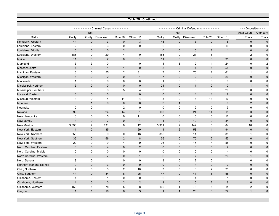|                          |                |                     |                                     |                | Table 2B (Continued) |                         |                        |                                       |                |                |                         |                |
|--------------------------|----------------|---------------------|-------------------------------------|----------------|----------------------|-------------------------|------------------------|---------------------------------------|----------------|----------------|-------------------------|----------------|
|                          |                |                     | --------- Criminal Cases ---------- |                |                      |                         |                        | Criminal Defendants - - - - - - - - - |                |                | - - - Disposition - - - |                |
|                          |                | <b>Not</b>          |                                     |                |                      |                         | <u>.</u><br><b>Not</b> |                                       |                |                | After Court             | After Jury     |
| <b>District</b>          | Guilty         | Guilty              | Dismissed                           | Rule 20        | Other 1/             | Guilty                  | Guilty                 | Dismissed                             | Rule 20        | Other 1/       | <b>Trials</b>           | Trials         |
| Kentucky, Western        | 44             | $\mathbf 0$         | $\mathbf{3}$                        | $\mathbf 0$    | $\mathbf{3}$         | 45                      | $\mathbf 0$            | 3                                     | $\mathbf 0$    | $\overline{5}$ | $\mathbf 0$             | $\mathbf{0}$   |
| Louisiana, Eastern       | $\overline{c}$ | 0                   | 3                                   | 0              | 0                    | $\overline{c}$          | 0                      | 3                                     | 0              | 19             | 0                       | $\mathbf 0$    |
| Louisiana, Middle        | $\mathbf{0}$   | $\mathbf 0$         | $\pmb{0}$                           | $\overline{2}$ | $\overline{1}$       | $\mathbf 0$             | $\mathbf 0$            | $\pmb{0}$                             | $\overline{2}$ | $\overline{1}$ | $\pmb{0}$               | $\mathbf 0$    |
| Louisiana, Western       | 185            | 0                   | 20                                  | 4              | $\mathbf 0$          | 185                     | $\mathbf 0$            | 21                                    | 8              | $\overline{1}$ | $\boldsymbol{2}$        | $\mathbf 0$    |
| Maine                    | 11             | $\pmb{0}$           | $\overline{2}$                      | $\mathbf 0$    | $\overline{1}$       | 11                      | $\mathsf{O}\xspace$    | 3                                     | $\mathbf 0$    | 31             | $\pmb{0}$               | $\mathbf 0$    |
| Maryland                 | 3              | 3                   | $\mathbf 0$                         | $\mathbf{1}$   | $\mathbf 0$          | $\overline{\mathbf{4}}$ | 3                      | $\overline{2}$                        | $\mathbf{1}$   | 24             | $\pmb{0}$               | $\overline{c}$ |
| Massachusetts            | $\overline{1}$ | $\pmb{0}$           | $\mathbf{1}$                        | $\overline{1}$ | $\mathbf 0$          | $\mathfrak{3}$          | $\mathbf 0$            | $\overline{1}$                        | $\overline{1}$ | 55             | $\pmb{0}$               | $\pmb{0}$      |
| Michigan, Eastern        | 6              | $\mathbf 0$         | 55                                  | $\overline{c}$ | 31                   | $\boldsymbol{7}$        | $\pmb{0}$              | 70                                    | $\overline{c}$ | 61             | 1                       | $\Omega$       |
| Michigan, Western        | 6              | $\mathbf{0}$        | $\overline{2}$                      | $\mathbf{0}$   | $\overline{1}$       | $\overline{7}$          | $\mathbf{0}$           | 2                                     | $\mathbf{0}$   | 29             | $\mathbf 0$             | $\mathbf 0$    |
| Minnesota                | $\mathbf{1}$   | $\mathbf 0$         | 0                                   | $\mathbf 0$    | $\mathbf 0$          | $\mathbf{1}$            | $\mathbf 0$            | $\mathbf 0$                           | $\mathbf 0$    | $\mathbf 0$    | $\mathbf 0$             | $\mathbf 0$    |
| Mississippi, Northern    | 15             | $\mathbf{0}$        | $\mathbf{0}$                        | $\mathbf{0}$   | $\mathbf{0}$         | 21                      | $\mathbf 0$            | $\mathbf{1}$                          | $\mathbf{0}$   | $\mathbf 0$    | $\mathbf{1}$            | $\mathbf 0$    |
| Mississippi, Southern    | 3              | $\mathbf 0$         | 3                                   | 5              | $\overline{4}$       | 3                       | $\mathbf 0$            | 5                                     | 5              | 23             | $\mathbf 0$             | $\mathbf 0$    |
| Missouri, Eastern        | $\mathbf{0}$   | $\mathbf{0}$        | 3                                   | $\overline{1}$ | $\mathbf 0$          | $\mathbf 0$             | $\mathbf{0}$           | $\overline{4}$                        | $\mathbf{1}$   | $\overline{7}$ | $\mathbf 0$             | $\mathbf 0$    |
| Missouri, Western        | 3              | $\mathbf 0$         | 4                                   | 11             | 4                    | 3                       | 0                      | 4                                     | 11             | 10             | $\pmb{0}$               | $\mathbf 0$    |
| Montana                  | $\mathbf{3}$   | $\mathbf{1}$        | $\mathbf{0}$                        | $\mathbf 0$    | $\mathbf 0$          | 3                       | $\mathbf{1}$           | $\mathbf 0$                           | $\mathbf 0$    | $\mathbf 0$    | $\overline{2}$          | $\mathbf 0$    |
| Nebraska                 | $\mathbf 0$    | $\mathbf 0$         | $\mathbf{1}$                        | $\overline{2}$ | $\mathbf 0$          | $\mathbf 0$             | 0                      | $\overline{2}$                        | $\overline{2}$ | 3              | $\pmb{0}$               | $\mathbf 0$    |
| Nevada                   | 99             | $\mathsf{O}\xspace$ | 24                                  | 14             | $\overline{1}$       | 100                     | $\mathbf 0$            | 24                                    | 14             | 15             | 3                       | $\mathbf 0$    |
| New Hampshire            | $\mathbf 0$    | 0                   | 5                                   | 0              | 11                   | $\mathbf 0$             | 0                      | 5                                     | 0              | 12             | 0                       | $\mathbf 0$    |
| New Jersey               | $\mathbf{3}$   | $\mathbf 0$         | $\overline{7}$                      | $\mathbf{0}$   | $\overline{1}$       | $\overline{4}$          | $\mathbf 0$            | 12                                    | $\mathbf{0}$   | 84             | $\mathbf 0$             | $\mathbf 0$    |
| <b>New Mexico</b>        | 3,893          | $\overline{c}$      | 131                                 | 0              | 12                   | 3,901                   | $\overline{2}$         | 142                                   | 0              | 84             | 10                      | $\mathbf 0$    |
| New York, Eastern        | $\mathbf{1}$   | 2                   | 35                                  | $\mathbf{1}$   | 29                   | $\mathbf{1}$            | $\overline{2}$         | 58                                    | $\overline{1}$ | 94             | $\mathbf 0$             | $\mathbf 0$    |
| New York, Northern       | 355            | 0                   | 9                                   | 0              | 16                   | 355                     | 0                      | 11                                    | 0              | 35             | $\mathbf{1}$            | $\mathbf 0$    |
| New York, Southern       | 36             | $\mathbf 0$         | 56                                  | 2              | 8                    | 36                      | $\mathbf 0$            | 75                                    | $\overline{2}$ | 55             | $\mathbf 0$             | $\mathbf 0$    |
| New York, Western        | 22             | 0                   | 9                                   | 4              | 9                    | 26                      | 0                      | 16                                    | 4              | 58             | 0                       | $\mathbf 0$    |
| North Carolina, Eastern  | $\mathbf 0$    | $\mathbf 0$         | $\overline{4}$                      | $\mathbf{0}$   | 2                    | $\mathbf 0$             | $\mathsf{O}\xspace$    | $\,6\,$                               | $\mathbf 0$    | $\overline{7}$ | $\pmb{0}$               | $\mathbf{0}$   |
| North Carolina, Middle   | $\mathbf 0$    | $\mathbf 0$         | $\mathbf 0$                         | 0              | $\mathbf 0$          | 0                       | 0                      | $\pmb{0}$                             | 0              | 4              | $\pmb{0}$               | $\mathbf 0$    |
| North Carolina, Western  | $\overline{5}$ | $\mathbf 0$         | $\overline{7}$                      | $\mathbf 0$    | $\overline{1}$       | $\,6\,$                 | $\mathbf 0$            | $\overline{7}$                        | $\mathbf 0$    | 23             | $\mathbf{1}$            | $\mathbf 0$    |
| North Dakota             | 9              | 0                   | $\mathbf{1}$                        | 0              | 0                    | 9                       | 0                      | $\overline{2}$                        | 0              | $\mathbf{1}$   | 0                       | 0              |
| Northern Mariana Islands | $\overline{0}$ | $\mathsf{O}\xspace$ | $\mathfrak{S}$                      | $\mathbf 0$    | $\mathbf 0$          | $\Omega$                | $\pmb{0}$              | $\overline{4}$                        | $\mathbf 0$    | $\mathbf 0$    | $\pmb{0}$               | $\mathbf 0$    |
| Ohio, Northern           | $\overline{4}$ | $\pmb{0}$           | 3                                   | $\overline{2}$ | 10                   | $\overline{7}$          | 0                      | 6                                     | $\overline{2}$ | 21             | $\pmb{0}$               | $\Omega$       |
| Ohio, Southern           | 44             | $\mathbf 0$         | 34                                  | $\bf 8$        | 25                   | 47                      | $\mathbf 0$            | 41                                    | $\bf 8$        | 58             | $\mathbf 0$             | $\Omega$       |
| Oklahoma, Eastern        | $\mathbf{1}$   | $\pmb{0}$           | $\mathbf{1}$                        | $\mathbf 0$    | $\pmb{0}$            | $\sqrt{2}$              | $\pmb{0}$              | $\mathbf 1$                           | $\mathbf 0$    | $\overline{1}$ | $\pmb{0}$               | $\mathbf 0$    |
| Oklahoma, Northern       | $\mathbf{1}$   | $\pmb{0}$           | $\mathbf{0}$                        | 2              | $\sqrt{2}$           | $\mathbf{1}$            | $\pmb{0}$              | $\mathbf{0}$                          | 2              | $\, 8$         | $\mathbf 0$             | $\pmb{0}$      |
| Oklahoma, Western        | 160            | $\mathbf{1}$        | 78                                  | $\,$ 5 $\,$    | 8                    | 162                     | $\mathbf{1}$           | 78                                    | $\,$ 5 $\,$    | 14             | $\boldsymbol{2}$        | $\mathbf 0$    |
| Oregon                   | $\overline{1}$ | $\mathbf{1}$        | 18                                  | 6              | 3                    | $\mathbf{1}$            | $\mathbf{1}$           | 23                                    | 6              | 22             | $\overline{1}$          | $\mathbf{0}$   |
|                          |                |                     |                                     |                |                      |                         |                        |                                       |                |                |                         |                |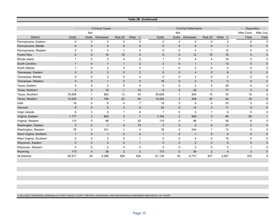#### **Table 2B (Continued)**

|                         |                | --------    | - Criminal Cases - - - - - - - - - |              |                 | <u>.</u>       |              | Criminal Defendants - - - - - - - - - |              |                | - - - Disposition - - - |              |
|-------------------------|----------------|-------------|------------------------------------|--------------|-----------------|----------------|--------------|---------------------------------------|--------------|----------------|-------------------------|--------------|
|                         |                | Not         |                                    |              |                 |                | Not          |                                       |              |                | After Court             | After Jury   |
| <b>District</b>         | Guilty         | Guilty      | Dismissed                          | Rule 20      | Other 1/        | Guilty         | Guilty       | Dismissed                             | Rule 20      | Other 1/       | <b>Trials</b>           | Trials       |
| Pennsylvania, Eastern   | 0              | $\mathbf 0$ | $\mathbf 0$                        | $\mathbf 0$  | $\mathbf 0$     | 0              | $\mathbf 0$  | $\mathbf 0$                           | $\Omega$     | $\overline{2}$ | 0                       | $\Omega$     |
| Pennsylvania, Middle    | $\mathbf{0}$   | $\mathbf 0$ | 4                                  | $\mathbf 0$  | $\mathbf 0$     | $\mathbf 0$    | $\mathbf 0$  | 4                                     | $\mathbf 0$  | $\mathbf 1$    | $\mathbf 0$             | $\mathbf 0$  |
| Pennsylvania, Western   | 0              | 0           | 4                                  |              | 0               | 0              | 0            | 4                                     |              | 12             | 0                       | $\Omega$     |
| Puerto Rico             | 6              | $\mathbf 0$ | 10                                 | 15           | 4               | 6              | $\mathbf 0$  | 12                                    | 15           | 10             | $\mathbf 0$             | $\mathbf 0$  |
| Rhode Island            | 1              | 0           | 3                                  | 4            | 0               | 1              | 0            | 4                                     | 4            | 18             | 0                       | 0            |
| South Carolina          | 1              | $\mathbf 0$ | $\mathbf{1}$                       | $\mathbf{1}$ | $\overline{2}$  | 2              | $\mathbf 0$  | 1                                     | $\mathbf{1}$ | 13             | 0                       | $\mathbf 0$  |
| South Dakota            | 1              | 0           | $\overline{c}$                     | $\mathbf 0$  | $\mathbf 0$     | 1              | 0            | 2                                     | 0            | $\mathbf 0$    | 0                       | 0            |
| Tennessee, Eastern      | $\Omega$       | $\mathbf 0$ | 3                                  | $\mathbf{0}$ | $\overline{2}$  | $\mathbf{0}$   | $\mathbf 0$  | $\overline{4}$                        | $\mathbf{0}$ | 6              | $\mathbf{0}$            | $\mathbf 0$  |
| Tennessee, Middle       | $\Omega$       | 0           | $\overline{c}$                     | $\mathbf 0$  | $\mathbf 0$     | 0              | 0            | $\overline{2}$                        | 0            | $\overline{2}$ | 0                       | 0            |
| Tennessee, Western      | 4              | $\mathbf 0$ | $\mathbf{1}$                       | 2            | $\mathbf 0$     | 16             | $\mathbf 0$  | $\overline{2}$                        | 3            | $\mathbf 0$    | $\mathbf 0$             | $\mathbf{0}$ |
| Texas, Eastern          | $\Omega$       | 0           | $\overline{2}$                     | 5            | $\overline{4}$  | $\Omega$       | 0            | $\overline{2}$                        | 5            | 29             | $\Omega$                | $\Omega$     |
| Texas, Northern         | $\overline{4}$ | $\mathbf 0$ | 19                                 | $\mathbf{1}$ | 10              | $6\phantom{1}$ | $\mathbf 0$  | 28                                    | $\mathbf{1}$ | 77             | $\mathbf 0$             | $\mathbf{0}$ |
| Texas, Southern         | 30,608         | 1           | 800                                | 13           | 34              | 30,628         | $\mathbf{1}$ | 845                                   | 15           | 76             | 10                      | $\Omega$     |
| Texas, Western          | 14,325         | 3           | 194                                | 23           | 54              | 14,334         | 3            | 208                                   | 26           | 94             | 35                      | $\Omega$     |
| Utah                    | 18             | 0           | 6                                  | 4            | 7               | 19             | 0            | 6                                     | 4            | 25             | 0                       | 0            |
| Vermont                 | 8              | $\mathbf 0$ | 5                                  | 2            | $6\phantom{1}6$ | 22             | $\mathbf 0$  | 14                                    | 2            | 11             | $\mathbf 0$             | $\Omega$     |
| Virgin Islands          | 6              | 0           | 5                                  | -1           | 6               | $\overline{7}$ | 0            | 5                                     | -1           | 9              | 0                       | 0            |
| Virginia, Eastern       | 1,177          | 3           | 825                                | 3            | $\overline{7}$  | 1,184          | 3            | 826                                   | 3            | 49             | 62                      |              |
| Virginia, Western       | 115            | 0           | 96                                 |              | 32              | 115            | 0            | 98                                    |              | 38             | 8                       | $\Omega$     |
| Washington, Eastern     | $\overline{2}$ | $\pmb{0}$   | $\mathbf{1}$                       | $\mathbf{0}$ | 19              | $\overline{2}$ | $\mathbf 0$  | $\overline{2}$                        | $\mathbf{0}$ | 27             | $\mathbf 0$             | $\mathbf{0}$ |
| Washington, Western     | 78             | 0           | 241                                | -1           | $\overline{4}$  | 78             | 0            | 244                                   | 1            | 13             | 3                       | 0            |
| West Virginia, Northern | $\mathbf{1}$   | $\mathbf 0$ | $\mathbf 1$                        | $\mathbf 0$  | 4               | $\mathbf{1}$   | $\mathbf 0$  | 1                                     | $\mathbf 0$  | $\overline{4}$ | $\mathbf 0$             | $\Omega$     |
| West Virginia, Southern | 0              | 0           | 3                                  | $\Omega$     | -1              | 0              | 0            | 4                                     | $\Omega$     | 18             | 0                       | $\Omega$     |
| Wisconsin, Eastern      | $\mathbf{0}$   | $\pmb{0}$   | $\overline{2}$                     | $\mathbf 0$  | $\overline{1}$  | $\mathbf 0$    | 0            | $\overline{2}$                        | $\mathbf 0$  | 9              | $\mathbf 0$             | $\mathbf{0}$ |
| Wisconsin, Western      | 4              | 0           | $\overline{2}$                     | $\mathbf 0$  | $\mathbf 0$     | 5              | 0            | $\overline{2}$                        | 0            | $\mathbf 0$    | 1                       | 0            |
| Wyoming                 | 173            | $\mathbf 0$ | 36                                 | 2            | 3               | 173            | $\mathbf 0$  | 38                                    | 2            | $\overline{4}$ | 3                       | $\mathbf 0$  |
| <b>All Districts</b>    | 80,917         | 29          | 6,388                              | 826          | 634             | 81,134         | 30           | 6,737                                 | 837          | 2,067          | 203                     | 9            |

1/ INCLUDES TRANSFERS, DISMISSALS OTHER THAN BY COURT, PRETRIAL DIVERSIONS, AND PROCEEDINGS SUSPENDED INDEFINITELY BY COURT.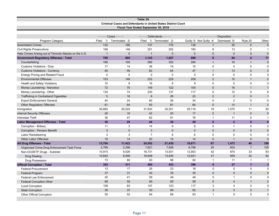#### **Table 3A Criminal Cases and Defendants in United States District Court Fiscal Year Ended September 30, 2019**

|                                                          |                | $---$ Cases - - - - - |                | - - - - - Defendants - - - - - |             |                         | ---------- Disposition ---------- |                         |                           |
|----------------------------------------------------------|----------------|-----------------------|----------------|--------------------------------|-------------|-------------------------|-----------------------------------|-------------------------|---------------------------|
| Program Category                                         | 1/<br>Filed    | Terminated 2/         | Filed          | 1/ Terminated 2/               |             | Guilty 3/ Not Guilty 4/ | Dismissed 5/                      | Rule 20                 | Other                     |
| <b>Assimilated Crimes</b>                                | 132            | 166                   | 137            | 175                            | 139         | $\mathbf{1}$            | 35                                | $\mathbf{0}$            | $\mathbf{0}$              |
| <b>Civil Rights Prosecutions</b>                         | 168            | 146                   | 251            | 202                            | 180         | 8                       | 13                                | 0                       | $\mathbf 1$               |
| Hate Crimes Arising out of Terrorist Attacks on the U.S. | $\overline{1}$ | $\mathbf{0}$          | $\overline{1}$ | $\mathbf{0}$                   | $\mathbf 0$ | $\mathbf 0$             | $\mathbf{0}$                      | $\mathbf 0$             | $\Omega$                  |
| <b>Government Regulatory Offenses - Total</b>            | 709            | 665                   | 1,143          | 1,027                          | 906         | $6\phantom{a}$          | 94                                | $\overline{\mathbf{4}}$ | 17                        |
| Counterfeiting                                           | 168            | 195                   | 266            | 302                            | 284         | $\mathbf{1}$            | 16                                | $\mathbf{1}$            | $\mathbf 0$               |
| <b>Customs Violations - Duty</b>                         | 17             | 14                    | 36             | 19                             | 15          | 0                       | 4                                 | $\mathbf 0$             | $\Omega$                  |
| <b>Customs Violations - Currency</b>                     | 45             | 49                    | 62             | 64                             | 47          | $\mathbf{1}$            | 13                                | $\Omega$                | $\ensuremath{\mathsf{3}}$ |
| <b>Energy Pricing and Related Fraud</b>                  | $\mathbf 0$    | 0                     | $\mathbf 0$    | $\mathbf 0$                    | $\mathbf 0$ | 0                       | $\mathbf 0$                       | 0                       | $\mathbf 0$               |
| <b>Environmental Offenses</b>                            | 153            | 148                   | 232            | 229                            | 209         | $\overline{2}$          | 15                                | $\mathbf{1}$            | $\sqrt{2}$                |
| Health and Safety Violations                             | 10             | 9                     | 16             | 9                              | 9           | $\mathbf 0$             | $\mathbf 0$                       | $\mathbf 0$             | $\mathbf 0$               |
| Money Laundering - Narcotics                             | 72             | 70                    | 149            | 122                            | 104         | $\mathbf 0$             | 16                                | $\mathbf{1}$            | $\mathbf{1}$              |
| Money Laundering - Other                                 | 134            | 74                    | 230            | 137                            | 117         | $\mathbf 0$             | 12                                | 0                       | 8                         |
| Trafficking in Contraband Cigarettes                     | 5              | 18                    | 9              | 28                             | 23          | 2                       | $\overline{2}$                    | $\mathbf 0$             | $\mathbf{1}$              |
| <b>Export Enforcement General</b>                        | 44             | 24                    | 60             | 36                             | 34          | 0                       | 2                                 | $\mathbf 0$             | $\mathbf 0$               |
| <b>Other Regulatory Offenses</b>                         | 61             | 64                    | 83             | 81                             | 64          | 0                       | 14                                | $\mathbf{1}$            | $\sqrt{2}$                |
| Immigration                                              | 30,665         | 29,220                | 31,933         | 30,251                         | 29,116      | 19                      | 1,075                             | 11                      | 30                        |
| <b>Internal Security Offenses</b>                        | 29             | 16                    | 42             | 20                             | 17          | $\overline{2}$          | $\mathbf{1}$                      | $\mathbf 0$             | $\pmb{0}$                 |
| <b>Interstate Theft</b>                                  | 38             | 47                    | 62             | 91                             | 78          | $\mathbf 1$             | 11                                | 0                       | $\mathbf{1}$              |
| <b>Labor Management Offenses - Total</b>                 | 36             | 20                    | 44             | 30                             | 28          | $\bf{0}$                | $\overline{2}$                    | $\bf{0}$                | $\mathbf{0}$              |
| Corruption - Bribery                                     | 11             | 3                     | 14             | 9                              | 8           | $\mathbf 0$             | $\mathbf{1}$                      | 0                       | $\Omega$                  |
| Corruption - Pension Benefit                             | $\mathbf{3}$   | $\mathbf 0$           | 3              | $\overline{0}$                 | $\mathbf 0$ | $\overline{0}$          | $\mathbf 0$                       | $\mathbf 0$             | $\mathbf 0$               |
| Labor Racketeering                                       | 3              | 3                     | $\overline{7}$ | 6                              | 6           | 0                       | 0                                 | 0                       | $\Omega$                  |
| <b>Other Labor Offenses</b>                              | 19             | 14                    | 20             | 15                             | 14          | $\mathbf{0}$            | $\mathbf{1}$                      | $\mathbf{0}$            | $\Omega$                  |
| <b>All Drug Offenses - Total</b>                         | 13,704         | 11,422                | 24,552         | 21,439                         | 19,671      | 67                      | 1,473                             | 40                      | 188                       |
| Organized Crime Drug Enforcement Task Force              | 2,789          | 2,396                 | 7,821          | 7,508                          | 6,768       | 25                      | 603                               | $\overline{7}$          | 105                       |
| Non-OCDETF Drugs - Subtotal                              | 10,915         | 9,026                 | 16,731         | 13,931                         | 12,903      | 42                      | 870                               | 33                      | 83                        |
| <b>Drug Dealing</b>                                      | 10,842         | 8,946                 | 16,648         | 13,835                         | 12,821      | 41                      | 859                               | 32                      | 82                        |
| Drug Possession                                          | 73             | 80                    | 83             | 96                             | 82          | $\overline{1}$          | 11                                | $\mathbf{1}$            | $\mathbf{1}$              |
| <b>Official Corruption - Total</b>                       | 353            | 311                   | 485            | 433                            | 396         | 6                       | 27                                | $\mathbf{1}$            | $\mathbf{3}$              |
| <b>Federal Procurement</b>                               | 13             | 17                    | 25             | 23                             | 18          | $\mathbf 0$             | 5                                 | $\mathbf 0$             | 0                         |
| <b>Federal Program</b>                                   | 37             | 31                    | 40             | 35                             | 30          | 0                       | $5\overline{)}$                   | $\mathbf{0}$            | $\mathbf 0$               |
| <b>Federal Law Enforcement</b>                           | 40             | 41                    | 59             | 49                             | 48          | $\mathbf 0$             | $\mathbf{1}$                      | $\mathbf 0$             | $\Omega$                  |
| <b>Federal Corruption Other</b>                          | 68             | 50                    | 80             | 65                             | 58          | 0                       | $\overline{4}$                    | $\mathbf{1}$            | $\sqrt{2}$                |
| <b>Local Corruption</b>                                  | 109            | 83                    | 147            | 123                            | 117         | $\overline{c}$          | 4                                 | $\mathbf 0$             | $\mathbf 0$               |
| <b>State Corruption</b>                                  | 36             | 37                    | 50             | 69                             | 62          | 3                       | 3                                 | $\mathbf 0$             | $\mathbf{1}$              |
| Other Official Corruption                                | 50             | 52                    | 84             | 69                             | 63          | $\overline{1}$          | 5                                 | $\mathbf 0$             | $\mathbf 0$               |
|                                                          |                |                       |                |                                |             |                         |                                   |                         |                           |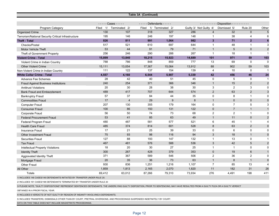|                                                                           |                       |                | Table 3A (Continued)   |                  |        |                         |                                 |                 |                |
|---------------------------------------------------------------------------|-----------------------|----------------|------------------------|------------------|--------|-------------------------|---------------------------------|-----------------|----------------|
|                                                                           |                       |                |                        |                  |        |                         |                                 |                 |                |
|                                                                           | $---$ Cases - - - - - |                | $---$ Defendants $---$ |                  |        |                         | Disposition - - - - - - - - - - |                 |                |
| Program Category                                                          | 1/<br>Filed           | Terminated 2/  | Filed                  | 1/ Terminated 2/ |        | Guilty 3/ Not Guilty 4/ | Dismissed 5/                    | Rule 20         | Other          |
| <b>Organized Crime</b>                                                    | 130                   | 107            | 318                    | 327              | 286    | $\overline{4}$          | 32                              | $\mathbf{0}$    | $\sqrt{5}$     |
| Terrorism/National Security Critical Infrastructure                       | 195                   | 146            | 246                    | 197              | 148    | 1                       | 38                              | 4               | 6              |
| <b>Theft - Total</b>                                                      | 826                   | 811            | 991                    | 1,064            | 982    | $\overline{\mathbf{3}}$ | 71                              | $\overline{2}$  | $6\phantom{a}$ |
| Checks/Postal                                                             | 517                   | 521            | 610                    | 697              | 644    | $\mathbf{1}$            | 48                              | $\mathbf{1}$    | 3              |
| <b>Motor Vehicle Theft</b>                                                | 53                    | 44             | 91                     | 79               | 71     | $\mathbf{1}$            | $5\phantom{.0}$                 | $\mathbf{0}$    | $\mathbf 2$    |
| Theft of Government Property                                              | 256                   | 246            | 290                    | 288              | 267    | $\mathbf{1}$            | 18                              | $\overline{1}$  | $\overline{1}$ |
| <b>Violent Crime - Total</b>                                              | 15,899                | 13,840         | 18,215                 | 15,923           | 14,689 | 101                     | 971                             | 59              | 103            |
| Violent Crime in Indian Country                                           | 788                   | 786            | 848                    | 859              | 777    | 13                      | 69                              | $\mathbf 0$     | $\Omega$       |
| <b>Other Violent Crime</b>                                                | 15,111                | 13,054         | 17,367                 | 15,064           | 13,912 | 88                      | 902                             | 59              | 103            |
| Non-Violent Crime in Indian Country                                       | 111                   | 122            | 137                    | 154              | 139    | 4                       | 10                              | $\Omega$        | $\overline{1}$ |
| <b>White Collar Crime - Total</b>                                         | 4,557                 | 4,160          | 6,544                  | 5,907            | 5,339  | 42                      | 456                             | 46              | 24             |
| <b>Advance Fee Schemes</b>                                                | 28                    | 42             | 40                     | 51               | 45     | 0                       | 5                               | $\Omega$        | -1             |
| <b>Fraud Against Business Institutions</b>                                | 240                   | 254            | 371                    | 366              | 346    | $\mathbf{1}$            | 15                              | $\sqrt{2}$      | $\overline{2}$ |
| <b>Antitrust Violations</b>                                               | 20                    | 30             | 28                     | 38               | 30     | 3                       | $\overline{2}$                  | 3               | $\mathbf 0$    |
| <b>Bank Fraud and Embezzlement</b>                                        | 489                   | 417            | 707                    | 644              | 574    | 2                       | 63                              | 2               | 3              |
| <b>Bankruptcy Fraud</b>                                                   | 57                    | 37             | 84                     | 44               | 35     | 0                       | 8                               | $\mathbf{1}$    | $\mathbf 0$    |
| <b>Commodities Fraud</b>                                                  | 17                    | $\overline{4}$ | 29                     | 9                | 8      | $\mathbf{1}$            | $\mathbf{0}$                    | $\mathbf{0}$    | $\mathbf 0$    |
| <b>Computer Fraud</b>                                                     | 207                   | 130            | 355                    | 179              | 164    | $\Omega$                | $\overline{7}$                  | 5               | 3              |
| <b>Consumer Fraud</b>                                                     | 100                   | 86             | 150                    | 131              | 122    | $\pmb{0}$               | $\overline{7}$                  | $\mathbf{1}$    | $\mathbf{1}$   |
| Corporate Fraud                                                           | 56                    | 50             | 74                     | 73               | 68     | $\overline{2}$          | $\overline{2}$                  | $\mathbf{1}$    | $\Omega$       |
| <b>Federal Procurement Fraud</b>                                          | 53                    | 41             | 85                     | 63               | 49     | $\mathbf{1}$            | 11                              | $\mathbf{0}$    | $\overline{2}$ |
| Federal Program Fraud                                                     | 480                   | 487            | 581                    | 577              | 521    | 6                       | 45                              | $\mathbf{1}$    | $\overline{4}$ |
| <b>Health Care Fraud</b>                                                  | 485                   | 374            | 814                    | 601              | 528    | 8                       | 63                              | 2               | $\overline{0}$ |
| <b>Insurance Fraud</b>                                                    | 17                    | 21             | 25                     | 39               | 33     | 0                       | 6                               | $\mathbf 0$     | $\mathbf{0}$   |
| <b>Other Investment Fraud</b>                                             | 75                    | 93             | 98                     | 116              | 94     | 3                       | 18                              | $\mathbf{1}$    | $\mathbf 0$    |
| <b>Securities Fraud</b>                                                   | 127                   | 88             | 193                    | 147              | 132    | $\mathbf{1}$            | 13                              | $\mathbf 0$     | $\mathbf 1$    |
| <b>Tax Fraud</b>                                                          | 467                   | 481            | 576                    | 588              | 536    | 3                       | 42                              | $5\phantom{.0}$ | $\overline{2}$ |
| Intellectual Property Violations                                          | 18                    | 20             | 30                     | 27               | 25     | $\mathbf{1}$            | $\overline{1}$                  | $\mathbf 0$     | $\mathbf 0$    |
| <b>Identity Theft</b>                                                     | 300                   | 267            | 428                    | 379              | 353    | $\pmb{0}$               | 19                              | $\,6\,$         | $\mathbf{1}$   |
| Aggravated Identity Theft                                                 | 371                   | 367            | 589                    | 546              | 506    | 2                       | 36                              | 2               | $\Omega$       |
| Mortgage Fraud                                                            | 20                    | 35             | 36                     | 73               | 63     | $\mathbf{1}$            | $\bf 8$                         | $\mathbf{1}$    | $\mathbf 0$    |
| Other Fraud                                                               | 930                   | 836            | 1,251                  | 1,216            | 1,107  | $\overline{7}$          | 85                              | 13              | $\overline{4}$ |
| All Other                                                                 | 1,859                 | 1,813          | 2,165                  | 2,070            | 1,820  | 11                      | 182                             | 31              | 26             |
| Totals                                                                    | 69,412                | 63,012         | 87,266                 | 79,310           | 73,934 | 276                     | 4,491                           | 198             | 411            |
| 1/ INCLUDES 146 CASES/149 DEFENDANTS INITIATED BY TRANSFER UNDER RULE 20. |                       |                |                        |                  |        |                         |                                 |                 |                |
| 2/ INCLUDES 161 CASES/198 DEFENDANTS TERMINATED BY TRANSFER UNDER RULE 20 |                       |                |                        |                  |        |                         |                                 |                 |                |

3/ PLEASE NOTE, "GUILTY DISPOSITIONS" REPRESENT SENTENCED DEFENDANTS. THE UNDERLYING GUILTY DISPOSITION, PRIOR TO SENTENCING, MAY HAVE RESULTED FROM A GUILTY PLEA OR A GUILTY VERDICT

OBTAINED IN A PRIOR FISCAL YEAR.

4/ INCLUDES 6 VERDICTS OF NOT GUILTY BY REASON OF INSANITY INVOLVING 6 DEFENDANTS.

5/ INCLUDES TRANSFERS, DISMISSALS OTHER THAN BY COURT, PRETRIAL DIVERSIONS, AND PROCEEDINGS SUSPENDED INDEFINITELY BY COURT.

DATA ON THIS TABLE DOES NOT INCLUDE MAGISTRATE PROCEEDINGS.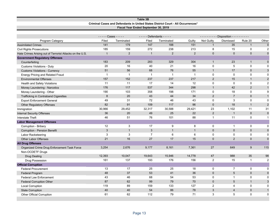|                                                          |                       |                | Fiscal Year Ended September 30, 2019 | Criminal Cases and Defendants in United States District Court - All Occurrences* |              |                |                                   |                     |                |
|----------------------------------------------------------|-----------------------|----------------|--------------------------------------|----------------------------------------------------------------------------------|--------------|----------------|-----------------------------------|---------------------|----------------|
|                                                          | $---$ Cases - - - - - |                | - - - - - Defendants - - - - -       |                                                                                  |              |                | ---------- Disposition ---------- |                     |                |
| Program Category                                         | Filed                 | Terminated     | Filed                                | Terminated                                                                       | Guilty       | Not Guilty     | Dismissed                         | Rule 20             | Other          |
| <b>Assimilated Crimes</b>                                | 141                   | 179            | 147                                  | 188                                                                              | 151          | $\overline{1}$ | 35                                | $\mathbf{1}$        | $\mathbf 0$    |
| <b>Civil Rights Prosecutions</b>                         | 185                   | 159            | 272                                  | 238                                                                              | 213          | 8              | 15                                | $\mathbf 0$         | $\overline{2}$ |
| Hate Crimes Arising out of Terrorist Attacks on the U.S. | $\overline{1}$        | $\overline{2}$ | $\mathbf{1}$                         | 2                                                                                | 2            | $\mathbf{0}$   | $\mathbf{0}$                      | $\mathbf{0}$        | $\Omega$       |
| <b>Government Regulatory Offenses</b>                    |                       |                |                                      |                                                                                  |              |                |                                   |                     |                |
| Counterfeiting                                           | 183                   | 209            | 283                                  | 329                                                                              | 304          | $\mathbf{1}$   | 23                                | $\mathbf{1}$        | $\mathbf 0$    |
| <b>Customs Violations - Duty</b>                         | 20                    | 16             | 40                                   | 21                                                                               | 16           | $\mathbf 0$    | 5                                 | $\mathbf 0$         | $\mathbf 0$    |
| <b>Customs Violations - Currency</b>                     | 51                    | 56             | 68                                   | 76                                                                               | 55           | $\mathbf{1}$   | 17                                | $\mathbf{0}$        | 3              |
| <b>Energy Pricing and Related Fraud</b>                  | $\mathbf{1}$          | $\mathbf{1}$   | $\mathbf{1}$                         | $\mathbf{1}$                                                                     | $\mathbf{1}$ | $\mathbf 0$    | 0                                 | $\mathbf 0$         | $\Omega$       |
| <b>Environmental Offenses</b>                            | 157                   | 152            | 237                                  | 237                                                                              | 217          | $\overline{2}$ | 15                                | $\mathbf{1}$        | $\overline{2}$ |
| <b>Health and Safety Violations</b>                      | 11                    | 11             | 17                                   | 14                                                                               | 12           | $\mathbf 0$    | 0                                 | $\mathsf{O}\xspace$ | $\overline{2}$ |
| Money Laundering - Narcotics                             | 176                   | 117            | 537                                  | 344                                                                              | 298          | $\mathbf{1}$   | 42                                | $\overline{2}$      | $\mathbf{1}$   |
| Money Laundering - Other                                 | 190                   | 103            | 358                                  | 198                                                                              | 171          | $\mathbf 0$    | 18                                | $\mathbf 0$         | 9              |
| Trafficking in Contraband Cigarettes                     | 8                     | 20             | 43                                   | 44                                                                               | 34           | 2              | $\overline{7}$                    | $\mathbf{0}$        | $\mathbf{1}$   |
| <b>Export Enforcement General</b>                        | 49                    | 31             | 72                                   | 46                                                                               | 43           | 0              | 3                                 | $\mathbf 0$         | $\mathbf 0$    |
| <b>Other Regulatory Offenses</b>                         | 82                    | 91             | 109                                  | 117                                                                              | 96           | $\mathbf 0$    | 18                                | $\mathbf{1}$        | $\overline{2}$ |
| Immigration                                              | 30,966                | 29,452         | 32,317                               | 30,588                                                                           | 29,421       | 23             | 1,102                             | 11                  | 31             |
| <b>Internal Security Offenses</b>                        | 36                    | 20             | 49                                   | 25                                                                               | 22           | $\overline{2}$ | $\overline{1}$                    | $\mathbf 0$         | $\mathbf 0$    |
| Interstate Theft                                         | 46                    | 51             | 76                                   | 101                                                                              | 88           | $\mathbf{1}$   | 11                                | $\mathbf 0$         | $\mathbf{1}$   |
| <b>Labor Management Offenses</b>                         |                       |                |                                      |                                                                                  |              |                |                                   |                     |                |
| Corruption - Bribery                                     | 12                    | 3              | 17                                   | 9                                                                                | 8            | $\mathbf 0$    | $\mathbf{1}$                      | $\mathbf 0$         | 0              |
| Corruption - Pension Benefit                             | $\mathbf{3}$          | $\mathbf{1}$   | 3                                    | $\mathbf{1}$                                                                     | $\mathbf{1}$ | $\mathbf 0$    | $\mathbf 0$                       | $\mathbf 0$         | $\mathbf 0$    |
| Labor Racketeering                                       | 3                     | $\mathbf{3}$   | $\overline{7}$                       | 6                                                                                | 6            | $\mathbf 0$    | 0                                 | $\mathbf 0$         | $\Omega$       |
| <b>Other Labor Offenses</b>                              | 21                    | 16             | 27                                   | 17                                                                               | 15           | $\mathbf 0$    | 2                                 | $\mathbf{0}$        | $\mathbf 0$    |
| <b>All Drug Offenses</b>                                 |                       |                |                                      |                                                                                  |              |                |                                   |                     |                |
| Organized Crime Drug Enforcement Task Force              | 3,254                 | 2,676          | 9,177                                | 8,161                                                                            | 7,361        | 27             | 649                               | $9\,$               | 115            |
| Non-OCDETF Drugs                                         |                       |                |                                      |                                                                                  |              |                |                                   |                     |                |
| Drug Dealing                                             | 12,393                | 10,047         | 19,643                               | 15,946                                                                           | 14,778       | 47             | 988                               | 35                  | 98             |
| Drug Possession                                          | 161                   | 137            | 193                                  | 176                                                                              | 156          | $\sqrt{2}$     | 15                                | $\mathbf{1}$        | $\overline{2}$ |
| <b>Official Corruption</b>                               |                       |                |                                      |                                                                                  |              |                |                                   |                     |                |
| <b>Federal Procurement</b>                               | 13                    | 17             | 25                                   | 25                                                                               | 18           | $\pmb{0}$      | $\overline{7}$                    | 0                   | $\mathbf 0$    |
| <b>Federal Program</b>                                   | 48                    | 37             | 53                                   | 41                                                                               | 36           | $\mathbf 0$    | $\sqrt{5}$                        | $\mathbf 0$         | $\mathbf 0$    |
| <b>Federal Law Enforcement</b>                           | 43                    | 46             | 68                                   | 54                                                                               | 53           | $\mathbf 0$    | $\mathbf{1}$                      | $\mathbf 0$         | $\Omega$       |
| <b>Federal Corruption Other</b>                          | 87                    | 62             | 99                                   | 79                                                                               | 70           | $\mathbf 0$    | 5                                 | $\mathbf{1}$        | 3              |
| <b>Local Corruption</b>                                  | 119                   | 89             | 159                                  | 133                                                                              | 127          | 2              | 4                                 | $\mathbf 0$         | 0              |
| <b>State Corruption</b>                                  | 40                    | 40             | 54                                   | 86                                                                               | 78           | $\mathsf 3$    | $\overline{4}$                    | $\mathbf 0$         | $\mathbf{1}$   |
| <b>Other Official Corruption</b>                         | 61                    | 62             | 112                                  | 79                                                                               | 71           | 3              | $\sqrt{5}$                        | $\mathbf 0$         | $\Omega$       |

**Table 3B**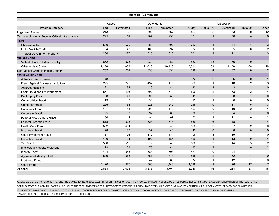|                                                     |                           |                | Table 3B (Continued)       |            |        |                |                                  |                |                |
|-----------------------------------------------------|---------------------------|----------------|----------------------------|------------|--------|----------------|----------------------------------|----------------|----------------|
|                                                     |                           |                |                            |            |        |                |                                  |                |                |
|                                                     | - - - - - Cases - - - - - |                | $---$ Defendants - - - - - |            |        |                | --------- Disposition ---------- |                |                |
| Program Category                                    | Filed                     | Terminated     | Filed                      | Terminated | Guilty | Not Guilty     | Dismissed                        | Rule 20        | Other          |
| Organized Crime                                     | 213                       | 160            | 592                        | 567        | 497    | 5              | 53                               | $\mathbf 0$    | 12             |
| Terrorism/National Security Critical Infrastructure | 225                       | 161            | 287                        | 230        | 181    | $\mathbf{1}$   | 38                               | $\overline{4}$ | 6              |
| <b>Theft</b>                                        |                           |                |                            |            |        |                |                                  |                |                |
| Checks/Postal                                       | 580                       | 570            | 689                        | 792        | 733    | $\mathbf{1}$   | 54                               | $\mathbf{1}$   | 3              |
| <b>Motor Vehicle Theft</b>                          | 64                        | 49             | 103                        | 92         | 84     | $\mathbf{1}$   | 5                                | $\mathbf 0$    | $\overline{2}$ |
| Theft of Government Property                        | 284                       | 277            | 325                        | 328        | 301    | $\mathbf{1}$   | 21                               | $\overline{2}$ | 3              |
| <b>Violent Crime</b>                                |                           |                |                            |            |        |                |                                  |                |                |
| Violent Crime in Indian Country                     | 862                       | 875            | 930                        | 952        | 862    | 13             | 76                               | $\mathbf{0}$   | $\mathbf{1}$   |
| Other Violent Crime                                 | 17,476                    | 14,886         | 21,616                     | 18,413     | 17,014 | 103            | 1,108                            | 60             | 128            |
| Non-Violent Crime in Indian Country                 | 252                       | 251            | 330                        | 334        | 296    | $\overline{4}$ | 32                               | $\mathbf 0$    | $\sqrt{2}$     |
| <b>White Collar Crime</b>                           |                           |                |                            |            |        |                |                                  |                |                |
| <b>Advance Fee Schemes</b>                          | 48                        | 65             | 70                         | 79         | 72     | $\mathbf 0$    | 6                                | $\mathbf 0$    | $\overline{1}$ |
| <b>Fraud Against Business Institutions</b>          | 275                       | 279            | 432                        | 416        | 392    | $\mathbf{1}$   | 18                               | $\overline{2}$ | 3              |
| <b>Antitrust Violations</b>                         | 21                        | 32             | 29                         | 41         | 33     | 3              | 2                                | 3              | $\mathbf 0$    |
| <b>Bank Fraud and Embezzlement</b>                  | 561                       | 495            | 802                        | 771        | 690    | 2              | 73                               | $\overline{2}$ | 4              |
| <b>Bankruptcy Fraud</b>                             | 63                        | 40             | 93                         | 50         | 41     | $\mathbf 0$    | $\bf 8$                          | $\mathbf{1}$   | $\mathbf 0$    |
| <b>Commodities Fraud</b>                            | 19                        | $\overline{7}$ | 33                         | 13         | 12     | $\mathbf{1}$   | 0                                | 0              | $\mathbf 0$    |
| <b>Computer Fraud</b>                               | 265                       | 168            | 528                        | 240        | 215    | $\mathbf 0$    | 17                               | 5              | 3              |
| <b>Consumer Fraud</b>                               | 131                       | 111            | 200                        | 170        | 157    | 0              | 10                               | $\overline{2}$ | $\mathbf{1}$   |
| Corporate Fraud                                     | 75                        | 63             | 97                         | 88         | 80     | 3              | $\overline{4}$                   | $\mathbf{1}$   | $\mathbf 0$    |
| <b>Federal Procurement Fraud</b>                    | 56                        | 44             | 94                         | 67         | 53     | $\mathbf{1}$   | 11                               | 0              | $\overline{2}$ |
| Federal Program Fraud                               | 518                       | 525            | 628                        | 618        | 559    | 6              | 48                               | $\mathbf{1}$   | $\overline{4}$ |
| <b>Health Care Fraud</b>                            | 532                       | 404            | 878                        | 646        | 568    | 9              | 67                               | $\overline{2}$ | $\mathbf 0$    |
| <b>Insurance Fraud</b>                              | 28                        | 27             | 37                         | 48         | 42     | $\mathbf 0$    | 6                                | $\mathbf 0$    | $\mathbf 0$    |
| Other Investment Fraud                              | 87                        | 103            | 112                        | 131        | 108    | 3              | 19                               | $\mathbf{1}$   | $\mathbf 0$    |
| <b>Securities Fraud</b>                             | 130                       | 94             | 197                        | 154        | 139    | $\mathbf{1}$   | 13                               | $\mathbf 0$    | $\mathbf{1}$   |
| <b>Tax Fraud</b>                                    | 500                       | 512            | 619                        | 640        | 586    | 3              | 44                               | 5              | $\overline{2}$ |
| <b>Intellectual Property Violations</b>             | 29                        | 31             | 75                         | 41         | 37     | $\mathbf{1}$   | $\mathbf{1}$                     | $\mathbf 0$    | $\overline{2}$ |
| <b>Identity Theft</b>                               | 404                       | 345            | 583                        | 503        | 471    | $\mathbf 0$    | 24                               | $\overline{7}$ | $\mathbf{1}$   |
| Aggravated Identity Theft                           | 549                       | 563            | 857                        | 873        | 815    | $\overline{2}$ | 52                               | $\overline{4}$ | $\mathbf 0$    |
| Mortgage Fraud                                      | 31                        | 39             | 47                         | 88         | 74     | $\mathbf{1}$   | 12                               | $\mathbf{1}$   | 0              |
| <b>Other Fraud</b>                                  | 1,120                     | 975            | 1,560                      | 1,448      | 1,319  | $9\,$          | 96                               | 17             | $\overline{7}$ |
| All Other                                           | 2,834                     | 2,636          | 3,838                      | 3,701      | 3,340  | 16             | 264                              | 33             | 48             |

\*CASEVIEW CAN CAPTURE MORE THAN ONE PROGRAM AREA IN A SINGLE CASE THROUGH THE USE OF MULTIPLE PROGRAM CATEGORY CODES. MULTIPLE CODING RESULTS IN A MORE ACCURATE DEPICTION OF THE NATURE ANDCOMPLEXITY OF OUR CRIMINAL CASES AND ENABLES THE EXECUTIVE OFFICE FOR UNITED STATES ATTORNEYS (EOUSA) TO IDENTIFY ALL CASES THAT INVOLVE A PARTICULAR SUBJECT MATTER, REGARDLESS OF WHETHER IT IS ENTERED AS A PRIMARY OR SUBSEQUENT CODE. AN ALL OCCURRENCE REPORT SHOWS HOW OFTEN CERTAIN PROGRAM CATEGORY CODES ARE ENTERED WHETHER THEY ARE PRIMARY OR TERTIARY. DATA ON THIS TABLE DOES NOT INCLUDE MAGISTRATE PROCEEDINGS.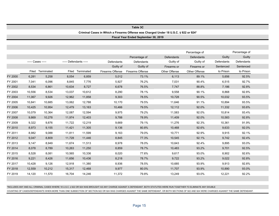|         |                   |                  |                        |                  |                         | Table 3C                             |                                                                                      |               |            |               |  |
|---------|-------------------|------------------|------------------------|------------------|-------------------------|--------------------------------------|--------------------------------------------------------------------------------------|---------------|------------|---------------|--|
|         |                   |                  |                        |                  |                         |                                      | Criminal Cases in Which a Firearms Offense was Charged Under 18 U.S.C. § 922 or 924* |               |            |               |  |
|         |                   |                  |                        |                  |                         | Fiscal Year Ended September 30, 2019 |                                                                                      |               |            |               |  |
|         |                   |                  |                        |                  |                         |                                      |                                                                                      |               |            |               |  |
|         |                   |                  |                        |                  |                         |                                      |                                                                                      |               |            |               |  |
|         |                   |                  |                        |                  |                         |                                      |                                                                                      | Percentage of |            | Percentage of |  |
|         |                   |                  |                        |                  |                         | Percentage of                        | Defendants                                                                           | Defendants    | Guilty     | Guilty        |  |
|         | ----- Cases ----- |                  | ----- Defendants ----- |                  | <b>Defendants</b>       | Defendants                           | Guilty of                                                                            | Guilty of     | Defendants | Defendants    |  |
|         |                   |                  |                        |                  | Guilty of               | Guilty of                            | Firearms or                                                                          | Firearms or   | Sentenced  | Sentenced     |  |
|         |                   | Filed Terminated |                        | Filed Terminated | <b>Firearms Offense</b> | Firearms Offense                     | Other Offense                                                                        | Other Offense | to Prison  | to Prison     |  |
| FY 2000 | 6,281             | 5,258            | 8,054                  | 6,859            | 5,012                   | 73.1%                                | 6,113                                                                                | 89.1%         | 5,656      | 92.5%         |  |
| FY 2001 | 7,041             | 6,096            | 8,845                  | 7,776            | 5,927                   | 76.2%                                | 7,031                                                                                | 90.4%         | 6,515      | 92.7%         |  |
| FY 2002 | 8,534             | 6,861            | 10,634                 | 8,727            | 6,678                   | 76.5%                                | 7,747                                                                                | 88.8%         | 7,186      | 92.8%         |  |
| FY 2003 | 10,556            | 8,534            | 13,037                 | 10,612           | 8,290                   | 78.1%                                | 9,558                                                                                | 90.1%         | 8,868      | 92.8%         |  |
| FY 2004 | 11,067            | 9,926            | 12,962                 | 11,858           | 9,303                   | 78.5%                                | 10,728                                                                               | 90.5%         | 10,032     | 93.5%         |  |
| FY 2005 | 10,841            | 10,685           | 13,062                 | 12,788           | 10,170                  | 79.5%                                | 11,646                                                                               | 91.1%         | 10,894     | 93.5%         |  |
| FY 2006 | 10,425            | 10,954           | 12,479                 | 13,163           | 10,466                  | 79.5%                                | 12,112                                                                               | 92.0%         | 11,332     | 93.6%         |  |
| FY 2007 | 10,079            | 10,364           | 12,087                 | 12,594           | 9,975                   | 79.2%                                | 11,583                                                                               | 92.0%         | 10,814     | 93.4%         |  |
| FY 2008 | 9,869             | 10,278           | 11,974                 | 12,403           | 9,788                   | 78.9%                                | 11,409                                                                               | 92.0%         | 10,583     | 92.8%         |  |
| FY 2009 | 9,322             | 9,876            | 11,722                 | 12,219           | 9,669                   | 79.1%                                | 11,276                                                                               | 92.3%         | 10,361     | 91.9%         |  |
| FY 2010 | 8,973             | 9,155            | 11,421                 | 11,305           | 9,136                   | 80.8%                                | 10,468                                                                               | 92.6%         | 9,633      | 92.0%         |  |
| FY 2011 | 8,982             | 9,088            | 11,811                 | 11,599           | 9,163                   | 79.0%                                | 10,771                                                                               | 92.9%         | 9,915      | 92.1%         |  |
| FY 2012 | 9,047             | 8,809            | 11.728                 | 11,446           | 8,845                   | 77.3%                                | 10,545                                                                               | 92.1%         | 9,742      | 92.4%         |  |
| FY 2013 | 9,147             | 8,949            | 11,674                 | 11,513           | 8,978                   | 78.0%                                | 10,643                                                                               | 92.4%         | 9,895      | 93.0%         |  |
| FY 2014 | 8,078             | 8,789            | 10,263                 | 11,250           | 8,859                   | 78.7%                                | 10,483                                                                               | 93.2%         | 9,701      | 92.5%         |  |
| FY 2015 | 8,528             | 8,081            | 10,565                 | 10,336           | 8,020                   | 77.6%                                | 9,617                                                                                | 93.0%         | 8,902      | 92.6%         |  |
| FY 2016 | 9,221             | 8,426            | 11,656                 | 10,436           | 8,218                   | 78.7%                                | 9,722                                                                                | 93.2%         | 9,022      | 92.8%         |  |
| FY 2017 | 10,428            | 9,126            | 12,918                 | 11,380           | 8,936                   | 78.5%                                | 10,685                                                                               | 93.9%         | 9,913      | 92.8%         |  |
| FY 2018 | 12,559            | 10,212           | 15,317                 | 12,468           | 9,977                   | 80.0%                                | 11,707                                                                               | 93.9%         | 10,890     | 93.0%         |  |
| FY 2019 | 14,120            | 11,570           | 16,704                 | 14,246           | 11,372                  | 79.8%                                | 13,249                                                                               | 93.0%         | 12,221     | 92.2%         |  |

\*INCLUDES ANY AND ALL CRIMINAL CASES WHERE 18 U.S.C. § 922 OR 924 WAS BROUGHT AS ANY CHARGE AGAINST A DEFENDANT. BOTH STATUTES WERE RUN TOGETHER TO ELIMINATE ANY DOUBLE

COUNTING OF CASES/DEFENDANTS WHEN MORE THAN ONE SUBSECTION OF SECTION 922 OR 924 WAS CHARGED AGAINST THE SAME DEFENDANT, OR BOTH SECTIONS OF 922 AND 924 WERE CHARGED AGAINST THE SAME DEFENDANT.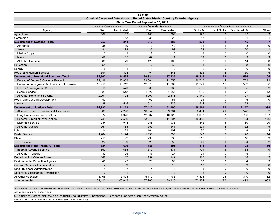|                                                |                                |                                                                                   | Table 3D                             |            |                |                        |                |                |
|------------------------------------------------|--------------------------------|-----------------------------------------------------------------------------------|--------------------------------------|------------|----------------|------------------------|----------------|----------------|
|                                                |                                | Criminal Cases and Defendants in United States District Court by Referring Agency |                                      |            |                |                        |                |                |
|                                                |                                |                                                                                   | Fiscal Year Ended September 30, 2019 |            |                |                        |                |                |
|                                                | $---$ Cases - - - - -<br>Filed | Terminated                                                                        | $---$ Defendants - - - - -<br>Filed  | Terminated | Guilty 1/      | <u>.</u><br>Not Guilty | Dismissed 2/   | Other          |
| Agency<br>Agriculture                          | 107                            | 132                                                                               | 180                                  | 202        | 177            | 3                      | 19             | $\overline{3}$ |
| Commerce                                       | 13                             | 13                                                                                | 35                                   | 20         | 18             | 0                      | $\mathbf{1}$   | $\mathbf{1}$   |
| <b>Department of Defense - Total</b>           | 257                            | 244                                                                               | 318                                  | 285        | 232            | $\mathbf 1$            | 45             | $\overline{7}$ |
| Air Force                                      | 38                             | 39                                                                                | 42                                   | 40         | 31             | $\overline{1}$         | 8              | $\mathbf 0$    |
| Army                                           | 81                             | 88                                                                                | 85                                   | 93         | 72             | $\mathbf{0}$           | 20             | $\mathbf{1}$   |
| <b>Marine Corps</b>                            | $\overline{2}$                 | 3                                                                                 | 2                                    | 3          | 3              | $\Omega$               | $\Omega$       | $\Omega$       |
| Navy                                           | 48                             | 35                                                                                | 69                                   | 44         | 38             | $\mathbf{0}$           | 3              | 3              |
| All Other Defense                              | 88                             | 79                                                                                | 120                                  | 105        | 88             | $\Omega$               | 14             | 3              |
| Education                                      | 51                             | 52                                                                                | 72                                   | 69         | 61             | $\mathbf{0}$           | $\mathsf{8}$   | $\overline{0}$ |
| Energy                                         | 5                              | $\mathbf{1}$                                                                      | 5                                    | 2          | 2              | $\mathbf 0$            | 0              | $\mathbf 0$    |
| <b>Health and Human Services</b>               | 344                            | 304                                                                               | 491                                  | 443        | 376            | $\overline{2}$         | 60             | 5              |
| <b>Department of Homeland Security - Total</b> | 36,607                         | 34,594                                                                            | 39,881                               | 37,529     | 35,815         | 52                     | 1,556          | 106            |
| Bureau of Border & Customs Protection          | 22,198                         | 20,863                                                                            | 23,004                               | 21,558     | 20,740         | 14                     | 783            | 21             |
| Bureau of Immigration & Customs Enforcement    | 10,913                         | 10,719                                                                            | 12,078                               | 11,967     | 11,371         | 19                     | 539            | 38             |
| Citizen & Immigration Service                  | 516                            | 570                                                                               | 680                                  | 633        | 595            | $\overline{1}$         | 35             | $\overline{2}$ |
| <b>Secret Service</b>                          | 689                            | 648                                                                               | 1,022                                | 1,055      | 969            | $\overline{1}$         | 72             | 13             |
| All Other Homeland Security                    | 2,291                          | 1,794                                                                             | 3,097                                | 2,316      | 2,140          | 17                     | 127            | 32             |
| Housing and Urban Development                  | 43                             | 47                                                                                | 65                                   | 64         | 59             | $\mathbf 0$            | 5              | $\mathbf 0$    |
| Interior                                       | 438                            | 515                                                                               | 541                                  | 625        | 544            | $\overline{7}$         | 73             | $\mathbf{1}$   |
| <b>Department of Justice - Total</b>           | 24,995                         | 21,163                                                                            | 37,413                               | 32,096     | 29,360         | 171                    | 2,167          | 398            |
| Alcohol, Tobacco, Firearms, & Explosives       | 8,680                          | 7,290                                                                             | 10,557                               | 9,084      | 8,434          | 41                     | 526            | 83             |
| Drug Enforcement Administration                | 6,077                          | 4,926                                                                             | 12,037                               | 10,028     | 9,098          | 37                     | 786            | 107            |
| Federal Bureau of Investigation                | 8,743                          | 7,550                                                                             | 13,213                               | 11,507     | 10,485         | 88                     | 764            | 170            |
| <b>Marshals Service</b>                        | 934                            | 914                                                                               | 956                                  | 933        | 842            | 3                      | 59             | 29             |
| All Other Justice                              | 561                            | 483                                                                               | 650                                  | 544        | 501            | 2                      | 32             | 9              |
| Labor                                          | 114                            | 71                                                                                | 161                                  | 101        | 90             | $\Omega$               | 9              | $\overline{2}$ |
| <b>Postal Service</b>                          | 1,204                          | 1,174                                                                             | 1,595                                | 1,680      | 1,540          | $6\phantom{1}6$        | 120            | 14             |
| State                                          | 216                            | 199                                                                               | 235                                  | 233        | 212            | $\overline{2}$         | 16             | 3              |
| Transportation                                 | 24                             | 39                                                                                | 28                                   | 56         | 49             | $\overline{1}$         | $\overline{4}$ | $\overline{2}$ |
| <b>Department of the Treasury - Total</b>      | 684                            | 690                                                                               | 856                                  | 901        | 812            | 6                      | 73             | 10             |
| <b>Internal Revenue Service</b>                | 652                            | 665                                                                               | 819                                  | 874        | 791            | 6                      | 68             | 9              |
| All Other Treasury                             | 32                             | 25                                                                                | 37                                   | 27         | 21             | $\mathbf 0$            | 5              | $\mathbf{1}$   |
| Department of Veteran Affairs                  | 148                            | 137                                                                               | 159                                  | 149        | 127            | 2                      | 18             | $\overline{2}$ |
| <b>Environmental Protection Agency</b>         | 49                             | 42                                                                                | 73                                   | 66         | 59             | $\Omega$               | 4              | 3              |
| <b>General Services Administration</b>         | $\overline{4}$                 | 9                                                                                 | 5                                    | 16         | 13             | $\Omega$               | 3              | $\mathbf 0$    |
| <b>Small Business Administration</b>           | 4                              | $\overline{7}$                                                                    | 4                                    | 8          | 8              | $\mathbf 0$            | 0              | $\mathbf 0$    |
| Securities & Exchange Commission               | $\Omega$                       | $\overline{1}$                                                                    | $\mathbf{0}$                         | 2          | $\overline{2}$ | $\overline{0}$         | $\Omega$       | $\mathbf 0$    |
| All Other Agencies                             | 4,105                          | 3,578                                                                             | 5,149                                | 4,763      | 4,378          | 23                     | 310            | 52             |
| All Agencies                                   | 69.412                         | 63.012                                                                            | 87,266                               | 79.310     | 73,934         | 276                    | 4,491          | 609            |

1/ PLEASE NOTE, "GUILTY DISPOSITIONS" REPRESENT SENTENCED DEFENDANTS. THE UNDERLYING GUILTY DISPOSITION, PRIOR TO SENTENCING, MAY HAVE RESULTED FROM A GUILTY PLEA OR A GUILTY VERDICT

OBTAINED IN A PRIOR FISCAL YEAR.

2/ INCLUDES TRANSFERS, DISMISSALS OTHER THAN BY COURT, PRETRIAL DIVERSIONS, AND PROCEEDINGS SUSPENDED INDEFINITELY BY COURT.

DATA ON THIS TABLE DOES NOT INCLUDE MAGISTRATE PROCEEDINGS.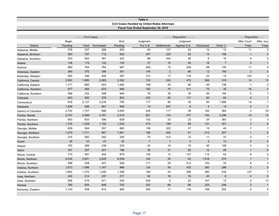|                      |         |       |                         |         | Table 4                                        |                |                         |                  |                |                         |                |
|----------------------|---------|-------|-------------------------|---------|------------------------------------------------|----------------|-------------------------|------------------|----------------|-------------------------|----------------|
|                      |         |       |                         |         | Civil Cases Handled by United States Attorneys |                |                         |                  |                |                         |                |
|                      |         |       |                         |         | Fiscal Year Ended September 30, 2019           |                |                         |                  |                |                         |                |
|                      |         | ----  | - Civil Cases - - - - - |         |                                                |                | $---$ Disposition $---$ |                  |                | - - - Disposition - - - |                |
|                      | Begin   |       |                         | End     | Judgment                                       |                | Judgment                |                  |                | After Court             | After Jury     |
| <b>District</b>      | Pending | Filed | Terminated              | Pending | For U.S.                                       | Settlements    | Against U.S.            | <b>Dismissed</b> | Other 1/       | <b>Trials</b>           | <b>Trials</b>  |
| Alabama, Middle      | 278     | 237   | 286                     | 202     | 93                                             | 127            | 42                      | 12               | 12             | 11                      | 2              |
| Alabama, Northern    | 583     | 767   | 712                     | 632     | 347                                            | 220            | 25                      | 14               | 106            | $\mathbf{1}$            | 3              |
| Alabama, Southern    | 343     | 563   | 481                     | 423     | 89                                             | 344            | 26                      | 6                | 16             | 4                       | $\mathbf 0$    |
| Alaska               | 138     | 119   | 122                     | 130     | 37                                             | 15             | 45                      | 18               | $\overline{7}$ | $\overline{2}$          | $\mathbf{1}$   |
| Arizona              | 980     | 764   | 764                     | 947     | 260                                            | 72             | 229                     | 68               | 135            | 11                      | 4              |
| Arkansas, Eastern    | 380     | 370   | 395                     | 351     | 145                                            | $\overline{2}$ | 86                      | 12               | 150            | $\overline{2}$          | $\mathbf 0$    |
| Arkansas, Western    | 500     | 346   | 494                     | 297     | 312                                            | 17             | 119                     | 32               | 14             | 152                     | 3              |
| California, Central  | 2,893   | 1,685 | 2,065                   | 2,352   | 743                                            | 224            | 410                     | 369              | 319            | 14                      | 13             |
| California, Eastern  | 1,171   | 685   | 503                     | 1,284   | 199                                            | 25             | 95                      | 48               | 136            | $\mathbf{1}$            | 2              |
| California, Northern | 977     | 584   | 674                     | 846     | 183                                            | 70             | 311                     | 75               | 35             | 16                      | 5              |
| California, Southern | 469     | 332   | 299                     | 484     | 76                                             | 35             | 35                      | 49               | 104            | 0                       | $\mathbf{1}$   |
| Colorado             | 943     | 592   | 576                     | 853     | 233                                            | 82             | 117                     | 60               | 84             | $\overline{4}$          | $\mathbf{1}$   |
| Connecticut          | 916     | 2,137 | 2,235                   | 795     | 117                                            | 80             | 39                      | 93               | 1,906          | 14                      | $\mathbf{1}$   |
| Delaware             | 1,599   | 599   | 581                     | 949     | 13                                             | 547            | 6                       | 5                | 10             | $\overline{2}$          | $\mathbf{1}$   |
| District of Columbia | 2,742   | 1,757 | 946                     | 3,450   | 245                                            | 117            | 38                      | 162              | 384            | $\overline{2}$          | 35             |
| Florida, Middle      | 2,747   | 4,589 | 4,781                   | 2,518   | 821                                            | 143            | 377                     | 144              | 3,296          | 10                      | 15             |
| Florida, Northern    | 563     | 633   | 556                     | 629     | 102                                            | 23             | 23                      | 25               | 383            | $\overline{2}$          | 3              |
| Florida, Southern    | 1,319   | 1,209 | 1,192                   | 1,235   | 473                                            | 199            | 88                      | 131              | 301            | $\mathfrak{S}$          | $6\phantom{1}$ |
| Georgia, Middle      | 629     | 594   | 557                     | 660     | 138                                            | 322            | 37                      | 15               | 45             | $\overline{7}$          | $\mathbf{1}$   |
| Georgia, Northern    | 1,219   | 1,711 | 967                     | 1,951   | 185                                            | 262            | 51                      | 212              | 257            | $\mathbf{1}$            | 8              |
| Georgia, Southern    | 215     | 582   | 542                     | 255     | 70                                             | 412            | 12                      | 11               | 37             | $\overline{2}$          | $\mathbf{1}$   |
| Guam                 | 29      | 23    | 23                      | 25      | $\overline{7}$                                 | $\overline{1}$ | $\mathbf{0}$            | 2                | 13             | $\mathbf 0$             | $\mathbf 0$    |
| Hawaii               | 193     | 289   | 239                     | 233     | 42                                             | 14             | 10                      | 45               | 128            | $\overline{2}$          | 0              |
| Idaho                | 161     | 207   | 201                     | 166     | 38                                             | 31             | 25                      | 12               | 95             | $\mathbf{1}$            | $\mathbf{0}$   |
| Illinois, Central    | 770     | 581   | 444                     | 879     | 140                                            | 12             | 137                     | 112              | 43             | 6                       | $\overline{2}$ |
| Illinois, Northern   | 6,034   | 2,831 | 2,020                   | 6,558   | 140                                            | 25             | 63                      | 1,518            | 274            | $\mathbf{1}$            | $\mathbf{1}$   |
| Illinois, Southern   | 598     | 528   | 547                     | 549     | 171                                            | 29             | 212                     | 102              | 33             | 8                       | $\overline{2}$ |
| Indiana, Northern    | 1,673   | 1,096 | 1,167                   | 966     | 124                                            | 50             | 435                     | 260              | 298            | $\overline{2}$          | 5              |
| Indiana, Southern    | 1,652   | 1,272 | 1,240                   | 1,348   | 194                                            | 42             | 390                     | 380              | 234            | 127                     | $\overline{7}$ |
| Iowa, Northern       | 240     | 214   | 237                     | 217     | 92                                             | 16             | 76                      | 45               | 8              | 2                       | $\mathbf{0}$   |
| Iowa, Southern       | 290     | 519   | 571                     | 234     | 425                                            | $\sqrt{5}$     | 22                      | 107              | 12             | $\overline{c}$          | 13             |
| Kansas               | 765     | 835   | 846                     | 752     | 253                                            | 66             | 66                      | 253              | 208            | $\overline{2}$          | $\overline{1}$ |
| Kentucky, Eastern    | 1,143   | 559   | 814                     | 884     | 205                                            | 11             | 178                     | 168              | 252            | $\mathbf 0$             | 4              |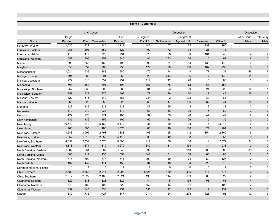|                          |         |              |                                 |         | Table 4 (Continued) |             |                             |                  |                          |                         |                |
|--------------------------|---------|--------------|---------------------------------|---------|---------------------|-------------|-----------------------------|------------------|--------------------------|-------------------------|----------------|
|                          |         |              | - - - - - Civil Cases - - - - - |         |                     |             | $---$ Disposition - - - - - |                  |                          | - - - Disposition - - - |                |
|                          | Begin   |              |                                 | End     | Judgment            |             | Judgment                    |                  |                          | After Court             | After Jury     |
| <b>District</b>          | Pending | Filed        | Terminated                      | Pending | For U.S.            | Settlements | Against U.S.                | <b>Dismissed</b> | Other 1/                 | <b>Trials</b>           | Trials         |
| Kentucky, Western        | 1,323   | 729          | 740                             | 1,212   | 143                 | 57          | 35                          | 239              | 266                      | $\mathbf{1}$            | $\overline{1}$ |
| Louisiana, Eastern       | 288     | 393          | 352                             | 322     | 109                 | 72          | 73                          | 25               | 73                       | $\mathbf{1}$            | $\mathbf 1$    |
| Louisiana, Middle        | 418     | 119          | 225                             | 294     | 70                  | 6           | 8                           | 101              | 40                       | 4                       | 4              |
| Louisiana, Western       | 552     | 306          | 457                             | 345     | 81                  | 273         | 26                          | 10               | 67                       | 8                       | $\overline{2}$ |
| Maine                    | 598     | 366          | 469                             | 493     | 96                  | 31          | 63                          | 136              | 143                      | 0                       | $\mathbf 0$    |
| Maryland                 | 853     | 859          | 760                             | 950     | 179                 | 90          | 156                         | 102              | 233                      | 3                       | $\mathbf{1}$   |
| Massachusetts            | 1,024   | 439          | 383                             | 980     | 175                 | 44          | 48                          | 77               | 39                       | 46                      | $\overline{7}$ |
| Michigan, Eastern        | 794     | 685          | 891                             | 568     | 325                 | 244         | 96                          | 77               | 149                      | 11                      | 3              |
| Michigan, Western        | 272     | 313          | 352                             | 234     | 119                 | 112         | 26                          | 15               | 80                       | $\mathbf 0$             | 4              |
| Minnesota                | 701     | 664          | 708                             | 604     | 353                 | 78          | 62                          | 61               | 154                      | $\mathbf{1}$            | $\overline{1}$ |
| Mississippi, Northern    | 257     | 339          | 309                             | 286     | 94                  | 93          | 69                          | 24               | 29                       | 14                      | $\mathbf{1}$   |
| Mississippi, Southern    | 259     | 322          | 175                             | 402     | 77                  | 26          | 20                          | 9                | 43                       | 18                      | $\overline{2}$ |
| Missouri, Eastern        | 829     | 515          | 440                             | 883     | 234                 | 2           | 102                         | 39               | 63                       | $\mathbf{1}$            | 0              |
| Missouri, Western        | 566     | 623          | 655                             | 525     | 369                 | 47          | 136                         | 62               | 41                       | 15                      | 4              |
| Montana                  | 123     | 129          | 123                             | 128     | 43                  | 35          | $\,$ 5 $\,$                 | 13               | 27                       | $\mathbf 0$             | $\Omega$       |
| Nebraska                 | 170     | 240          | 233                             | 179     | 68                  | 56          | 35                          | 5                | 69                       | $\overline{2}$          | $\mathbf 2$    |
| Nevada                   | 472     | 273          | 271                             | 480     | 97                  | 39          | 46                          | 47               | 42                       | $\overline{2}$          | $\overline{2}$ |
| New Hampshire            | 135     | 132          | 159                             | 105     | 65                  | 18          | 26                          | 15               | 35                       | $\overline{2}$          | $\mathbf 0$    |
| New Jersey               | 16,549  | 819          | 15,162                          | 2,172   | 36                  | 80          | 28                          | 5                | 15,013                   | 0                       | $\mathbf 0$    |
| <b>New Mexico</b>        | 766     | 805          | 463                             | 1,070   | 86                  | 16          | 136                         | 21               | 204                      | 2                       | 2              |
| New York, Eastern        | 1,643   | 3,092        | 2,793                           | 1,888   | 103                 | 55          | 112                         | 354              | 2,169                    | 6                       | $\overline{1}$ |
| New York, Northern       | 5,857   | 1,619        | 2,058                           | 5,413   | 33                  | 42          | 8                           | 18               | 1,957                    | $\mathbf{0}$            | $\overline{4}$ |
| New York, Southern       | 4,851   | 2,534        | 2,570                           | 4,808   | 112                 | 66          | 16                          | 4                | 2,372                    | 24                      | 0              |
| New York, Western        | 3,818   | 1,871        | 1,810                           | 3,270   | 349                 | 31          | 358                         | 34               | 1,038                    | $\mathbf 0$             | $\mathbf 0$    |
| North Carolina, Eastern  | 1,382   | 931          | 1,267                           | 1,040   | 393                 | 87          | 118                         | 86               | 583                      | 33                      | 2              |
| North Carolina, Middle   | 686     | 411          | 435                             | 656     | 142                 | 81          | 66                          | 66               | 80                       | $\overline{2}$          | 5              |
| North Carolina, Western  | 615     | 502          | 578                             | 541     | 199                 | 119         | 74                          | 59               | 127                      | $\overline{2}$          | $\mathbf 0$    |
| North Dakota             | 132     | 142          | 114                             | 158     | 34                  | 10          | 34                          | 20               | 16                       | $6\phantom{1}$          | $\mathbf 0$    |
| Northern Mariana Islands | 4       | $\mathbf{1}$ | 3                               | 2       | $\overline{2}$      | $\mathbf 0$ | $\mathbf 0$                 | $\mathbf 0$      | $\overline{\phantom{a}}$ | $\overline{2}$          | $\mathbf 0$    |
| Ohio, Northern           | 2,683   | 2,453        | 2,914                           | 2,208   | 1,125               | 160         | 305                         | 747              | 577                      | $\mathbf 2$             | $\overline{7}$ |
| Ohio, Southern           | 2,817   | 2,027        | 2,108                           | 2,621   | 193                 | 114         | 109                         | 665              | 1,027                    | 2                       | 9              |
| Oklahoma, Eastern        | 322     | 338          | 323                             | 322     | 44                  | 5           | 155                         | 53               | 66                       | $\overline{4}$          | $\overline{1}$ |
| Oklahoma, Northern       | 543     | 489          | 402                             | 622     | 152                 | 13          | 61                          | 73               | 103                      | $\mathbf{2}$            | 3              |
| Oklahoma, Western        | 459     | 845          | 836                             | 451     | 550                 | 12          | 125                         | 12               | 137                      | 5                       | $\sqrt{3}$     |
| Oregon                   | 839     | 735          | 727                             | 847     | 211                 | 24          | 273                         | 126              | 93                       | 12                      | 3              |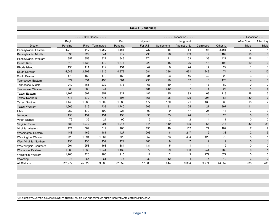|                         |         |               |                         |         | Table 4 (Continued) |                |                         |                  |                |                         |                           |
|-------------------------|---------|---------------|-------------------------|---------|---------------------|----------------|-------------------------|------------------|----------------|-------------------------|---------------------------|
|                         |         |               |                         |         |                     |                |                         |                  |                |                         |                           |
|                         |         | $\frac{1}{2}$ | - Civil Cases - - - - - |         |                     |                | $---$ Disposition $---$ |                  |                | - - - Disposition - - - |                           |
|                         | Begin   |               |                         | End     | Judgment            |                | Judgment                |                  |                | <b>After Court</b>      | After Jury                |
| <b>District</b>         | Pending | Filed         | Terminated              | Pending | For U.S.            | Settlements    | Against U.S.            | <b>Dismissed</b> | Other 1/       | <b>Trials</b>           | <b>Trials</b>             |
| Pennsylvania, Eastern   | 4,914   | 840           | 4,259                   | 1,361   | 229                 | 66             | 54                      | 54               | 3,856          | 3                       | $\overline{4}$            |
| Pennsylvania, Middle    | 638     | 729           | 641                     | 712     | 298                 | 26             | 109                     | 19               | 189            | 10                      | $\ensuremath{\mathsf{3}}$ |
| Pennsylvania, Western   | 852     | 853           | 827                     | 843     | 274                 | 41             | 53                      | 38               | 421            | 18                      | -1                        |
| <b>Puerto Rico</b>      | 618     | 1,436         | 472                     | 1,577   | 223                 | 15             | 26                      | 15               | 193            | 10                      | $\pmb{0}$                 |
| Rhode Island            | 135     | 111           | 112                     | 131     | 44                  | 8              | 24                      | 14               | 22             | $\mathbf{1}$            | 0                         |
| South Carolina          | 4,043   | 2,298         | 1,915                   | 4,378   | 581                 | 386            | 631                     | 243              | 74             | $\overline{4}$          | 12                        |
| South Dakota            | 173     | 168           | 173                     | 166     | 34                  | 23             | 46                      | 42               | 28             | 3                       | $\mathbf 0$               |
| Tennessee, Eastern      | 674     | 351           | 498                     | 501     | 235                 | 20             | 52                      | 18               | 173            | $\overline{4}$          | $\mathbf{1}$              |
| Tennessee, Middle       | 240     | 465           | 232                     | 473     | 63                  | 69             | $\overline{7}$          | 13               | 80             | $\mathbf 0$             | 0                         |
| Tennessee, Western      | 538     | 883           | 844                     | 573     | 134                 | 642            | 37                      | $\overline{4}$   | 27             | $\mathbf{1}$            | $\overline{\mathcal{L}}$  |
| Texas, Eastern          | 1,102   | 692           | 851                     | 927     | 482                 | 95             | 93                      | 63               | 118            | 28                      | 5                         |
| Texas, Northern         | 771     | 879           | 776                     | 807     | 168                 | 125            | 125                     | 294              | 64             | 130                     | $\ensuremath{\mathsf{3}}$ |
| Texas, Southern         | 1,440   | 1,286         | 1,002                   | 1,585   | 177                 | 130            | 21                      | 139              | 535            | 18                      | $\overline{2}$            |
| Texas, Western          | 1,665   | 916           | 733                     | 1,740   | 203                 | 181            | 25                      | 27               | 297            | 11                      | $\mathbf{1}$              |
| Utah                    | 252     | 170           | 190                     | 228     | 90                  | 9              | 47                      | 26               | 18             | 3                       | 3                         |
| Vermont                 | 156     | 134           | 131                     | 156     | 36                  | 33             | 24                      | 13               | 25             | $\mathbf{0}$            | $\pmb{0}$                 |
| Virgin Islands          | 79      | 35            | 24                      | 90      | 5                   | $\overline{2}$ | $\overline{2}$          | 14               | $\overline{1}$ | $\mathbf 0$             | $\mathbf 0$               |
| Virginia, Eastern       | 883     | 1,272         | 901                     | 1,217   | 344                 | 110            | 135                     | 68               | 244            | 30                      | 21                        |
| Virginia, Western       | 421     | 569           | 519                     | 466     | 190                 | 48             | 152                     | 27               | 102            | $\overline{7}$          | $\overline{2}$            |
| Washington, Eastern     | 448     | 462           | 481                     | 427     | 203                 | 8              | 217                     | 15               | 38             | 2                       | $\ensuremath{\mathsf{3}}$ |
| Washington, Western     | 720     | 1,091         | 1,067                   | 729     | 352                 | 73             | 434                     | 129              | 79             | 5                       | $\mathbf{1}$              |
| West Virginia, Northern | 130     | 138           | 139                     | 124     | 103                 | 8              | $\overline{7}$          | 2                | 19             | $\mathbf 0$             | $\mathbf{1}$              |
| West Virginia, Southern | 291     | 258           | 163                     | 384     | 131                 | 5              | 11                      | $\overline{4}$   | 12             | $\mathbf 0$             | $\overline{2}$            |
| Wisconsin, Eastern      | 1,063   | 1,333         | 1,244                   | 1,139   | 72                  | 29             | 130                     | 244              | 769            | $\mathbf{0}$            | $\mathbf{1}$              |
| Wisconsin, Western      | 1,206   | 726           | 968                     | 915     | 12                  | $\overline{2}$ | 3                       | 279              | 672            | $\Omega$                | $\Omega$                  |
| Wyoming                 | 73      | 65            | 61                      | 77      | 30                  | 12             | $\overline{4}$          | 5                | 10             | 3                       | $\sqrt{2}$                |
| <b>All Districts</b>    | 112,277 | 75,029        | 89,565                  | 92,859  | 17,886              | 8,044          | 9,304                   | 9,774            | 44,557         | 938                     | 288                       |
|                         |         |               |                         |         |                     |                |                         |                  |                |                         |                           |

1/ INCLUDES TRANSFERS, DISMISSALS OTHER THAN BY COURT, AND PROCEEDINGS SUSPENDED FOR ADMINISTRATIVE REASONS.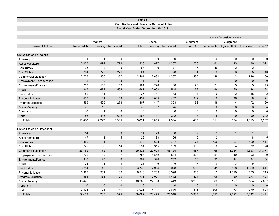#### **Table 5 Civil Matters and Cases by Cause of Action Fiscal Year Ended September 30, 2019**

|                                  |                |                             |                    |                |                         |                    |                |                | $---$ Disposition - - - - - |                  |                |
|----------------------------------|----------------|-----------------------------|--------------------|----------------|-------------------------|--------------------|----------------|----------------|-----------------------------|------------------|----------------|
|                                  |                | - - - - - Matters - - - - - |                    | ----           | $-$ Cases $   -$        |                    | Judgment       |                | Judgment                    |                  |                |
| Cause of Action                  | Received 1/    |                             | Pending Terminated | Filed          |                         | Pending Terminated | For U.S.       | Settlements    | Against U.S.                | <b>Dismissed</b> | Other 2/       |
|                                  |                |                             |                    |                |                         |                    |                |                |                             |                  |                |
| United States as Plaintiff       |                |                             |                    |                |                         |                    |                |                |                             |                  |                |
| Admiralty                        | $\mathbf 1$    | $\mathbf{1}$                | 0                  | $\mathbf 0$    | $\Omega$                | $\mathbf 0$        | $\Omega$       | $\mathbf 0$    | $\mathbf 0$                 | $\mathbf 0$      | $\mathbf 0$    |
| <b>Asset Forfeiture</b>          | 3,053          | 1,874                       | 1,778              | 1,226          | 1,827                   | 1,267              | 566            | 81             | 13                          | 86               | 521            |
| Bankruptcy                       | 95             | $\overline{2}$              | 9                  | 88             | 90                      | 77                 | 17             | 49             | $\overline{2}$              | $\overline{2}$   | $\overline{7}$ |
| <b>Civil Rights</b>              | 264            | 779                         | 271                | 21             | 101                     | 28                 | $\mathbf{1}$   | 9              | 3                           | 5                | 10             |
| <b>Commercial Litigation</b>     | 2,739          | 800                         | 257                | 2,401          | 3,664                   | 1,357              | 299            | 29             | 3                           | 836              | 190            |
| <b>Employment Discrimination</b> | $\overline{2}$ | $\mathbf 0$                 | 3                  | $\overline{1}$ | 3                       | $\mathbf{1}$       | $\mathbf{0}$   | $\mathbf{1}$   | $\mathbf 0$                 | $\mathbf 0$      | $\pmb{0}$      |
| Environmental/Lands              | 230            | 166                         | 160                | 101            | 228                     | 130                | 28             | 21             | 3                           | 3                | 75             |
| Fraud                            | 1,349          | 1,672                       | 596                | 667            | 2,098                   | 514                | 92             | 94             | 20                          | 184              | 124            |
| Immigration                      | 52             | 44                          | 17                 | 36             | 37                      | 33                 | 14             | $\mathbf{0}$   | $\overline{2}$              | 15               | $\sqrt{2}$     |
| <b>Prisoner Litigation</b>       | 473            | 31                          | 13                 | 457            | 1,085                   | 487                | 342            | $\mathbf{0}$   | 46                          | 8                | 91             |
| Program Litigation               | 599            | 400                         | 278                | 307            | 417                     | 323                | 68             | 19             | 4                           | 72               | 160            |
| Social Security                  | 45             | 12                          | $\mathbf{1}$       | 43             | 57                      | 75                 | 39             | $\Omega$       | 28                          | 3                | $\sqrt{5}$     |
| Terrorism                        | 0              | $\mathbf{1}$                | $\mathbf 0$        | $\mathbf 0$    | $\overline{\mathbf{1}}$ | 0                  | $\mathbf 0$    | $\mathbf 0$    | $\Omega$                    | 0                | 0              |
| Torts                            | 1,186          | 1,445                       | 602                | 283            | 447                     | 312                | 3              | $\bf 8$        | $\mathbf 0$                 | 99               | 202            |
| Totals                           | 10,088         | 7,227                       | 3,985              | 5,631          | 10,055                  | 4,604              | 1,469          | 311            | 124                         | 1,313            | 1,387          |
|                                  |                |                             |                    |                |                         |                    |                |                |                             |                  |                |
| United States as Defendant       |                |                             |                    |                |                         |                    |                |                |                             |                  |                |
| Admiralty                        | 14             | $\overline{0}$              | $\mathbf{0}$       | 14             | 29                      | 8                  | 2              | 3              | $\mathbf{1}$                | $\mathbf{1}$     | $\mathbf{1}$   |
| <b>Asset Forfeiture</b>          | 47             | 18                          | 15                 | 26             | 33                      | 26                 | 10             | $\overline{2}$ | $\mathbf{1}$                | 8                | 5              |
| Bankruptcy                       | 880            | $\overline{4}$              | $\mathbf{1}$       | 879            | 628                     | 797                | 74             | 450            | 27                          | 129              | 117            |
| <b>Civil Rights</b>              | 242            | 38                          | 14                 | 231            | 315                     | 169                | 105            | 8              | 4                           | 32               | 20             |
| <b>Commercial Litigation</b>     | 25,165         | 75                          | 42                 | 25,128         | 27,658                  | 43,164             | 1,987          | 169            | 1,534                       | 4,697            | 34,777         |
| <b>Employment Discrimination</b> | 763            | 10                          | $\overline{7}$     | 757            | 1,542                   | 554                | 308            | 84             | 10                          | 53               | 99             |
| Environmental/Lands              | 310            | 20                          | $\mathbf{0}$       | 307            | 520                     | 262                | 58             | 22             | 14                          | 34               | 134            |
| Fraud                            | 23             | 13                          | 4                  | 21             | 46                      | 19                 | $\overline{7}$ | 0              | 3                           | 5                | $\overline{4}$ |
| Immigration                      | 3,784          | 46                          | 31                 | 3,743          | 2.984                   | 3,028              | 909            | 41             | 108                         | 1.359            | 611            |
| <b>Prisoner Litigation</b>       | 6,883          | 201                         | 32                 | 6,810          | 10,269                  | 6,398              | 4,335          | 5              | 1,070                       | 273              | 715            |
| Program Litigation               | 1,854          | 181                         | 100                | 1,775          | 2,907                   | 1,472              | 424            | 198            | 80                          | 277              | 493            |
| Social Security                  | 16,426         | 85                          | 82                 | 16,366         | 22,100                  | 16,443             | 6,903          | 62             | 6,197                       | 594              | 2,687          |
| Terrorism                        | $\mathbf 0$    | $\mathbf 0$                 | $\mathbf 0$        | $\mathbf 0$    | $\overline{1}$          | $\mathbf 0$        | $\mathbf 0$    | $\mathbf 0$    | $\mathbf 0$                 | $\mathbf 0$      | $\mathbf 0$    |
| Torts                            | 3,071          | 94                          | 47                 | 3,025          | 4,447                   | 2,670              | 811            | 608            | 73                          | 370              | 808            |
| <b>Totals</b>                    | 59.462         | 785                         | 375                | 59.082         | 73.479                  | 75,010             | 15.933         | 1.652          | 9.122                       | 7.832            | 40,471         |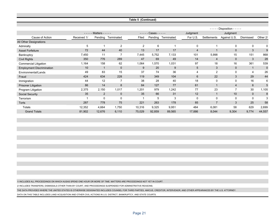#### **Table 5 (Continued)**

|                                  |             |                   |                    |                |                           |                    |          | $- - -$        | Disposition - - - - -    |              |             |
|----------------------------------|-------------|-------------------|--------------------|----------------|---------------------------|--------------------|----------|----------------|--------------------------|--------------|-------------|
|                                  | -----       | Matters - - - - - |                    |                | $\text{Cases} \text{---}$ |                    | Judgment |                | Judgment                 |              |             |
| Cause of Action                  | Received 1/ |                   | Pending Terminated | Filed          |                           | Pending Terminated | For U.S. | Settlements    | Against U.S.             | Dismissed    | Other 2/    |
| All Other Designations           |             |                   |                    |                |                           |                    |          |                |                          |              |             |
| Admiralty                        | 5           |                   | 2                  | $\overline{2}$ | 6                         |                    | 0        |                | 0                        | 0            | 0           |
| <b>Asset Forfeiture</b>          | 72          | 44                | 40                 | 13             | 17                        | 17                 | 4        |                | $\mathbf{0}$             | 3            | 9           |
| Bankruptcy                       | 7,450       | 11                |                    | 7,445          | 5,752                     | 7,133              | 101      | 5,998          | 15                       | 151          | 868         |
| <b>Civil Rights</b>              | 350         | 776               | 289                | 47             | 69                        | 49                 | 14       | $\overline{4}$ | $\mathbf{0}$             | 3            | 28          |
| <b>Commercial Litigation</b>     | 1,164       | 158               | 62                 | 1,064          | 1,570                     | 1,031              | 97       | 18             | 16                       | 361          | 539         |
| <b>Employment Discrimination</b> | 10          |                   | $\mathbf{0}$       | 9              | 20                        | 9                  | 5        | 3              | $\mathbf{0}$             | $\mathbf{1}$ | $\mathbf 0$ |
| Environmental/Lands              | 49          | 83                | 15                 | 37             | 74                        | 36                 | 4        | $\overline{2}$ | 0                        | 4            | 26          |
| Fraud                            | 424         | 634               | 228                | 119            | 349                       | 104                | 6        | 22             | 3                        | 29           | 44          |
| Immigration                      | 44          | 12                |                    | 38             | 28                        | 40                 | 18       | $\Omega$       | 0                        | 16           | 6           |
| <b>Prisoner Litigation</b>       | 86          | 14                | 8                  | 84             | 127                       | 77                 | 61       |                | 4                        | 6            | 5           |
| Program Litigation               | 2,375       | 2,150             | 1,017              | 1,201          | 979                       | 1,242              | 77       | 23             | $\overline{\phantom{a}}$ | 30           | 1,105       |
| <b>Social Security</b>           | 35          | 2                 | $\mathbf{0}$       | 35             | 66                        | 31                 | 12       |                | 10                       | $\mathbf 0$  | 8           |
| Terrorism                        |             | $\Omega$          | 0                  |                | 5                         | 3                  | $\Omega$ | $\Omega$       | $\Omega$                 | 0            | 3           |
| Torts                            | 287         | 778               | 75                 | 221            | 263                       | 178                | 85       | $\overline{7}$ | 3                        | 25           | 58          |
| <b>Totals</b>                    | 12,352      | 4,664             | 1,750              | 10,316         | 9,325                     | 9,951              | 484      | 6,081          | 58                       | 629          | 2,699       |
| <b>Grand Totals</b>              | 81,902      | 12,676            | 6,110              | 75,029         | 92,859                    | 89,565             | 17,886   | 8,044          | 9,304                    | 9,774        | 44,557      |

1/ INCLUDES ALL PROCEEDINGS ON WHICH AUSAS SPEND ONE HOUR OR MORE OF TIME. MATTERS ARE PROCEEDINGS NOT YET IN COURT.

2/ INCLUDES TRANSFERS, DISMISSALS OTHER THAN BY COURT, AND PROCEEDINGS SUSPENDED FOR ADMINSTRATIVE REASONS.

THE DATA PROVIDED WHERE THE UNITED STATES IS OTHERWISE DESIGNATED INCLUDES COUNSEL FOR THIRD PARTIES, AMICUS, CREDITOR, INTERVENOR, AND OTHER APPEARANCES BY THE U.S. ATTORNEY.

DATA ON THIS TABLE INCLUDES LAND ACQUISITION AND OTHER CIVIL ACTIONS IN U.S. DISTRICT, BANKRUPTCY, AND STATE COURTS.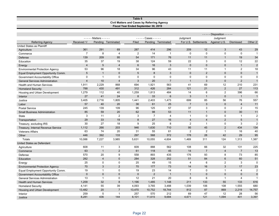#### **Table 6 Civil Matters and Cases by Referring Agency Fiscal Year Ended September 30, 2019**

|                                        |                |                     |                    |                 |                 |                |                |                      | - - - - - Disposition - - - - - |                  |                |
|----------------------------------------|----------------|---------------------|--------------------|-----------------|-----------------|----------------|----------------|----------------------|---------------------------------|------------------|----------------|
|                                        | $- - - -$      | - Matters - - - - - |                    |                 | Cases - - - - - |                | Judgment       |                      | Judgment                        |                  |                |
| <b>Referring Agency</b>                | Received 1/    |                     | Pending Terminated | Filed           | Pending         | Terminated     |                | For U.S. Settlements | Against U.S.                    | <b>Dismissed</b> | Other 2/       |
| United States as Plaintiff             |                |                     |                    |                 |                 |                |                |                      |                                 |                  |                |
| Agriculture                            | 361            | 291                 | 69                 | 287             | 414             | 296            | 209            | 12                   | 3                               | 43               | 29             |
| Commerce                               | $\overline{7}$ | 8                   | $\overline{4}$     | $\overline{2}$  | 14              | $\overline{1}$ | $\mathbf 0$    | $\mathbf 0$          | 0                               | $\mathbf 0$      | $\overline{1}$ |
| Defense                                | 139            | 209                 | 95                 | 54              | 171             | 76             | 11             | 11                   | $\mathbf{1}$                    | 19               | 34             |
| Education                              | 35             | 37                  | 19                 | 38              | 124             | 59             | 22             | 3                    | 0                               | 12               | 22             |
| Energy                                 | $\overline{4}$ | $\sqrt{5}$          | $\overline{4}$     | $6\phantom{1}6$ | 16              | 3              | $\mathbf 0$    | $\bf 0$              | $\mathbf 0$                     | $\mathbf{1}$     | $\overline{2}$ |
| <b>Environmental Protection Agency</b> | 53             | 96                  | 18                 | 34              | 96              | 43             | 11             | 11                   | $\mathbf{1}$                    | $\overline{2}$   | 18             |
| Equal Employment Opportunity Comm.     | $5\phantom{1}$ | $\overline{1}$      | $\mathbf 0$        | 5               | 8               | 3              | $\mathbf{0}$   | 2                    | $\mathbf 0$                     | $\mathbf 0$      | $\overline{1}$ |
| Government Accountability Office       | $\mathbf 0$    | $\overline{1}$      | $\mathbf 0$        | $\mathbf 0$     | $\mathbf 0$     | $\mathbf 0$    | $\mathbf 0$    | $\mathbf 0$          | $\mathbf 0$                     | $\mathbf 0$      | 0              |
| <b>General Services Administration</b> | $\overline{4}$ | 10                  | $\overline{4}$     | 3               | 20              | $\overline{7}$ | $\overline{1}$ | 3                    | $\mathbf 0$                     | $\overline{2}$   | $\overline{1}$ |
| <b>Health and Human Services</b>       | 1,911          | 2,229               | 868                | 694             | 1,921           | 563            | 41             | 69                   | 12                              | 210              | 231            |
| <b>Homeland Security</b>               | 788            | 430                 | 491                | 312             | 426             | 284            | 121            | 21                   | $\overline{2}$                  | 27               | 113            |
| Housing and Urban Development          | 1,279          | 112                 | 40                 | 1,259           | 1,813           | 484            | 14             | 6                    | $\overline{2}$                  | 396              | 66             |
| Interior                               | 27             | 41                  | 24                 | 8               | 33              | 6              | 3              | $\overline{1}$       | $\mathbf{0}$                    | $\mathbf{1}$     | $\overline{1}$ |
| Justice                                | 3,405          | 2,716               | 1,805              | 1,441           | 2,403           | 1,473          | 699            | 85                   | 56                              | 76               | 557            |
| Labor                                  | 57             | 40                  | 20                 | 36              | 61              | 25             | $\overline{7}$ | 3                    | $\mathbf{0}$                    | $\overline{4}$   | 11             |
| <b>Postal Service</b>                  | 245            | 139                 | 109                | 96              | 125             | 57             | 37             | 3                    | $\mathbf 0$                     | 2                | 15             |
| <b>Small Business Administration</b>   | 85             | 59                  | 20                 | 62              | 98              | 53             | 11             | $\mathbf{1}$         | $\mathbf 0$                     | 30               | 11             |
| <b>State</b>                           | 3              | 11                  | 2                  | 3               | $\overline{7}$  | $\overline{4}$ | $\mathbf{1}$   | $\mathbf 0$          | $\mathbf 0$                     | $\mathbf{1}$     | 2              |
| Transportation                         | 29             | 33                  | 19                 | 8               | 27              | 16             | $\overline{4}$ | $\overline{4}$       | $\overline{2}$                  | 5                | $\overline{1}$ |
| Treasury, excluding IRS                | 30             | 27                  | 18                 | 9               | 25              | 8              | 2              | $\mathbf{1}$         | $\mathbf 0$                     | 3                | $\overline{2}$ |
| Treasury, Internal Revenue Service     | 1,112          | 266                 | 203                | 946             | 1,630           | 710            | 95             | 45                   | $\overline{2}$                  | 434              | 134            |
| <b>Veterans Affairs</b>                | 63             | 74                  | 20                 | 31              | 55              | 61             | $\overline{2}$ | 2                    | $\mathbf{1}$                    | 16               | 40             |
| Other                                  | 446            | 392                 | 133                | 297             | 568             | 372            | 178            | 28                   | 42                              | 29               | 95             |
| Totals                                 | 10,088         | 7,227               | 3,985              | 5,631           | 10,055          | 4,604          | 1,469          | 311                  | 124                             | 1,313            | 1,387          |
| United States as Defendant             |                |                     |                    |                 |                 |                |                |                      |                                 |                  |                |
| Agriculture                            | 608            | 11                  | 3                  | 609             | 888             | 562            | 108            | 66                   | 32                              | 131              | 225            |
| Commerce                               | 63             | $\overline{1}$      | 2                  | 61              | 118             | 45             | 14             | $\overline{7}$       | $\overline{4}$                  | $\overline{7}$   | 13             |
| Defense                                | 570            | 20                  | 9                  | 558             | 893             | 435            | 176            | 93                   | 8                               | 73               | 85             |
| Education                              | 282            | $\overline{4}$      | $\mathbf 0$        | 284             | 328             | 252            | 51             | 84                   | $\,6$                           | 60               | 51             |
| Energy                                 | 25             | $\mathbf 0$         | $\mathbf 0$        | 25              | 49              | 15             | $\overline{4}$ | 6                    | $\overline{2}$                  | 3                | $\mathbf 0$    |
| <b>Environmental Protection Agency</b> | 70             | 3                   | 2                  | 70              | 177             | 73             | 14             | 16                   | 3                               | 17               | 23             |
| Equal Employment Opportunity Comm.     | 19             | $\mathbf{1}$        | $\mathbf 0$        | 19              | 23              | 14             | $\overline{7}$ | $\mathbf 0$          | $\mathbf{1}$                    | $\overline{4}$   | $\overline{2}$ |
| Government Accountability Office       | $\mathbf 0$    | $\mathbf 0$         | $\mathbf 0$        | $\mathbf{0}$    | $\overline{2}$  | $\overline{1}$ | $\mathbf{1}$   | $\overline{0}$       | $\mathbf 0$                     | $\mathbf 0$      | $\mathbf 0$    |
| <b>General Services Administration</b> | 13             | $\overline{1}$      | $\mathbf 0$        | 12              | 21              | 20             | 8              | 6                    | $\mathbf{1}$                    | $\overline{4}$   | $\mathbf 1$    |
| <b>Health and Human Services</b>       | 1,209          | 32                  | 8                  | 1,196           | 1,485           | 1,148          | 211            | 133                  | 55                              | 133              | 616            |
| <b>Homeland Security</b>               | 4,141          | 55                  | 39                 | 4,093           | 3,765           | 3,488          | 1,039          | 106                  | 108                             | 1,555            | 680            |
| Housing and Urban Development          | 13,482         | 20                  | $\overline{7}$     | 13,470          | 10,752          | 18,744         | 812            | 87                   | 869                             | 2,219            | 14,757         |
| Interior                               | 259            | 5                   | $\overline{1}$     | 257             | 570             | 212            | 69             | 47                   | 12                              | 28               | 56             |
| Justice                                | 8,281          | 436                 | 144                | 8,101           | 11,615          | 9,684          | 4,671          | 121                  | 1,094                           | 401              | 3,397          |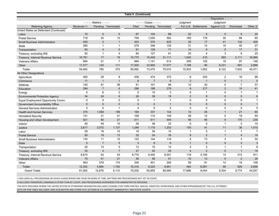|                                        |             |                   |                    | Table 6 (Continued) |                   |                    |                |                      |                                 |                  |                |
|----------------------------------------|-------------|-------------------|--------------------|---------------------|-------------------|--------------------|----------------|----------------------|---------------------------------|------------------|----------------|
|                                        |             |                   |                    |                     |                   |                    |                |                      | - - - - - Disposition - - - - - |                  |                |
|                                        | $- - - -$   | Matters - - - - - |                    |                     | $---$ Cases $---$ |                    | Judgment       |                      | Judgment                        |                  |                |
| <b>Referring Agency</b>                | Received 1/ |                   | Pending Terminated | Filed               |                   | Pending Terminated |                | For U.S. Settlements | Against U.S.                    | <b>Dismissed</b> | Other 2/       |
| United States as Defendant (Continued) |             |                   |                    |                     |                   |                    |                |                      |                                 |                  |                |
| Labor                                  | 70          | 5                 | 5                  | 67                  | 100               | 66                 | 22             | 5                    | 5                               | 9                | 25             |
| <b>Postal Service</b>                  | 718         | 20                | 13                 | 708                 | 1,050             | 562                | 185            | 176                  | 30                              | 86               | 85             |
| <b>Small Business Administration</b>   | 455         | 2                 | $\mathbf{1}$       | 453                 | 570               | 625                | 35             | 17                   | 41                              | 132              | 400            |
| <b>State</b>                           | 280         | $\mathbf{1}$      | $\mathbf{1}$       | 279                 | 346               | 130                | 31             | 12                   | 15                              | 45               | 27             |
| Transportation                         | 83          | $\overline{4}$    | $\mathbf{0}$       | 81                  | 128               | 71                 | 14             | 9                    | $\mathbf 0$                     | 17               | 31             |
| Treasury, excluding IRS                | 82          | $\mathbf 1$       | $\overline{4}$     | 80                  | 127               | 61                 | 20             | $\overline{4}$       | 3                               | 9                | 25             |
| Treasury, Internal Revenue Service     | 10,781      | 17                | 18                 | 10,775              | 15,426            | 21.111             | 1,042          | 415                  | 583                             | 2,111            | 16,960         |
| <b>Veterans Affairs</b>                | 694         | 21                | $\overline{7}$     | 684                 | 1,141             | 614                | 200            | 152                  | 19                              | 97               | 146            |
| Other                                  | 17,277      | 125               | 111                | 17,200              | 23,905            | 17,077             | 7,199          | 90                   | 6,231                           | 691              | 2,866          |
| <b>Totals</b>                          | 59,462      | 785               | 375                | 59,082              | 73,479            | 75,010             | 15,933         | 1,652                | 9,122                           | 7,832            | 40,471         |
| All Other Designations                 |             |                   |                    |                     |                   |                    |                |                      |                                 |                  |                |
| Agriculture                            | 450         | 29                | 8                  | 438                 | 474               | 373                | 6              | 253                  | $\overline{2}$                  | 16               | 96             |
| Commerce                               | 11          | $\overline{1}$    | $\overline{1}$     | 9                   | $\overline{7}$    | 9                  | $\overline{2}$ | $\overline{1}$       | $\pmb{0}$                       | $\mathbf{1}$     | 5              |
| Defense                                | 145         | 81                | 38                 | 91                  | 101               | 86                 | 12             | 30                   | 0                               | $\overline{7}$   | 37             |
| Education                              | 294         | $\overline{7}$    | $6\phantom{1}6$    | 296                 | 198               | 279                | 9              | 217                  | 2                               | 10               | 41             |
| Energy                                 | 5           | 6                 | $\overline{2}$     | 5                   | 10                | 3                  | $\mathbf 0$    | $\mathbf{1}$         | $\mathbf 0$                     | $\mathbf{1}$     | $\overline{1}$ |
| <b>Environmental Protection Agency</b> | 34          | 24                | $6\phantom{1}6$    | 28                  | 38                | 19                 | $\overline{2}$ | 8                    | $\mathbf{0}$                    | $\mathbf{0}$     | 9              |
| Equal Employment Opportunity Comm.     | $\mathbf 0$ | $\mathbf 0$       | 2                  | $\mathbf 0$         | $\overline{1}$    | $\overline{1}$     | $\mathbf 0$    | $\mathbf 0$          | $\mathbf 0$                     | $\mathbf 0$      | $\overline{1}$ |
| Government Accountability Office       | $\mathbf 0$ | $\mathbf 0$       | $\mathbf 0$        | $\mathbf 0$         | $\mathbf 0$       | $\mathbf{1}$       | $\mathbf 0$    | $\mathbf 0$          | $\mathbf 0$                     | $\mathbf{0}$     | $\overline{1}$ |
| <b>General Services Administration</b> | 5           | 5                 | $\mathbf{1}$       | 4                   | 5                 | 5                  | $\Omega$       | $\Omega$             | 0                               | $\Omega$         | 5              |
| <b>Health and Human Services</b>       | 375         | 1,058             | 196                | 169                 | 337               | 142                | 10             | 45                   | $\mathbf{1}$                    | 21               | 65             |
| <b>Homeland Security</b>               | 131         | 31                | 31                 | 109                 | 110               | 109                | 28             | 12                   | $\mathbf 0$                     | 19               | 50             |
| Housing and Urban Development          | 521         | 60                | 21                 | 511                 | 611               | 545                | 46             | 85                   | 9                               | 170              | 235            |
| Interior                               | 45          | 49                | 15                 | 26                  | 48                | 23                 | 5              | 5                    | $\mathbf{1}$                    | $\overline{2}$   | 10             |
| Justice                                | 2,617       | 2,572             | 1,137              | 1,246               | 1,170             | 1,253              | 155            | 41                   | 11                              | 36               | 1,010          |
| Labor                                  | 29          | 16                | 10                 | 16                  | 30                | 15                 | $\mathbf{1}$   | 5                    | $\mathbf{1}$                    | $\mathbf{1}$     | $\overline{7}$ |
| <b>Postal Service</b>                  | 50          | 18                | 13                 | 32                  | 24                | 35                 | 9              | $\overline{2}$       | $\mathbf{1}$                    | $\overline{4}$   | 19             |
| <b>Small Business Administration</b>   | 130         | 11                | 10                 | 123                 | 144               | 116                | 5              | 73                   | 3                               | 3                | 32             |
| <b>State</b>                           | 5           | $\overline{7}$    | 5                  | 3                   | $\boldsymbol{8}$  | 6                  | $\overline{1}$ | $\mathbf 0$          | $\mathbf 0$                     | $\overline{2}$   | $\mathbf{3}$   |
| Transportation                         | 20          | 13                | 3                  | 13                  | 15                | 14                 | $\overline{2}$ | 2                    | $\mathbf{1}$                    | $\mathbf{1}$     | 8              |
| Treasury, excluding IRS                | 32          | $\overline{4}$    | $\overline{7}$     | 27                  | 42                | 25                 | $\overline{4}$ | 2                    | $\mathbf{0}$                    | $\mathbf{1}$     | 18             |
| Treasury, Internal Revenue Service     | 6,815       | 53                | 43                 | 6,776               | 5,493             | 6,551              | 118            | 5,195                | 14                              | 313              | 911            |
| <b>Veterans Affairs</b>                | 75          | 41                | 21                 | 56                  | 58                | 51                 | 10             | 13                   | $\mathbf 0$                     | $\overline{2}$   | 26             |
| Other                                  | 563         | 578               | 174                | 338                 | 401               | 290                | 59             | 91                   | 12                              | 19               | 109            |
| <b>Totals</b>                          | 12,352      | 4,664             | 1,750              | 10,316              | 9,325             | 9,951              | 484            | 6,081                | 58                              | 629              | 2,699          |
| <b>Grand Totals</b>                    | 81.902      | 12.676            | 6.110              | 75.029              | 92.859            | 89.565             | 17.886         | 8.044                | 9.304                           | 9.774            | 44,557         |

1/ INCLUDES ALL PROCEEDINGS ON WHICH AUSAS SPEND ONE HOUR OR MORE OF TIME. MATTERS ARE PROCEEDINGS NOT YET IN COURT.

2/ INCLUDES TRANSFERS, DISMISSALS OTHER THAN BY COURT, AND PROCEEDINGS SUSPENDED FOR ADMINSTRATIVE REASONS.

THE DATA PROVIDED WHERE THE UNITED STATES IS OTHERWISE DESIGNATED INCLUDES COUNSEL FOR THIRD PARTIES, AMICUS, CREDITOR, INTERVENOR, AND OTHER APPEARANCES BY THE U.S. ATTORNEY.

DATA ON THIS TABLE INCLUDES LAND ACQUISITION AND OTHER CIVIL ACTIONS IN U.S. DISTRICT, BANKRUPTCY, AND STATE COURTS.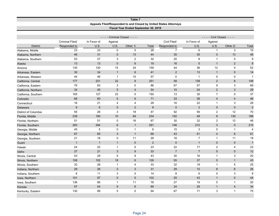| Fiscal Year Ended September 30, 2019<br>- Criminal Closed - - - - -<br>- Civil Closed - - - - -<br>$- - -$<br>$- - -$<br>Criminal Filed/<br>Civil Filed/<br>In Favor of<br>Against<br>In Favor of<br>Against<br>U.S.<br>U.S.<br>U.S.<br>U.S.<br><b>District</b><br>Responded to<br>Other 1/<br>Total<br>Responded to<br>Other 2/<br>Total<br>6<br>23<br>23<br>0<br>5<br>28<br>$\overline{7}$<br>$\mathbf{1}$<br>3<br>10<br>Alabama, Middle<br>46<br>31<br>13<br>44<br>35<br>35<br>$\mathbf 0$<br>13<br>48<br>$\mathbf 0$<br>Alabama, Northern<br>53<br>27<br>3<br>$\overline{c}$<br>32<br>$20\,$<br>8<br>$\mathbf{1}$<br>$\mathbf 0$<br>9<br>Alabama, Southern<br>$\mathbf 0$<br>6<br>8<br>13<br>13<br>19<br>16<br>5<br>$\mathbf{1}$<br>$\overline{2}$<br>Alaska<br>135<br>120<br>15<br>24<br>159<br>44<br>36<br>$\overline{4}$<br>12<br>52<br>Arizona<br>30<br>34<br>6<br>$\overline{2}$<br>13<br>$\mathbf{1}$<br>14<br>$\mathbf{1}$<br>41<br>$\mathbf 0$<br>Arkansas, Eastern<br>$10$<br>57<br>$\mathbf 0$<br>44<br>46<br>$\mathbf{1}$<br>0<br>0<br>$\mathbf{1}$<br>$\overline{\mathbf{1}}$<br>Arkansas, Western<br>221<br>22<br>8<br>58<br>138<br>2<br>177<br>251<br>8<br>148<br>California, Central<br>3<br>$\mathbf 0$<br>9<br>3<br>76<br>83<br>86<br>67<br>57<br>69<br>California, Eastern<br>34<br>45<br>$\overline{5}$<br>$\overline{4}$<br>54<br>24<br>$\overline{2}$<br>$10$<br>$\sqrt{3}$<br>29<br>California, Northern<br>$\overline{7}$<br>165<br>127<br>23<br>$\mathbf 0$<br>150<br>13<br>30<br>$\mathbf 0$<br>37<br>California, Southern<br>68<br>60<br>5<br>6<br>71<br>33<br>38<br>$\overline{4}$<br>46<br>Colorado<br>$\overline{4}$<br>29<br>22<br>3<br>16<br>21<br>4<br>4<br>16<br>$\mathbf{1}$<br>26<br>Connecticut<br>6<br>$6\phantom{1}$<br>2<br>8<br>$\mathbf 0$<br>$\overline{2}$<br>$\mathbf 0$<br>$\overline{2}$<br>$\mathbf 0$<br>$\mathbf 0$<br>Delaware |                      |    |    |   |    |    | Appeals Filed/Responded to and Closed by United States Attorneys |    |   |    |    |
|--------------------------------------------------------------------------------------------------------------------------------------------------------------------------------------------------------------------------------------------------------------------------------------------------------------------------------------------------------------------------------------------------------------------------------------------------------------------------------------------------------------------------------------------------------------------------------------------------------------------------------------------------------------------------------------------------------------------------------------------------------------------------------------------------------------------------------------------------------------------------------------------------------------------------------------------------------------------------------------------------------------------------------------------------------------------------------------------------------------------------------------------------------------------------------------------------------------------------------------------------------------------------------------------------------------------------------------------------------------------------------------------------------------------------------------------------------------------------------------------------------------------------------------------------------------------------------------------------------------------------------------------------------------------------------------------------------------------------------------------------------------------------------------------------------------------------------------------------------------------------------------|----------------------|----|----|---|----|----|------------------------------------------------------------------|----|---|----|----|
|                                                                                                                                                                                                                                                                                                                                                                                                                                                                                                                                                                                                                                                                                                                                                                                                                                                                                                                                                                                                                                                                                                                                                                                                                                                                                                                                                                                                                                                                                                                                                                                                                                                                                                                                                                                                                                                                                      |                      |    |    |   |    |    |                                                                  |    |   |    |    |
|                                                                                                                                                                                                                                                                                                                                                                                                                                                                                                                                                                                                                                                                                                                                                                                                                                                                                                                                                                                                                                                                                                                                                                                                                                                                                                                                                                                                                                                                                                                                                                                                                                                                                                                                                                                                                                                                                      |                      |    |    |   |    |    |                                                                  |    |   |    |    |
|                                                                                                                                                                                                                                                                                                                                                                                                                                                                                                                                                                                                                                                                                                                                                                                                                                                                                                                                                                                                                                                                                                                                                                                                                                                                                                                                                                                                                                                                                                                                                                                                                                                                                                                                                                                                                                                                                      |                      |    |    |   |    |    |                                                                  |    |   |    |    |
|                                                                                                                                                                                                                                                                                                                                                                                                                                                                                                                                                                                                                                                                                                                                                                                                                                                                                                                                                                                                                                                                                                                                                                                                                                                                                                                                                                                                                                                                                                                                                                                                                                                                                                                                                                                                                                                                                      |                      |    |    |   |    |    |                                                                  |    |   |    |    |
|                                                                                                                                                                                                                                                                                                                                                                                                                                                                                                                                                                                                                                                                                                                                                                                                                                                                                                                                                                                                                                                                                                                                                                                                                                                                                                                                                                                                                                                                                                                                                                                                                                                                                                                                                                                                                                                                                      |                      |    |    |   |    |    |                                                                  |    |   |    |    |
|                                                                                                                                                                                                                                                                                                                                                                                                                                                                                                                                                                                                                                                                                                                                                                                                                                                                                                                                                                                                                                                                                                                                                                                                                                                                                                                                                                                                                                                                                                                                                                                                                                                                                                                                                                                                                                                                                      |                      |    |    |   |    |    |                                                                  |    |   |    |    |
|                                                                                                                                                                                                                                                                                                                                                                                                                                                                                                                                                                                                                                                                                                                                                                                                                                                                                                                                                                                                                                                                                                                                                                                                                                                                                                                                                                                                                                                                                                                                                                                                                                                                                                                                                                                                                                                                                      |                      |    |    |   |    |    |                                                                  |    |   |    |    |
|                                                                                                                                                                                                                                                                                                                                                                                                                                                                                                                                                                                                                                                                                                                                                                                                                                                                                                                                                                                                                                                                                                                                                                                                                                                                                                                                                                                                                                                                                                                                                                                                                                                                                                                                                                                                                                                                                      |                      |    |    |   |    |    |                                                                  |    |   |    |    |
|                                                                                                                                                                                                                                                                                                                                                                                                                                                                                                                                                                                                                                                                                                                                                                                                                                                                                                                                                                                                                                                                                                                                                                                                                                                                                                                                                                                                                                                                                                                                                                                                                                                                                                                                                                                                                                                                                      |                      |    |    |   |    |    |                                                                  |    |   |    |    |
|                                                                                                                                                                                                                                                                                                                                                                                                                                                                                                                                                                                                                                                                                                                                                                                                                                                                                                                                                                                                                                                                                                                                                                                                                                                                                                                                                                                                                                                                                                                                                                                                                                                                                                                                                                                                                                                                                      |                      |    |    |   |    |    |                                                                  |    |   |    |    |
|                                                                                                                                                                                                                                                                                                                                                                                                                                                                                                                                                                                                                                                                                                                                                                                                                                                                                                                                                                                                                                                                                                                                                                                                                                                                                                                                                                                                                                                                                                                                                                                                                                                                                                                                                                                                                                                                                      |                      |    |    |   |    |    |                                                                  |    |   |    |    |
|                                                                                                                                                                                                                                                                                                                                                                                                                                                                                                                                                                                                                                                                                                                                                                                                                                                                                                                                                                                                                                                                                                                                                                                                                                                                                                                                                                                                                                                                                                                                                                                                                                                                                                                                                                                                                                                                                      |                      |    |    |   |    |    |                                                                  |    |   |    |    |
|                                                                                                                                                                                                                                                                                                                                                                                                                                                                                                                                                                                                                                                                                                                                                                                                                                                                                                                                                                                                                                                                                                                                                                                                                                                                                                                                                                                                                                                                                                                                                                                                                                                                                                                                                                                                                                                                                      |                      |    |    |   |    |    |                                                                  |    |   |    |    |
|                                                                                                                                                                                                                                                                                                                                                                                                                                                                                                                                                                                                                                                                                                                                                                                                                                                                                                                                                                                                                                                                                                                                                                                                                                                                                                                                                                                                                                                                                                                                                                                                                                                                                                                                                                                                                                                                                      |                      |    |    |   |    |    |                                                                  |    |   |    |    |
|                                                                                                                                                                                                                                                                                                                                                                                                                                                                                                                                                                                                                                                                                                                                                                                                                                                                                                                                                                                                                                                                                                                                                                                                                                                                                                                                                                                                                                                                                                                                                                                                                                                                                                                                                                                                                                                                                      |                      |    |    |   |    |    |                                                                  |    |   |    |    |
|                                                                                                                                                                                                                                                                                                                                                                                                                                                                                                                                                                                                                                                                                                                                                                                                                                                                                                                                                                                                                                                                                                                                                                                                                                                                                                                                                                                                                                                                                                                                                                                                                                                                                                                                                                                                                                                                                      |                      |    |    |   |    |    |                                                                  |    |   |    |    |
|                                                                                                                                                                                                                                                                                                                                                                                                                                                                                                                                                                                                                                                                                                                                                                                                                                                                                                                                                                                                                                                                                                                                                                                                                                                                                                                                                                                                                                                                                                                                                                                                                                                                                                                                                                                                                                                                                      |                      |    |    |   |    |    |                                                                  |    |   |    |    |
|                                                                                                                                                                                                                                                                                                                                                                                                                                                                                                                                                                                                                                                                                                                                                                                                                                                                                                                                                                                                                                                                                                                                                                                                                                                                                                                                                                                                                                                                                                                                                                                                                                                                                                                                                                                                                                                                                      |                      |    |    |   |    |    |                                                                  |    |   |    |    |
|                                                                                                                                                                                                                                                                                                                                                                                                                                                                                                                                                                                                                                                                                                                                                                                                                                                                                                                                                                                                                                                                                                                                                                                                                                                                                                                                                                                                                                                                                                                                                                                                                                                                                                                                                                                                                                                                                      |                      |    |    |   |    |    |                                                                  |    |   |    |    |
|                                                                                                                                                                                                                                                                                                                                                                                                                                                                                                                                                                                                                                                                                                                                                                                                                                                                                                                                                                                                                                                                                                                                                                                                                                                                                                                                                                                                                                                                                                                                                                                                                                                                                                                                                                                                                                                                                      | District of Columbia | 55 | 26 | 3 | 18 | 47 | 92                                                               | 56 | 2 | 12 | 70 |
| 239<br>160<br>10<br>64<br>234<br>152<br>48<br>8<br>130<br>186<br>Florida, Middle                                                                                                                                                                                                                                                                                                                                                                                                                                                                                                                                                                                                                                                                                                                                                                                                                                                                                                                                                                                                                                                                                                                                                                                                                                                                                                                                                                                                                                                                                                                                                                                                                                                                                                                                                                                                     |                      |    |    |   |    |    |                                                                  |    |   |    |    |
| 30<br>32<br>$\overline{2}$<br>12<br>51<br>51<br>0<br>16<br>67<br>46<br>Florida, Northern                                                                                                                                                                                                                                                                                                                                                                                                                                                                                                                                                                                                                                                                                                                                                                                                                                                                                                                                                                                                                                                                                                                                                                                                                                                                                                                                                                                                                                                                                                                                                                                                                                                                                                                                                                                             |                      |    |    |   |    |    |                                                                  |    |   |    |    |
| 283<br>6<br>$\mathbf{1}$<br>291<br>3<br>284<br>146<br>212<br>$\mathbf 0$<br>215<br>Florida, Southern                                                                                                                                                                                                                                                                                                                                                                                                                                                                                                                                                                                                                                                                                                                                                                                                                                                                                                                                                                                                                                                                                                                                                                                                                                                                                                                                                                                                                                                                                                                                                                                                                                                                                                                                                                                 |                      |    |    |   |    |    |                                                                  |    |   |    |    |
| 5<br>45<br>0<br>$\mathbf{1}$<br>6<br>15<br>3<br>0<br>$\overline{\mathbf{A}}$<br>Georgia, Middle<br>$\mathbf{1}$                                                                                                                                                                                                                                                                                                                                                                                                                                                                                                                                                                                                                                                                                                                                                                                                                                                                                                                                                                                                                                                                                                                                                                                                                                                                                                                                                                                                                                                                                                                                                                                                                                                                                                                                                                      |                      |    |    |   |    |    |                                                                  |    |   |    |    |
| 67<br>65<br>3<br>$\mathbf{1}$<br>69<br>43<br>51<br>$\overline{4}$<br>$6\phantom{1}6$<br>61<br>Georgia, Northern                                                                                                                                                                                                                                                                                                                                                                                                                                                                                                                                                                                                                                                                                                                                                                                                                                                                                                                                                                                                                                                                                                                                                                                                                                                                                                                                                                                                                                                                                                                                                                                                                                                                                                                                                                      |                      |    |    |   |    |    |                                                                  |    |   |    |    |
| 21<br>18<br>11<br>29<br>$\overline{7}$<br>11<br>19<br>0<br>16<br>$\mathbf{1}$<br>Georgia, Southern                                                                                                                                                                                                                                                                                                                                                                                                                                                                                                                                                                                                                                                                                                                                                                                                                                                                                                                                                                                                                                                                                                                                                                                                                                                                                                                                                                                                                                                                                                                                                                                                                                                                                                                                                                                   |                      |    |    |   |    |    |                                                                  |    |   |    |    |
| $\mathbf{1}$<br>$\overline{2}$<br>$\mathbf{1}$<br>$\mathbf{1}$<br>$\mathbf{1}$<br>$\mathbf 0$<br>$\mathbf 0$<br>$\mathbf 0$<br>$\mathbf 0$<br>$\overline{1}$<br>Guam                                                                                                                                                                                                                                                                                                                                                                                                                                                                                                                                                                                                                                                                                                                                                                                                                                                                                                                                                                                                                                                                                                                                                                                                                                                                                                                                                                                                                                                                                                                                                                                                                                                                                                                 |                      |    |    |   |    |    |                                                                  |    |   |    |    |
| $\mathbf{2}$<br>24<br>22<br>0<br>23<br>22<br>17<br>$\overline{4}$<br>23<br>$\mathbf{1}$<br>Hawaii                                                                                                                                                                                                                                                                                                                                                                                                                                                                                                                                                                                                                                                                                                                                                                                                                                                                                                                                                                                                                                                                                                                                                                                                                                                                                                                                                                                                                                                                                                                                                                                                                                                                                                                                                                                    |                      |    |    |   |    |    |                                                                  |    |   |    |    |
| 27<br>21<br>$\mathbf{3}$<br>$\boldsymbol{9}$<br>33<br>$\overline{7}$<br>$\overline{7}$<br>5<br>12<br>$\mathbf 0$<br>Idaho                                                                                                                                                                                                                                                                                                                                                                                                                                                                                                                                                                                                                                                                                                                                                                                                                                                                                                                                                                                                                                                                                                                                                                                                                                                                                                                                                                                                                                                                                                                                                                                                                                                                                                                                                            |                      |    |    |   |    |    |                                                                  |    |   |    |    |
| 53<br>29<br>5<br>9<br>43<br>30<br>20<br>16<br>$\mathbf{1}$<br>3<br>Illinois, Central                                                                                                                                                                                                                                                                                                                                                                                                                                                                                                                                                                                                                                                                                                                                                                                                                                                                                                                                                                                                                                                                                                                                                                                                                                                                                                                                                                                                                                                                                                                                                                                                                                                                                                                                                                                                 |                      |    |    |   |    |    |                                                                  |    |   |    |    |
| 102<br>18<br>6<br>37<br>43<br>108<br>126<br>55<br>5<br>$\overline{1}$<br>Illinois, Northern                                                                                                                                                                                                                                                                                                                                                                                                                                                                                                                                                                                                                                                                                                                                                                                                                                                                                                                                                                                                                                                                                                                                                                                                                                                                                                                                                                                                                                                                                                                                                                                                                                                                                                                                                                                          |                      |    |    |   |    |    |                                                                  |    |   |    |    |
| 32<br>28<br>33<br>32<br>19<br>5<br>25<br>Illinois, Southern<br>$\mathbf{1}$<br>4<br>$\mathbf{1}$                                                                                                                                                                                                                                                                                                                                                                                                                                                                                                                                                                                                                                                                                                                                                                                                                                                                                                                                                                                                                                                                                                                                                                                                                                                                                                                                                                                                                                                                                                                                                                                                                                                                                                                                                                                     |                      |    |    |   |    |    |                                                                  |    |   |    |    |
| 29<br>26<br>$\overline{2}$<br>3<br>31<br>29<br>12<br>8<br>26<br>6<br>Indiana, Northern                                                                                                                                                                                                                                                                                                                                                                                                                                                                                                                                                                                                                                                                                                                                                                                                                                                                                                                                                                                                                                                                                                                                                                                                                                                                                                                                                                                                                                                                                                                                                                                                                                                                                                                                                                                               |                      |    |    |   |    |    |                                                                  |    |   |    |    |
| 3<br>0<br>8<br>0<br>3<br>6<br>11<br>14<br>6<br>9<br>Indiana, Southern                                                                                                                                                                                                                                                                                                                                                                                                                                                                                                                                                                                                                                                                                                                                                                                                                                                                                                                                                                                                                                                                                                                                                                                                                                                                                                                                                                                                                                                                                                                                                                                                                                                                                                                                                                                                                |                      |    |    |   |    |    |                                                                  |    |   |    |    |
| 97<br>$\pmb{0}$<br>$\sqrt{5}$<br>102<br>25<br>$\pmb{0}$<br>101<br>43<br>$\mathbf{1}$<br>44<br>Iowa, Northern                                                                                                                                                                                                                                                                                                                                                                                                                                                                                                                                                                                                                                                                                                                                                                                                                                                                                                                                                                                                                                                                                                                                                                                                                                                                                                                                                                                                                                                                                                                                                                                                                                                                                                                                                                         |                      |    |    |   |    |    |                                                                  |    |   |    |    |
| 11<br>136<br>66<br>78<br>27<br>19<br>0<br>$\mathbf{1}$<br>20<br>$\mathbf{1}$<br>Iowa, Southern                                                                                                                                                                                                                                                                                                                                                                                                                                                                                                                                                                                                                                                                                                                                                                                                                                                                                                                                                                                                                                                                                                                                                                                                                                                                                                                                                                                                                                                                                                                                                                                                                                                                                                                                                                                       |                      |    |    |   |    |    |                                                                  |    |   |    |    |
| 57<br>54<br>$\boldsymbol{9}$<br>$\,6\,$<br>69<br>24<br>29<br>34<br>$\mathbf{1}$<br>$\overline{4}$<br>Kansas                                                                                                                                                                                                                                                                                                                                                                                                                                                                                                                                                                                                                                                                                                                                                                                                                                                                                                                                                                                                                                                                                                                                                                                                                                                                                                                                                                                                                                                                                                                                                                                                                                                                                                                                                                          |                      |    |    |   |    |    |                                                                  |    |   |    |    |
| 130<br>5<br>$\mathbf 0$<br>71<br>3<br>89<br>94<br>67<br>$\mathbf{1}$<br>75<br>Kentucky, Eastern                                                                                                                                                                                                                                                                                                                                                                                                                                                                                                                                                                                                                                                                                                                                                                                                                                                                                                                                                                                                                                                                                                                                                                                                                                                                                                                                                                                                                                                                                                                                                                                                                                                                                                                                                                                      |                      |    |    |   |    |    |                                                                  |    |   |    |    |

**Table 7**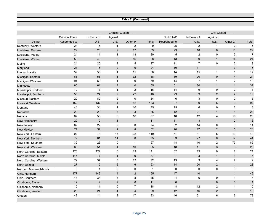#### **Table 7 (Continued)**

|                          |                 |                  | - Criminal Closed - - - - - |                         | - Civil Closed - - - - -<br>$- - -$ |                |                  |                |                |                |
|--------------------------|-----------------|------------------|-----------------------------|-------------------------|-------------------------------------|----------------|------------------|----------------|----------------|----------------|
|                          | Criminal Filed/ | In Favor of      | Against                     |                         |                                     | Civil Filed/   | In Favor of      | Against        |                |                |
| <b>District</b>          | Responded to    | U.S.             | U.S.                        | Other 1/                | Total                               | Responded to   | U.S.             | U.S.           | Other 2/       | Total          |
| Kentucky, Western        | 24              | $\,6$            | $\mathbf{1}$                | 2                       | 9                                   | 25             | $\sqrt{2}$       | $\mathbf{1}$   | 2              | $\overline{5}$ |
| Louisiana, Eastern       | 29              | 20               | 2                           | 17                      | 39                                  | 23             | 18               | $\mathbf 0$    | 11             | 29             |
| Louisiana, Middle        | 24              | 11               | $\mathbf{1}$                | 18                      | 30                                  | 5              | $\overline{2}$   | 0              | 5              | $\overline{7}$ |
| Louisiana, Western       | 59              | 49               | $\mathfrak{Z}$              | 16                      | 68                                  | 13             | $\boldsymbol{9}$ | $\mathbf{1}$   | 14             | 24             |
| Maine                    | 24              | 20               | $\overline{2}$              | 5                       | 27                                  | 11             | $\overline{7}$   | 0              | $\overline{2}$ | 9              |
| Maryland                 | 28              | 16               | 2                           | $6\phantom{1}$          | 24                                  | $10$           | 11               | $\mathbf{1}$   | $\sqrt{3}$     | 15             |
| Massachusetts            | 59              | 56               | $\mathbf{1}$                | 11                      | 68                                  | 14             | 15               | $\mathbf{1}$   | $\mathbf{1}$   | 17             |
| Michigan, Eastern        | 66              | 55               | $\mathbf{1}$                | 32                      | 88                                  | 19             | 20               | $\pmb{0}$      | $\overline{4}$ | 24             |
| Michigan, Western        | 91              | 69               | $\overline{1}$              | 9                       | 79                                  | 14             | $\overline{7}$   | $\mathbf{1}$   | $\overline{2}$ | 10             |
| Minnesota                | 65              | 61               | $\overline{4}$              | $\mathbf 0$             | 65                                  | 51             | 30               | $\mathbf{1}$   | $\mathbf{1}$   | 32             |
| Mississippi, Northern    | 10              | 13               | $\mathbf{1}$                | $\overline{2}$          | 16                                  | 14             | 9                | 0              | $\overline{2}$ | 11             |
| Mississippi, Southern    | 55              | 24               | $\overline{2}$              | 22                      | 48                                  | 23             | 9                | $\overline{2}$ | $\overline{7}$ | 18             |
| Missouri, Eastern        | 29              | 82               | $\overline{c}$              | $\mathbf 0$             | 84                                  | 6              | 3                | 0              | $\overline{c}$ | 5              |
| Missouri, Western        | 152             | 137              | 4                           | 12                      | 153                                 | 97             | 89               | 5              | 3              | 97             |
| Montana                  | 44              | 34               | $\mathbf{1}$                | 10                      | 45                                  | 15             | 6                | 0              | 2              | 8              |
| Nebraska                 | 29              | 29               | $\mathfrak{S}$              | $\mathfrak{S}$          | 35                                  | 12             | 21               | $\mathbf{1}$   | $\overline{1}$ | 23             |
| Nevada                   | 67              | 55               | 6                           | 16                      | 77                                  | 18             | 12               | 4              | 10             | 26             |
| New Hampshire            | $20\,$          | $\boldsymbol{9}$ | $\mathbf{1}$                | $\mathbf{1}$            | 11                                  | $11$           | $\mathfrak{S}$   | $\mathbf{1}$   | 2              | $\,6\,$        |
| New Jersey               | 67              | 22               | $\overline{c}$              | 0                       | 24                                  | 32             | 14               | 0              | 0              | 14             |
| <b>New Mexico</b>        | 71              | 52               | $\overline{2}$              | $\bf 8$                 | 62                                  | 20             | 17               | $\overline{2}$ | $\overline{5}$ | 24             |
| New York, Eastern        | 92              | 73               | 15                          | 22                      | 110                                 | 51             | 31               | 5              | 13             | 49             |
| New York, Northern       | 72              | 61               | 14                          | $\mathbf 0$             | 75                                  | 33             | 27               | $\mathbf 0$    | 17             | 44             |
| New York, Southern       | 32              | 26               | $\mathbf 0$                 | $\mathbf{1}$            | 27                                  | 48             | 10               | $\overline{2}$ | 73             | 85             |
| New York, Western        | 65              | 51               | $\overline{4}$              | 10                      | 65                                  | 18             | 11               | 3              | 6              | 20             |
| North Carolina, Eastern  | 176             | 122              | 6                           | 13                      | 141                                 | 32             | 19               | 0              | $\overline{2}$ | 21             |
| North Carolina, Middle   | 115             | 77               | $\mathbf{1}$                | 9                       | 87                                  | $\overline{7}$ | 3                | $\mathbf{1}$   | $\mathbf{1}$   | 5              |
| North Carolina, Western  | 72              | 57               | 3                           | 12                      | 72                                  | 13             | 3                | 4              | $\overline{2}$ | 9              |
| North Dakota             | 27              | 15               | $\overline{2}$              | 6                       | 23                                  | 14             | 20               | $\overline{2}$ | $\mathbf{1}$   | 23             |
| Northern Mariana Islands | 0               | $\overline{1}$   | 0                           | 0                       | $\overline{1}$                      | 0              | 0                | 0              | 0              | 0              |
| Ohio, Northern           | 177             | 149              | 14                          | $\overline{2}$          | 165                                 | 47             | 40               | $\mathbf{1}$   | $\mathbf{1}$   | 42             |
| Ohio, Southern           | 48              | 34               | 3                           | 8                       | 45                                  | 4              | 6                | 0              | $\mathbf{1}$   | $\overline{7}$ |
| Oklahoma, Eastern        | 12              | $\boldsymbol{9}$ | $\sqrt{2}$                  | $\mathbf 0$             | 11                                  | $\pmb{0}$      | $\mathbf{1}$     | $\mathbf 0$    | $\mathbf 0$    | $\mathbf{1}$   |
| Oklahoma, Northern       | 15              | 11               | 0                           | $\overline{7}$          | 18                                  | 8              | 12               | $\overline{2}$ | $\mathbf{1}$   | 15             |
| Oklahoma, Western        | 28              | 24               | $\mathbf{1}$                | $\overline{\mathbf{4}}$ | 29                                  | 12             | 16               | $\overline{2}$ | $\mathbf 0$    | 18             |
| Oregon                   | 42              | 14               | $\overline{2}$              | 17                      | 33                                  | 46             | 61               | 6              | 6              | 73             |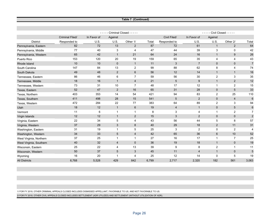#### **Table 7 (Continued)**

|                         |                 | Criminal Closed - - - - -<br>- Civil Closed - - - - -<br>$- - -$<br>- - - |                |                |       |                |                |                |                |                |
|-------------------------|-----------------|---------------------------------------------------------------------------|----------------|----------------|-------|----------------|----------------|----------------|----------------|----------------|
|                         | Criminal Filed/ | In Favor of                                                               | Against        |                |       | Civil Filed/   | In Favor of    | Against        |                |                |
| <b>District</b>         | Responded to    | U.S.                                                                      | U.S.           | Other 1/       | Total | Responded to   | U.S.           | U.S.           | Other 2/       | Total          |
| Pennsylvania, Eastern   | 82              | 72                                                                        | 13             | $\overline{2}$ | 87    | 72             | 61             | $\mathbf{1}$   | 2              | 64             |
| Pennsylvania, Middle    | 77              | 40                                                                        | 3              | $\overline{4}$ | 47    | 44             | 39             | 3              | $\mathbf 0$    | 42             |
| Pennsylvania, Western   | 65              | 42                                                                        | $\mathbf{1}$   | 21             | 64    | 24             | 16             | $\mathbf{1}$   | 9              | 26             |
| Puerto Rico             | 153             | 120                                                                       | 20             | 19             | 159   | 65             | 35             | 4              | 4              | 43             |
| Rhode Island            | 10              | 10                                                                        | $\mathbf{0}$   | $\mathbf{1}$   | 11    | 3              | $\overline{7}$ | $\mathbf 0$    | $\mathbf{0}$   | $\overline{7}$ |
| South Carolina          | 147             | 84                                                                        | 13             | $\overline{2}$ | 99    | 88             | 62             | 8              | 4              | 74             |
| South Dakota            | 49              | 48                                                                        | 2              | $6\phantom{1}$ | 56    | 12             | 14             | $\mathbf{1}$   | $\overline{1}$ | 16             |
| Tennessee, Eastern      | 86              | 46                                                                        | 6              | $\overline{7}$ | 59    | 56             | 30             | $\overline{2}$ | 3              | 35             |
| Tennessee, Middle       | 18              | 16                                                                        | $\mathbf 1$    | $\overline{4}$ | 21    | $\sqrt{5}$     | 9              | $\mathbf{1}$   | $\overline{2}$ | 12             |
| Tennessee, Western      | 73              | 31                                                                        | 10             | $\overline{7}$ | 48    | 17             | 12             | $\mathbf{1}$   | 2              | 15             |
| Texas, Eastern          | 52              | 47                                                                        | 2              | 16             | 65    | 31             | 28             | $\mathbf{0}$   | $5\phantom{1}$ | 33             |
| Texas, Northern         | 403             | 353                                                                       | 14             | 54             | 421   | 94             | 83             | $\overline{2}$ | 25             | 110            |
| Texas, Southern         | 411             | 498                                                                       | 28             | 15             | 541   | 5              | 2              | $\mathbf{0}$   | $\overline{4}$ | 6              |
| Texas, Western          | 472             | 284                                                                       | 22             | 77             | 383   | 64             | 89             | 2              | 3              | 94             |
| Utah                    | 18              | 12                                                                        | $\mathbf{1}$   | $6\phantom{1}$ | 19    | $\overline{4}$ | $\mathbf{1}$   | $\mathbf 0$    | 5              | $6\phantom{1}$ |
| Vermont                 | 11              | 6                                                                         | $\mathbf{1}$   | $\mathbf{1}$   | 8     | 3              | 4              | $\mathbf{1}$   | $\overline{2}$ | $\overline{7}$ |
| Virgin Islands          | 12              | 12                                                                        | $\mathbf{1}$   | 2              | 15    | 3              | 2              | $\mathbf{0}$   | $\mathbf{0}$   | 2              |
| Virginia, Eastern       | 22              | 34                                                                        | 5              | 4              | 43    | 56             | 44             | 5              | 8              | 57             |
| Virginia, Western       | 37              | 29                                                                        | 3              | 8              | 40    | 29             | 18             | $\overline{2}$ | 11             | 31             |
| Washington, Eastern     | 31              | 19                                                                        | 1              | 5              | 25    | 3              | $\overline{2}$ | 0              | 2              | 4              |
| Washington, Western     | 34              | 33                                                                        | 5              | $\overline{4}$ | 42    | 65             | 36             | 6              | 10             | 52             |
| West Virginia, Northern | 37              | 25                                                                        | $\mathbf{1}$   | $\mathbf{1}$   | 27    | 16             | 17             | $\mathbf{1}$   | 7              | 25             |
| West Virginia, Southern | 40              | 32                                                                        | 4              | $\mathbf 0$    | 36    | 19             | 18             | $\mathbf{1}$   | $\mathbf 0$    | 19             |
| Wisconsin, Eastern      | 25              | 22                                                                        | $\overline{4}$ | 13             | 39    | 9              | 8              | 2              | $\mathbf 1$    | 11             |
| Wisconsin, Western      | 50              | 37                                                                        | 5              | 3              | 45    | 11             | $\overline{4}$ | $\mathbf{1}$   | $\mathbf{0}$   | 5              |
| Wyoming                 | 16              | 20                                                                        | 1              | $\overline{4}$ | 25    | 12             | 14             | $\Omega$       | 5              | 19             |
| <b>All Districts</b>    | 6,768           | 5,528                                                                     | 429            | 842            | 6,799 | 2,717          | 2,320          | 182            | 561            | 3,063          |

1/ FOR FY 2019, OTHER CRIMINAL APPEALS CLOSED INCLUDES DISMISSED APPELLANT, FAVORABLE TO US, AND NOT FAVORABLE TO US.

2/ FOR FY 2019, OTHER CIVIL APPEALS CLOSED INCLUDES SETTLEMENT (ADR UTILIZED) AND SETTLEMENT (WITHOUT UTILIZATION OF ADR).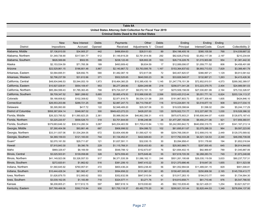| Table 8A                                                    |                  |                 |        |                                                 |                 |        |                    |                  |        |                   |  |  |
|-------------------------------------------------------------|------------------|-----------------|--------|-------------------------------------------------|-----------------|--------|--------------------|------------------|--------|-------------------|--|--|
| United States Attorney Debt Collection for Fiscal Year 2019 |                  |                 |        |                                                 |                 |        |                    |                  |        |                   |  |  |
|                                                             |                  |                 |        | <b>Criminal Debts Owed to the United States</b> |                 |        |                    |                  |        |                   |  |  |
|                                                             |                  |                 |        |                                                 |                 |        |                    |                  |        |                   |  |  |
|                                                             | <b>New</b>       | New Interest    | Debts  | Payments                                        | Other           | Debts  | Ending             | Ending           | Ending |                   |  |  |
| <b>District</b>                                             | Impositions      | Accrued         | Opened | Received                                        | Adjustments 1/  | Closed | Principal          | Interest/Costs   | Count  | Collectibility 2/ |  |  |
| Alabama, Middle                                             | \$7,136,810.00   | \$34,905.27     | 442    | \$486,854.63                                    | \$28,511.63     | 89     | \$54,196,405.18    | \$380,105.58     | 768    | \$14,039,667.32   |  |  |
| Alabama, Northern                                           | \$1,349,736.90   | \$317,581.77    | 612    | \$1,149,819.29                                  | \$2,761,814.56  | 292    | \$82,628,279.62    | \$3,852,117.39   | 2,197  | \$210,234.64      |  |  |
| Alabama, Southern                                           | \$626,569.66     | \$502.55        | 399    | \$238,122.49                                    | \$26,802.28     | 103    | \$26,716,228.76    | \$1,015,903.88   | 954    | \$1,381,442.30    |  |  |
| Alaska                                                      | \$2,153,534.59   | \$71,765.36     | 189    | \$493,909.42                                    | \$8,834.59      | 17     | \$12,089,006.07    | \$1,059,771.52   | 806    | \$4,458,491.88    |  |  |
| Arizona                                                     | \$22,529,861.15  | \$186,801.48    | 3,967  | \$2,140,867.72                                  | \$3,763,595.78  | 1,167  | \$153,364,837.62   | \$6,993,713.53   | 7,829  | \$3,388,461.79    |  |  |
| Arkansas, Eastern                                           | \$3,584,695.51   | \$28,692.75     | 580    | \$1,482,087.19                                  | \$72,617.08     | 72     | \$40,407,820.57    | \$366,997.21     | 1,129  | \$9,913,581.62    |  |  |
| Arkansas, Western                                           | \$2,796,237.59   | \$31,612.66     | 371    | \$502,525.65                                    | \$640,593.23    | 36     | \$33,826,548.07    | \$132,867.21     | 1,263  | \$4,415,426.36    |  |  |
| California, Central                                         | \$48,934,846.53  | \$3,544,053.19  | 1,973  | \$18,464,360.25                                 | \$10,385,430.19 | 1,145  | \$1,247,776,151.39 | \$72,852,810.51  | 4,573  | \$269,382,389.57  |  |  |
| California, Eastern                                         | \$10,927,029.91  | \$554,109.47    | 953    | \$6,277,269.80                                  | -\$264,249.98   | 218    | \$256,071,041.28   | \$13,223,379.75  | 2,404  | \$24,989,581.03   |  |  |
| California, Northern                                        | \$85,384,599.43  | \$1,785,363.45  | 768    | \$75,724,337.37                                 | \$8,572,191.15  | 127    | \$270,509,158.09   | \$27,030,851.99  | 2,164  | \$75,722,326.97   |  |  |
| California, Southern                                        | \$9,709,347.52   | \$681,288.62    | 5,685  | \$5,665,478.93                                  | \$10,988,936.95 | 2,598  | \$333,420,312.44   | \$5,051,771.16   | 6,824  | \$203,124,113.37  |  |  |
| Colorado                                                    | \$9,188,608.62   | \$102,308.62    | 723    | \$2,971,816.70                                  | \$6,534,121.58  | 205    | \$191,867,803.73   | \$3,977,309.40   | 1,605  | \$424,846.10      |  |  |
| Connecticut                                                 | \$26,553,203.66  | \$288,721.25    | 668    | \$2,887,247.73                                  | \$8,710,706.87  | 116    | \$110,224,691.19   | \$3,518,877.19   | 908    | \$50,017,034.15   |  |  |
| Delaware                                                    | \$5,395,993.90   | \$417.72        | 122    | \$2,948,489.20                                  | \$29,307.06     | 33     | \$19,029,398.64    | \$1,596.02       | 284    | \$5,244,117.29    |  |  |
| District of Columbia                                        | \$958,387,804.14 | \$348,067.02    | 300    | \$949,423,272.23                                | \$428,207.00    | 120    | \$376,922,731.77   | \$12,227,067.78  | 1,030  | \$18,528,386.32   |  |  |
| Florida, Middle                                             | \$26,323,795.52  | \$11,560,823.25 | 2,361  | \$5,988,092.64                                  | \$46,862,356.31 | 415    | \$970,675,903.21   | \$195,608,944.07 | 4,600  | \$128,875,187.43  |  |  |
| Florida, Northern                                           | \$3,225,220.57   | \$558,526.73    | 318    | \$3,701,644.00                                  | \$186,246.98    | 26     | \$1,477,287,150.84 | \$9,450,211.06   | 921    | \$17,859,360.91   |  |  |
| Florida, Southern                                           | \$379,683,646.32 | \$38,514,260.34 | 3,087  | \$45,204,463.59                                 | \$31,709,410.84 | 1,153  | \$5,242,993,842.72 | \$640,658,319.70 | 8,357  | \$341,167,213.14  |  |  |
| Georgia, Middle                                             | \$7,390,404.58   | \$93,861.48     | 667    | \$906,998.52                                    | \$54,086.72     | 102    | \$61,695,811.67    | \$2,075,288.33   | 964    | \$9,597,223.95    |  |  |
| Georgia, Northern                                           | \$33,311,937.06  | \$1,534,264.05  | 672    | \$3,604,406.89                                  | \$1,590,427.10  | 99     | \$204,769,306.81   | \$12,908,010.16  | 2,449  | \$129,370,569.92  |  |  |
| Georgia, Southern                                           | \$4,369,159.03   | \$121,183.00    | 744    | \$1,134,452.41                                  | \$422,926.63    | 31     | \$117,792,333.28   | \$4,021,124.53   | 2,340  | \$46,056,739.08   |  |  |
| Guam*                                                       | \$2,070,181.50   | \$29,711.67     | 121    | \$1,637,591.11                                  | \$32,030.15     | 30     | \$3,094,958.41     | \$151,178.60     | 194    | \$1,652,016.84    |  |  |
| Hawaii                                                      | \$7,915,843.30   | \$9,390.78      | 229    | \$1,115,768.31                                  | \$530,453.83    | 80     | \$25,063,989.71    | \$297,500.45     | 645    | \$8,914,944.60    |  |  |
| Idaho                                                       | \$969,329.47     | \$8,169.59      | 500    | \$548,788.12                                    | \$152,673.67    | 76     | \$21,694,402.15    | \$82,969.87      | 789    | \$1,045,887.06    |  |  |
| Illinois, Central                                           | \$3,025,503.91   | \$139,058.68    | 328    | \$274,559.40                                    | \$375,649.46    | 55     | \$37,618,720.39    | \$2,268,283.74   | 749    | \$1,973,248.88    |  |  |
| Illinois, Northern                                          | \$41,149,923.06  | \$3,326,557.53  | 917    | \$6,371,535.39                                  | \$1,086,182.11  | 246    | \$501,261,195.68   | \$26,035,119.59  | 3,633  | \$80,237,737.31   |  |  |
| Illinois, Southern                                          | \$272,820.61     | \$1,862.62      | 516    | \$381,206.10                                    | \$467,410.22    | 30     | \$121,370,686.46   | \$19,647.35      | 1,655  | \$311,523.58      |  |  |
| Indiana, Northern                                           | \$1,560,645.92   | \$760,957.61    | 472    | \$800,436.24                                    | \$653,238.40    | 56     | \$91,052,994.64    | \$11,489,041.15  | 829    | \$901,008.81      |  |  |
| Indiana, Southern                                           | \$10,444,428.34  | \$61,562.47     | 910    | \$594,858.22                                    | \$131,961.03    | 85     | \$158,487,005.85   | \$250,806.58     | 2,165  | \$145,709,413.77  |  |  |
| Iowa, Northern                                              | \$1,626,879.70   | \$12,900.62     | 553    | \$352,632.56                                    | \$847,010.54    | 42     | \$15,917,283.10    | \$194,013.77     | 649    | \$1,734,564.30    |  |  |
| Iowa, Southern                                              | \$3,039,162.05   | \$1,183.89      | 718    | \$324,577.11                                    | \$3,271.76      | 51     | \$18,810,658.71    | \$61,710.46      | 976    | \$5,547,766.50    |  |  |
| Kansas                                                      | \$6,208,805.21   | \$117,612.15    | 597    | \$867,618.14                                    | \$319,930.60    | 45     | \$92,153,839.40    | \$2,021,429.31   | 1,254  | \$3,621,527.91    |  |  |
| Kentucky, Eastern                                           | \$97,789,468.06  | \$392,710.84    | 930    | \$21,755,118.37                                 | -\$5,482,770.20 | 90     | \$290,921,101.44   | \$2,820,444.53   | 1,349  | \$276,694,137.95  |  |  |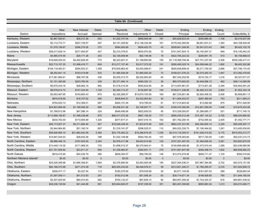| Table 8A (Continued)      |                  |                 |              |                 |                 |              |                    |                  |           |                   |
|---------------------------|------------------|-----------------|--------------|-----------------|-----------------|--------------|--------------------|------------------|-----------|-------------------|
|                           |                  |                 |              |                 |                 |              |                    |                  |           |                   |
|                           | <b>New</b>       | New Interest    | Debts        | Payments        | Other           | <b>Debts</b> | Ending             | Ending           | Ending    |                   |
| <b>District</b>           | Impositions      | Accrued         | Opened       | Received        | Adjustments 1/  | Closed       | Principal          | Interest/Costs   | Count     | Collectibility 2/ |
| Kentucky, Western         | \$2,867,594.61   | \$35,012.36     | 553          | \$1,252,747.04  | \$658,949.38    | 187          | \$25,628,833.24    | \$250,689.36     | 1,108     | \$2,416,937.08    |
| Louisiana, Eastern        | \$3,112,772.71   | \$257,739.57    | 397          | \$3,151,329.82  | \$12,136,334.48 | 161          | \$175,442,365.65   | \$8,561,631.21   | 1,393     | \$44,168,409.46   |
| Louisiana, Middle         | \$1,579,199.87   | \$296,279.26    | 272          | \$584,083.69    | \$936,425.70    | 43           | \$209,841,248.90   | \$3,541,613.43   | 998       | \$9,425,102.76    |
| Louisiana, Western        | \$39,217,629.14  | \$277,460.97    | 427          | \$2,210,378.91  | \$830,970.26    | 70           | \$101,947,824.13   | \$4,100,597.31   | 949       | \$16,145,942.25   |
| Maine                     | \$4,985,574.55   | \$29.171.28     | 243          | \$2,129,009.84  | \$92,149.48     | 18           | \$422,784,222.52   | \$259.951.78     | 510       | \$5,158,668.03    |
| Maryland                  | \$18,828,525.22  | \$4,402,628.45  | 775          | \$6,323,847.21  | \$1,198,650.69  | 150          | \$1,118,399,708.46 | \$27,751,237.00  | 2,308     | \$550,346,417.41  |
| <b>Massachusetts</b>      | \$22,710,157.25  | \$1,898,416.71  | 650          | \$15,217,157.40 | \$3,017,372.02  | 191          | \$280,490,525.74   | \$24,008,846.22  | 1,692     | \$8,405,302.86    |
| Michigan, Eastern         | \$108,118,463.51 | \$294,933.21    | 1,358        | \$76,005,883.40 | \$3,054,588.61  | 241          | \$655,838,899.44   | \$5,271,759.35   | 2,888     | \$37,706,175.45   |
| Michigan, Western         | \$8,292,841.15   | \$163,019.88    | 533          | \$1,485,036.09  | \$1,995,055.24  | 72           | \$189,021,576.23   | \$2,074,000.70   | 1,847     | \$13,382,478.65   |
| Minnesota                 | \$17,581,884.61  | \$96,767.06     | 436          | \$2,030,313.73  | \$6,320,993.90  | 65           | \$67,342,252.85    | \$310,724.17     | 1,216     | \$5,327,971.07    |
| Mississippi, Northern     | \$1,151,350.68   | \$203,765.49    | 236          | \$5,371,094.14  | \$495,302.13    | 36           | \$65,575,692.83    | \$4,649,066.15   | 462       | \$48,114,585.99   |
| Mississippi, Southern     | \$5,675,034.16   | \$28,862.15     | 882          | \$1,518,310.00  | \$583,622.60    | 29           | \$113,597,661.87   | \$173,921.28     | 2,390     | \$35,953,591.29   |
| Missouri, Eastern         | \$9,676,614.72   | \$147,424.04    | 1,729        | \$2,340,712.27  | \$130,697.49    | 140          | \$109,011,336.85   | \$4,262,012.24   | 2,802     | \$1,002,334.16    |
| Missouri, Western         | \$3,953,487.65   | \$193,800.43    | 870          | \$2,326,288.57  | \$15,874,720.59 | 160          | \$67,235,851.46    | \$2,920,406.32   | 2,008     | \$5,068,661.13    |
| Montana                   | \$879,578.56     | \$18,707.62     | 506          | \$508,844.57    | \$3,432,953.83  | 30           | \$11,064,533.07    | \$267,489.00     | 753       | \$311,993.21      |
| Nebraska                  | \$754,833.13     | \$12,308.51     | 567          | \$494,151.49    | \$19,790.03     | 91           | \$17,215,843.40    | \$13,082.68      | 875       | \$701,449.95      |
| Nevada                    | \$24,823,569.48  | \$1,169,556.29  | 699          | \$5,008,531.28  | \$2,108,937.71  | 130          | \$180,470,392.99   | \$12,901,559.00  | 1,448     | \$15,675,343.28   |
| New Hampshire             | \$1,768,812.96   | \$47,596.14     | 224          | \$548,456.06    | \$822,830.03    | 45           | \$10,328,550.87    | \$1,288,685.17   | 531       | \$711,745.15      |
| New Jersey                | \$113,568,165.87 | \$1,399,238.68  | 875          | \$86,517,572.29 | \$667,158.25    | 177          | \$580,245,512.48   | \$15,387,124.22  | 2,705     | \$86,024,880.92   |
| New Mexico                | \$434,763.49     | \$110,905.89    | 1,325        | \$477,817.31    | \$447,016.15    | 182          | \$41,792,290.16    | \$732,595.52     | 2,405     | \$1,442,771.71    |
| New York, Eastern         | \$26,173,907.37  | \$4,211,894.40  | 927          | \$18,526,248.30 | \$1,923,815.46  | 625          | \$662,227,331.65   | \$45,394,655.14  | 2,229     | \$90,409,397.17   |
| New York, Northern        | \$3,944,964.85   | \$21,160.74     | 807          | \$1,319,191.07  | \$296,525.51    | 110          | \$45,022,339.73    | \$1,195,494.62   | 1,281     | \$13,400,930.65   |
| New York, Southern        | \$56,926,984.10  | \$31,862,642.09 | 2,369        | \$25,176,482.22 | \$16,286,816.45 | 1,336        | \$2,014,116,309.41 | \$191,026,415.92 | 5,175     | \$915,503,213.77  |
| New York, Western         | \$14,847,034.53  | \$28,632.28     | 788          | \$1,532,148.98  | \$554,762.45    | 157          | \$57,578,383.85    | \$517,720.55     | 1,461     | \$52,537,214.73   |
| North Carolina, Eastern   | \$9,686,446.19   | \$187,625.55    | 2,240        | \$2,978,417.96  | \$9,643,914.99  | 129          | \$157,281,487.09   | \$1,464,836.45   | 3,591     | \$33,683,875.93   |
| North Carolina, Middle    | \$13,449,116.30  | \$171,968.30    | 733          | \$1,698,515.37  | \$6,370,945.41  | 75           | \$100,898,468.96   | \$1,473,910.44   | 1,289     | \$23,436,985.96   |
| North Carolina, Western   | \$31,751,009.92  | \$23,911.07     | 695          | \$1,238,965.67  | \$350,931.11    | 279          | \$151,581,647.89   | \$292,458.74     | 1,602     | \$60,658,062.23   |
| North Dakota              | \$919,415.90     | \$54,039.79     | 385          | \$658,364.57    | \$58,790.05     | 148          | \$12,074,278.46    | \$658,711.47     | 1,100     | \$382,519.69      |
| Northern Mariana Islands* | \$0.00           | \$0.00          | $\mathbf{0}$ | \$0.00          | \$0.00          | $\mathbf{0}$ | \$0.00             | \$0.00           | $\pmb{0}$ | \$0.00            |
| Ohio, Northern            | \$24,028,399.96  | \$1,685,306.81  | 1,564        | \$3,378,990.90  | \$3,063,905.08  | 195          | \$227,264,536.21   | \$37,887,394.66  | 2,702     | \$43,072,151.95   |
| Ohio, Southern            | \$94,166,373.99  | \$271,274.39    | 718          | \$85,935,232.65 | \$6,448,076.21  | 59           | \$212,651,340.21   | \$1,760,295.07   | 2,216     | \$31,824,958.72   |
| Oklahoma, Eastern         | \$256,471.17     | \$3,327.54      | 113          | \$185,279.59    | \$79,539.99     | 20           | \$4,571,149.06     | \$161,837.03     | 289       | \$228,693.04      |
| Oklahoma, Northern        | \$1,097,059.11   | \$41,512.63     | 247          | \$192,012.66    | \$51,008.24     | 63           | \$39,714,671.34    | \$198,928.65     | 790       | \$11,944,165.54   |
| Oklahoma, Western         | \$3,307,925.94   | \$64,914.83     | 552          | \$700,133.27    | \$67,839.13     | 80           | \$64,957,258.29    | \$1,724,324.37   | 916       | \$54,861,438.42   |
| Oregon                    | \$49,336,139.94  | \$41,444.89     | 561          | \$35,844,640.07 | \$747,339.93    | 351          | \$63,457,209.68    | \$650,963.34     | 1,413     | \$34,010,460.71   |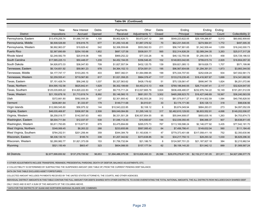| Table 8A (Continued)    |                    |                  |        |                    |                  |              |                    |                  |         |                    |  |
|-------------------------|--------------------|------------------|--------|--------------------|------------------|--------------|--------------------|------------------|---------|--------------------|--|
|                         |                    |                  |        |                    |                  |              |                    |                  |         |                    |  |
|                         | <b>New</b>         | New Interest     | Debts  | Payments           | Other            | <b>Debts</b> | Ending             | Ending           | Ending  |                    |  |
| <b>District</b>         | Impositions        | Accrued          | Opened | Received           | Adjustments 1/   | Closed       | Principal          | Interest/Costs   | Count   | Collectibility 2/  |  |
| Pennsylvania, Eastern   | \$13,478,255.74    | \$1,068,747.59   | 1,100  | \$5,902,626.73     | \$5,672,247.12   | 395          | \$549,223,622.05   | \$29,109,266.87  | 5,013   | \$60,682,909.60    |  |
| Pennsylvania, Middle    | \$6,508,526.69     | \$18,816.75      | 677    | \$1,250,143.46     | \$1,887,376.52   | 70           | \$62,231,540.05    | \$274,564.91     | 1,772   | \$497,005.35       |  |
| Pennsylvania, Western   | \$6,992,963.07     | \$19,829.42      | 542    | \$2,306,559.68     | \$553,562.53     | 211          | \$56,747,901.65    | \$1,342,509.44   | 1,059   | \$16,242,000.73    |  |
| <b>Puerto Rico</b>      | \$2,367,690.69     | \$254,193.66     | 1,852  | \$687,127.58       | \$508,001.77     | 565          | \$32,314,826.29    | \$2,089,244.35   | 3,263   | \$25,017,317.28    |  |
| Rhode Island            | \$2,248,582.79     | \$20,918.08      | 195    | \$969,252.22       | \$77,333.26      | 16           | \$46,132,755.58    | \$1,290,538.73   | 458     | \$35,729,186.53    |  |
| South Carolina          | \$17,585,225.13    | \$50,448.07      | 1,239  | \$4,452,194.05     | \$356,546.45     | 102          | \$148,803,042.65   | \$799,615.74     | 2,829   | \$18,804,057.30    |  |
| South Dakota            | \$4,926,873.33     | \$36,047.83      | 709    | \$1,827,557.54     | \$432,120.75     | 139          | \$59,821,085.13    | \$619,626.73     | 1,707   | \$571,199.86       |  |
| Tennessee, Eastern      | \$6,134,651.92     | \$59,961.23      | 978    | \$4,364,152.13     | \$724,581.01     | 195          | \$96,567,604.68    | \$1,294,391.01   | 1,873   | \$3,993,344.50     |  |
| Tennessee, Middle       | \$4,177,747.17     | \$103,283.15     | 403    | \$957,382.01       | \$1,064,996.95   | 199          | \$75,334,707.93    | \$252,638.24     | 934     | \$47,002,561.73    |  |
| Tennessee, Western      | \$2,259,555.41     | \$719,567.80     | 817    | \$1,021,358.25     | \$964,378.47     | 117          | \$133,219,235.45   | \$18,416,907.67  | 1,699   | \$14,341,682.90    |  |
| Texas, Eastern          | \$7,151,428.74     | \$56,248.32      | 1,037  | \$5,327,563.62     | \$426,179.62     | 51           | \$75,129,561.47    | \$906,947.78     | 1,824   | \$6,251,072.86     |  |
| Texas, Northern         | \$54,595,152.58    | \$625,842.41     | 1,629  | \$6,302,199.69     | \$4,453,213.13   | 406          | \$769,186,840.55   | \$26,714,047.41  | 2,117   | \$32,624,647.00    |  |
| Texas, Southern         | \$125,035,805.22   | \$14,820,222.83  | 11,327 | \$9,715,711.24     | \$12,027,665.79  | 3,824        | \$936,406,480.07   | \$232,976,744.22 | 16,149  | \$191,261,512.09   |  |
| Texas, Western          | \$21,150,678.16    | \$1,713,819.74   | 8,992  | \$5,146,560.15     | \$681,051.75     | 3,502        | \$465,268,923.70   | \$16,427,046.69  | 18,567  | \$36,240,563.59    |  |
| Utah                    | \$372,661.80       | \$562,606.29     | 337    | \$2,301,900.42     | \$7,362,553.26   | 312          | \$81,579,917.27    | \$7,914,502.59   | 1,584   | \$40,795,828.50    |  |
| Vermont                 | \$206,861.64       | \$1,333.97       | 179    | \$149,711.68       | \$4,910.61       | 33           | \$3,174,171.90     | \$35,126.13      | 318     | \$98,636.56        |  |
| Virgin Islands          | \$12,069,545.80    | \$56,975.32      | 144    | \$10,543,222.85    | \$2,108.12       | 8            | \$5,674,049.94     | \$684,263.01     | 273     | \$4,097,052.09     |  |
| Virginia, Eastern       | \$46,035,468.87    | \$306,957.56     | 2,508  | \$89,049,084.89    | \$1,295,149.12   | 317          | \$2,482,610,129.00 | \$6,803,552.91   | 4,698   | \$149,202,006.07   |  |
| Virginia, Western       | \$8,258,018.77     | \$142,597.63     | 483    | \$6,331,501.28     | \$36,507,854.55  | 95           | \$55,844,908.07    | \$693,635.16     | 1,263   | \$4,753,874.73     |  |
| Washington, Eastern     | \$8,004,711.64     | \$12,037.57      | 539    | \$1,046,112.33     | \$15,550.67      | 144          | \$32,039,350.45    | \$96,066.37      | 907     | \$8,638,811.45     |  |
| Washington, Western     | \$5,811,793.65     | \$115,677.81     | 879    | \$3,475,694.69     | \$265,570.73     | 767          | \$113,169,586.24   | \$2,146,077.92   | 3,435   | \$77,542,181.70    |  |
| West Virginia, Northern | \$348,069.45       | \$8,263.22       | 268    | \$233,655.88       | \$567,085.43     | 64           | \$7,456,786.41     | \$149,632.04     | 560     | \$111,184.45       |  |
| West Virginia, Southern | \$784,252.51       | \$201,256.44     | 359    | \$344,384.79       | \$1,163,636.11   | 47           | \$779,373,401.68   | \$317,058,411.18 | 752     | \$2,350,630.96     |  |
| Wisconsin, Eastern      | \$8,336,130.10     | \$185.74         | 339    | \$1,207,342.62     | \$373,638.85     | 54           | \$34,217,750.13    | \$28,293.32      | 1,030   | \$6,829,296.30     |  |
| Wisconsin, Western      | \$2,280,982.77     | \$1,821,373.09   | 153    | \$1,756,732.84     | \$21,186.73      | 6            | \$124,587,701.23   | \$21,187,927.18  | 384     | \$2,215,962.54     |  |
| Wyoming                 | \$521,150.49       | \$803.47         | 323    | \$604,088.55       | \$157,177.54     | 62           | \$8,158,140.20     | \$31,942.12      | 889     | \$1,569,567.24     |  |
| <b>All Districts</b>    | \$2.877.699.650.92 | \$137.278.720.92 | 96,653 | \$1.694.486.070.58 | \$310.826.493.33 | 26.596       |                    |                  | 201,911 | \$4,927,286,577.79 |  |

1/ OTHER ADJUSTMENTS INCLUDE TRANSFERS, REMANDS, PRESIDENTIAL PARDONS, DEATH OF DEBTOR, BALANCE ADJUSTMENTS, ETC.

2/ COLLECTIBILITY IS DETERMINED BY SUBTRACTING THE SUSPENDED AMOUNT (SEE TABLE 8F) FROM THE CURRENT PENDING DEBT BALANCE.

DATA ON THIS TABLE EXCLUDES ASSET FORFEITURES.

COLLECTED AMOUNT INCLUDES PAYMENTS RECEIVED BY THE UNITED STATES ATTORNEYS, THE COURTS, AND OTHER AGENCIES.

INDIVIDUAL DISTRICT AMOUNTS IN THIS TABLE CONTAIN THE FULL AMOUNT FOR DEBTS SHARED WITH OTHER DISTRICTS. TO AVOID OVERSTATING THE TOTAL NATIONAL AMOUNTS, THE ALL DISTRICTS ROW INCLUDES EACH SHARED DEBT

ONLY ONCE AND IS NOT A SUM OF THE AMOUNTS OF THE COLUMNS ABOVE.

\* DATA FOR THE DISTRICTS OF GUAM AND NORTHERN MARIANA ISLANDS ARE COMBINED.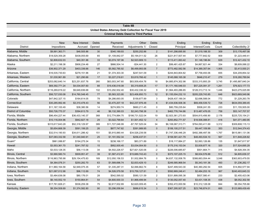| Table 8B                                                    |                  |                 |        |                 |                                             |                     |                    |                  |        |                    |  |  |
|-------------------------------------------------------------|------------------|-----------------|--------|-----------------|---------------------------------------------|---------------------|--------------------|------------------|--------|--------------------|--|--|
| United States Attorney Debt Collection for Fiscal Year 2019 |                  |                 |        |                 |                                             |                     |                    |                  |        |                    |  |  |
|                                                             |                  |                 |        |                 | <b>Criminal Debts Owed to Third Parties</b> |                     |                    |                  |        |                    |  |  |
|                                                             |                  |                 |        |                 |                                             |                     |                    |                  |        |                    |  |  |
|                                                             | <b>New</b>       | New Interest    | Debts  | Payments        | Other                                       | Debts               | Ending             | Ending           | Ending |                    |  |  |
| <b>District</b>                                             | Impositions      | Accrued         | Opened | Received        | Adjustments 1/                              | Closed              | Principal          | Interest/Costs   | Count  | Collectibility 2/  |  |  |
| Alabama, Middle                                             | \$9,991,363.71   | \$48,505.86     | 30     | \$340,189.93    | \$250,252.86                                | $\overline{2}$      | \$141,298,695.90   | \$1,019,188.30   | 309    | \$13,176,497.08    |  |  |
| Alabama, Northern                                           | \$18,529,359.28  | \$438,055.69    | 65     | \$1,109,842.07  | \$5,194,011.52                              | 26                  | \$221,817,507.44   | \$7,777,842.52   | 909    | \$1,223,449.41     |  |  |
| Alabama, Southern                                           | \$2,808,632.03   | \$40,351.96     | 33     | \$3,074,197.06  | \$2,523,909.13                              | $\mathbf{1}$        | \$113,411,063.42   | \$1,148,196.84   | 629    | \$12,421,432.10    |  |  |
| Alaska                                                      | \$2,211,198.38   | \$906,234.48    | 27     | \$866,504.14    | $-$ \$34,441.30                             | $\overline{2}$      | \$99,481,425.87    | \$4,867,821.44   | 334    | \$8,609,088.22     |  |  |
| Arizona                                                     | \$36,902,371.29  | \$403,336.66    | 146    | \$5,582,785.92  | \$6,499,993.06                              | $\overline{7}$      | \$773,482,582.56   | \$14,389,357.64  | 1,905  | \$3,413,930.21     |  |  |
| Arkansas, Eastern                                           | \$16,535,730.63  | \$278,151.96    | 21     | \$1,374,303.30  | \$247,541.09                                | 3                   | \$244,843,804.82   | \$7,758,493.06   | 655    | \$34,209,854.32    |  |  |
| Arkansas, Western                                           | \$1,030,961.89   | \$21,290.66     | 17     | \$3,227,218.61  | \$3,819,766.42                              | $\mathbf{1}$        | \$145,068,165.38   | \$646,210.47     | 279    | \$18,280,789.94    |  |  |
| California, Central                                         | \$253,082,640.14 | \$23,251,837.76 | 260    | \$63,003,347.60 | \$83,509,454.76                             | 18                  | \$4,885,874,302.98 | \$333,315,893.29 | 3,745  | \$1,495,887,640.24 |  |  |
| California, Eastern                                         | \$69,392,771.24  | \$4,034,007.60  | 88     | \$19,436,018.08 | \$5,319,608.25                              | 17                  | \$1,171,160,546.03 | \$57,225,091.37  | 1,261  | \$76,923,177.73    |  |  |
| California, Northern                                        | \$116,269,819.22 | \$9,649,836.68  | 102    | \$10,292,932.40 | \$30,432,336.32                             | 9                   | \$1,564,493,286.65 | \$128,313,713.14 | 1,446  | \$423,275,025.99   |  |  |
| California, Southern                                        | \$56,727,030.08  | \$14,760,548.45 | 77     | \$5,583,323.95  | \$23,406,850.73                             | 12                  | \$1,155,004,232.10 | \$205,229,743.85 | 648    | \$923,669,549.96   |  |  |
| Colorado                                                    | \$47,842,327.15  | \$164,614.05    | 78     | \$4,286,693.05  | \$159,877.89                                | 3                   | \$428,437,189.34   | \$2,696,588.04   | 772    | \$1,229,263.78     |  |  |
| Connecticut                                                 | \$30,285,992.46  | \$3,310,478.43  | 56     | \$3,470,207.18  | \$42,237,976.48                             | $6\phantom{1}$      | \$1,434,636,508.36 | \$69,458,539.72  | 728    | \$634,059,389.45   |  |  |
| Delaware                                                    | \$11,167,100.49  | \$38,380.56     | 14     | \$274,950.74    | \$660,211.45                                | $\mathbf 0$         | \$80,759,235.64    | \$508,241.55     | 233    | \$11,155,505.00    |  |  |
| District of Columbia                                        | \$50,726,770.37  | \$394,613.79    | 46     | \$6,132,390.03  | \$2,243,798.38                              | $\mathbf 0$         | \$462,776,744.86   | \$13,487,476.05  | 758    | \$53,147,707.57    |  |  |
| Florida, Middle                                             | \$96,454,227.44  | \$36,433,140.37 | 368    | \$12,774,884.75 | \$198,731,522.04                            | 19                  | \$2,923,361,273.93 | \$504,815,456.90 | 2,178  | \$225,725,154.21   |  |  |
| Florida, Northern                                           | \$10,116,004.96  | \$942,827.18    | 29     | \$3,022,799.64  | \$1,501,452.12                              | $\overline{4}$      | \$293,852,771.57   | \$18,506,088.81  | 418    | \$41,071,480.95    |  |  |
| Florida, Southern                                           | \$315,617,643.28 | \$52,318,129.97 | 389    | \$11,727,046.99 | -\$7,767,525.04                             | 34                  | \$6,108,067,313.71 | \$764,093,411.69 | 3,312  | \$309,808,115.13   |  |  |
| Georgia, Middle                                             | \$5,654,668.39   | \$591,199.25    | 26     | \$677,747.82    | \$391,989.95                                | $\pmb{0}$           | \$106,100,217.51   | \$9,447,109.99   | 353    | \$12,544,374.43    |  |  |
| Georgia, Northern                                           | \$32,514,190.93  | \$34,611,286.42 | 151    | \$5,915,880.44  | \$34,526,239.58                             | $\mathbf{1}$        | \$1,747,336,446.29 | \$492,388,497.56 | 1,767  | \$615,981,131.06   |  |  |
| Georgia, Southern                                           | \$37,083,332.58  | \$1,040,940.91  | 25     | \$1,191,552.34  | \$256,437.51                                | $\mathbf{1}$        | \$158,581,421.79   | \$48,493,534.10  | 567    | \$11,848,228.82    |  |  |
| Guam*                                                       | \$961,088.87     | \$194,275.34    | 15     | \$238,166.17    | \$83,371.89                                 | $\mathbf{1}$        | \$18,117,884.27    | \$2,993,126.86   | 135    | \$1,647,617.97     |  |  |
| Hawaii                                                      | \$3,553,361.70   | \$241,787.52    | 15     | \$952,935.45    | \$3,034,004.50                              | $\mathbf 0$         | \$175,316,153.04   | \$3,939,877.16   | 320    | \$17,524,695.29    |  |  |
| Idaho                                                       | \$3,533,128.35   | \$56,113.08     | 34     | \$4,502,226.57  | \$27,821,520.06                             | $-2$                | \$226,006,685.67   | \$501,664.71     | 315    | \$4,928,354.35     |  |  |
| Illinois, Central                                           | \$3,990,580.74   | \$509,951.47    | 39     | \$1,587,412.81  | \$15,689,743.43                             | $\mathsf{O}\xspace$ | \$373,107,225.15   | \$8,934,576.88   | 512    | \$4,805,639.37     |  |  |
| Illinois, Northern                                          | \$116,963,795.98 | \$29,154,475.83 | 169    | \$12,050,156.53 | \$1,932,884.76                              | $\pmb{0}$           | \$4,637,132,008.76 | \$388,663,054.44 | 3,048  | \$363,903,479.55   |  |  |
| Illinois, Southern                                          | \$4,364,076.31   | \$250,282.70    | 63     | \$1,589,696.74  | \$2,833,429.10                              | $\overline{2}$      | \$249,585,968.54   | \$5,343,181.36   | 493    | \$1,236,262.17     |  |  |
| Indiana, Northern                                           | \$11,960,164.58  | \$2,949,075.35  | 57     | \$1,335,287.31  | \$2,066,662.74                              | 8                   | \$247,499,543.30   | \$40,360,292.54  | 605    | \$14,892,577.94    |  |  |
| Indiana, Southern                                           | \$21,087,012.98  | \$96,112.69     | 74     | \$4,526,579.58  | \$15,759,127.81                             | $\,6\,$             | \$592,669,246.41   | \$2,484,253.16   | 967    | \$240,493,645.33   |  |  |
| Iowa, Northern                                              | \$3,484,636.08   | \$80,176.01     | 28     | \$542,595.02    | \$580,121.59                                | $\overline{2}$      | \$331,899,095.38   | \$837,580.41     | 233    | \$2,455,423.06     |  |  |
| Iowa, Southern                                              | \$6,140,552.19   | \$150,864.81    | 54     | \$4,600,930.33  | \$1,968,499.94                              | $\mathbf 0$         | \$130,052,057.40   | \$3,431,108.35   | 438    | \$8,052,302.58     |  |  |
| Kansas                                                      | \$17,761,826.21  | \$536,259.38    | 75     | \$2,617,932.89  | \$2,620,009.45                              | $\overline{4}$      | \$352,472,000.56   | \$10,312,128.08  | 844    | \$9,354,705.66     |  |  |
| Kentucky, Eastern                                           | \$8,354,508.69   | \$1,374,582.80  | 90     | \$3,296,058.84  | \$886,615.34                                | 3                   | \$367,295,927.25   | \$23,746,874.01  | 665    | \$123,989,439.49   |  |  |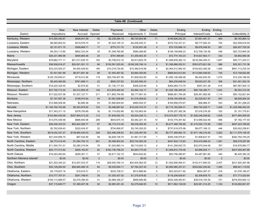| Table 8B (Continued)      |                    |                  |           |                  |                   |                 |                     |                    |              |                    |
|---------------------------|--------------------|------------------|-----------|------------------|-------------------|-----------------|---------------------|--------------------|--------------|--------------------|
|                           |                    |                  |           |                  |                   |                 |                     |                    |              |                    |
|                           | <b>New</b>         | New Interest     | Debts     | Payments         | Other             | Debts           | Ending              | Ending             | Ending       |                    |
| <b>District</b>           | Impositions        | Accrued          | Opened    | Received         | Adjustments 1/    | Closed          | Principal           | Interest/Costs     | Count        | Collectibility 2/  |
| Kentucky, Western         | \$14,290,440.67    | \$428,441.59     | 55        | \$2,238,294.18   | \$6,720,904.96    | 11              | \$195,826,252.20    | \$7,891,481.31     | 563          | \$8,183,864.12     |
| Louisiana, Eastern        | \$8,565,902.03     | \$319,578.74     | 37        | \$7,224,105.15   | $-$4,209,445.31$  | 8               | \$374,732,331.21    | \$9,777,582.33     | 704          | \$22,558,918.55    |
| Louisiana, Middle         | \$3,151,671.75     | \$389,668.71     | 17        | \$775,731.70     | \$125,581.58      | $\overline{4}$  | \$70,725,688.10     | \$8,876,048.50     | 281          | \$26,457,705.30    |
| Louisiana, Western        | \$4,253,113.85     | \$802,333.24     | 30        | \$1,349,760.85   | \$584,269.85      | 8               | \$136,159,606.23    | \$12,706,120.36    | 436          | \$20,723,800.26    |
| Maine                     | \$26,331,980.96    | \$490,865.46     | 24        | \$791,499.68     | \$1,259,463.30    | $\mathbf{1}$    | \$72,774,163.23     | \$14,627,903.11    | 332          | \$4,892,569.36     |
| Maryland                  | \$79,882,771.11    | \$21,517,635.70  | 183       | \$3,758,812.16   | \$2,813,625.78    | 2               | \$1,468,839,362.12  | \$216,294,293.21   | 1,647        | \$93,771,243.31    |
| Massachusetts             | \$36,508,818.27    | \$20,001,501.13  | 86        | \$155,591,525.50 | -\$108,336,746.14 | $\overline{4}$  | \$1,358,886,052.51  | \$303,973,621.08   | 986          | \$32,301,731.36    |
| Michigan, Eastern         | \$33,233,550.27    | \$4,550,429.63   | 180       | \$10,218,730.65  | \$10,380,916.88   | 9               | \$2,364,512,992.40  | \$100,623,360.28   | 1,565        | \$891,713,235.34   |
| Michigan, Western         | \$7,401,561.66     | \$6,971,691.46   | 56        | \$1,454,487.92   | \$4,994,393.65    | $5\overline{)}$ | \$869,643,812.64    | \$112,690,409.63   | 745          | \$13,158,652.68    |
| Minnesota                 | \$128,155,655.01   | \$718,512.56     | 119       | \$20,749,407.46  | \$1,828,052.65    | 14              | \$1,065,126,489.48  | \$6,452,830.35     | 1,075        | \$14,230,186.50    |
| Mississippi, Northern     | \$5,440,460.89     | \$761,698.11     | 22        | \$500,337.62     | \$3,205,906.24    | $\mathbf{3}$    | \$64,235,648.04     | \$9,630,201.55     | 306          | \$41,451,303.18    |
| Mississippi, Southern     | \$18,220,329.45    | \$2,975.82       | 51        | \$1,130,171.83   | \$406,020.68      | $\mathbf 0$     | \$264,084,713.70    | \$557,451.28       | 619          | \$87,567,505.15    |
| Missouri, Eastern         | \$27,700,712.22    | \$3,512,850.25   | 145       | \$13,878,440.49  | \$4,994,142.17    | 18              | \$1,020,186,455.05  | \$65,746,395.71    | 1,543        | \$9,353,312.35     |
| Missouri, Western         | \$17,522,037.58    | \$1,327,127.71   | 211       | \$11,893,704.98  | \$8,177,691.34    | 6               | \$666,081,784.28    | \$28,361,982.06    | 1,114        | \$50,152,821.64    |
| Montana                   | \$7,167,567.38     | \$166,974.04     | 44        | \$1,061,838.88   | \$1,519,458.63    | $\mathbf{0}$    | \$109,194,936.00    | \$2,529,001.97     | 557          | \$8,608,064.20     |
| Nebraska                  | \$12,466,508.46    | \$2,680.48       | 53        | \$1,690,604.64   | \$460,504.37      | $\overline{2}$  | \$164,958,570.67    | \$56,966.47        | 543          | \$5,161,298.20     |
| Nevada                    | \$1,164,794,702.68 | \$5,353,979.92   | 123       | \$3,498,687.62   | \$19,235,743.37   | 12              | \$2,715,162,084.31  | \$85,754,028.71    | 1.406        | \$1,229,956,452.20 |
| New Hampshire             | \$17,343,311.15    | \$378,793.69     | 30        | \$1,174,832.66   | \$2,102,663.54    | $\mathbf 0$     | \$105,207,382.36    | \$7,016,276.26     | 333          | \$1,151,775.81     |
| New Jersey                | \$103,064,030.56   | \$257,904,513.20 | 112       | \$7,839,052.78   | \$5,024,238.13    | $\overline{1}$  | \$19,075,857,779.19 | \$1,926,248,208.62 | 1,839        | \$477,484,509.05   |
| <b>New Mexico</b>         | \$13,070,436.58    | \$666,840.06     | 206       | \$933,675.18     | \$5,382,321.16    | 10              | \$143,779,391.82    | \$13,599,522.59    | 906          | \$7,182,177.40     |
| New York, Eastern         | \$26,246,323.03    | \$93,824,556.77  | 87        | \$6,173,310.45   | \$8,239,265.49    | $\overline{4}$  | \$5,477,488,795.69  | \$1,415,593,172.99 | 1,983        | \$497,023,768.65   |
| New York, Northern        | \$2,762,639.43     | \$322,424.57     | 32        | \$754,858.97     | \$3,745,355.25    | 9               | \$737,619,575.98    | \$9,077,168.12     | 446          | \$30,002,258.81    |
| New York, Southern        | \$919,032,341.57   | \$138,960,430.03 | 248       | \$22,496,208.63  | \$31,226,487.69   | 34              | \$9,777,368,963.10  | \$1,971,180,216.49 | 3,262        | \$2,111,579,148.30 |
| New York, Western         | \$31,030,956.70    | \$87,532.90      | 58        | \$2,628,738.75   | \$1,991,317.56    | $\overline{7}$  | \$350,338,975.61    | \$1,808,627.47     | 743          | \$282,782,750.25   |
| North Carolina, Eastern   | \$4,773,410.45     | \$1,064,700.10   | 651       | \$3,399,953.55   | \$25,734,260.29   | 2               | \$447,832,115.83    | \$16,416,069.23    | 1,081        | \$59,278,297.68    |
| North Carolina, Middle    | \$11,000,701.01    | \$2,280,319.54   | 78        | \$1,024,883.14   | \$6,719,920.15    | $\overline{4}$  | \$141,256,832.75    | \$32,570,044.08    | 767          | \$18,978,983.77    |
| North Carolina, Western   | \$52,177,012.82    | \$290,162.87     | 82        | \$162,736,798.25 | \$4,263,775.00    | $\overline{7}$  | \$1,006,672,735.46  | \$4,888,925.11     | 1,177        | \$207,095,467.88   |
| North Dakota              | \$16,293,483.64    | \$290,361.11     | 57        | \$2,617,102.19   | \$643,642.82      | 5               | \$63,756,489.87     | \$4,487,861.65     | 440          | \$6,425,392.30     |
| Northern Mariana Islands* | \$0.00             | \$0.00           | $\pmb{0}$ | \$0.00           | \$0.00            | $\mathbf{0}$    | \$0.00              | \$0.00             | $\mathbf{0}$ | \$0.00             |
| Ohio, Northern            | \$21,203,345.23    | \$12,947,033.37  | 110       | \$29,540,780.14  | \$25,404,562.50   | 12              | \$1,502,656,564.41  | \$142,417,893.03   | 2,407        | \$231,920,367.96   |
| Ohio, Southern            | \$35,128,284.94    | \$56,884,469.18  | 84        | \$5,535,654.11   | \$7,784,327.43    | 6               | \$2,984,980,337.41  | \$535,642,250.62   | 1,265        | \$88,941,119.55    |
| Oklahoma, Eastern         | \$3,179,637.16     | \$19,919.31      | 21        | \$333,728.31     | \$512,869.84      | $\mathbf 0$     | \$53,323,811.82     | \$624,397.27       | 216          | \$1,076,180.47     |
| Oklahoma, Northern        | \$10,777,767.01    | \$291,798.81     | 35        | \$1,020,427.52   | \$1,275,678.82    | $\overline{1}$  | \$118,208,638.81    | \$2,308,605.70     | 428          | \$17,773,520.64    |
| Oklahoma, Western         | \$190,113,899.57   | \$2,079,356.93   | 41        | \$3,968,338.27   | \$858,906.88      | $\overline{1}$  | \$442,428,483.81    | \$39,016,725.59    | 721          | \$276,550,852.13   |
| Oregon                    | \$37,115,849.77    | \$1,389,007.36   | 92        | \$2,905,361.45   | \$2,279,946.55    | 10              | \$511,962,136.09    | \$20,081,314.05    | 1,104        | \$124,692,601.67   |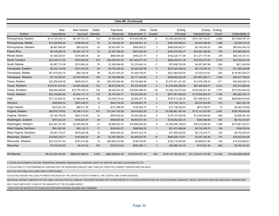| Table 8B (Continued)    |                    |                  |              |                  |                  |                |                      |                     |        |                     |  |
|-------------------------|--------------------|------------------|--------------|------------------|------------------|----------------|----------------------|---------------------|--------|---------------------|--|
|                         |                    |                  |              |                  |                  |                |                      |                     |        |                     |  |
|                         | New                | New Interest     | <b>Debts</b> | Payments         | Other            | Debts          | Ending               | Ending              | Ending |                     |  |
| <b>District</b>         | Impositions        | Accrued          | Opened       | Received         | Adjustments 1/   | Closed         | Principal            | Interest/Costs      | Count  | Collectibility 2/   |  |
| Pennsylvania, Eastern   | \$114,125,334.14   | \$8,197,513.10   | 143          | \$7,092,929.82   | \$14,549,056.49  | 21             | \$1,355,294,804.88   | \$151,797,103.21    | 2,489  | \$213,689,797.37    |  |
| Pennsylvania, Middle    | \$13,290,605.30    | \$168,582.93     | 75           | \$1,195,522.40   | \$42,458,501.19  | 3              | \$260,534,899.53     | \$3,503,289.84      | 1,006  | \$2,456,318.33      |  |
| Pennsylvania, Western   | \$6,997,088.49     | \$90,623.62      | 63           | \$2,632,067.14   | \$955.685.51     | 3              | \$985,608,652.51     | \$2,106,345.35      | 898    | \$50,542,440.32     |  |
| <b>Puerto Rico</b>      | \$8,105,280.76     | \$3,357,167.19   | 70           | \$1,507,009.25   | \$947,500.48     | $\overline{7}$ | \$165,475,062.37     | \$33,091,468.85     | 748    | \$70,885,858.74     |  |
| Rhode Island            | \$7,359,235.57     | \$378,089.48     | 22           | \$668,985.29     | \$455,227.75     | 0              | \$182,228,771.99     | \$11,271,718.40     | 279    | \$69,145,101.41     |  |
| South Carolina          | \$22,346,017.00    | \$524,564.00     | 418          | \$36,438,347.63  | \$21,502,671.53  | $\overline{4}$ | \$666,449,531.38     | \$10,532,072.43     | 2,379  | \$24,309,041.09     |  |
| South Dakota            | \$5,087,712.09     | \$210,892.42     | 76           | \$1,550,588.65   | \$1,279,442.14   | 11             | \$70,996,755.59      | \$4,657,987.66      | 824    | \$811,540.88        |  |
| Tennessee, Eastern      | \$5,332,130.58     | \$101,973.54     | 40           | \$4,703,459.32   | \$4,440,535.98   | $\overline{2}$ | \$327,025,548.02     | \$3,178,309.19      | 713    | \$11,365,349.86     |  |
| Tennessee, Middle       | \$21,615,623.75    | \$59,105.46      | 38           | \$3,321,675.32   | \$1,008,745.67   | 0              | \$431,585,630.04     | \$1,533,013.61      | 592    | \$116,087,830.27    |  |
| Tennessee, Western      | \$7,142,305.97     | \$2,972,548.09   | 155          | \$1,108,465.86   | \$2,171,244.83   | $\overline{2}$ | \$229,944,222.08     | \$41,867,829.71     | 1,040  | \$45,577,769.43     |  |
| Texas, Eastern          | \$23,256,249.08    | \$858,034.31     | 64           | \$36,220,564.99  | \$4,792,862.39   | 6              | \$1,037,521,401.80   | \$12,978,246.24     | 911    | \$35,949,205.16     |  |
| Texas, Northern         | \$183,761,947.84   | \$3,825,300.98   | 133          | \$6,873,030.19   | \$6,319,545.98   | 3              | \$1,753,465,260.69   | \$87,590,629.77     | 2,212  | \$72,813,650.45     |  |
| Texas, Southern         | \$59,949,288.60    | \$15,776,795.74  | 139          | \$9,425,047.25   | \$18,050,896.35  | 28             | \$1,438,153,074.84   | \$184,456,501.36    | 1,761  | \$137,553,844.45    |  |
| Texas, Western          | \$20,709,900.86    | \$7,654,141.13   | 115          | \$4,747,844.77   | \$4,263,063.69   | 8              | \$874,381,958.23     | \$116,502,963.97    | 1,784  | \$93,065,745.14     |  |
| Utah                    | \$77,142,900.23    | \$1,969,639.46   | 56           | \$3,639,370.44   | \$2,892,247.18   | 9              | \$755,212,326.35     | \$41,996,503.37     | 983    | \$508,084,639.89    |  |
| Vermont                 | \$426,866.34       | \$353,306.07     | 6            | \$442,742.28     | \$2,549,861.76   | $\overline{2}$ | \$73,790,138.01      | \$6,235,535.89      | 215    | \$427,281.40        |  |
| Virgin Islands          | \$270,301.94       | \$68,511.85      | 8            | \$101,996.28     | \$145,562.73     | 0              | \$13,138,302.53      | \$614,769.07        | 75     | \$4,042,078.60      |  |
| Virginia, Eastern       | \$58,975,778.82    | \$7,309,112.41   | 167          | \$12,247,102.58  | \$9,918,822.39   | 5              | \$3,385,661,467.00   | \$112,131,813.65    | 2,487  | \$199,185,834.05    |  |
| Virginia, Western       | \$3,185,759.06     | \$622,318.59     | 22           | \$876,830.20     | \$3,593,384.92   | 6              | \$176,737,325.46     | \$12,548,589.09     | 489    | \$2,660,081.84      |  |
| Washington, Eastern     | \$570,822.20       | \$104,627.87     | 49           | \$589,067.85     | \$5,903,051.25   | $\overline{2}$ | \$120,552,352.70     | \$645,646.56        | 387    | \$8,154,210.87      |  |
| Washington, Western     | \$24,497,331.85    | \$2,955,094.06   | 61           | \$6,859,443.72   | \$16,665,644.59  | 6              | \$1,095,656,148.93   | \$35,218,506.50     | 1,296  | \$773,601,304.01    |  |
| West Virginia, Northern | \$841,957.82       | \$50,120.13      | 17           | \$390,603.37     | \$598,908.32     | $\mathbf{1}$   | \$27,872,498.86      | \$6,752,436.75      | 195    | \$186,534.04        |  |
| West Virginia, Southern | \$3,061,776.37     | \$575,822.08     | 18           | \$483,803.30     | \$5,407,423.18   | $\overline{1}$ | \$77,484,029.92      | \$9,112,419.71      | 324    | \$6,743,076.03      |  |
| Wisconsin, Eastern      | \$18,565,425.71    | \$154,635.22     | 48           | \$1,387,820.93   | \$4,469,537.67   | 12             | \$360,508,174.91     | \$2,557,346.46      | 710    | \$78,453,293.06     |  |
| Wisconsin, Western      | \$27,615,571.83    | \$161,413.48     | 18           | \$25,962,218.96  | \$746,726.87     | $\mathbf 0$    | \$120,119,303.85     | \$2,898,631.85      | 349    | \$14,678,600.61     |  |
| Wyoming                 | \$7,479,435.00     | \$4,273.42       | 190          | \$703,813.02     | \$559,380.11     | 3              | \$40,869,191.55      | \$170,601.50        | 665    | \$3,762,373.67      |  |
| <b>All Districts</b>    | \$5.234.204.785.84 | \$909.437.068.23 | 8.432        | \$862.550.601.09 | \$770.970.781.16 | 554            | \$103.107.165.573.51 | \$11.135.610.147.62 | 91.024 |                     |  |
|                         |                    |                  |              |                  |                  |                |                      |                     |        | \$15,226,268,236.99 |  |

1/ OTHER ADJUSTMENTS INCLUDE TRANSFERS, REMANDS, PRESIDENTIAL PARDONS, DEATH OF DEBTOR, BALANCE ADJUSTMENTS, ETC.

2/ COLLECTIBILITY IS DETERMINED BY SUBTRACTING THE SUSPENDED AMOUNT (SEE TABLE 8F) FROM THE CURRENT PENDING DEBT BALANCE.

DATA ON THIS TABLE EXCLUDES ASSET FORFEITURES.

COLLECTED AMOUNT INCLUDES PAYMENTS RECEIVED BY THE UNITED STATES ATTORNEYS, THE COURTS, AND OTHER AGENCIES.

INDIVIDUAL DISTRICT AMOUNTS IN THIS TABLE CONTAIN THE FULL AMOUNT FOR DEBTS SHARED WITH OTHER DISTRICTS. TO AVOID OVERSTATING THE TOTAL NATIONAL AMOUNTS, THE ALL DISTRICTS ROW INCLUDES EACH SHARED DEBT

ONLY ONCE AND IS NOT A SUM OF THE AMOUNTS OF THE COLUMNS ABOVE.

\* DATA FOR THE DISTRICTS OF GUAM AND NORTHERN MARIANA ISLANDS ARE COMBINED.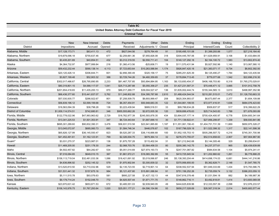| Table 8C<br>United States Attorney Debt Collection for Fiscal Year 2019<br><b>Criminal Total</b> |                    |                 |              |                  |                       |       |                     |                    |        |                    |  |
|--------------------------------------------------------------------------------------------------|--------------------|-----------------|--------------|------------------|-----------------------|-------|---------------------|--------------------|--------|--------------------|--|
|                                                                                                  |                    |                 |              |                  |                       |       |                     |                    |        |                    |  |
|                                                                                                  | <b>New</b>         | New Interest    | <b>Debts</b> | Payments         | Other                 | Debts | Ending              | Ending             | Ending |                    |  |
| <b>District</b>                                                                                  | Impositions        | Accrued         | Opened       | Received         | Adjustments 1/ Closed |       | Principal           | Interest/Costs     | Count  | Collectibility 2/  |  |
| Alabama, Middle                                                                                  | \$17,128,173.71    | \$83,411.13     | 472          | \$827,044.56     | \$278,764.49          | 91    | \$195,495,101.08    | \$1,399,293.88     | 1,077  | \$27,216,164.40    |  |
| Alabama, Northern                                                                                | \$19,879,096.18    | \$755,637.46    | 677          | \$2,259,661.36   | \$7,955,826.08        | 318   | \$304,445,787.06    | \$11,629,959.91    | 3,106  | \$1,433,684.05     |  |
| Alabama, Southern                                                                                | \$3,435,201.69     | \$40,854.51     | 432          | \$3,312,319.55   | \$2,550,711.41        | 104   | \$140,127,292.18    | \$2,164,100.72     | 1,583  | \$13,802,874.40    |  |
| Alaska                                                                                           | \$4,364,732.97     | \$977,999.84    | 216          | \$1,360,413.56   | $-$ \$25,606.71       | 19    | \$111,570,431.94    | \$5,927,592.96     | 1,140  | \$13,067,580.10    |  |
| Arizona                                                                                          | \$59,432,232.44    | \$590,138.14    | 4,113        | \$7,723,653.64   | \$10,263,588.84       | 1,174 | \$926,847,420.18    | \$21,383,071.17    | 9,734  | \$6,802,392.00     |  |
| Arkansas, Eastern                                                                                | \$20,120,426.14    | \$306,844.71    | 601          | \$2,856,390.49   | \$320,158.17          | 75    | \$285,251,625.39    | \$8,125,490.27     | 1,784  | \$44,123,435.94    |  |
| Arkansas, Western                                                                                | \$3,827,199.48     | \$52,903.32     | 388          | \$3,729,744.26   | \$4,460,359.65        | 37    | \$178,894,713.45    | \$779,077.68       | 1,542  | \$22,696,216.30    |  |
| California, Central                                                                              | \$302,017,486.67   | \$26,795,890.95 | 2,233        | \$81,467,707.85  | \$93,894,884.95       | 1,163 | \$6,133,650,454.37  | \$406,168,703.80   | 8,318  | \$1,765,270,029.81 |  |
| California, Eastern                                                                              | \$80,319,801.15    | \$4,588,117.07  | 1,041        | \$25,713,287.88  | \$5,055,358.27        | 235   | \$1,427,231,587.31  | \$70,448,471.12    | 3,665  | \$101,912,758.76   |  |
| California, Northern                                                                             | \$201,654,418.65   | \$11,435,200.13 | 870          | \$86,017,269.77  | \$39,004,527.47       | 136   | \$1,835,002,444.74  | \$155,344,565.13   | 3,610  | \$498,997,352.96   |  |
| California, Southern                                                                             | \$66,436,377.60    | \$15,441,837.07 | 5,762        | \$11,248,802.88  | \$34,395,787.68       | 2,610 | \$1,488,424,544.54  | \$210,281,515.01   | 7,472  | \$1,126,793,663.33 |  |
| Colorado                                                                                         | \$57,030,935.77    | \$266,922.67    | 801          | \$7,258,509.75   | \$6,693,999.47        | 208   | \$620,304,993.07    | \$6,673,897.44     | 2,377  | \$1,654,109.88     |  |
| Connecticut                                                                                      | \$56,839,196.12    | \$3,599,199.68  | 724          | \$6,357,454.91   | \$50,948,683.35       | 122   | \$1,544,861,199.55  | \$72,977,416.91    | 1,636  | \$684,076,423.60   |  |
| Delaware                                                                                         | \$16,563,094.39    | \$38,798.28     | 136          | \$3,223,439.94   | \$689,518.51          | 33    | \$99,788,634.28     | \$509,837.57       | 517    | \$16,399,622.29    |  |
| District of Columbia                                                                             | \$1,009,114,574.51 | \$742,680.81    | 346          | \$955,555,662.26 | \$2,672,005.38        | 120   | \$839,699,476.63    | \$25,714,543.83    | 1,788  | \$71,676,093.89    |  |
| Florida, Middle                                                                                  | \$122,778,022.96   | \$47,993,963.62 | 2,729        | \$18,762,977.39  | \$245,593,878.35      | 434   | \$3,894,037,177.14  | \$700,424,400.97   | 6,778  | \$354,600,341.64   |  |
| Florida, Northern                                                                                | \$13,341,225.53    | \$1,501,353.91  | 347          | \$6,724,443.64   | \$1,687,699.10        | 30    | \$1,771,139,922.41  | \$27,956,299.87    | 1,339  | \$58,930,841.86    |  |
| Florida, Southern                                                                                | \$695,301,289.60   | \$90,832,390.31 | 3,476        | \$56,931,510.58  | \$23,941,885.80       | 1,187 | \$11,351,061,156.43 | \$1,404,751,731.39 | 11,669 | \$650,975,328.27   |  |
| Georgia, Middle                                                                                  | \$13,045,072.97    | \$685,060.73    | 693          | \$1,584,746.34   | \$446,076.67          | 102   | \$167,796,029.18    | \$11,522,398.32    | 1,317  | \$22,141,598.38    |  |
| Georgia, Northern                                                                                | \$65,826,127.99    | \$36,145,550.47 | 823          | \$9,520,287.33   | \$36,116,666.68       | 100   | \$1,952,105,753.10  | \$505,296,507.72   | 4,216  | \$745,351,700.98   |  |
| Georgia, Southern                                                                                | \$41,452,491.61    | \$1,162,123.91  | 769          | \$2,326,004.75   | \$679,364.14          | 32    | \$276,373,755.07    | \$52,514,658.63    | 2,907  | \$57,904,967.90    |  |
| Guam*                                                                                            | \$3,031,270.37     | \$223,987.01    | 136          | \$1,875,757.28   | \$115,402.04          | 31    | \$21,212,842.68     | \$3,144,305.46     | 329    | \$3,299,634.81     |  |
| Hawaii                                                                                           | \$11,469,205.00    | \$251,178.30    | 244          | \$2,068,703.76   | \$3,564,458.33        | 80    | \$200,380,142.75    | \$4,237,377.61     | 965    | \$26,439,639.89    |  |
| Idaho                                                                                            | \$4,502,457.82     | \$64,282.67     | 534          | \$5,051,014.69   | \$27,974,193.73       | 74    | \$247,701,087.82    | \$584,634.58       | 1,104  | \$5,974,241.41     |  |
| Illinois, Central                                                                                | \$7,016,084.65     | \$649,010.15    | 367          | \$1,861,972.21   | \$16,065,392.89       | 55    | \$410,725,945.54    | \$11,202,860.62    | 1,261  | \$6,778,888.25     |  |
| Illinois, Northern                                                                               | \$158,113,719.04   | \$32,481,033.36 | 1,086        | \$18,421,691.92  | \$3,019,066.87        | 246   | \$5,138,393,204.44  | \$414,698,174.03   | 6,681  | \$444,141,216.86   |  |
| Illinois, Southern                                                                               | \$4,636,896.92     | \$252,145.32    | 579          | \$1,970,902.84   | \$3,300,839.32        | 32    | \$370,956,655.00    | \$5,362,828.71     | 2,148  | \$1,547,785.75     |  |
| Indiana, Northern                                                                                | \$13,520,810.50    | \$3,710,032.96  | 529          | \$2,135,723.55   | \$2,719,901.14        | 64    | \$338,552,537.94    | \$51,849,333.69    | 1,434  | \$15,793,586.75    |  |
| Indiana, Southern                                                                                | \$31,531,441.32    | \$157,675.16    | 984          | \$5,121,437.80   | \$15,891,088.84       | 91    | \$751,156,252.26    | \$2,735,059.74     | 3,132  | \$386,203,059.10   |  |
| Iowa, Northern                                                                                   | \$5,111,515.78     | \$93,076.63     | 581          | \$895,227.58     | \$1,427,132.13        | 44    | \$347,816,378.48    | \$1,031,594.18     | 882    | \$4,189,987.36     |  |
| lowa, Southern                                                                                   | \$9,179,714.24     | \$152,048.70    | 772          | \$4,925,507.44   | \$1,971,771.70        | 51    | \$148,862,716.11    | \$3,492,818.81     | 1,414  | \$13,600,069.08    |  |
| Kansas                                                                                           | \$23,970,631.42    | \$653,871.53    | 672          | \$3,485,551.03   | \$2,939,940.05        | 49    | \$444,625,839.96    | \$12,333,557.39    | 2,098  | \$12,976,233.57    |  |
| Kentucky, Eastern                                                                                | \$106,143,976.75   | \$1,767,293.64  | 1,020        | \$25,051,177.21  | $-$4,596,154.86$      | 93    | \$658,217,028.69    | \$26,567,318.54    | 2,014  | \$400,683,577.44   |  |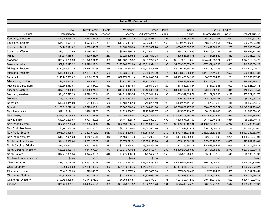| Table 8C (Continued)      |                    |                     |              |                  |                       |              |                     |                    |             |                    |
|---------------------------|--------------------|---------------------|--------------|------------------|-----------------------|--------------|---------------------|--------------------|-------------|--------------------|
|                           |                    |                     |              |                  |                       |              |                     |                    |             |                    |
|                           | <b>New</b>         | <b>New Interest</b> | <b>Debts</b> | Payments         | Other                 | Debts        | Ending              | Ending             | Ending      |                    |
| <b>District</b>           | Impositions        | Accrued             | Opened       | Received         | Adjustments 1/ Closed |              | Principal           | Interest/Costs     | Count       | Collectibility 2/  |
| Kentucky, Western         | \$17,158,035.28    | \$463,453.95        | 608          | \$3,491,041.22   | \$7,379,854.34        | 198          | \$221,455,085.44    | \$8,142,170.67     | 1,671       | \$10,600,801.20    |
| Louisiana, Eastern        | \$11,678,674.74    | \$577,318.31        | 434          | \$10,375,434.97  | \$7,926,889.17        | 169          | \$550,174,696.86    | \$18,339,213.54    | 2,097       | \$66,727,328.01    |
| Louisiana, Middle         | \$4,730,871.62     | \$685,947.97        | 289          | \$1,359,815.39   | \$1,062,007.28        | 47           | \$280,566,937.00    | \$12,417,661.93    | 1,279       | \$35,882,808.06    |
| Louisiana, Western        | \$43,470,742.99    | \$1,079,794.21      | 457          | \$3,560,139.76   | \$1,415,240.11        | 78           | \$238,107,430.36    | \$16,806,717.67    | 1,385       | \$36,869,742.51    |
| Maine                     | \$31,317,555.51    | \$520,036.74        | 267          | \$2,920,509.52   | \$1,351,612.78        | 19           | \$495,558,385.75    | \$14,887,854.89    | 842         | \$10,051,237.39    |
| Maryland                  | \$98,711,296.33    | \$25,920,264.15     | 958          | \$10,082,659.37  | \$4,012,276.47        | 152          | \$2,587,239,070.58  | \$244,045,530.21   | 3,955       | \$644,117,660.72   |
| <b>Massachusetts</b>      | \$59,218,975.52    | \$21,899,917.84     | 736          | \$170,808,682.90 | -\$105,319,374.12     | 195          | \$1,639,376,578.25  | \$327,982,467.30   | 2,678       | \$40,707,034.22    |
| Michigan, Eastern         | \$141,352,013.78   | \$4,845,362.84      | 1,538        | \$86,224,614.05  | \$13,435,505.49       | 250          | \$3,020,351,891.84  | \$105,895,119.63   | 4,453       | \$929,419,410.79   |
| Michigan, Western         | \$15,694,402.81    | \$7,134,711.34      | 589          | \$2,939,524.01   | \$6,989,448.89        | 77           | \$1,058,665,388.87  | \$114,764,410.33   | 2,592       | \$26,541,131.33    |
| Minnesota                 | \$145,737,539.62   | \$815,279.62        | 555          | \$22,779,721.19  | \$8,149,046.55        | 79           | \$1,132,468,742.33  | \$6,763,554.52     | 2,291       | \$19,558,157.57    |
| Mississippi, Northern     | \$6,591,811.57     | \$965,463.60        | 258          | \$5,871,431.76   | \$3,701,208.37        | 39           | \$129,811,340.87    | \$14,279,267.70    | 768         | \$89,565,889.17    |
| Mississippi, Southern     | \$23,895,363.61    | \$31,837.97         | 933          | \$2,648,481.83   | \$989,643.28          | 29           | \$377,682,375.57    | \$731,372.56       | 3,009       | \$123,521,096.44   |
| Missouri, Eastern         | \$37,377,326.94    | \$3,660,274.29      | 1,874        | \$16,219,152.76  | \$5,124,839.66        | 158          | \$1,129,197,791.90  | \$70,008,407.95    | 4,345       | \$10,355,646.51    |
| Missouri, Western         | \$21,475,525.23    | \$1,520,928.14      | 1,081        | \$14,219,993.55  | \$24,052,411.93       | 166          | \$733,317,635.74    | \$31,282,388.38    | 3,122       | \$55,221,482.77    |
| Montana                   | \$8,047,145.94     | \$185,681.66        | 550          | \$1,570,683.45   | \$4,952,412.46        | 30           | \$120,259,469.07    | \$2,796,490.97     | 1,310       | \$8,920,057.41     |
| Nebraska                  | \$13,221,341.59    | \$14,988.99         | 620          | \$2,184,756.13   | \$480,294.40          | 93           | \$182,174,414.07    | \$70,049.15        | 1,418       | \$5,862,748.15     |
| Nevada                    | \$1,189,618,272.16 | \$6,523,536.21      | 822          | \$8,507,218.90   | \$21,344,681.08       | 142          | \$2,895,632,477.30  | \$98,655,587.71    | 2,854       | \$1,245,631,795.48 |
| New Hampshire             | \$19,112,124.11    | \$426,389.83        | 254          | \$1,723,288.72   | \$2,925,493.57        | 45           | \$115,535,933.23    | \$8,304,961.43     | 864         | \$1,863,520.96     |
| New Jersey                | \$216,632,196.43   | \$259,303,751.88    | 987          | \$94,356,625.07  | \$5,691,396.38        | 178          | \$19,656,103,291.67 | \$1,941,635,332.84 | 4,544       | \$563,509,389.97   |
| <b>New Mexico</b>         | \$13,505,200.07    | \$777,745.95        | 1,531        | \$1,411,492.49   | \$5,829,337.31        | 192          | \$185,571,681.98    | \$14,332,118.11    | 3,311       | \$8,624,949.11     |
| New York, Eastern         | \$52,420,230.40    | \$98,036,451.17     | 1,014        | \$24,699,558.75  | \$10,163,080.95       | 629          | \$6,139,716,127.34  | \$1,460,987,828.13 | 4,212       | \$587,433,165.82   |
| New York, Northern        | \$6,707,604.28     | \$343,585.31        | 839          | \$2,074,050.04   | \$4,041,880.76        | 119          | \$782,641,915.71    | \$10,272,662.74    | 1,727       | \$43,403,189.46    |
| New York, Southern        | \$975,959,325.67   | \$170,823,072.12    | 2,617        | \$47,672,690.85  | \$47,513,304.14       | 1,370        | \$11,791,485,272.51 | \$2,162,206,632.41 | 8,437       | \$3,027,082,362.07 |
| New York, Western         | \$45,877,991.23    | \$116,165.18        | 846          | \$4,160,887.73   | \$2,546,080.01        | 164          | \$407,917,359.46    | \$2,326,348.02     | 2,204       | \$335,319,964.98   |
| North Carolina, Eastern   | \$14,459,856.64    | \$1,252,325.65      | 2,891        | \$6,378,371.51   | \$35,378,175.28       | 131          | \$605,113,602.92    | \$17,880,905.68    | 4,672       | \$92,962,173.61    |
| North Carolina, Middle    | \$24,449,817.31    | \$2,452,287.84      | 811          | \$2,723,398.51   | \$13,090,865.56       | 79           | \$242,155,301.71    | \$34,043,954.52    | 2,056       | \$42,415,969.73    |
| North Carolina, Western   | \$83,928,022.74    | \$314,073.94        | 777          | \$163,975,763.92 | \$4,614,706.11        | 286          | \$1,158,254,383.35  | \$5,181,383.85     | 2,779       | \$267,753,530.11   |
| North Dakota              | \$17,212,899.54    | \$344,400.90        | 442          | \$3,275,466.76   | \$702,432.87          | 153          | \$75,830,768.33     | \$5,146,573.12     | 1,540       | \$6,807,911.99     |
| Northern Mariana Islands* | \$0.00             | \$0.00              | $\mathbf 0$  | \$0.00           | \$0.00                | $\mathbf{0}$ | \$0.00              | \$0.00             | $\mathbf 0$ | \$0.00             |
| Ohio, Northern            | \$45,231,745.19    | \$14,632,340.18     | 1,674        | \$32,919,771.04  | \$28,468,467.58       | 207          | \$1,729,921,100.62  | \$180,305,287.69   | 5,109       | \$274,992,519.91   |
| Ohio, Southern            | \$129,294,658.93   | \$57,155,743.57     | 802          | \$91,470,886.76  | \$14,232,403.64       | 65           | \$3,197,631,677.62  | \$537,402,545.69   | 3,481       | \$120,766,078.27   |
| Oklahoma, Eastern         | \$3,436,108.33     | \$23,246.85         | 134          | \$519,007.90     | \$592,409.83          | 20           | \$57,894,960.88     | \$786,234.30       | 505         | \$1,304,873.51     |
| Oklahoma, Northern        | \$11,874,826.12    | \$333,311.44        | 282          | \$1,212,440.18   | \$1,326,687.06        | 64           | \$157,923,310.15    | \$2,507,534.35     | 1,218       | \$29,717,686.18    |
| Oklahoma, Western         | \$193,421,825.51   | \$2,144,271.76      | 593          | \$4,668,471.54   | \$926,746.01          | 81           | \$507,385,742.10    | \$40,741,049.96    | 1,637       | \$331,412,290.55   |
| Oregon                    | \$86,451,989.71    | \$1,430,452.25      | 653          | \$38,750,001.52  | \$3,027,286.48        | 361          | \$575,419,345.77    | \$20,732,277.39    | 2,517       | \$158,703,062.38   |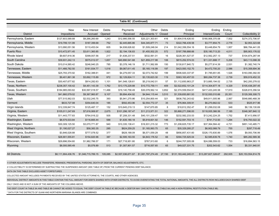| Table 8C (Continued)    |                    |                    |         |                  |                       |       |                      |                     |         |                     |  |
|-------------------------|--------------------|--------------------|---------|------------------|-----------------------|-------|----------------------|---------------------|---------|---------------------|--|
|                         |                    |                    |         |                  |                       |       |                      |                     |         |                     |  |
|                         | New                | New Interest       | Debts   | Payments         | Other                 | Debts | Ending               | Ending              | Ending  |                     |  |
| <b>District</b>         | Impositions        | Accrued            | Opened  | Received         | Adjustments 1/ Closed |       | Principal            | Interest/Costs      | Count   | Collectibility 2/   |  |
| Pennsylvania, Eastern   | \$127,603,589.88   | \$9,266,260.69     | 1,243   | \$12,995,556.55  | \$20,221,303.61       | 416   | \$1,904,518,426.93   | \$180,906,370.08    | 7,502   | \$274,372,706.97    |  |
| Pennsylvania, Middle    | \$19,799,131.99    | \$187,399.68       | 752     | \$2,445,665.86   | \$44,345,877.71       | 73    | \$322,766,439.58     | \$3,777,854.75      | 2,778   | \$2,953,323.68      |  |
| Pennsylvania, Western   | \$13,990,051.56    | \$110,453.04       | 605     | \$4,938,626.82   | \$1,509,248.04        | 214   | \$1,042,356,554.16   | \$3,448,854.79      | 1,957   | \$66,784,441.05     |  |
| Puerto Rico             | \$10,472,971.45    | \$3,611,360.85     | 1,922   | \$2,194,136.83   | \$1,455,502.25        | 572   | \$197,789,888.66     | \$35,180,713.20     | 4,011   | \$95,903,176.02     |  |
| Rhode Island            | \$9,607,818.36     | \$399,007.56       | 217     | \$1,638,237.51   | \$532,561.01          | 16    | \$228,361,527.57     | \$12,562,257.13     | 737     | \$104,874,287.94    |  |
| South Carolina          | \$39,931,242.13    | \$575,012.07       | 1,657   | \$40,890,541.68  | \$21,859,217.98       | 106   | \$815,252,574.03     | \$11,331,688.17     | 5,208   | \$43,113,098.39     |  |
| South Dakota            | \$10,014,585.42    | \$246,940.25       | 785     | \$3,378,146.19   | \$1,711,562.89        | 150   | \$130,817,840.72     | \$5,277,614.39      | 2,531   | \$1,382,740.74      |  |
| Tennessee, Eastern      | \$11,466,782.50    | \$161,934.77       | 1,018   | \$9,067,611.45   | \$5,165,116.99        | 197   | \$423,593,152.70     | \$4,472,700.20      | 2,586   | \$15,358,694.36     |  |
| Tennessee, Middle       | \$25,793,370.92    | \$162,388.61       | 441     | \$4,279,057.33   | \$2,073,742.62        | 199   | \$506,920,337.97     | \$1,785,651.85      | 1,526   | \$163,090,392.00    |  |
| Tennessee, Western      | \$9,401,861.38     | \$3,692,115.89     | 972     | \$2,129,824.11   | \$3,135,623.30        | 119   | \$363,163,457.53     | \$60,284,737.38     | 2,739   | \$59,919,452.33     |  |
| Texas, Eastern          | \$30,407,677.82    | \$914,282.63       | 1,101   | \$41,548,128.61  | \$5,219,042.01        | 57    | \$1,112,650,963.27   | \$13,885,194.02     | 2,735   | \$42,200,278.02     |  |
| Texas, Northern         | \$238,357,100.42   | \$4,451,143.39     | 1.762   | \$13,175,229.88  | \$10,772,759.11       | 409   | \$2,522,652,101.24   | \$114,304,677.18    | 4,329   | \$105,438,297.45    |  |
| Texas, Southern         | \$184,985,093.82   | \$30,597,018.57    | 11,466  | \$19,140,758.49  | \$30,078,562.14       | 3,852 | \$2,374,559,554.91   | \$417,433,245.58    | 17,910  | \$328,815,356.54    |  |
| Texas, Western          | \$41,860,579.02    | \$9,367,960.87     | 9,107   | \$9,894,404.92   | \$4,944,115.44        | 3,510 | \$1,339,650,881.93   | \$132,930,010.66    | 20,351  | \$129,306,308.73    |  |
| Utah                    | \$77,515,562.03    | \$2,532,245.75     | 393     | \$5,941,270.86   | \$10,254,800.44       | 321   | \$836,792,243.62     | \$49,911,005.96     | 2,567   | \$548,880,468.39    |  |
| Vermont                 | \$633,727.98       | \$354,640.04       | 185     | \$592,453.96     | \$2,554,772.37        | 35    | \$76,964,309.91      | \$6,270,662.02      | 533     | \$525,917.96        |  |
| Virgin Islands          | \$12,339,847.74    | \$125,487.17       | 152     | \$10,645,219.13  | \$147,670.85          | 8     | \$18,812,352.47      | \$1,299,032.08      | 348     | \$8,139,130.69      |  |
| Virginia, Eastern       | \$105,011,247.69   | \$7,616,069.97     | 2,675   | \$101,296,187.47 | \$11,213,971.51       | 322   | \$5,868,271,596.00   | \$118,935,366.56    | 7,185   | \$348,387,840.12    |  |
| Virginia, Western       | \$11,443,777.83    | \$764,916.22       | 505     | \$7,208,331.48   | \$40,101,239.47       | 101   | \$232,582,233.53     | \$13,242,224.25     | 1,752   | \$7,413,956.57      |  |
| Washington, Eastern     | \$8,575,533.84     | \$116,665.44       | 588     | \$1,635,180.18   | \$5,918,601.92        | 146   | \$152,591,703.15     | \$741,712.93        | 1,294   | \$16.793.022.32     |  |
| Washington, Western     | \$30,309,125.50    | \$3,070,771.87     | 940     | \$10,335,138.41  | \$16,931,215.32       | 773   | \$1,208,825,735.17   | \$37,364,584.42     | 4,731   | \$851,143,485.71    |  |
| West Virginia, Northern | \$1,190,027.27     | \$58,383.35        | 285     | \$624,259.25     | \$1,165,993.75        | 65    | \$35,329,285.27      | \$6,902,068.79      | 755     | \$297,718.49        |  |
| West Virginia, Southern | \$3,846,028.88     | \$777,078.52       | 377     | \$828,188.09     | \$6,571,059.29        | 48    | \$856,857,431.60     | \$326,170,830.89    | 1,076   | \$9,093,706.99      |  |
| Wisconsin, Eastern      | \$26,901,555.81    | \$154,820.96       | 387     | \$2,595,163.55   | \$4,843,176.52        | 66    | \$394,725,925.04     | \$2,585,639.78      | 1,740   | \$85,282,589.36     |  |
| Wisconsin, Western      | \$29,896,554.60    | \$1,982,786.57     | 171     | \$27,718,951.80  | \$767,913.60          | 6     | \$244,707,005.08     | \$24,086,559.03     | 733     | \$16,894,563.15     |  |
| Wyoming                 | \$8,000,585.49     | \$5,076.89         | 513     | \$1,307,901.57   | \$716,557.65          | 65    | \$49,027,331.75      | \$202.543.62        | 1.554   | \$5,331,940.91      |  |
|                         |                    |                    |         |                  |                       |       |                      |                     |         |                     |  |
| <b>All Districts</b>    | \$8,111,904,436.76 | \$1,046,715,789.15 | 105,085 |                  |                       |       | \$131.183.442.245.01 | \$13,287,827,328.67 | 292,935 | \$20,153,554,814.78 |  |
|                         |                    |                    |         |                  |                       |       |                      |                     |         |                     |  |

1/ OTHER ADJUSTMENTS INCLUDE TRANSFERS, REMANDS, PRESIDENTIAL PARDONS, DEATH OF DEBTOR, BALANCE ADJUSTMENTS, ETC.

2/ COLLECTIBILITY IS DETERMINED BY SUBTRACTING THE SUSPENDED AMOUNT (SEE TABLE 8F) FROM THE CURRENT PENDING DEBT BALANCE.

DATA ON THIS TABLE EXCLUDES ASSET FORFEITURES.

COLLECTED AMOUNT INCLUDES PAYMENTS RECEIVED BY THE UNITED STATES ATTORNEYS, THE COURTS, AND OTHER AGENCIES.

INDIVIDUAL DISTRICT AMOUNTS IN THIS TABLE CONTAIN THE FULL AMOUNT FOR DEBTS SHARED WITH OTHER DISTRICTS. TO AVOID OVERSTATING THE TOTAL NATIONAL AMOUNTS, THE ALL DISTRICTS ROW INCLUDES EACH SHARED DEBT

ONLY ONCE AND IS NOT A SUM OF THE AMOUNTS OF THE COLUMNS ABOVE.

THE DEBT COUNT IN TABLE 8A AND TABLE 8B CANNOT BE ADDED TO EQUAL THE DEBT COUNT IN TABLE 8C BECAUSE A DEBTOR MAY OWE BOTH A FINE (TABLE 8A) AND A NON-FEDERAL RESTITUTION (TABLE 8B).

\* DATA FOR THE DISTRICTS OF GUAM AND NORTHERN MARIANA ISLANDS ARE COMBINED.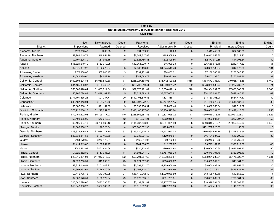|                             | Table 8D<br>United States Attorney Debt Collection for Fiscal Year 2019 |                                |                        |                      |                         |                        |                     |                          |                 |  |  |  |  |  |
|-----------------------------|-------------------------------------------------------------------------|--------------------------------|------------------------|----------------------|-------------------------|------------------------|---------------------|--------------------------|-----------------|--|--|--|--|--|
|                             |                                                                         |                                |                        | <b>Civil Total</b>   |                         |                        |                     |                          |                 |  |  |  |  |  |
|                             |                                                                         |                                |                        |                      |                         |                        |                     |                          |                 |  |  |  |  |  |
| <b>District</b>             | <b>New</b><br>Impositions                                               | <b>New Interest</b><br>Accrued | <b>Debts</b><br>Opened | Payments<br>Received | Other<br>Adjustments 1/ | <b>Debts</b><br>Closed | Ending<br>Principal | Ending<br>Interest/Costs | Ending<br>Count |  |  |  |  |  |
| Alabama, Middle             | \$179,956.40                                                            | \$236.33                       | 2                      | \$91,939.99          | \$0.00                  | $\overline{0}$         | \$513,458.36        | \$62,668.75              | 13              |  |  |  |  |  |
| Alabama, Northern           | \$2,983,019.79                                                          | \$48,954.29                    | 8                      | \$8,041,817.83       | \$465,359.89            | $\overline{1}$         | \$10,842,053.80     | \$7,011.23               | 16              |  |  |  |  |  |
| Alabama, Southern           | \$2,707,225.79                                                          | \$51,953.15                    | 10                     | \$2,624,756.45       | \$372,326.56            | $\overline{0}$         | \$2,373,912.65      | \$44,098.34              | 39              |  |  |  |  |  |
| Alaska                      | \$16,321,619.10                                                         | \$152,019.95                   | 4                      | \$17,364,000.17      | $-$16,009.23$           | $\mathbf 0$            | \$26,666,673.18     | \$242,117.32             | 51              |  |  |  |  |  |
| Arizona                     | \$2,975,007.22                                                          | \$162,276.57                   | 35                     | \$2,388,488.87       | \$1,074,513.40          | $\overline{4}$         | \$26,333,186.97     | \$614,073.96             | 131             |  |  |  |  |  |
| Arkansas, Eastern           | \$178,158.07                                                            | \$67,846.47                    | 3                      | \$592,251.61         | \$74,452.21             | $\mathbf 0$            | \$7,188,586.19      | \$200,046.15             | 93              |  |  |  |  |  |
| Arkansas, Western           | \$4,046,239.60                                                          | \$4,542.74                     | 11                     | \$241,693.79         | \$50,821.90             | $\mathbf 0$            | \$5,452,193.01      | \$160,681.76             | 37              |  |  |  |  |  |
| California, Central         | \$460,803,294.83                                                        | \$6,056,539.36                 | 77                     | \$265,927,568.03     | \$35,712,429.62         | 1,056                  | \$463,672,788.17    | \$19,985,113.66          | 6,469           |  |  |  |  |  |
| California, Eastern         | \$31,485,336.97                                                         | \$159,443.71                   | 21                     | \$80,703,519.41      | \$1,249,071.72          | $\overline{2}$         | \$378,075,588.74    | \$1,287,269.81           | 71              |  |  |  |  |  |
| California, Northern        | \$56,569,428.64                                                         | \$1,683,714.34                 | 25                     | \$72,370,121.09      | \$13,858,429.13         | 298                    | \$74,964,237.37     | \$7,883,386.89           | 2,368           |  |  |  |  |  |
| California, Southern        | \$6,265,724.81                                                          | \$1,449,182.75                 | $\sqrt{5}$             | \$6,022,893.19       | \$3,767,603.81          | $\overline{0}$         | \$34,247,094.37     | \$827,446.40             | 67              |  |  |  |  |  |
| Colorado                    | \$777,701,535.28                                                        | \$91,237.71                    | 20                     | \$810,105,310.83     | \$127,366.11            | $\overline{2}$         | \$13,730,705.00     | \$534,437.17             | 59              |  |  |  |  |  |
| Connecticut                 | \$30,487,843.04                                                         | \$194,779.70                   | 50                     | \$16,397,672.72      | \$6,707,281.15          | 31                     | \$41,478,379.03     | \$1,545,437.29           | 83              |  |  |  |  |  |
| Delaware                    | \$5,886,800.15                                                          | \$71,151.09                    | 3                      | \$6,337,256.91       | \$65,487.48             | $\mathbf 0$            | \$19,882,353.04     | \$49,512.67              | 13              |  |  |  |  |  |
| <b>District of Columbia</b> | \$78,220,086.17                                                         | \$1,227,652.62                 | 32                     | \$318,185,467.06     | \$3,958,523.84          | 16                     | \$90,030,391.83     | \$2,422,416.56           | 850             |  |  |  |  |  |
| Florida, Middle             | \$72,451,622.94                                                         | \$6,199,177.03                 | 140                    | \$268,562,281.85     | \$170,301,025.72        | 17                     | \$240,619,218.16    | \$32,091,728.01          | 3,522           |  |  |  |  |  |
| Florida, Northern           | \$2,408,095.09                                                          | \$43,312.67                    | 12                     | \$318,371.21         | \$202,015.51            | $\overline{1}$         | \$7,962,507.14      | \$287,697.31             | 52              |  |  |  |  |  |
| Florida, Southern           | \$2,405,654.10                                                          | \$3,730,866.12                 | 29                     | \$114,267,363.03     | \$6,281,001.90          | 38                     | \$356,315,719.91    | \$17,952,945.92          | 3,643           |  |  |  |  |  |
| Georgia, Middle             | \$1,809,950.26                                                          | \$8,526.04                     | $\overline{4}$         | \$80,686,882.96      | \$905,407.01            | $\mathbf 0$            | \$131,707,228.03    | \$0.00                   | 18              |  |  |  |  |  |
| Georgia, Northern           | \$18,379,816.42                                                         | \$7,636,377.70                 | 31                     | \$159,730,575.14     | \$4,531,943.08          | $\overline{1}$         | \$146,560,894.79    | \$2,298,915.56           | 264             |  |  |  |  |  |
| Georgia, Southern           | \$22,638,814.58                                                         | \$133,163.60                   | 23                     | \$9,233,961.50       | \$129,878.64            | $\overline{0}$         | \$16,704,637.22     | \$46,299.63              | 32              |  |  |  |  |  |
| Guam*                       | \$164,279.65                                                            | \$273,473.54                   | 5                      | \$160,644.97         | \$9,732.84              | $\overline{1}$         | \$6,249,218.76      | \$195,765.88             | 9               |  |  |  |  |  |
| Hawaii                      | \$1,414,919.66                                                          | \$107,259.97                   | 8                      | \$941,008.70         | \$12,257.87             | $\overline{1}$         | \$3,793,157.97      | \$923,919.86             | 40              |  |  |  |  |  |
| Idaho                       | \$241,492.91                                                            | \$461,684.66                   | $\sqrt{5}$             | \$325,178.89         | \$280,650.92            | $\mathbf 0$            | \$16,009,780.95     | \$3,687,998.73           | 50              |  |  |  |  |  |
| Illinois, Central           | \$1,320,852.82                                                          | \$117,035.26                   | 14                     | \$1,601,217.19       | \$8,784,936.28          | $\overline{1}$         | \$20,879,791.79     | \$333,693.49             | 79              |  |  |  |  |  |
| Illinois, Northern          | \$20,315,891.91                                                         | \$11,046,915.87                | 122                    | \$99,701,557.63      | \$13,698,369.54         | $-3$                   | \$283,951,236.54    | \$5,175,322.71           | 1,031           |  |  |  |  |  |
| Illinois, Southern          | \$7,329,750.31                                                          | \$13,696.01                    | 23                     | \$7,021,882.65       | \$690,807.07            | $-2$                   | \$15,569,352.81     | \$41,164.31              | 19              |  |  |  |  |  |
| Indiana, Northern           | \$3,324,040.53                                                          | \$101,443.22                   | 25                     | \$5,293,731.70       | \$2,459,906.40          | $\overline{2}$         | \$8,000,489.46      | \$26,959.57              | 20              |  |  |  |  |  |
| Indiana, Southern           | \$1,603,663.65                                                          | \$128,610.94                   | 49                     | \$1,761,128.10       | \$101,949.96            | $\mathbf{0}$           | \$8,101,113.43      | \$429,837.16             | 132             |  |  |  |  |  |
| lowa, Northern              | \$2,445,705.45                                                          | \$43,709.05                    | 24                     | \$15,170,012.42      | \$1,960,986.80          | $\overline{2}$         | \$13,405,180.10     | \$47,853.07              | 14              |  |  |  |  |  |
| Iowa, Southern              | \$2,908,176.51                                                          | \$156,922.34                   | 29                     | \$1,677,883.12       | \$931,761.31            | $\overline{0}$         | \$18,001,282.90     | \$708,384.52             | 63              |  |  |  |  |  |
| Kansas                      | \$16,040,598.67                                                         | \$473,035.32                   | 60                     | \$5,139,391.82       | \$3,407,765.60          | 8                      | \$18,379,534.50     | \$198,083.72             | 31              |  |  |  |  |  |
| Kentucky, Eastern           | \$13,948,996.27                                                         | \$507,385.29                   | 47                     | \$3,912,897.69       | \$427,733.93            | $\mathsf 0$            | \$31,487,414.87     | \$116,975.70             | 99              |  |  |  |  |  |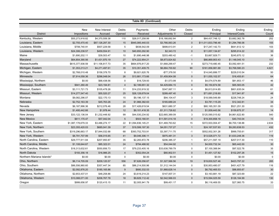| <b>Table 8D (Continued)</b> |                    |                 |                |                    |                  |                |                     |                |          |  |  |  |  |
|-----------------------------|--------------------|-----------------|----------------|--------------------|------------------|----------------|---------------------|----------------|----------|--|--|--|--|
|                             |                    |                 |                |                    |                  |                |                     |                |          |  |  |  |  |
|                             | New                | New Interest    | <b>Debts</b>   | Payments           | Other            | Debts          | Ending              | Ending         | Ending   |  |  |  |  |
| <b>District</b>             | Impositions        | Accrued         | Opened         | Received           | Adjustments 1/   | Closed         | Principal           | Interest/Costs | Count    |  |  |  |  |
| Kentucky, Western           | \$55,273,918.82    | \$4,370,559.38  | 110            | \$26,017,258.99    | \$18,188,692.84  | 2              | \$64,437,748.12     | \$3,682,362.78 | 252      |  |  |  |  |
| Louisiana, Eastern          | \$2,755,470.40     | \$87,128,297.30 | 15             | \$945,085,440.03   | \$3,766,063.26   | $\mathbf 0$    | \$11,011,833,796.48 | \$1,294,766.06 | 155      |  |  |  |  |
| Louisiana, Middle           | \$708,740.91       | \$507,229.58    | 5              | \$838,542.09       | \$699,613.91     | $\overline{2}$ | \$17,247,142.73     | \$641,612.12   | 103      |  |  |  |  |
| Louisiana, Western          | \$24,306,238.57    | \$459,554.91    | 10             | \$40,650,292.90    | \$2,343.72       | $\mathbf 0$    | \$11,057,134.67     | \$295,914.22   | 33       |  |  |  |  |
| Maine                       | \$1,690,202.11     | \$39,503.47     | 10             | \$1,690,446.98     | \$203,480.42     | $-1$           | \$3,667,929.71      | \$245,870.12   | 36       |  |  |  |  |
| Maryland                    | \$64,854,390.56    | \$1,431,970.19  | 27             | \$74,222,954.21    | \$8,873,824.82   | $\overline{1}$ | \$66,869,903.43     | \$1,148,045.10 | 151      |  |  |  |  |
| Massachusetts               | \$615,377,938.59   | \$11,106,817.73 | 35             | \$664,976,817.20   | \$1,668,299.47   | $\mathbf 0$    | \$273,719,480.45    | \$3,092,481.51 | 232      |  |  |  |  |
| Michigan, Eastern           | \$1,353,213.21     | \$4,271,497.61  | 35             | \$10,351,409.75    | \$6,884,700.82   | 90             | \$161,856,981.69    | \$3,768,580.23 | 4,621    |  |  |  |  |
| Michigan, Western           | \$2,768,010.48     | \$158,378.70    | 8              | \$9,921,620.76     | $-$77,378.50$    | $\overline{1}$ | \$14,045,899.77     | \$229,510.54   | 50       |  |  |  |  |
| Minnesota                   | \$7,914,058.36     | \$296,048.04    | 26             | \$13,881,173.66    | \$1,459,904.08   | $\mathbf 0$    | \$11,055,102.57     | \$16,455.81    | 64       |  |  |  |  |
| Mississippi, Northern       | \$0.00             | \$68,438.56     | $\mathbf 0$    | \$18,729.93        | $-$1,573.99$     | $\mathbf 0$    | \$4,074,574.89      | \$81,853.17    | 46       |  |  |  |  |
| Mississippi, Southern       | \$941,260.49       | \$23,194.81     | $\overline{4}$ | \$2,189,651.32     | \$4,429,684.15   | $\mathbf{0}$   | \$5,150,874.58      | \$65,583.05    | 42       |  |  |  |  |
| Missouri, Eastern           | \$3,111,721.73     | \$105,478.26    | 11             | \$14,233,919.32    | \$347,067.11     | $\overline{4}$ | \$6,813,914.85      | \$801,635.04   | 61       |  |  |  |  |
| Missouri, Western           | \$14,277,547.40    | \$55,520.27     | 25             | \$26,128,679.04    | \$289,497.40     | $\mathbf{3}$   | \$71,691,218.60     | \$17,941.87    | 48       |  |  |  |  |
| Montana                     | \$9,082,296.07     | \$22,170.13     | 15             | \$9,196,137.15     | \$94,104.47      | 3              | \$18,589,549.89     | \$226,748.24   | 24       |  |  |  |  |
| Nebraska                    | \$2,752,163.39     | \$45,763.26     | 24             | \$1,966,382.63     | \$165,689.24     | $\overline{2}$ | \$3,781,115.29      | \$12,342.81    | 34       |  |  |  |  |
| Nevada                      | \$6,187,996.36     | \$212,076.46    | 28             | \$17,426,619.54    | \$631,680.37     | $\overline{2}$ | \$80,165,351.09     | \$521,251.30   | 83       |  |  |  |  |
| <b>New Hampshire</b>        | \$1,495,442.66     | \$1,978.44      | 12             | \$9,101,418.35     | $-$1,311,726.62$ | $\mathbf 0$    | \$1,009,443.56      | \$159,875.37   | 14       |  |  |  |  |
| New Jersey                  | \$33,122,136.04    | \$1,232,448.92  | 99             | \$44,530,234.92    | \$22,665,389.09  | 3              | \$125,590,015.62    | \$4,861,622.80 | 540      |  |  |  |  |
| <b>New Mexico</b>           | \$611,170.47       | \$57,042.04     | 5              | \$503,180.91       | \$11,591,014.18  | $\mathbf 0$    | \$19,300,858.19     | \$40,743.04    | 15       |  |  |  |  |
| New York, Eastern           | \$1,087,178,679.33 | \$3,486,274.17  | 22             | \$1,094,836,145.21 | \$31,469,763.62  | 15             | \$372,933,004.47    | \$6,700,138.88 | 2,634    |  |  |  |  |
| New York, Northern          | \$23,355,420.03    | \$685,041.39    | 37             | \$19,599,197.30    | \$4,051,737.27   | $\overline{1}$ | \$24,167,537.93     | \$9,283,838.53 | 432      |  |  |  |  |
| New York, Southern          | \$319,296,663.17   | \$7,844,032.68  | 68             | \$393,752,703.91   | \$3,397,711.70   | $-1$           | \$552,002,301.26    | \$999,755.61   | 317      |  |  |  |  |
| New York, Western           | \$8,791,707.99     | \$56,015.65     | 41             | \$9,046,306.11     | \$975,481.31     | $\mathbf{3}$   | \$13,526,071.72     | \$1,633,248.36 | 119      |  |  |  |  |
| North Carolina, Eastern     | \$29,777,911.84    | \$207,950.87    | 35             | \$2,283,872.78     | \$206,385.37     | $\overline{1}$ | \$57,211,597.19     | \$207,017.30   | 110      |  |  |  |  |
| North Carolina, Middle      | \$1,108,644.67     | \$85,322.01     | 24             | \$794,486.92       | \$54,044.92      | $\overline{1}$ | \$4,930,732.34      | \$65,442.00    | 30       |  |  |  |  |
| North Carolina, Western     | \$18,313,632.61    | \$550,856.73    | 17             | \$79,233,405.16    | \$33,638,789.79  | $\mathbf 0$    | \$7,100,388.94      | \$97,522.76    | 35       |  |  |  |  |
| North Dakota                | \$193,356.18       | \$16,986.25     | $\overline{4}$ | \$352,054.24       | \$80,902.51      | $\mathbf 0$    | \$1,451,127.82      | \$102,297.26   | 15       |  |  |  |  |
| Northern Mariana Islands*   | \$0.00             | \$0.00          | $\mathbf 0$    | \$0.00             | \$0.00           | $\mathbf 0$    | \$0.00              | \$0.00         | $\Omega$ |  |  |  |  |
| Ohio, Northern              | \$6,114,705.09     | \$209,120.57    | 556            | \$7,626,056.67     | \$1,327,566.56   | 19             | \$19,830,527.46     | \$423,797.22   | 265      |  |  |  |  |
| Ohio, Southern              | \$86,556,960.60    | \$357,447.34    | 85             | \$86,214,500.96    | \$1,312,144.04   | $\mathbf 0$    | \$30,953,480.07     | \$451,427.79   | 116      |  |  |  |  |
| Oklahoma, Eastern           | \$2,092,876.20     | \$185,165.86    | 9              | \$680,332.53       | \$1,968,628.14   | $\mathbf{0}$   | \$6,792,465.53      | \$88,855.67    | 30       |  |  |  |  |
| Oklahoma, Northern          | \$2,653,437.01     | \$48,258.86     | 24             | \$3,619,214.23     | \$147,007.31     | $\mathbf 0$    | \$3,163,881.19      | \$87,323.69    | 22       |  |  |  |  |
| Oklahoma, Western           | \$10,088,071.00    | \$206,767.78    | 18             | \$9,829,112.42     | \$2,542,566.03   | $\mathbf{0}$   | \$15,594,025.59     | \$126,184.99   | 130      |  |  |  |  |
| Oregon                      | \$999,656.97       | \$120,415.15    | 11             | \$2,005,941.79     | \$99,451.17      | $\mathbf 0$    | \$6,116,469.55      | \$27,060.75    | 33       |  |  |  |  |
|                             |                    |                 |                |                    |                  |                |                     |                |          |  |  |  |  |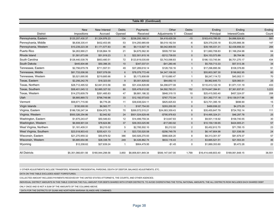|                         | Table 8D (Continued)      |                         |                        |                      |                         |                 |                     |                          |                 |  |  |  |  |
|-------------------------|---------------------------|-------------------------|------------------------|----------------------|-------------------------|-----------------|---------------------|--------------------------|-----------------|--|--|--|--|
|                         |                           |                         |                        |                      |                         |                 |                     |                          |                 |  |  |  |  |
| <b>District</b>         | <b>New</b><br>Impositions | New Interest<br>Accrued | <b>Debts</b><br>Opened | Payments<br>Received | Other<br>Adjustments 1/ | Debts<br>Closed | Ending<br>Principal | Ending<br>Interest/Costs | Ending<br>Count |  |  |  |  |
| Pennsylvania, Eastern   | \$125,207,430.37          | \$1,324,976.23          | 134                    | \$238,200,168.31     | \$4,418,429.39          | $-15$           | \$163,410,785.00    | \$4,896,924.83           | 591             |  |  |  |  |
| Pennsylvania, Middle    | \$6,838,335.41            | \$432,453.95            | 53                     | \$14,250,985.69      | \$6.019.182.54          | -6              | \$29,379,235.18     | \$3,255,866.36           | 147             |  |  |  |  |
| Pennsylvania, Western   | \$10,239,223.38           | \$1,171,577.83          | 46                     | \$9,113,927.16       | \$6,042,909.55          | $5\phantom{1}$  | \$39,195,031.31     | \$2,438,856.33           | 284             |  |  |  |  |
| Puerto Rico             | \$4,263,990.21            | \$126,864.18            | 21                     | \$4,675,562.30       | \$509,757.64            | 3               | \$11,660,708.83     | \$1,166,254.98           | 64              |  |  |  |  |
| Rhode Island            | \$1,581,673.89            | \$51,919.23             | 5                      | \$22,501,815.16      | $-$212,739.93$          | $\mathbf 0$     | \$24,153,573.89     | \$8,764.96               | 25              |  |  |  |  |
| South Carolina          | \$128,440,539.76          | \$853,480.51            | 72                     | \$123,819,035.69     | \$3,743,098.83          | $\mathbf 0$     | \$186,133,745.84    | \$6,701,270.17           | 434             |  |  |  |  |
| South Dakota            | \$445,604.88              | \$50,396.35             | 10                     | \$347,037.51         | $-$41,280.46$           | $\overline{1}$  | \$5,700,713.33      | \$57,513.36              | 34              |  |  |  |  |
| Tennessee, Eastern      | \$2,756,679.78            | \$711,557.51            | 49                     | \$37,289,618.14      | \$128,730.16            | 3               | \$17,296,895.56     | \$108,378.89             | 91              |  |  |  |  |
| Tennessee, Middle       | \$81,733,006.06           | \$307,078.09            | 6                      | \$78,079,772.49      | \$4,347,106.00          | $\overline{1}$  | \$55,803,387.30     | \$198,662.95             | 80              |  |  |  |  |
| Tennessee, Western      | \$5,521,695.95            | \$219,685.66            | 9                      | \$5,173,808.69       | \$110,680.47            | -1              | \$8,247,114.72      | \$45,002.11              | 70              |  |  |  |  |
| Texas, Eastern          | \$2,256,242.76            | \$18,323.00             | 9                      | \$5,001,829.62       | \$84,692.10             | $\mathbf 0$     | \$8,962,645.73      | \$29,060.51              | 25              |  |  |  |  |
| Texas, Northern         | \$28,712,495.52           | \$2,841,913.56          | 69                     | \$31,434,828.89      | \$4,298,677.08          | $\overline{1}$  | \$110,413,122.19    | \$1,971,131.19           | 433             |  |  |  |  |
| Texas, Southern         | \$58,401,045.12           | \$2,885,327.02          | 80                     | \$35,478,612.92      | \$4,592,783.31          | 152             | \$174,647,394.81    | \$7,361,837.81           | 3,223           |  |  |  |  |
| Texas, Western          | \$14,270,609.79           | \$261,485.83            | 47                     | \$8,881,186.32       | \$848,319.15            | 10              | \$25,415,583.40     | \$457,324.07             | 208             |  |  |  |  |
| Utah                    | \$8,885,869.72            | \$796,749.96            | 33                     | \$12,192,573.63      | \$767,772.04            | $\mathbf 0$     | \$31,392,717.18     | \$18,139,017.96          | 89              |  |  |  |  |
| Vermont                 | \$58,671,715.90           | \$6,776.26              | 11                     | \$39,638,024.11      | \$825,825.63            | $\mathbf 0$     | \$23,701,395.18     | \$696.90                 | 15              |  |  |  |  |
| Virgin Islands          | \$150,000.00              | \$6,563.77              | $\mathbf{1}$           | \$187,754.00         | \$293,200.00            | $\mathbf 0$     | \$489,936.22        | \$4,275.29               | $\overline{7}$  |  |  |  |  |
| Virginia, Eastern       | \$186,726,247.34          | \$354,972.78            | 70                     | \$269,572,515.21     | \$24,083,359.43         | 6               | \$35,455,647.79     | \$724,762.14             | 111             |  |  |  |  |
| Virginia, Western       | \$500,326,254.86          | \$2,942.82              | 24                     | \$501,024,629.48     | -\$795,978.63           | $\mathbf 0$     | \$14,495,324.21     | \$46,297.78              | 25              |  |  |  |  |
| Washington, Eastern     | \$1,675,243.47            | \$50,546.63             | 12                     | \$14,499,759.34      | \$13,647.83             | $\mathbf 0$     | \$9,501,118.92      | \$158,740.55             | 30              |  |  |  |  |
| Washington, Western     | \$6,908,901.04            | \$78,624.86             | 37                     | \$39,353,025.99      | $-$17,083.92$           | $\mathbf{0}$    | \$10,159,139.65     | \$424,905.21             | 57              |  |  |  |  |
| West Virginia, Northern | \$1,181,409.31            | \$9,215.02              | 5                      | \$2,785,502.10       | \$5,212.02              | 2               | \$5,452,812.70      | \$71,785.15              | 23              |  |  |  |  |
| West Virginia, Southern | \$23,518,903.43           | \$255,421.13            | 8                      | \$23,720,520.58      | $-$ \$256,749.78        | $\mathbf{0}$    | \$6,147,804.98      | \$21,536.58              | 24              |  |  |  |  |
| Wisconsin, Eastern      | \$21,270,959.32           | \$50,878.52             | 386                    | \$40,926,270.93      | \$966,826.20            | 8               | \$8,313,301.57      | \$81,679.37              | 57              |  |  |  |  |
| Wisconsin, Western      | \$5,685,654.96            | \$28,338.78             | 249                    | \$4,426,862.74       | \$633,116.43            | $-1$            | \$3,665,521.51      | \$21,553.20              | 46              |  |  |  |  |
| Wyoming                 | \$12,208.62               | \$27,639.24             | $\mathbf 1$            | \$904,479.95         | $-$1.45$                | $\mathbf 0$     | \$1,889,353.60      | \$5,472.28               | 22              |  |  |  |  |
| <b>All Districts</b>    | \$5.351.066.651.56        | \$180,944,298.56        | 3.850                  | \$6.806.601.849.34   | \$506.147.547.00        | 1,799           | \$16,414,448,603.40 | \$189.061.848.15         | 36,551          |  |  |  |  |

1/ OTHER ADJUSTMENTS INCLUDE TRANSFERS, REMANDS, PRESIDENTIAL PARDONS, DEATH OF DEBTOR, BALANCE ADJUSTMENTS, ETC.

DATA ON THIS TABLE EXCLUDES ASSET FORFEITURES.

COLLECTED AMOUNT INCLUDES PAYMENTS RECEIVED BY THE UNITED STATES ATTORNEYS, THE COURTS, AND OTHER AGENCIES.

INDIVIDUAL DISTRICT AMOUNTS IN THIS TABLE CONTAIN THE FULL AMOUNT FOR DEBTS SHARED WITH OTHER DISTRICTS. TO AVOID OVERSTATING THE TOTAL NATIONAL AMOUNTS, THE ALL DISTRICTS ROW INCLUDES EACH SHARED DEBT

ONLY ONCE AND IS NOT A SUM OF THE AMOUNTS OF THE COLUMNS ABOVE.

\* DATA FOR THE DISTRICTS OF GUAM AND NORTHERN MARIANA ISLANDS ARE COMBINED.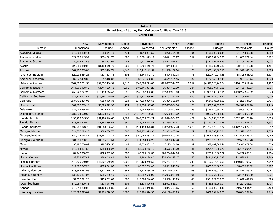| <b>Table 8E</b>      |                    |                 |        |                                                             |                    |              |                     |                    |        |  |  |  |
|----------------------|--------------------|-----------------|--------|-------------------------------------------------------------|--------------------|--------------|---------------------|--------------------|--------|--|--|--|
|                      |                    |                 |        | United States Attorney Debt Collection for Fiscal Year 2019 |                    |              |                     |                    |        |  |  |  |
|                      |                    |                 |        | <b>Grand Total</b>                                          |                    |              |                     |                    |        |  |  |  |
|                      |                    |                 |        |                                                             |                    |              |                     |                    |        |  |  |  |
|                      | <b>New</b>         | New Interest    | Debts  | Payments                                                    | Other              | <b>Debts</b> | Ending              | Ending             | Ending |  |  |  |
| <b>District</b>      | Impositions        | Accrued         | Opened | Received                                                    | Adjustments 1/     | Closed       | Principal           | Interest/Costs     | Count  |  |  |  |
| Alabama, Middle      | \$17,308,130.11    | \$83,647.46     | 474    | \$918,984.55                                                | \$278,764.49       | 91           | \$196,008,559.44    | \$1,461,962.63     | 1,090  |  |  |  |
| Alabama, Northern    | \$22,862,115.97    | \$804,591.75    | 685    | \$10,301,479.19                                             | \$8,421,185.97     | 319          | \$315,287,840.86    | \$11,636,971.14    | 3,122  |  |  |  |
| Alabama, Southern    | \$6,142,427.48     | \$92,807.66     | 442    | \$5,937,076.00                                              | \$2,923,037.97     | 104          | \$142,501,204.83    | \$2,208,199.06     | 1,622  |  |  |  |
| Alaska               | \$20,686,352.07    | \$1,130,019.79  | 220    | \$18,724,413.73                                             | $-$41,615.94$      | 19           | \$138,237,105.12    | \$6,169,710.28     | 1,191  |  |  |  |
| Arizona              | \$62,407,239.66    | \$752,414.71    | 4,148  | \$10,112,142.51                                             | \$11,338,102.24    | 1,178        | \$953,180,607.15    | \$21,997,145.13    | 9,865  |  |  |  |
| Arkansas, Eastern    | \$20,298,584.21    | \$374,691.18    | 604    | \$3,448,642.10                                              | \$394,610.38       | 75           | \$292,440,211.58    | \$8,325,536.42     | 1,877  |  |  |  |
| Arkansas, Western    | \$7,873,439.08     | \$57,446.06     | 399    | \$3,971,438.05                                              | \$4,511,181.55     | 37           | \$184,346,906.46    | \$939,759.44       | 1,579  |  |  |  |
| California, Central  | \$762,820,781.50   | \$32,852,430.31 | 2,310  | \$347,395,275.88                                            | \$129,607,314.57   | 2,219        | \$6,597,323,242.54  | \$426,153,817.46   | 14,787 |  |  |  |
| California, Eastern  | \$111,805,138.12   | \$4,747,560.78  | 1,062  | \$106,416,807.29                                            | \$6,304,429.99     | 237          | \$1,805,307,176.05  | \$71,735,740.93    | 3,736  |  |  |  |
| California, Northern | \$258,223,847.29   | \$13,118,914.47 | 895    | \$158,387,390.86                                            | \$52,862,956.60    | 434          | \$1,909,966,682.11  | \$163,227,952.02   | 5,978  |  |  |  |
| California, Southern | \$72,702,102.41    | \$16,891,019.82 | 5,767  | \$17,271,696.07                                             | \$38,163,391.49    | 2,610        | \$1,522,671,638.91  | \$211,108,961.41   | 7,539  |  |  |  |
| Colorado             | \$834,732,471.05   | \$358,160.38    | 821    | \$817,363,820.58                                            | \$6,821,365.58     | 210          | \$634,035,698.07    | \$7,208,334.61     | 2,436  |  |  |  |
| Connecticut          | \$87,327,039.16    | \$3,793,979.38  | 774    | \$22,755,127.63                                             | \$57,655,964.50    | 153          | \$1,586,339,578.58  | \$74,522,854.20    | 1,719  |  |  |  |
| Delaware             | \$22,449,894.54    | \$109,949.37    | 139    | \$9,560,696.85                                              | \$755,005.99       | 33           | \$119,670,987.32    | \$559,350.24       | 530    |  |  |  |
| District of Columbia | \$1,087,334,660.68 | \$1,970,333.43  | 378    | \$1,273,741,129.32                                          | \$6,630,529.22     | 136          | \$929,729,868.46    | \$28,136,960.39    | 2,638  |  |  |  |
| Florida, Middle      | \$195,229,645.90   | \$54,193,140.65 | 2,869  | \$287,325,259.24                                            | \$415,894,904.07   | 451          | \$4,134,656,395.30  | \$732,516,128.98   | 10,300 |  |  |  |
| Florida, Northern    | \$15,749,320.62    | \$1,544,666.58  | 359    | \$7,042,814.85                                              | \$1,889,714.61     | 31           | \$1,779,102,429.55  | \$28,243,997.18    | 1,391  |  |  |  |
| Florida, Southern    | \$697,706,943.70   | \$94,563,256.43 | 3,505  | \$171,198,873.61                                            | \$30,222,887.70    | 1,225        | \$11,707,376,876.34 | \$1,422,704,677.31 | 15,312 |  |  |  |
| Georgia, Middle      | \$14,855,023.23    | \$693,586.77    | 697    | \$82,271,629.30                                             | \$1,351,483.68     | 102          | \$299,503,257.21    | \$11,522,398.32    | 1,335  |  |  |  |
| Georgia, Northern    | \$84,205,944.41    | \$43,781,928.17 | 854    | \$169,250,862.47                                            | \$40,648,609.76    | 101          | \$2,098,666,647.89  | \$507,595,423.28   | 4,480  |  |  |  |
| Georgia, Southern    | \$64,091,306.19    | \$1,295,287.51  | 792    | \$11,559,966.25                                             | \$809,242.78       | 32           | \$293,078,392.29    | \$52,560,958.26    | 2,939  |  |  |  |
| Guam*                | \$3,195,550.02     | \$497,460.55    | 141    | \$2,036,402.25                                              | \$125,134.88       | 32           | \$27,462,061.44     | \$3,340,071.34     | 338    |  |  |  |
| Hawaii               | \$12,884,124.66    | \$358,438.27    | 252    | \$3,009,712.46                                              | \$3,576,716.20     | 81           | \$204,173,300.72    | \$5,161,297.47     | 1,005  |  |  |  |
| Idaho                | \$4,743,950.73     | \$525,967.33    | 539    | \$5,376,193.58                                              | \$28,254,844.65    | 74           | \$263,710,868.77    | \$4,272,633.31     | 1,154  |  |  |  |
| Illinois, Central    | \$8,336,937.47     | \$766,045.41    | 381    | \$3,463,189.40                                              | \$24,850,329.17    | 56           | \$431,605,737.33    | \$11,536,554.11    | 1,340  |  |  |  |
| Illinois, Northern   | \$178,429,610.95   | \$43,527,949.23 | 1,208  | \$118,123,249.55                                            | \$16,717,436.41    | 243          | \$5,422,344,440.98  | \$419,873,496.74   | 7,712  |  |  |  |
| Illinois, Southern   | \$11,966,647.23    | \$265,841.33    | 602    | \$8,992,785.49                                              | \$3,991,646.39     | 30           | \$386,526,007.81    | \$5,403,993.02     | 2,167  |  |  |  |
| Indiana, Northern    | \$16,844,851.03    | \$3,811,476.18  | 554    | \$7,429,455.25                                              | \$5,179,807.54     | 66           | \$346,553,027.40    | \$51,876,293.26    | 1,454  |  |  |  |
| Indiana, Southern    | \$33,135,104.97    | \$286,286.10    | 1,033  | \$6,882,565.90                                              | \$15,993,038.80    | 91           | \$759,257,365.69    | \$3,164,896.90     | 3,264  |  |  |  |
| Iowa, Northern       | \$7,557,221.23     | \$136,785.68    | 605    | \$16,065,240.00                                             | \$3,388,118.93     | 46           | \$361,221,558.58    | \$1,079,447.25     | 896    |  |  |  |
| lowa, Southern       | \$12,087,890.75    | \$308,971.04    | 801    | \$6,603,390.56                                              | \$2,903,533.01     | 51           | \$166,863,999.01    | \$4,201,203.33     | 1,477  |  |  |  |
| Kansas               | \$40,011,230.09    | \$1,126,906.85  | 732    | \$8,624,942.85                                              | \$6,347,705.65     | 57           | \$463,005,374.46    | \$12,531,641.11    | 2,129  |  |  |  |
| Kentucky, Eastern    | \$120,092,973.02   | \$2,274,678.93  | 1,067  | \$28,964,074.90                                             | $-$ \$4,168,420.93 | 93           | \$689,704,443.56    | \$26,684,294.24    | 2,113  |  |  |  |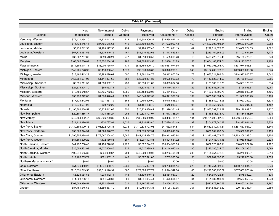| Table 8E (Continued)      |                    |                  |              |                    |                   |             |                     |                    |          |  |  |  |  |
|---------------------------|--------------------|------------------|--------------|--------------------|-------------------|-------------|---------------------|--------------------|----------|--|--|--|--|
|                           |                    |                  |              |                    |                   |             |                     |                    |          |  |  |  |  |
|                           | <b>New</b>         | New Interest     | <b>Debts</b> | Payments           | Other             | Debts       | Ending              | Ending             | Ending   |  |  |  |  |
| <b>District</b>           | Impositions        | Accrued          | Opened       | Received           | Adjustments 1/    | Closed      | Principal           | Interest/Costs     | Count    |  |  |  |  |
| Kentucky, Western         | \$72,431,954.10    | \$4,834,013.33   | 718          | \$29,508,300.21    | \$25,568,547.18   | 200         | \$285,892,833.56    | \$11,824,533.45    | 1,923    |  |  |  |  |
| Louisiana, Eastern        | \$14,434,145.14    | \$87,705,615.61  | 449          | \$955,460,875.00   | \$11,692,952.43   | 169         | \$11,562,008,493.34 | \$19,633,979.60    | 2,252    |  |  |  |  |
| Louisiana, Middle         | \$5,439,612.53     | \$1,193,177.55   | 294          | \$2,198,357.48     | \$1,761,621.19    | 49          | \$297,814,079.73    | \$13,059,274.05    | 1,382    |  |  |  |  |
| Louisiana, Western        | \$67,776,981.56    | \$1,539,349.12   | 467          | \$44,210,432.66    | \$1,417,583.83    | 78          | \$249,164,565.03    | \$17,102,631.89    | 1,418    |  |  |  |  |
| Maine                     | \$33,007,757.62    | \$559,540.21     | 277          | \$4,610,956.50     | \$1,555,093.20    | 18          | \$499,226,315.46    | \$15,133,725.01    | 878      |  |  |  |  |
| Maryland                  | \$163,565,686.89   | \$27,352,234.34  | 985          | \$84,305,613.58    | \$12,886,101.29   | 153         | \$2,654,108,974.01  | \$245,193,575.31   | 4,106    |  |  |  |  |
| Massachusetts             | \$674,596,914.11   | \$33,006,735.57  | 771          | \$835,785,500.10   | -\$103,651,074.65 | 195         | \$1,913,096,058.70  | \$331,074,948.81   | 2,910    |  |  |  |  |
| Michigan, Eastern         | \$142,705,226.99   | \$9,116,860.45   | 1,573        | \$96,576,023.80    | \$20,320,206.31   | 340         | \$3,182,208,873.53  | \$109,663,699.86   | 9,074    |  |  |  |  |
| Michigan, Western         | \$18,462,413.29    | \$7,293,090.04   | 597          | \$12,861,144.77    | \$6,912,070.39    | 78          | \$1,072,711,288.64  | \$114,993,920.87   | 2,642    |  |  |  |  |
| Minnesota                 | \$153,651,597.98   | \$1,111,327.66   | 581          | \$36,660,894.85    | \$9,608,950.63    | 79          | \$1,143,523,844.90  | \$6,780,010.33     | 2,355    |  |  |  |  |
| Mississippi, Northern     | \$6,591,811.57     | \$1,033,902.16   | 258          | \$5,890,161.69     | \$3,699,634.38    | 39          | \$133,885,915.76    | \$14,361,120.87    | 814      |  |  |  |  |
| Mississippi, Southern     | \$24,836,624.10    | \$55,032.78      | 937          | \$4,838,133.15     | \$5,419,327.43    | 29          | \$382,833,250.15    | \$796,955.61       | 3,051    |  |  |  |  |
| Missouri, Eastern         | \$40,489,048.67    | \$3,765,752.55   | 1,885        | \$30,453,072.08    | \$5,471,906.77    | 162         | \$1,136,011,706.75  | \$70,810,042.99    | 4,406    |  |  |  |  |
| Missouri, Western         | \$35,753,072.63    | \$1,576,448.41   | 1,106        | \$40,348,672.59    | \$24,341,909.33   | 169         | \$805,008,854.34    | \$31,300,330.25    | 3,170    |  |  |  |  |
| Montana                   | \$17,129,442.01    | \$207,851.79     | 565          | \$10,766,820.60    | \$5,046,516.93    | 33          | \$138,849,018.96    | \$3,023,239.21     | 1,334    |  |  |  |  |
| Nebraska                  | \$15,973,504.98    | \$60,752.25      | 644          | \$4,151,138.76     | \$645,983.64      | 95          | \$185,955,529.36    | \$82,391.96        | 1,452    |  |  |  |  |
| Nevada                    | \$1,195,806,268.52 | \$6,735,612.67   | 850          | \$25,933,838.44    | \$21,976,361.45   | 144         | \$2,975,797,828.39  | \$99,176,839.01    | 2,937    |  |  |  |  |
| New Hampshire             | \$20,607,566.77    | \$428,368.27     | 266          | \$10,824,707.07    | \$1,613,766.95    | 45          | \$116,545,376.79    | \$8,464,836.80     | 878      |  |  |  |  |
| New Jersey                | \$249,754,332.47   | \$260,536,200.80 | 1,086        | \$138,886,859.99   | \$28,356,785.47   | 181         | \$19,781,693,307.29 | \$1,946,496,955.64 | 5,084    |  |  |  |  |
| <b>New Mexico</b>         | \$14,116,370.54    | \$834,787.99     | 1,536        | \$1,914,673.40     | \$17,420,351.49   | 192         | \$204,872,540.17    | \$14,372,861.15    | 3,326    |  |  |  |  |
| New York, Eastern         | \$1,139,598,909.73 | \$101,522,725.34 | 1,036        | \$1,119,535,703.96 | \$41,632,844.57   | 644         | \$6,512,649,131.81  | \$1,467,687,967.01 | 6,846    |  |  |  |  |
| New York, Northern        | \$30,063,024.31    | \$1,028,626.70   | 876          | \$21,673,247.34    | \$8,093,618.03    | 120         | \$806,809,453.64    | \$19,556,501.27    | 2,159    |  |  |  |  |
| New York, Southern        | \$1,295,255,988.84 | \$178,667,104.80 | 2,685        | \$441,425,394.76   | \$50,911,015.84   | 1,369       | \$12,343,487,573.77 | \$2,163,206,388.02 | 8,754    |  |  |  |  |
| New York, Western         | \$54,669,699.22    | \$172,180.83     | 887          | \$13,207,193.84    | \$3,521,561.32    | 167         | \$421,443,431.18    | \$3,959,596.38     | 2,323    |  |  |  |  |
| North Carolina, Eastern   | \$44,237,768.48    | \$1,460,276.52   | 2,926        | \$8,662,244.29     | \$35,584,560.65   | 132         | \$662,325,200.11    | \$18,087,922.98    | 4,782    |  |  |  |  |
| North Carolina, Middle    | \$25,558,461.98    | \$2,537,609.85   | 835          | \$3,517,885.43     | \$13,144,910.48   | 80          | \$247,086,034.05    | \$34,109,396.52    | 2,086    |  |  |  |  |
| North Carolina, Western   | \$102,241,655.35   | \$864,930.67     | 794          | \$243,209,169.08   | \$38,253,495.90   | 286         | \$1,165,354,772.29  | \$5,278,906.61     | 2,814    |  |  |  |  |
| North Dakota              | \$17,406,255.72    | \$361,387.15     | 446          | \$3,627,521.00     | \$783,335.38      | 153         | \$77,281,896.15     | \$5,248,870.38     | 1,555    |  |  |  |  |
| Northern Mariana Islands* | \$0.00             | \$0.00           | $\mathbf 0$  | \$0.00             | \$0.00            | $\mathbf 0$ | \$0.00              | \$0.00             | $\Omega$ |  |  |  |  |
| Ohio, Northern            | \$51,346,450.28    | \$14,841,460.75  | 2,230        | \$40,545,827.71    | \$29,796,034.14   | 226         | \$1,749,751,628.08  | \$180,729,084.91   | 5,374    |  |  |  |  |
| Ohio, Southern            | \$215,851,619.53   | \$57,513,190.91  | 887          | \$177,685,387.72   | \$15,544,547.68   | 65          | \$3,228,585,157.69  | \$537,853,973.48   | 3,597    |  |  |  |  |
| Oklahoma, Eastern         | \$5,528,984.53     | \$208,412.71     | 143          | \$1,199,340.43     | \$2,561,037.97    | 20          | \$64,687,426.41     | \$875,089.97       | 535      |  |  |  |  |
| Oklahoma, Northern        | \$14,528,263.13    | \$381,570.30     | 306          | \$4,831,654.41     | \$1,473,694.37    | 64          | \$161,087,191.34    | \$2,594,858.04     | 1,240    |  |  |  |  |
| Oklahoma, Western         | \$203,509,896.51   | \$2,351,039.54   | 611          | \$14,497,583.96    | \$3,469,312.04    | 81          | \$522,979,767.69    | \$40,867,234.95    | 1,767    |  |  |  |  |
| Oregon                    | \$87,451,646.68    | \$1,550,867.40   | 664          | \$40,755,943.31    | \$3,126,737.65    | 361         | \$581,535,815.32    | \$20,759,338.14    | 2,550    |  |  |  |  |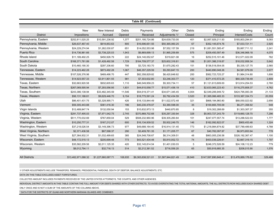| Table 8E (Continued)    |                     |                    |              |                    |                    |              |                      |                     |         |  |  |
|-------------------------|---------------------|--------------------|--------------|--------------------|--------------------|--------------|----------------------|---------------------|---------|--|--|
|                         |                     |                    |              |                    |                    |              |                      |                     |         |  |  |
|                         | <b>New</b>          | New Interest       | <b>Debts</b> | Payments           | Other              | <b>Debts</b> | Ending               | Ending              | Ending  |  |  |
| <b>District</b>         | Impositions         | Accrued            | Opened       | Received           | Adjustments 1/     | Closed       | Principal            | Interest/Costs      | Count   |  |  |
| Pennsylvania, Eastern   | \$252,811,020.25    | \$10,591,236.92    | 1,377        | \$251,195,724.86   | \$24,639,733.00    | 401          | \$2,067,929,211.93   | \$185,803,294.91    | 8,093   |  |  |
| Pennsylvania, Middle    | \$26,637,467.40     | \$619,853.63       | 805          | \$16,696,651.55    | \$50,365,060.25    | 67           | \$352,145,674.76     | \$7,033,721.11      | 2,925   |  |  |
| Pennsylvania, Western   | \$24,229,274.94     | \$1,282,030.87     | 651          | \$14,052,553.98    | \$7,552,157.59     | 219          | \$1,081,551,585.47   | \$5,887,711.12      | 2,241   |  |  |
| Puerto Rico             | \$14,736,961.66     | \$3,738,225.03     | 1,943        | \$6,869,699.13     | \$1,965,259.89     | 575          | \$209,450,597.49     | \$36,346,968.18     | 4,075   |  |  |
| Rhode Island            | \$11,189,492.25     | \$450,926.79       | 222          | \$24,140,052.67    | \$319,821.08       | 16           | \$252,515,101.46     | \$12,571,022.09     | 762     |  |  |
| South Carolina          | \$168,371,781.89    | \$1,428,492.58     | 1,729        | \$164,709,577.37   | \$25,602,316.81    | 106          | \$1,001,386,319.87   | \$18,032,958.34     | 5,642   |  |  |
| South Dakota            | \$10,460,190.30     | \$297,336.60       | 795          | \$3,725,183.70     | \$1,670,282.43     | 151          | \$136,518,554.05     | \$5,335,127.75      | 2,565   |  |  |
| Tennessee, Eastern      | \$14,223,462.28     | \$873,492.28       | 1,067        | \$46,357,229.59    | \$5,293,847.15     | 200          | \$440,890,048.26     | \$4,581,079.09      | 2,677   |  |  |
| Tennessee, Middle       | \$107,526,376.98    | \$469,466.70       | 447          | \$82,358,829.82    | \$6,420,848.62     | 200          | \$562,723,725.27     | \$1,984,314.80      | 1,606   |  |  |
| Tennessee, Western      | \$14,923,557.33     | \$3,911,801.55     | 981          | \$7,303,632.80     | \$3,246,303.77     | 120          | \$371,410,572.25     | \$60,329,739.49     | 2,809   |  |  |
| Texas, Eastern          | \$32,663,920.58     | \$932,605.63       | 1,110        | \$46.549.958.23    | \$5.303.734.11     | 57           | \$1,121,613,609.00   | \$13,914,254.53     | 2,760   |  |  |
| Texas, Northern         | \$267,069,595.94    | \$7,293,056.95     | 1,831        | \$44,610,058.77    | \$15,071,436.19    | 410          | \$2,633,065,223.43   | \$116,275,808.37    | 4,762   |  |  |
| Texas, Southern         | \$243,386,138.94    | \$33,482,345.59    | 11,546       | \$54,619,371.41    | \$34,671,345.45    | 4,004        | \$2,549,206,949.72   | \$424,795,083.39    | 21,133  |  |  |
| Texas, Western          | \$56,131,188.81     | \$9,629,446.70     | 9,154        | \$18,775,591.24    | \$5,792,434.59     | 3,520        | \$1,365,066,465.33   | \$133,387,334.73    | 20,559  |  |  |
| Utah                    | \$86,401,431.75     | \$3,328,995.71     | 426          | \$18,133,844.49    | \$11,022,572.48    | 321          | \$868,184,960.80     | \$68,050,023.92     | 2,656   |  |  |
| Vermont                 | \$59,305,443.88     | \$361,416.30       | 196          | \$40,230,478.07    | \$3,380,598.00     | 35           | \$100,665,705.09     | \$6,271,358.92      | 548     |  |  |
| Virgin Islands          | \$12,489,847.74     | \$132,050.94       | 153          | \$10,832,973.13    | \$440,870.85       | 8            | \$19,302,288.69      | \$1,303,307.37      | 355     |  |  |
| Virginia, Eastern       | \$291,737,495.03    | \$7,971,042.75     | 2,745        | \$370,868,702.68   | \$35,297,330.94    | 328          | \$5,903,727,243.79   | \$119,660,128.70    | 7,296   |  |  |
| Virginia, Western       | \$511,770,032.69    | \$767,859.04       | 529          | \$508,232,960.96   | \$39,305,260.84    | 101          | \$247,077,557.74     | \$13,288,522.03     | 1,777   |  |  |
| Washington, Eastern     | \$10,250,777.31     | \$167,212.07       | 600          | \$16,134,939.52    | \$5,932,249.75     | 146          | \$162,092,822.07     | \$900,453.48        | 1,324   |  |  |
| Washington, Western     | \$37,218,026.54     | \$3,149,396.73     | 977          | \$49,688,164.40    | \$16,914,131.40    | 773          | \$1,218,984,874.82   | \$37,789,489.63     | 4,788   |  |  |
| West Virginia, Northern | \$2,371,436.58      | \$67,598.37        | 290          | \$3,409,761.35     | \$1,171,205.77     | 67           | \$40,782,097.97      | \$6,973,853.94      | 778     |  |  |
| West Virginia, Southern | \$27,364,932.31     | \$1,032,499.65     | 385          | \$24,548,708.67    | \$6,314,309.51     | 48           | \$863,005,236.58     | \$326,192,367.47    | 1,100   |  |  |
| Wisconsin, Eastern      | \$48,172,515.13     | \$205,699.48       | 773          | \$43,521,434.48    | \$5,810,002.72     | 74           | \$403,039,226.61     | \$2,667,319.15      | 1,797   |  |  |
| Wisconsin, Western      | \$35,582,209.56     | \$2,011,125.35     | 420          | \$32,145,814.54    | \$1,401,030.03     | 5            | \$248,372,526.59     | \$24,108,112.23     | 779     |  |  |
| Wyoming                 | \$8,012,794.11      | \$32,716.13        | 514          | \$2,212,381.52     | \$716,556.20       | 65           | \$50,916,685.35      | \$208,015.90        | 1,576   |  |  |
|                         |                     |                    |              |                    |                    |              |                      |                     |         |  |  |
| <b>All Districts</b>    | \$13,462,971,088.32 | \$1,227,660,087.71 | 108,935      | \$9,363,638,521.01 | \$1,587,944,821.49 | 28,949       | \$147,597,890,848.41 | \$13,476,889,176.82 | 329,486 |  |  |

1/ OTHER ADJUSTMENTS INCLUDE TRANSFERS, REMANDS, PRESIDENTIAL PARDONS, DEATH OF DEBTOR, BALANCE ADJUSTMENTS, ETC.

DATA ON THIS TABLE EXCLUDES ASSET FORFEITURES.

COLLECTED AMOUNT INCLUDES PAYMENTS RECEIVED BY THE UNITED STATES ATTORNEYS, THE COURTS, AND OTHER AGENCIES.

INDIVIDUAL DISTRICT AMOUNTS IN THIS TABLE CONTAIN THE FULL AMOUNT FOR DEBTS SHARED WITH OTHER DISTRICTS. TO AVOID OVERSTATING THE TOTAL NATIONAL AMOUNTS, THE ALL DISTRICTS ROW INCLUDES EACH SHARED DEBT

ONLY ONCE AND IS NOT A SUM OF THE AMOUNTS OF THE COLUMNS ABOVE.

\* DATA FOR THE DISTRICTS OF GUAM AND NORTHERN MARIANA ISLANDS ARE COMBINED.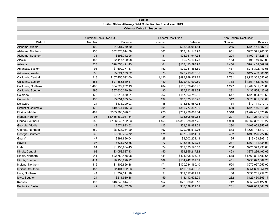| <b>Table 8F</b>             |                          |                                                             |                                   |                            |        |                                |  |  |  |  |  |  |
|-----------------------------|--------------------------|-------------------------------------------------------------|-----------------------------------|----------------------------|--------|--------------------------------|--|--|--|--|--|--|
|                             |                          | United States Attorney Debt Collection for Fiscal Year 2019 |                                   |                            |        |                                |  |  |  |  |  |  |
|                             |                          |                                                             | <b>Criminal Debts in Suspense</b> |                            |        |                                |  |  |  |  |  |  |
|                             |                          |                                                             |                                   |                            |        |                                |  |  |  |  |  |  |
|                             | Criminal Debts Owed U.S. |                                                             |                                   | <b>Federal Restitution</b> |        | <b>Non-Federal Restitution</b> |  |  |  |  |  |  |
| <b>District</b>             | Number                   | Balance                                                     | Number                            | <b>Balance</b>             | Number | <b>Balance</b>                 |  |  |  |  |  |  |
| Alabama, Middle             | 102                      | \$1,981,759.30                                              | 153                               | \$38,555,084.14            | 265    | \$129,141,387.12               |  |  |  |  |  |  |
| Alabama, Northern           | 956                      | \$32,776,014.39                                             | 303                               | \$53,494,147.98            | 851    | \$228,371,900.55               |  |  |  |  |  |  |
| Alabama, Southern           | 31                       | \$598,742.96                                                | 81                                | \$25,751,947.38            | 294    | \$102,137,828.16               |  |  |  |  |  |  |
| Alaska                      | 185                      | \$2,417,120.98                                              | 57                                | \$6,273,164.73             | 153    | \$95,740,159.09                |  |  |  |  |  |  |
| Arizona                     | 328                      | \$28,556,491.43                                             | 401                               | \$128,413,597.93           | 1,450  | \$784,458,009.99               |  |  |  |  |  |  |
| Arkansas, Eastern           | 91                       | \$1,609,771.47                                              | 152                               | \$29,251,464.69            | 437    | \$218,392,443.56               |  |  |  |  |  |  |
| Arkansas, Western           | 556                      | \$5,824,179.32                                              | 78                                | \$23,719,809.60            | 225    | \$127,433,585.91               |  |  |  |  |  |  |
| California, Central         | 1,318                    | \$157,456,592.60                                            | 1,120                             | \$893,789,979.73           | 2,731  | \$3,723,302,556.03             |  |  |  |  |  |  |
| California, Eastern         | 483                      | \$21,886,840.11                                             | 440                               | \$222,417,999.89           | 788    | \$1,151,462,459.67             |  |  |  |  |  |  |
| California, Northern        | 1,463                    | \$64,927,202.19                                             | 404                               | \$156,890,480.92           | 1,277  | \$1,269,531,973.80             |  |  |  |  |  |  |
| California, Southern        | 396                      | \$67,635,370.89                                             | 90                                | \$67,712,599.34            | 281    | \$436,564,425.99               |  |  |  |  |  |  |
| Colorado                    | 176                      | \$7,616,550.21                                              | 262                               | \$187,803,716.82           | 647    | \$429,904,513.60               |  |  |  |  |  |  |
| Connecticut                 | 135                      | \$5,851,033.74                                              | 137                               | \$57,875,500.49            | 512    | \$870,035,658.63               |  |  |  |  |  |  |
| Delaware                    | 24                       | \$133,290.03                                                | 48                                | \$13,653,587.34            | 184    | \$70,111,972.19                |  |  |  |  |  |  |
| <b>District of Columbia</b> | 178                      | \$19,844,045.63                                             | 201                               | \$350,777,367.60           | 600    | \$423,116,513.34               |  |  |  |  |  |  |
| Florida, Middle             | 407                      | \$305,983,590.01                                            | 725                               | \$731,426,069.84           | 1,518  | \$3,202,451,576.62             |  |  |  |  |  |  |
| Florida, Northern           | 95                       | \$1,435,369,031.34                                          | 124                               | \$33,508,969.65            | 297    | \$271,287,379.43               |  |  |  |  |  |  |
| Florida, Southern           | 956                      | \$186,646,102.03                                            | 1,456                             | \$5,355,838,847.25         | 1,990  | \$6,562,352,610.27             |  |  |  |  |  |  |
| Georgia, Middle             | 49                       | \$574,993.52                                                | 115                               | \$53,598,882.53            | 234    | \$103,002,953.07               |  |  |  |  |  |  |
| Georgia, Northern           | 389                      | \$8,338,234.29                                              | 167                               | \$79,968,512.76            | 873    | \$1,623,743,812.79             |  |  |  |  |  |  |
| Georgia, Southern           | 940                      | \$7,803,704.72                                              | 171                               | \$67,953,014.01            | 462    | \$195,226,727.07               |  |  |  |  |  |  |
| Guam*                       | 47                       | \$391,896.04                                                | 28                                | \$1,202,224.13             | 95     | \$19,463,393.16                |  |  |  |  |  |  |
| Hawaii                      | 97                       | \$631,072.85                                                | 77                                | \$15,815,472.71            | 277    | \$161,731,334.91               |  |  |  |  |  |  |
| Idaho                       | 94                       | \$1,135,964.43                                              | 74                                | \$19,595,520.53            | 206    | \$221,579,996.03               |  |  |  |  |  |  |
| Illinois, Central           | 98                       | \$3,058,537.43                                              | 150                               | \$34,855,217.82            | 463    | \$377,236,162.66               |  |  |  |  |  |  |
| Illinois, Northern          | 941                      | \$22,750,468.98                                             | 831                               | \$424,308,108.98           | 2,578  | \$4,661,891,583.65             |  |  |  |  |  |  |
| Illinois, Southern          | 414                      | \$6,136,228.22                                              | 109                               | \$114,942,582.01           | 451    | \$253,692,887.73               |  |  |  |  |  |  |
| Indiana, Northern           | 116                      | \$1,406,866.88                                              | 171                               | \$100,234,160.10           | 524    | \$272,967,257.90               |  |  |  |  |  |  |
| Indiana, Southern           | 157                      | \$2,401,932.03                                              | 71                                | \$10,626,466.63            | 413    | \$354,659,854.24               |  |  |  |  |  |  |
| lowa, Northern              | 44                       | \$1,759,311.28                                              | 51                                | \$12,617,421.29            | 166    | \$330,281,252.73               |  |  |  |  |  |  |
| Iowa, Southern              | 24                       | \$211,930.38                                                | 59                                | \$13,112,672.29            | 282    | \$125,430,863.17               |  |  |  |  |  |  |
| Kansas                      | 197                      | \$18,046,844.67                                             | 152                               | \$72,506,896.13            | 742    | \$353,429,422.98               |  |  |  |  |  |  |
| Kentucky, Eastern           | 42                       | \$1,007,457.00                                              | 48                                | \$16,039,951.02            | 261    | \$267,053,361.77               |  |  |  |  |  |  |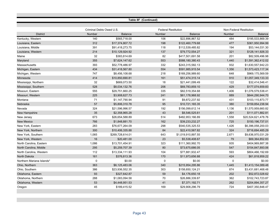|                           |                          |                  | Table 8F (Continued)       |                    |               |                                |
|---------------------------|--------------------------|------------------|----------------------------|--------------------|---------------|--------------------------------|
|                           |                          |                  |                            |                    |               |                                |
|                           | Criminal Debts Owed U.S. |                  | <b>Federal Restitution</b> |                    |               | <b>Non-Federal Restitution</b> |
| <b>District</b>           | Number                   | <b>Balance</b>   | Number                     | <b>Balance</b>     | <b>Number</b> | <b>Balance</b>                 |
| Kentucky, Western         | 140                      | \$565,718.00     | 106                        | \$22,896,867.52    | 484           | \$195,533,869.39               |
| Louisiana, Eastern        | 312                      | \$17,374,807.72  | 198                        | \$122,460,779.68   | 477           | \$361,950,994.99               |
| Louisiana, Middle         | 391                      | \$91,418,273.75  | 118                        | \$112,539,485.82   | 194           | \$53,144,031.30                |
| Louisiana, Western        | 214                      | \$10,129,924.92  | 137                        | \$79,772,554.27    | 321           | \$128,141,926.33               |
| Maine                     | 32                       | \$383,814.69     | 82                         | \$417.501.691.58   | 201           | \$82,509,496.98                |
| Maryland                  | 355                      | \$7,624,147.62   | 553                        | \$588,180,380.43   | 1,440         | \$1,591,362,412.02             |
| Massachusetts             | 393                      | \$52,778,486.97  | 332                        | \$243,315,582.13   | 932           | \$1,630,557,942.23             |
| Michigan, Eastern         | 434                      | \$31,418,567.80  | 554                        | \$591,985,915.54   | 1,356         | \$1,573,423,117.34             |
| Michigan, Western         | 747                      | \$8,456,108.68   | 218                        | \$169,256,989.60   | 648           | \$969,175,569.59               |
| Minnesota                 | 414                      | \$10,850,690.81  | 161                        | \$51,474,315.14    | 910           | \$1,057,349,133.33             |
| Mississippi, Northern     | 32                       | \$669,073.50     | 18                         | \$21,441,099.49    | 122           | \$32,414,546.41                |
| Mississippi, Southern     | 528                      | \$8,034,132.76   | 206                        | \$69,783,859.10    | 429           | \$177,074,659.83               |
| Missouri, Eastern         | 555                      | \$29,751,660.25  | 335                        | \$82,519,354.68    | 1,406         | \$1,076,579,538.41             |
| Missouri, Western         | 225                      | \$3,908,627.73   | 241                        | \$61,178,968.92    | 889           | \$644,290,944.70               |
| Montana                   | 71                       | \$1,147,790.94   | 91                         | \$9,872,237.92     | 431           | \$103,115,873.77               |
| Nebraska                  | 57                       | \$5,806,310.78   | 95                         | \$10,721,165.35    | 380           | \$159,854,238.94               |
| Nevada                    | 324                      | \$21,596,996.57  | 192                        | \$156,099,612.14   | 1,136         | \$1,570,959,660.82             |
| New Hampshire             | 35                       | \$2,358,965.28   | 43                         | \$8,546,525.61     | 201           | \$111,071,882.81               |
| New Jersey                | 673                      | \$26,654,588.89  | 514                        | \$482,953,166.89   | 1,558         | \$20,524,621,478.76            |
| <b>New Mexico</b>         | 766                      | \$1,848,881.70   | 162                        | \$39,233,232.27    | 725           | \$150,196,737.01               |
| New York, Eastern         | 283                      | \$76,677,264.09  | 298                        | \$540,535,325.53   | 1,426         | \$6,396,058,200.03             |
| New York, Northern        | 300                      | \$10,406,335.88  | 84                         | \$22,410,567.82    | 324           | \$716,694,485.29               |
| New York, Southern        | 1,065                    | \$269,728,614.01 | 643                        | \$1,019,910,897.55 | 2,671         | \$9,636,970,031.29             |
| New York, Western         | 16                       | \$20.481.00      | 23                         | \$5.538.408.67     | 79            | \$69.364.852.83                |
| North Carolina, Eastern   | 1,086                    | \$13,701,454.91  | 323                        | \$111,360,992.70   | 935           | \$404,969,887.38               |
| North Carolina, Middle    | 295                      | \$5,259,707.39   | 80                         | \$73,675,686.05    | 547           | \$154,847,893.06               |
| North Carolina, Western   | 112                      | \$13,334,111.93  | 104                        | \$77,881,932.47    | 593           | \$804,466,192.69               |
| <b>North Dakota</b>       | 161                      | \$376,813.36     | 170                        | \$11,973,656.88    | 424           | \$61,818,959.22                |
| Northern Mariana Islands* | $\Omega$                 | \$0.00           | $\Omega$                   | \$0.00             | 0             | \$0.00                         |
| Ohio, Northern            | 363                      | \$6,125,483.06   | 340                        | \$215,954,295.86   | 1,445         | \$1,413,154,089.48             |
| Ohio, Southern            | 386                      | \$23,936,552.35  | 303                        | \$158,650,124.21   | 874           | \$3,431,681,468.48             |
| Oklahoma, Eastern         | 93                       | \$327,642.87     | 59                         | \$4,176,650.18     | 202           | \$52,872,028.62                |
| Oklahoma, Northern        | 288                      | \$1,083,094.58   | 70                         | \$26,886,339.87    | 362           | \$102,743,723.87               |
| Oklahoma, Western         | 53                       | \$4,448,951.53   | 41                         | \$7,371,192.71     | 262           | \$204,894,357.27               |
| Oregon                    | 45                       | \$189,415.52     | 169                        | \$29,908,296.79    | 724           | \$407,350,848.47               |
|                           |                          |                  |                            |                    |               |                                |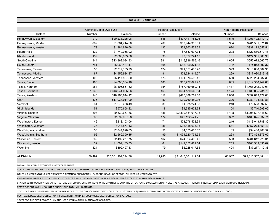| Table 8F (Continued)    |        |                                     |        |                                              |        |                                           |  |  |  |  |  |
|-------------------------|--------|-------------------------------------|--------|----------------------------------------------|--------|-------------------------------------------|--|--|--|--|--|
|                         |        |                                     |        |                                              |        |                                           |  |  |  |  |  |
| <b>District</b>         | Number | Criminal Debts Owed U.S.<br>Balance | Number | <b>Federal Restitution</b><br><b>Balance</b> | Number | <b>Non-Federal Restitution</b><br>Balance |  |  |  |  |  |
| Pennsylvania, Eastern   | 910    | \$20.238.225.06                     | 545    | \$497.411.754.26                             | 1,545  | \$1,293,402,110.72                        |  |  |  |  |  |
| Pennsylvania, Middle    | 882    | \$1,064,744.60                      | 209    | \$60,944,355.01                              | 984    | \$261,581,871.04                          |  |  |  |  |  |
| Pennsylvania, Western   | 79     | \$1,984,876.68                      | 133    | \$39,863,533.68                              | 624    | \$937,172,557.54                          |  |  |  |  |  |
| Puerto Rico             | 122    | \$1,749,056.02                      | 78     | \$7,637,697.34                               | 298    | \$127,680,672.48                          |  |  |  |  |  |
| Rhode Island            | 139    | \$2,666,833.66                      | 33     | \$9,027,274.12                               | 161    | \$124,355,388.98                          |  |  |  |  |  |
| South Carolina          | 344    | \$13,862,034.93                     | 381    | \$116,936,566.16                             | 1,655  | \$652,672,562.72                          |  |  |  |  |  |
| South Dakota            | 741    | \$5,969,137.47                      | 104    | \$53,900,374.53                              | 792    | \$74,843,202.37                           |  |  |  |  |  |
| Tennessee. Eastern      | 55     | \$2,317,165.99                      | 124    | \$91,551,485.20                              | 399    | \$318,838,507.35                          |  |  |  |  |  |
| Tennessee, Middle       | 87     | \$4,959,934.87                      | 81     | \$23,624,849.57                              | 299    | \$317,030,813.38                          |  |  |  |  |  |
| Tennessee, Western      | 100    | \$5,417,867.80                      | 173    | \$131,876,592.42                             | 550    | \$226,234,282.36                          |  |  |  |  |  |
| Texas, Eastern          | 168    | \$4,008,364.16                      | 183    | \$65,777,072.23                              | 665    | \$1,014,550,442.88                        |  |  |  |  |  |
| Texas. Northern         | 284    | \$6,106,551.82                      | 354    | \$757,169,689.14                             | 1,437  | \$1,768,242,240.01                        |  |  |  |  |  |
| Texas, Southern         | 1,045  | \$343,941,065.66                    | 466    | \$634,180,646.54                             | 1.174  | \$1,485,055,731.75                        |  |  |  |  |  |
| Texas, Western          | 945    | \$18,265,644.12                     | 312    | \$427,189,762.68                             | 1,050  | \$897,819,177.06                          |  |  |  |  |  |
| Utah                    | 135    | \$17,938,011.00                     | 50     | \$30,760,580.36                              | 326    | \$289,124,189.83                          |  |  |  |  |  |
| Vermont                 | 34     | \$1,275,436.49                      | 30     | \$1,835,224.98                               | 210    | \$79,598,392.50                           |  |  |  |  |  |
| Virgin Islands          | 51     | \$575,658.22                        | 8      | \$1,685,602.64                               | 54     | \$9,710,993.00                            |  |  |  |  |  |
| Virginia, Eastern       | 393    | \$9,330,657.86                      | 386    | \$2,330,881,017.98                           | 1,408  | \$3,298,607,446.60                        |  |  |  |  |  |
| Virginia, Western       | 263    | \$2,592,097.28                      | 174    | \$49,192,571.22                              | 392    | \$186,625,832.71                          |  |  |  |  |  |
| Washington, Eastern     | 46     | \$218,103.06                        | 71     | \$23,278,502.31                              | 216    | \$113,043,788.39                          |  |  |  |  |  |
| Washington, Western     | 36     | \$914,877.13                        | 86     | \$36,858,605.33                              | 541    | \$357.273.351.42                          |  |  |  |  |  |
| West Virginia, Northern | 58     | \$2,844,828.63                      | 58     | \$4,650,405.37                               | 185    | \$34,438,401.57                           |  |  |  |  |  |
| West Virginia, Southern | 96     | \$2,560,390.35                      | 99     | \$1.091.520.791.55                           | 268    | \$79,853,373.60                           |  |  |  |  |  |
| Wisconsin, Eastern      | 262    | \$2,492,277.75                      | 162    | \$24,924,469.40                              | 553    | \$284,612,228.31                          |  |  |  |  |  |
| Wisconsin, Western      | 39     | \$1,007,183.33                      | 61     | \$142,552,482.54                             | 255    | \$108,339,335.09                          |  |  |  |  |  |
| Wyoming                 | 424    | \$392,497.43                        | 79     | \$6,228,017.65                               | 404    | \$37,277,419.38                           |  |  |  |  |  |
|                         |        |                                     |        |                                              |        |                                           |  |  |  |  |  |
| <b>All Districts</b>    | 30.499 | \$25,301,207,274.76                 | 19.985 | \$21.647.661.119.34                          | 63.987 | \$99,016,507,484.14                       |  |  |  |  |  |

DATA ON THIS TABLE EXCLUDES ASSET FORFEITURES.

COLLECTED AMOUNT INCLUDES PAYMENTS RECEIVED BY THE UNITED STATES ATTORNEYS, THE COURTS, AND OTHER AGENCIES.

OTHER ADJUSTMENTS INCLUDE TRANSFERS, REMANDS, PRESIDENTIAL PARDONS, DEATH OF DEBTOR, BALANCE ADJUSTMENTS, ETC.

A NEGATIVE NUMBER RESULTS WHEN ADJUSTMENTS TO AMOUNTS RECORDED IN PRIOR FISCAL YEARS EXCEEDED ACTUAL FISCAL TOTALS.

SHARED DEBTS OCCUR WHEN MORE THAN ONE UNITED STATES ATTORNEY'S OFFICE PARTICIPATES IN THE LITIGATION AND COLLECTION OF A DEBT. AS A RESULT, THE DEBT IS REFLECTED IN EACH DISTRICT'S INDIVIDUAL

STATISTICS BUT IS ONLY COUNTED ONCE IN THE TOTAL (ALL DISTRICTS).

STATISTICS WERE GENERATED FROM THE DEPARTMENT-WIDE CONSOLIDATED DEBT COLLECTION SYSTEM (CDCS) IMPLEMENTED IN THE UNITED STATES ATTORNEYS' OFFICES IN FISCAL YEAR 2007. CDCS

CENTRALIZED ALL DEBT COLLECTION INFORMATION FROM PREVIOUSLY USED DEBT COLLECTION SYSTEMS.

\* DATA FOR THE DISTRICTS OF GUAM AND NORTHERN MARIANA ISLANDS ARE COMBINED.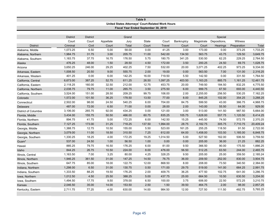| Table 9              |                 |                 |           |                                                   |              |          |            |            |              |             |           |  |
|----------------------|-----------------|-----------------|-----------|---------------------------------------------------|--------------|----------|------------|------------|--------------|-------------|-----------|--|
|                      |                 |                 |           | United States Attorneys' Court-Related Work Hours |              |          |            |            |              |             |           |  |
|                      |                 |                 |           | Fiscal Year Ended September 30, 2019              |              |          |            |            |              |             |           |  |
|                      |                 |                 |           |                                                   |              |          |            |            |              |             |           |  |
|                      | <b>District</b> | <b>District</b> |           | Grand                                             |              |          |            |            | Special      |             |           |  |
|                      | Court           | Court           | Appellate | Jury                                              | <b>State</b> | Court    | Bankruptcy | Magistrate | Depositions, | Witness     |           |  |
| <b>District</b>      | Criminal        | Civil           | Court     | Total                                             | Court        | Travel   | Court      | Court      | Hearings     | Preparation | Total     |  |
| Alabama, Middle      | 1,073.25        | 6.50            | 5.00      | 58.00                                             | 0.00         | 41.25    | 3.00       | 173.00     | 0.00         | 373.25      | 1,733.25  |  |
| Alabama, Northern    | 1,984.75        | 31.75           | 3.00      | 205.75                                            | 11.00        | 542.00   | 134.50     | 563.75     | 43.75        | 129.50      | 3,649.75  |  |
| Alabama, Southern    | 1,183.75        | 37.75           | 16.75     | 176.50                                            | 5.75         | 180.75   | 341.25     | 530.50     | 62.25        | 229.25      | 2,764.50  |  |
| Alaska               | 476.25          | 48.00           | 1.50      | 28.50                                             | 4.50         | 172.00   | 3.50       | 200.25     | 24.50        | 69.75       | 1,028.75  |  |
| Arizona              | 3,650.25        | 246.00          | 29.25     | 402.25                                            | 7.50         | 532.00   | 20.00      | 3,071.25   | 402.25       | 973.25      | 9,334.00  |  |
| Arkansas, Eastern    | 1,008.50        | 20.50           | 9.00      | 555.75                                            | 2.00         | 19.00    | 0.00       | 563.50     | 7.00         | 131.00      | 2,316.25  |  |
| Arkansas, Western    | 401.25          | 0.00            | 6.00      | 142.25                                            | 16.00        | 719.50   | 5.50       | 142.50     | 0.00         | 331.50      | 1,764.50  |  |
| California, Central  | 6,673.00        | 387.25          | 52.75     | 611.25                                            | 26.50        | 1,097.25 | 403.50     | 1,163.25   | 885.75       | 1,161.25    | 12,461.75 |  |
| California, Eastern  | 2,118.25        | 160.00          | 32.50     | 212.00                                            | 12.75        | 453.75   | 20.00      | 749.50     | 184.50       | 832.25      | 4,775.50  |  |
| California, Northern | 2,038.75        | 79.75           | 11.00     | 265.75                                            | 3.50         | 275.50   | 6.00       | 999.75     | 67.50        | 693.00      | 4,440.50  |  |
| California, Southern | 3,524.00        | 151.00          | 28.50     | 209.25                                            | 99.75        | 106.00   | 2.00       | 2,255.00   | 256.50       | 530.25      | 7,162.25  |  |
| Colorado             | 1,572.00        | 101.50          | 36.25     | 178.50                                            | 13.50        | 77.00    | 8.00       | 845.25     | 102.00       | 354.25      | 3,288.25  |  |
| Connecticut          | 2,502.00        | 98.00           | 24.50     | 540.25                                            | 6.00         | 704.00   | 84.75      | 599.50     | 43.00        | 366.75      | 4,968.75  |  |
| Delaware             | 487.00          | 72.00           | 6.50      | 71.00                                             | 0.00         | 28.00    | 2.00       | 143.00     | 55.50        | 64.00       | 929.00    |  |
| District of Columbia | 3,106.00        | 265.75          | 92.00     | 434.25                                            | 0.00         | 121.00   | 3.00       | 513.00     | 141.50       | 987.50      | 5,664.00  |  |
| Florida, Middle      | 3,434.00        | 155.75          | 50.50     | 466.00                                            | 60.75        | 835.25   | 105.75     | 1,628.00   | 557.75       | 1,120.50    | 8,414.25  |  |
| Florida, Northern    | 894.75          | 41.75           | 5.00      | 172.25                                            | 6.00         | 142.50   | 15.25      | 445.50     | 74.50        | 572.75      | 2,370.25  |  |
| Florida, Southern    | 7,127.25        | 173.00          | 31.25     | 718.25                                            | 137.50       | 1,994.00 | 28.75      | 2,182.75   | 305.75       | 7,710.75    | 20,409.24 |  |
| Georgia, Middle      | 1,388.75        | 12.75           | 10.50     | 155.00                                            | 5.50         | 523.00   | 161.25     | 255.25     | 118.50       | 91.50       | 2,722.00  |  |
| Georgia, Northern    | 3,079.00        | 11.00           | 18.50     | 310.50                                            | 7.25         | 612.00   | 64.00      | 1,458.00   | 103.50       | 1,185.00    | 6,848.75  |  |
| Georgia, Southern    | 1,330.25        | 18.25           | 4.00      | 172.25                                            | 19.25        | 1,014.50 | 5.00       | 527.50     | 162.00       | 506.50      | 3,759.50  |  |
| Guam*                | 537.00          | 24.50           | 1.00      | 56.50                                             | 1.00         | 0.00     | 0.00       | 205.00     | 36.00        | 21.25       | 882.25    |  |
| Hawaii               | 885.25          | 79.75           | 16.50     | 176.25                                            | 6.00         | 81.00    | 9.50       | 366.50     | 90.00        | 175.50      | 1,886.25  |  |
| Idaho                | 844.25          | 26.75           | 10.50     | 224.00                                            | 8.00         | 476.00   | 56.50      | 512.25     | 63.50        | 244.00      | 2,465.75  |  |
| Illinois, Central    | 1,163.50        | 7.00            | 3.25      | 80.00                                             | 4.25         | 328.25   | 9.50       | 205.00     | 25.00        | 359.50      | 2,185.24  |  |
| Illinois, Northern   | 1,946.25        | 361.50          | 31.00     | 147.25                                            | 14.50        | 76.75    | 36.00      | 209.50     | 252.00       | 830.00      | 3,904.75  |  |
| Illinois, Southern   | 647.75          | 85.00           | 18.00     | 122.75                                            | 12.00        | 868.50   | 8.00       | 208.00     | 73.50        | 340.50      | 2,384.00  |  |
| Indiana, Northern    | 1,298.00        | 6.50            | 31.00     | 130.75                                            | 0.50         | 171.00   | 29.75      | 519.00     | 141.00       | 664.25      | 2,991.75  |  |
| Indiana, Southern    | 1,333.50        | 88.25           | 19.50     | 176.25                                            | 2.00         | 409.75   | 36.25      | 477.50     | 102.75       | 641.00      | 3,286.75  |  |
| Iowa, Northern       | 1,012.50        | 4.50            | 25.50     | 388.25                                            | 5.00         | 437.75   | 25.00      | 664.50     | 10.50        | 630.50      | 3,204.00  |  |
| Iowa, Southern       | 1,494.50        | 17.75           | 9.50      | 378.00                                            | 6.50         | 100.00   | 3.75       | 606.00     | 22.50        | 572.25      | 3,210.75  |  |
| Kansas               | 2,046.50        | 35.00           | 14.00     | 153.50                                            | 2.50         | 1.50     | 39.50      | 464.75     | 2.00         | 98.00       | 2,857.25  |  |
| Kentucky, Eastern    | 2,711.75        | 77.25           | 4.00      | 630.00                                            | 14.00        | 984.50   | 12.00      | 727.50     | 111.50       | 492.75      | 5,765.25  |  |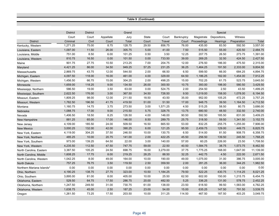|                           |                 |                 |               |          | Table 9 (Continued) |          |            |             |              |             |           |
|---------------------------|-----------------|-----------------|---------------|----------|---------------------|----------|------------|-------------|--------------|-------------|-----------|
|                           |                 |                 |               |          |                     |          |            |             |              |             |           |
|                           |                 |                 |               |          |                     |          |            |             |              |             |           |
|                           | <b>District</b> | <b>District</b> |               | Grand    |                     |          |            |             | Special      |             |           |
|                           | Court           | Court           | Appellate     | Jury     | State               | Court    | Bankruptcy | Magistrate  | Depositions, | Witness     |           |
| <b>District</b>           | Criminal        | Civil           | Court<br>8.75 | Total    | Court               | Travel   | Court      | Proceedings | Hearings     | Preparation | Total     |
| Kentucky, Western         | 1,271.25        | 75.00           |               | 128.75   | 29.50               | 856.75   | 76.00      | 435.00      | 83.50        | 592.50      | 3,557.00  |
| Louisiana, Eastern        | 1,097.00        | 11.50           | 26.00         | 305.75   | 5.00                | 41.00    | 7.50       | 515.50      | 55.00        | 420.50      | 2,484.75  |
| Louisiana, Middle         | 751.00          | 8.50            | 6.00          | 101.25   | 0.50                | $3.50\,$ | 12.25      | 207.75      | 26.50        | 273.75      | 1,391.00  |
| Louisiana, Western        | 810.75          | 16.50           | 0.00          | 101.50   | 0.00                | 733.50   | 39.00      | 269.25      | 32.50        | 424.50      | 2,427.50  |
| Maine                     | 901.75          | 27.75           | 10.50         | 213.25   | 7.00                | 204.75   | 12.00      | 276.50      | 186.00       | 475.50      | 2,315.00  |
| Maryland                  | 4,421.25        | 86.00           | 34.50         | 949.25   | 57.25               | 231.25   | 36.25      | 1,464.25    | 191.50       | 2,333.00    | 9,804.50  |
| Massachusetts             | 2,869.75        | 43.75           | 12.00         | 544.50   | 2.00                | 66.50    | 6.50       | 599.50      | 66.00        | 684.25      | 4,894.75  |
| Michigan, Eastern         | 4,097.50        | 118.00          | 16.00         | 461.00   | 4.00                | 329.00   | 64.50      | 1,186.25    | 182.00       | 1,454.00    | 7,912.25  |
| Michigan, Western         | 1,456.50        | 66.75           | 15.00         | 304.25   | 2.00                | 498.25   | 15.00      | 702.25      | 61.75        | 523.75      | 3,645.50  |
| Minnesota                 | 1,659.00        | 118.25          | 9.00          | 134.50   | 26.00               | 300.50   | 10.75      | 393.00      | 198.00       | 580.50      | 3,429.50  |
| Mississippi, Northern     | 586.50          | 19.00           | 3.50          | 63.00    | 0.00                | 524.75   | 2.00       | 254.50      | 2.50         | 43.50       | 1,499.25  |
| Mississippi, Southern     | 2,622.50        | 176.00          | 3.00          | 367.50   | 34.50               | 726.50   | 9.50       | 1,019.00    | 158.00       | 1,078.00    | 6,194.50  |
| Missouri, Eastern         | 1,809.25        | 98.00           | 12.00         | 211.50   | 18.50               | 43.50    | 35.00      | 952.00      | 105.25       | 472.25      | 3,757.25  |
| Missouri, Western         | 1,782.50        | 196.50          | 41.75         | 419.50   | 51.00               | 51.50    | 17.00      | 948.75      | 39.50        | 1,164.50    | 4,712.50  |
| Montana                   | 1,160.75        | 14.75           | 3.75          | 273.50   | 3.00                | 1,571.25 | 4.50       | 515.25      | 58.50        | 80.75       | 3,686.00  |
| Nebraska                  | 1,088.75        | 17.00           | 9.00          | 215.50   | 5.75                | 328.75   | 13.75      | 680.50      | 48.50        | 332.50      | 2,740.00  |
| Nevada                    | 1,406.50        | 18.50           | 8.25          | 126.50   | 4.00                | 146.00   | 90.50      | 592.50      | 185.50       | 831.00      | 3,409.25  |
| New Hampshire             | 881.25          | 65.00           | 17.00         | 146.00   | 8.50                | 289.75   | 25.75      | 318.50      | 59.50        | 1,341.50    | 3,152.75  |
| New Jersey                | 4,109.00        | 185.50          | 24.00         | 509.50   | 16.50               | 665.50   | 53.00      | 832.25      | 255.75       | 1,255.00    | 7,906.00  |
| <b>New Mexico</b>         | 3,000.25        | 132.00          | 42.00         | 390.25   | 6.00                | 121.25   | 95.50      | 2,459.75    | 129.00       | 449.75      | 6,825.75  |
| New York, Eastern         | 4,119.00        | 304.25          | 37.50         | 246.50   | 10.00               | 130.75   | 6.50       | 514.00      | 81.50        | 908.75      | 6,358.75  |
| New York, Northern        | 485.25          | 10.00           | 20.75         | 141.00   | 2.00                | 422.25   | 45.50      | 256.50      | 139.50       | 245.50      | 1,768.25  |
| New York, Southern        | 973.00          | 139.25          | 64.50         | 22.00    | 3.00                | 140.00   | 57.00      | 60.25       | 226.00       | 23.50       | 1,708.50  |
| New York, Western         | 4,235.50        | 112.50          | 47.50         | 747.75   | 59.00               | 22.50    | 40.50      | 1,584.75    | 38.75        | 1,573.75    | 8,462.50  |
| North Carolina, Eastern   | 3,387.50        | 105.25          | 24.50         | 698.75   | 16.00               | 3,279.00 | 37.75      | 1,775.25    | 168.00       | 1,647.00    | 11,139.00 |
| North Carolina, Middle    | 1,608.25        | 17.75           | 8.00          | 219.25   | 28.25               | 88.50    | 32.25      | 442.75      | 4.50         | 222.00      | 2,671.50  |
| North Carolina, Western   | 1,042.25        | 8.00            | 49.00         | 164.00   | 10.00               | 190.00   | 49.00      | 1,075.00    | 31.00        | 386.75      | 3,005.00  |
| North Dakota              | 757.25          | 76.75           | 3.50          | 119.50   | 2.50                | 359.50   | 2.00       | 281.25      | 36.00        | 344.25      | 1,982.50  |
| Northern Mariana Islands* | 0.00            | 0.00            | 0.00          | $0.00\,$ | 0.00                | 0.00     | 0.00       | 0.00        | 0.00         | 0.00        | 0.00      |
| Ohio, Northern            | 4,190.25        | 138.75          | 27.75         | 323.00   | 10.50               | 1,184.25 | 79.50      | 522.25      | 430.75       | 1,114.25    | 8,021.25  |
| Ohio, Southern            | 3,895.00        | 81.00           | 8.00          | 405.00   | 10.00               | 25.50    | 62.50      | 602.00      | 150.00       | 1,215.75    | 6,454.75  |
| Oklahoma, Eastern         | 529.50          | 64.75           | 17.50         | 286.75   | 20.00               | 482.50   | 5.25       | 336.25      | 131.00       | 578.75      | 2,452.25  |
| Oklahoma, Northern        | 1,247.50        | 249.50          | 31.00         | 730.75   | 61.00               | 138.00   | 23.50      | 618.50      | 99.50        | 1,583.00    | 4,782.25  |
| Oklahoma, Western         | 1,638.75        | 45.00           | 2.50          | 187.25   | 23.00               | 54.00    | 15.00      | 635.25      | 147.50       | 791.50      | 3,539.75  |
| Oregon                    | 1,261.50        | 73.25           | 17.50         | 203.50   | 10.00               | 311.25   | 114.50     | 467.50      | 187.50       | 403.25      | 3,049.75  |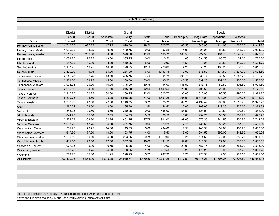|                         |                 |                 |           |           | Table 9 (Continued) |           |            |             |              |             |            |
|-------------------------|-----------------|-----------------|-----------|-----------|---------------------|-----------|------------|-------------|--------------|-------------|------------|
|                         |                 |                 |           |           |                     |           |            |             |              |             |            |
|                         |                 |                 |           |           |                     |           |            |             |              |             |            |
|                         | <b>District</b> | <b>District</b> |           | Grand     |                     |           |            |             | Special      |             |            |
|                         | Court           | Court           | Appellate | Jury      | <b>State</b>        | Court     | Bankruptcy | Magistrate  | Depositions, | Witness     |            |
| <b>District</b>         | Criminal        | Civil           | Court     | Total     | Court               | Travel    | Court      | Proceedings | Hearings     | Preparation | Total      |
| Pennsylvania, Eastern   | 4,740.25        | 627.25          | 117.25    | 929.00    | 19.50               | 623.75    | 62.50      | 1,046.00    | 414.00       | 1,365.25    | 9,944.75   |
| Pennsylvania, Middle    | 1,955.25        | 64.25           | 30.00     | 180.75    | 0.00                | 397.25    | 4.00       | 321.25      | 88.50        | 913.00      | 3,954.25   |
| Pennsylvania, Western   | 3,210.75        | 256.00          | 0.00      | 370.50    | 11.00               | 165.75    | 183.50     | 722.50      | 161.75       | 1,946.25    | 7,028.00   |
| Puerto Rico             | 3,029.75        | 75.25           | 13.00     | 365.25    | 0.00                | 10.50     | 11.00      | 1,091.50    | 65.75        | 64.00       | 4,726.00   |
| Rhode Island            | 517.25          | 15.00           | 8.00      | 110.25    | 5.00                | 0.00      | 1.50       | 379.25      | 39.50        | 449.00      | 1,524.75   |
| South Carolina          | 3,187.75        | 110.75          | 16.00     | 170.25    | 12.50               | 726.00    | 14.25      | 856.25      | 188.25       | 333.00      | 5,615.00   |
| South Dakota            | 2,420.00        | 6.75            | 34.00     | 284.00    | 6.00                | 1,483.75  | 0.00       | 1,378.50    | 174.50       | 3,837.00    | 9,624.50   |
| Tennessee, Eastern      | 2,246.23        | 62.75           | 43.50     | 335.75    | 27.50               | 601.75    | 195.75     | 1,836.74    | 39.50        | 1,343.25    | 6,732.72   |
| Tennessee, Middle       | 2,161.50        | 88.75           | 15.00     | 200.50    | 33.00               | 135.25    | 46.50      | 539.25      | 109.25       | 1,257.00    | 4,586.00   |
| Tennessee, Western      | 3,078.25        | 29.00           | 16.25     | 345.00    | 19.75               | 54.00     | 138.50     | 883.75      | 50.50        | 406.50      | 5,021.50   |
| Texas, Eastern          | 2,050.50        | 4.00            | 11.50     | 215.50    | 42.00               | 1,449.50  | 20.00      | 1,405.50    | 20.00        | 558.00      | 5,776.50   |
| Texas, Northern         | 3,247.75        | 80.25           | 34.00     | 238.25    | 22.00               | 323.75    | 35.00      | 1,813.00    | 90.50        | 495.25      | 6,379.75   |
| Texas, Southern         | 8,809.75        | 404.50          | 23.25     | 1,018.25  | 51.00               | 1,691.25  | 205.00     | 5,844.00    | 371.25       | 1,297.75    | 19,716.00  |
| Texas, Western          | 6,388.99        | 147.50          | 27.50     | 1,148.75  | 53.75               | 825.75    | 69.25      | 4,499.49    | 200.00       | 2,618.25    | 15,979.23  |
| Utah                    | 967.74          | 28.50           | 2.00      | 165.50    | 1.50                | 154.50    | 0.00       | 703.99      | 113.25       | 227.00      | 2,363.98   |
| Vermont                 | 548.25          | 20.50           | 5.50      | 210.25    | 0.00                | 585.00    | 58.50      | 124.00      | 30.50        | 299.50      | 1,882.00   |
| Virgin Islands          | 844.75          | 15.50           | 7.75      | 84.75     | 9.50                | 79.50     | 0.00       | 294.75      | 83.50        | 205.75      | 1,625.75   |
| Virginia, Eastern       | 3,176.75        | 308.50          | 54.25     | 651.25    | 37.75               | 801.00    | 98.00      | 970.25      | 244.50       | 1,400.50    | 7,742.75   |
| Virginia, Western       | 1,638.25        | 47.75           | 4.00      | 461.75    | 9.00                | 570.25    | 7.75       | 435.50      | 59.25        | 357.00      | 3,590.50   |
| Washington, Eastern     | 1,351.75        | 79.75           | 14.00     | 119.25    | 5.00                | 404.00    | 9.50       | 445.50      | 39.00        | 139.25      | 2,607.00   |
| Washington, Western     | 617.50          | 77.50           | 13.00     | 93.75     | 4.00                | 115.50    | 3.00       | 291.50      | 292.00       | 142.50      | 1,650.25   |
| West Virginia, Northern | 1,280.50        | 50.50           | 4.00      | 293.25    | 0.75                | 1,019.00  | 0.25       | 714.50      | 72.00        | 556.25      | 3,991.00   |
| West Virginia, Southern | 1,411.00        | 70.50           | 17.50     | 347.50    | 10.00               | 481.50    | 97.00      | 415.50      | 27.00        | 1,007.75    | 3,885.25   |
| Wisconsin, Eastern      | 1,077.25        | 19.00           | 6.75      | 145.25    | 4.00                | 419.00    | 21.00      | 557.75      | 87.00        | 561.00      | 2,898.00   |
| Wisconsin, Western      | 556.25          | 6.75            | 24.50     | 96.25     | 1.75                | 219.50    | 10.25      | 178.25      | 8.00         | 207.75      | 1,309.25   |
| Wyoming                 | 788.75          | 15.00           | 31.25     | 228.25    | 5.75                | 767.25    | 5.75       | 728.50      | 2.50         | 1,288.50    | 3,861.50   |
| <b>All Districts</b>    | 193,429.93      | 8,564.00        | 1,893.25  | 28,019.74 | 1,459.50            | 42,791.25 | 4,177.50   | 76,446.21   | 11,596.25    | 72,608.50   | 440,986.13 |

DISTRICT OF COLUMBIA DATA DOES NOT INCLUDE DISTRICT OF COLUMBIA SUPERIOR COURT TIME. \* DATA FOR THE DISTRICTS OF GUAM AND NORTHERN MARIANA ISLANDS ARE COMBINED.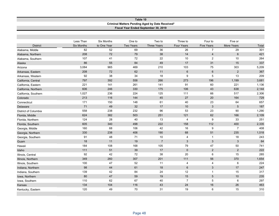## **Table 10 Criminal Matters Pending Aged by Date Received\* Fiscal Year Ended September 30, 2019**

|                             | Less Than         | <b>Six Months</b> | One to           | Two to             | Three to          | Four to           | Five or        |       |
|-----------------------------|-------------------|-------------------|------------------|--------------------|-------------------|-------------------|----------------|-------|
| <b>District</b>             | <b>Six Months</b> | to One Year       | <b>Two Years</b> | <b>Three Years</b> | <b>Four Years</b> | <b>Five Years</b> | More Years     | Total |
| Alabama, Middle             | 82                | 52                | 69               | 36                 | 26                | $\overline{7}$    | 29             | 301   |
| Alabama, Northern           | 208               | 72                | 79               | 38                 | 14                | $\overline{4}$    | $6\phantom{1}$ | 421   |
| Alabama, Southern           | 107               | 41                | $72\,$           | 22                 | 10                | 2                 | 10             | 264   |
| Alaska                      | 86                | 55                | 84               | 49                 | 17                | 31                | 15             | 337   |
| Arizona                     | 3,084             | 965               | 469              | 210                | 103               | 75                | 303            | 5,209 |
| Arkansas, Eastern           | 208               | 72                | 62               | 11                 | $\,6\,$           | $\,6\,$           | $\overline{2}$ | 367   |
| Arkansas, Western           | 92                | 38                | 34               | 18                 | 9                 | 5                 | 13             | 209   |
| California, Central         | 797               | 392               | 558              | 266                | 273               | 196               | 1,199          | 3,681 |
| California, Eastern         | 221               | 141               | 261              | 141                | 91                | 60                | 221            | 1,136 |
| California, Northern        | 606               | 246               | 330              | 175                | 106               | 43                | 638            | 2,144 |
| California, Southern        | 1,027             | 236               | 224              | 125                | 111               | 66                | 517            | 2,306 |
| Colorado                    | 213               | 116               | 144              | 45                 | 27                | 20                | 164            | 729   |
| Connecticut                 | 171               | 150               | 148              | 61                 | 40                | 23                | 64             | 657   |
| Delaware                    | 71                | 49                | 32               | 17                 | 10                | 3                 | 5              | 187   |
| <b>District of Columbia</b> | 558               | 238               | 232              | 96                 | 53                | 23                | 90             | 1,290 |
| Florida, Middle             | 624               | 382               | 503              | 251                | 121               | 62                | 166            | 2,109 |
| Florida, Northern           | 124               | 28                | 40               | 13                 | 4                 | 9                 | 33             | 251   |
| Florida, Southern           | 605               | 340               | 498              | 222                | 158               | 112               | 400            | 2,335 |
| Georgia, Middle             | 160               | 68                | 106              | 42                 | 16                | 9                 | $\overline{7}$ | 408   |
| Georgia, Northern           | 330               | 238               | 406              | 190                | 68                | 51                | 235            | 1,518 |
| Georgia, Southern           | 91                | 48                | $71$             | $10\,$             | $\overline{4}$    | $\mathbf{1}$      | 18             | 243   |
| Guam                        | 18                | 11                | 19               | $\overline{7}$     | $\mathfrak{S}$    | $\mathfrak{S}$    | $\mathbf{3}$   | 64    |
| Hawaii                      | 184               | 108               | 168              | 105                | 79                | 47                | 50             | 741   |
| Idaho                       | 111               | 51                | 39               | 17                 | $\mathbf 0$       | $\overline{2}$    | $\overline{2}$ | 222   |
| Illinois, Central           | 92                | 42                | 72               | 38                 | 20                | 6                 | 15             | 285   |
| Illinois, Northern          | 349               | 260               | 307              | 201                | 111               | 56                | 370            | 1,654 |
| Illinois, Southern          | 100               | 47                | 52               | 11                 | 4                 | 4                 | 6              | 224   |
| Indiana, Northern           | 98                | 44                | 61               | $18$               | $\,6$             | $\mathfrak{S}$    | 17             | 247   |
| Indiana, Southern           | 139               | 42                | 84               | 24                 | 12                | $\mathbf{1}$      | 15             | 317   |
| Iowa, Northern              | 80                | 47                | 59               | 19                 | 15                | $5\phantom{.0}$   | $10$           | 235   |
| Iowa, Southern              | 110               | 62                | 67               | 40                 | $\overline{7}$    | 5                 | 6              | 297   |
| Kansas                      | 134               | 104               | 116              | 43                 | 24                | 16                | 26             | 463   |
| Kentucky, Eastern           | 120               | 49                | 70               | 31                 | 19                | 6                 | 15             | 310   |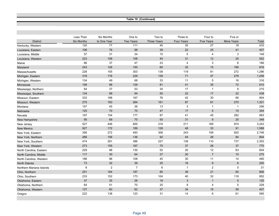**Table 10 (Continued)**

|                          | Less Than         | <b>Six Months</b> | One to           | Two to             | Three to          | Four to           | Five or         |       |
|--------------------------|-------------------|-------------------|------------------|--------------------|-------------------|-------------------|-----------------|-------|
| <b>District</b>          | <b>Six Months</b> | to One Year       | <b>Two Years</b> | <b>Three Years</b> | <b>Four Years</b> | <b>Five Years</b> | More Years      | Total |
| Kentucky, Western        | 120               | 77                | 111              | 45                 | 35                | 27                | 18              | 433   |
| Louisiana, Eastern       | 106               | 76                | 98               | 39                 | 22                | 25                | 41              | 407   |
| Louisiana, Middle        | 57                | 31                | 34               | 15                 | 5                 | 4                 | 3               | 149   |
| Louisiana, Western       | 223               | 108               | 108              | 45                 | 31                | 12                | 25              | 552   |
| Maine                    | 66                | 37                | 47               | 23                 | 4                 | 3                 | 6               | 186   |
| Maryland                 | 243               | 126               | 150              | 60                 | 32                | 15                | 190             | 816   |
| Massachusetts            | 228               | 155               | 303              | 138                | 119               | 81                | 272             | 1,296 |
| Michigan, Eastern        | 318               | 176               | 229              | 139                | 71                | 47                | 279             | 1,259 |
| Michigan, Western        | 134               | 49                | 68               | 33                 | 11                | $\,$ 5 $\,$       | 16              | 316   |
| Minnesota                | 156               | 96                | 129              | 81                 | 41                | 35                | $72\,$          | 610   |
| Mississippi, Northern    | 64                | 37                | 53               | 34                 | 17                | $\mathbf{1}$      | 9               | 215   |
| Mississippi, Southern    | 134               | 99                | 94               | 50                 | 22                | 17                | 22              | 438   |
| Missouri, Eastern        | 333               | 188               | 167              | 76                 | 42                | 30                | 68              | 904   |
| Missouri, Western        | 275               | 183               | 264              | 161                | 87                | 81                | 270             | 1,321 |
| Montana                  | 157               | 45                | 36               | 13                 | $\sqrt{3}$        | $\mathbf{1}$      | $\mathbf 1$     | 256   |
| Nebraska                 | 125               | 70                | 70               | 47                 | 17                | $\sqrt{5}$        | 10              | 344   |
| Nevada                   | 197               | 154               | 177              | 87                 | 41                | 45                | 282             | 983   |
| New Hampshire            | 95                | 69                | 70               | 55                 | 31                | 8                 | 20              | 348   |
| New Jersey               | 527               | 446               | 600              | 316                | 211               | 169               | 974             | 3,243 |
| <b>New Mexico</b>        | 927               | 172               | 189              | 128                | 48                | 33                | 91              | 1,588 |
| New York, Eastern        | 356               | 272               | 493              | 306                | 243               | 158               | 920             | 2,748 |
| New York, Northern       | 266               | 156               | 136              | 92                 | 44                | 26                | 84              | 804   |
| New York, Southern       | 474               | 281               | 386              | 227                | 138               | 110               | 737             | 2,353 |
| New York, Western        | 273               | 155               | 167              | 75                 | 37                | 26                | 37              | 770   |
| North Carolina, Eastern  | 229               | 98                | 130              | 52                 | 20                | 12                | 63              | 604   |
| North Carolina, Middle   | 117               | 30                | 64               | 27                 | 20                | $\overline{7}$    | 10              | 275   |
| North Carolina, Western  | 186               | 96                | 108              | 45                 | 30                | 11                | 14              | 490   |
| <b>North Dakota</b>      | 73                | 32                | 39               | 25                 | 16                | $\boldsymbol{9}$  | $\,6\,$         | 200   |
| Northern Mariana Islands | 8                 | $\overline{2}$    | $\overline{7}$   | 6                  | $\mathbf{1}$      | $\overline{c}$    | 5               | 31    |
| Ohio, Northern           | 251               | 164               | 187              | 85                 | 38                | 21                | 60              | 806   |
| Ohio, Southern           | 233               | 152               | 173              | 104                | 40                | 32                | 118             | 852   |
| Oklahoma, Eastern        | 37                | 35                | 26               | 18                 | 3                 | $\mathbf{1}$      | $5\overline{)}$ | 125   |
| Oklahoma, Northern       | 64                | 51                | 70               | 25                 | 9                 | $\overline{4}$    | 5               | 228   |
| Oklahoma, Western        | 137               | 60                | 62               | 37                 | 34                | 18                | 59              | 407   |
| Oregon                   | 222               | 138               | 123              | 31                 | 14                | 6                 | 61              | 595   |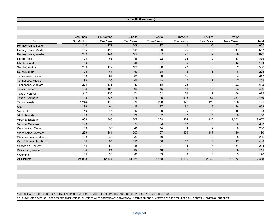**Table 10 (Continued)**

|                         | Less Than         | <b>Six Months</b> | One to    | Two to             | Three to        | Four to           | Five or        |        |
|-------------------------|-------------------|-------------------|-----------|--------------------|-----------------|-------------------|----------------|--------|
| <b>District</b>         | <b>Six Months</b> | to One Year       | Two Years | <b>Three Years</b> | Four Years      | <b>Five Years</b> | More Years     | Total  |
| Pennsylvania, Eastern   | 246               | 177               | 209       | 97                 | 43              | 36                | 57             | 865    |
| Pennsylvania, Middle    | 155               | 117               | 134       | 60                 | 22              | 15                | 14             | 517    |
| Pennsylvania, Western   | 200               | 141               | 162       | 57                 | 29              | 12                | 28             | 629    |
| Puerto Rico             | 100               | 58                | 89        | 62                 | 34              | 19                | 33             | 395    |
| Rhode Island            | 80                | 48                | 38        | $\overline{7}$     | $5\phantom{.0}$ | 3                 | 13             | 194    |
| South Carolina          | 200               | 112               | 106       | 68                 | 27              | 15                | 32             | 560    |
| South Dakota            | 108               | 61                | 59        | 38                 | 16              | $\,$ 5 $\,$       | $\,8\,$        | 295    |
| Tennessee, Eastern      | 153               | 61                | 81        | 30                 | 10              | 9                 | 3              | 347    |
| Tennessee, Middle       | 98                | 56                | 66        | 19                 | 6               | $\overline{7}$    | $\overline{7}$ | 259    |
| Tennessee, Western      | 220               | 135               | 143       | 58                 | 23              | 11                | 22             | 612    |
| Texas, Eastern          | 184               | 100               | 94        | 45                 | 11              | 12                | 23             | 469    |
| Texas, Northern         | 317               | 156               | 174       | 102                | 58              | 27                | 38             | 872    |
| Texas, Southern         | 1,113             | 335               | 375       | 195                | 113             | 67                | 251            | 2,449  |
| Texas, Western          | 1,244             | 413               | 372       | 280                | 126             | 120               | 636            | 3,191  |
| Utah                    | 136               | 94                | 115       | 87                 | 60              | 36                | 124            | 652    |
| Vermont                 | 69                | 48                | 43        | 9                  | 10              | $\overline{4}$    | 15             | 198    |
| Virgin Islands          | 39                | 15                | 22        | $\overline{7}$     | 16              | 11                | 8              | 118    |
| Virginia, Eastern       | 902               | 505               | 505       | 328                | 202             | 182               | 1,003          | 3,627  |
| Virginia, Western       | 128               | 75                | 79        | 23                 | 17              | 9                 | 6              | 337    |
| Washington, Eastern     | 100               | 50                | 40        | 14                 | 4               | $\overline{c}$    | 6              | 216    |
| Washington, Western     | 269               | 181               | 207       | 97                 | 139             | 147               | 140            | 1,180  |
| West Virginia, Northern | 108               | 46                | 33        | 19                 | 6               | 13                | 5              | 230    |
| West Virginia, Southern | 135               | 94                | 115       | 46                 | 25              | 16                | 17             | 448    |
| Wisconsin, Eastern      | 84                | 59                | 48        | 27                 | 14              | 8                 | 54             | 294    |
| Wisconsin, Western      | 34                | 24                | 32        | 10                 | 3               | 5                 | 3              | 111    |
| Wyoming                 | 35                | 33                | 83        | 33                 | 3               | 0                 | 3              | 190    |
| <b>All Districts</b>    | 24,868            | 12,144            | 14,128    | 7,150              | 4,166           | 2,840             | 12,072         | 77,368 |

\*INCLUDES ALL PROCEEDINGS ON WHICH AUSAS SPEND ONE HOUR OR MORE OF TIME. MATTERS ARE PROCEEDINGS NOT YET IN DISTRICT COURT.

PENDING MATTER DATA INCLUDES 5,823 FUGITIVE MATTERS, 7 MATTERS WHERE DEFENDANT IS IN A MENTAL INSTITUTION, AND 34 MATTERS WHERE DEFENDANT IS IN A PRETRIAL DIVERSION PROGRAM.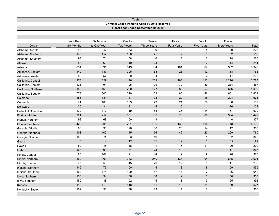|                      | Table 11                       |                                  |                            |                                                     |                               |                              |                              |       |  |  |
|----------------------|--------------------------------|----------------------------------|----------------------------|-----------------------------------------------------|-------------------------------|------------------------------|------------------------------|-------|--|--|
|                      |                                |                                  |                            | <b>Criminal Cases Pending Aged by Date Received</b> |                               |                              |                              |       |  |  |
|                      |                                |                                  |                            | Fiscal Year Ended September 30, 2019                |                               |                              |                              |       |  |  |
|                      |                                |                                  |                            |                                                     |                               |                              |                              |       |  |  |
|                      |                                |                                  |                            |                                                     |                               |                              |                              |       |  |  |
| <b>District</b>      | Less Than<br><b>Six Months</b> | <b>Six Months</b><br>to One Year | One to<br><b>Two Years</b> | Two to<br><b>Three Years</b>                        | Three to<br><b>Four Years</b> | Four to<br><b>Five Years</b> | Five or<br><b>More Years</b> | Total |  |  |
| Alabama, Middle      | 48                             | 47                               | 63                         | 9                                                   | $\bf 8$                       | 4                            | 29                           | 208   |  |  |
| Alabama, Northern    | 175                            | 152                              | 136                        | 45                                                  | $\overline{7}$                | 9                            | 32                           | 556   |  |  |
| Alabama, Southern    | 93                             | 71                               | 58                         | 16                                                  | 3                             | 6                            | 18                           | 265   |  |  |
| Alaska               | 53                             | 60                               | 49                         | 24                                                  | 9                             | $\overline{2}$               | 14                           | 211   |  |  |
| Arizona              | 831                            | 1,591                            | 813                        | 184                                                 | 101                           | 67                           | 362                          | 3,949 |  |  |
| Arkansas, Eastern    | 149                            | 187                              | 305                        | 68                                                  | 26                            | 12                           | 18                           | 765   |  |  |
| Arkansas, Western    | 80                             | 57                               | 39                         | 4                                                   | 6                             | $\boldsymbol{2}$             | 17                           | 205   |  |  |
| California, Central  | 278                            | 329                              | 446                        | 239                                                 | 163                           | 112                          | 1,216                        | 2,783 |  |  |
| California, Eastern  | 125                            | 94                               | 195                        | 99                                                  | 70                            | 50                           | 234                          | 867   |  |  |
| California, Northern | 159                            | 165                              | 230                        | 127                                                 | 82                            | 53                           | 676                          | 1,492 |  |  |
| California, Southern | 1,778                          | 605                              | 320                        | 159                                                 | 60                            | 46                           | 661                          | 3,629 |  |  |
| Colorado             | 156                            | 134                              | 87                         | 33                                                  | 22                            | 18                           | 224                          | 674   |  |  |
| Connecticut          | 74                             | 100                              | 133                        | 73                                                  | 21                            | 26                           | 80                           | 507   |  |  |
| <b>Delaware</b>      | 25                             | 31                               | 31                         | 14                                                  | $\,6\,$                       | $\mathbf{1}$                 | 16                           | 124   |  |  |
| District of Columbia | 132                            | 117                              | 119                        | 54                                                  | 36                            | 14                           | 167                          | 639   |  |  |
| Florida, Middle      | 324                            | 254                              | 301                        | 136                                                 | 70                            | 60                           | 304                          | 1,449 |  |  |
| Florida, Northern    | 92                             | 68                               | 50                         | 19                                                  | 4                             | 4                            | 140                          | 377   |  |  |
| Florida, Southern    | 429                            | 201                              | 291                        | 190                                                 | 139                           | 104                          | 2,748                        | 4,102 |  |  |
| Georgia, Middle      | 96                             | 90                               | 120                        | 36                                                  | 20                            | 14                           | 12                           | 388   |  |  |
| Georgia, Northern    | 103                            | 102                              | 145                        | 76                                                  | 42                            | 23                           | 269                          | 760   |  |  |
| Georgia, Southern    | 158                            | 74                               | 63                         | 19                                                  | $\,6\,$                       | $\overline{1}$               | 22                           | 343   |  |  |
| Guam                 | $10$                           | 14                               | 17                         | 11                                                  | 9                             | 3                            | 35                           | 99    |  |  |
| Hawaii               | 52                             | 45                               | 48                         | 11                                                  | 15                            | 11                           | 20                           | 202   |  |  |
| Idaho                | 127                            | 95                               | 71                         | 24                                                  | 13                            | $\,6\,$                      | 11                           | 347   |  |  |
| Illinois, Central    | 85                             | 102                              | 91                         | 44                                                  | 19                            | 9                            | 28                           | 378   |  |  |
| Illinois, Northern   | 162                            | 303                              | 383                        | 240                                                 | 137                           | 94                           | 685                          | 2,004 |  |  |
| Illinois, Southern   | 77                             | 56                               | 45                         | 29                                                  | 12                            | $\sqrt{5}$                   | 11                           | 235   |  |  |
| Indiana, Northern    | 149                            | 76                               | 100                        | 45                                                  | 18                            | $\bf 8$                      | 59                           | 455   |  |  |
| Indiana, Southern    | 162                            | 174                              | 199                        | 57                                                  | 17                            | $\overline{7}$               | 26                           | 642   |  |  |
| Iowa, Northern       | 130                            | 94                               | 56                         | 18                                                  | 12                            | 5                            | 50                           | 365   |  |  |
| lowa, Southern       | 150                            | 88                               | 92                         | 15                                                  | 13                            | $\boldsymbol{9}$             | 25                           | 392   |  |  |
| Kansas               | 110                            | 119                              | 118                        | 51                                                  | 19                            | 21                           | 89                           | 527   |  |  |
| Kentucky, Eastern    | 109                            | 96                               | 78                         | 23                                                  | 11                            | 8                            | 31                           | 356   |  |  |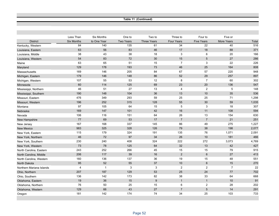**Table 11 (Continued)**

|                          | Less Than         | Six Months   | One to           | Two to             | Three to                | Four to           | Five or        |       |
|--------------------------|-------------------|--------------|------------------|--------------------|-------------------------|-------------------|----------------|-------|
| <b>District</b>          | <b>Six Months</b> | to One Year  | <b>Two Years</b> | <b>Three Years</b> | <b>Four Years</b>       | <b>Five Years</b> | More Years     | Total |
| Kentucky, Western        | 84                | 140          | 135              | 61                 | 34                      | 22                | 40             | 516   |
| Louisiana, Eastern       | 63                | 56           | 83               | 46                 | 17                      | 18                | 88             | 371   |
| Louisiana, Middle        | 38                | 43           | 38               | 18                 | 3                       | $6\phantom{1}6$   | 20             | 166   |
| Louisiana, Western       | 54                | 83           | 72               | 30                 | 15                      | 5                 | 27             | 286   |
| Maine                    | 63                | 65           | 51               | 15                 | $\overline{7}$          | 3                 | 22             | 226   |
| Maryland                 | 129               | 178          | 193              | 73                 | 46                      | 25                | 164            | 808   |
| Massachusetts            | 169               | 146          | 205              | 84                 | 67                      | 57                | 220            | 948   |
| Michigan, Eastern        | 179               | 146          | 148              | 86                 | 52                      | 29                | 257            | 897   |
| Michigan, Western        | 107               | 55           | 53               | 12                 | 8                       | $\overline{7}$    | 60             | 302   |
| Minnesota                | 60                | 114          | 125              | 69                 | 23                      | 20                | 136            | 547   |
| Mississippi, Northern    | 46                | 51           | 27               | 13                 | 4                       | $\overline{2}$    | 5              | 148   |
| Mississippi, Southern    | 190               | 148          | 104              | 36                 | 13                      | 10                | 35             | 536   |
| Missouri, Eastern        | 476               | 349          | 293              | 59                 | 25                      | 25                | 71             | 1,298 |
| Missouri, Western        | 196               | 252          | 315              | 128                | 55                      | $30\,$            | 59             | 1,035 |
| Montana                  | 97                | 105          | 64               | 15                 | 5                       | 3                 | 18             | 307   |
| Nebraska                 | 169               | 147          | 101              | 42                 | 16                      | 11                | 108            | 594   |
| Nevada                   | 106               | 116          | 151              | 64                 | 26                      | 13                | 154            | 630   |
| New Hampshire            | 77                | 69           | 53               | 17                 | $\overline{7}$          | $\overline{7}$    | 21             | 251   |
| New Jersey               | 167               | 168          | 337              | 145                | 86                      | 49                | 275            | 1,227 |
| <b>New Mexico</b>        | 983               | 325          | 328              | 126                | 79                      | 38                | 198            | 2,077 |
| New York, Eastern        | 115               | 179          | 324              | 191                | 135                     | 76                | 1,071          | 2,091 |
| New York, Northern       | 46                | 72           | 97               | 34                 | 26                      | 10                | 181            | 466   |
| New York, Southern       | 230               | 240          | 408              | 324                | 222                     | 272               | 3,073          | 4,769 |
| New York, Western        | 73                | 78           | 125              | 64                 | 32                      | 13                | 42             | 427   |
| North Carolina, Eastern  | 243               | 252          | 266              | 45                 | 15                      | 15                | 79             | 915   |
| North Carolina, Middle   | 206               | 117          | 39               | 16                 | $\overline{2}$          | $6\phantom{1}6$   | 27             | 413   |
| North Carolina, Western  | 160               | 136          | 137              | 36                 | 19                      | 15                | 48             | 551   |
| North Dakota             | 95                | 52           | 55               | 37                 | 10                      | $\,6\,$           | 15             | 270   |
| Northern Mariana Islands | 4                 | $\mathbf{1}$ | 3                | 3                  | $\overline{\mathbf{c}}$ | $\overline{c}$    | $\overline{7}$ | 22    |
| Ohio, Northern           | 207               | 187          | 129              | 53                 | 25                      | 24                | 77             | 702   |
| Ohio, Southern           | 136               | 142          | 173              | 82                 | 38                      | 33                | 64             | 668   |
| Oklahoma, Eastern        | 19                | 36           | 15               | 9                  | $\mathbf{1}$            | $\mathbf{1}$      | 10             | 91    |
| Oklahoma, Northern       | 76                | 50           | 25               | 15                 | 6                       | $\boldsymbol{2}$  | 28             | 202   |
| Oklahoma, Western        | 129               | 66           | 43               | 27                 | $\overline{7}$          | 5                 | 14             | 291   |
| Oregon                   | 181               | 142          | 174              | 74                 | 34                      | 25                | 103            | 733   |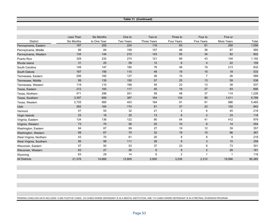**Table 11 (Continued)**

|                         | Less Than  | <b>Six Months</b> | One to    | Two to             | Three to       | Four to                 | Five or    |        |
|-------------------------|------------|-------------------|-----------|--------------------|----------------|-------------------------|------------|--------|
| <b>District</b>         | Six Months | to One Year       | Two Years | <b>Three Years</b> | Four Years     | <b>Five Years</b>       | More Years | Total  |
| Pennsylvania, Eastern   | 187        | 205               | 224       | 116                | 63             | 61                      | 200        | 1,056  |
| Pennsylvania, Middle    | 66         | 84                | 159       | 107                | 46             | 36                      | 87         | 585    |
| Pennsylvania, Western   | 134        | 144               | 210       | 143                | 55             | 34                      | 82         | 802    |
| Puerto Rico             | 329        | 232               | 274       | 121                | 89             | 43                      | 104        | 1,192  |
| Rhode Island            | 31         | 25                | 59        | 12                 | 6              | $\overline{4}$          | 22         | 159    |
| South Carolina          | 149        | 147               | 180       | 76                 | 48             | 19                      | 213        | 832    |
| South Dakota            | 167        | 156               | 115       | 48                 | 19             | 10                      | 18         | 533    |
| Tennessee, Eastern      | 206        | 182               | 127       | 26                 | 15             | $\overline{7}$          | 26         | 589    |
| Tennessee, Middle       | 99         | 135               | 150       | 57                 | 25             | 13                      | 59         | 538    |
| Tennessee, Western      | 119        | 110               | 189       | 45                 | 23             | 13                      | 38         | 537    |
| Texas, Eastern          | 212        | 183               | 117       | 45                 | 18             | 27                      | 93         | 695    |
| Texas, Northern         | 471        | 296               | 201       | 59                 | 48             | 37                      | 114        | 1,226  |
| Texas, Southern         | 3,397      | 606               | 387       | 164                | 134            | 90                      | 1,011      | 5,789  |
| Texas, Western          | 2,735      | 995               | 403       | 164                | 91             | 91                      | 986        | 5,465  |
| Utah                    | 262        | 164               | 174       | 81                 | 37             | 22                      | 102        | 842    |
| Vermont                 | 57         | 55                | 32        | 21                 | $\overline{2}$ | 6                       | 45         | 218    |
| Virgin Islands          | 23         | 16                | 25        | 13                 | 6              | 2                       | 33         | 118    |
| Virginia, Eastern       | 134        | 136               | 122       | 80                 | 54             | 41                      | 412        | 979    |
| Virginia, Western       | 73         | 70                | 56        | 25                 | 10             | 6                       | 14         | 254    |
| Washington, Eastern     | 84         | 87                | 89        | 27                 | 19             | 12                      | 39         | 357    |
| Washington, Western     | 68         | 67                | 70        | 32                 | 19             | 15                      | 96         | 367    |
| West Virginia, Northern | 43         | 70                | 61        | 20                 | 8              | 8                       | 9          | 219    |
| West Virginia, Southern | 95         | 98                | 111       | 28                 | 9              | $\mathbf{3}$            | 15         | 359    |
| Wisconsin, Eastern      | 57         | 50                | 53        | 37                 | 23             | 8                       | 73         | 301    |
| Wisconsin, Western      | 63         | 27                | 26        | $\,6$              | 9              | $\overline{2}$          | 28         | 161    |
| Wyoming                 | 63         | 29                | 14        | 6                  | $\overline{2}$ | $\overline{\mathbf{1}}$ | -1         | 116    |
| <b>All Districts</b>    | 21,378     | 14,666            | 13,809    | 5,900              | 3,236          | 2,310                   | 19,066     | 80,365 |

PENDING CASELOAD DATA INCLUDES 13,995 FUGITIVE CASES, 103 CASES WHERE DEFENDANT IS IN A MENTAL INSTITUTION, AND 174 CASES WHERE DEFENDANT IS IN A PRETRIAL DIVERSION PROGRAM.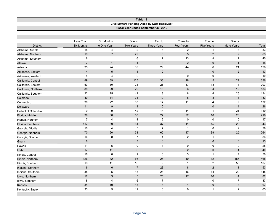## **Table 12 Civil Matters Pending Aged by Date Received\* Fiscal Year Ended September 30, 2019**

|                             | Less Than         | Six Months       | One to                  | Two to             | Three to       | Four to           | Five or                 |       |
|-----------------------------|-------------------|------------------|-------------------------|--------------------|----------------|-------------------|-------------------------|-------|
| <b>District</b>             | <b>Six Months</b> | to One Year      | Two Years               | <b>Three Years</b> | Four Years     | <b>Five Years</b> | More Years              | Total |
| Alabama, Middle             | 15                | 4                | $\overline{2}$          | 6                  | $\overline{2}$ | $\mathbf{1}$      | 3                       | 33    |
| Alabama, Northern           | 19                | $\overline{7}$   | 22                      | $\,6\,$            | 5              | $\overline{2}$    | $\overline{2}$          | 63    |
| Alabama, Southern           | 8                 | $\overline{1}$   | $\,6\,$                 | $\overline{7}$     | 13             | 8                 | $\mathbf 2$             | 45    |
| Alaska                      | $\overline{7}$    | $\mathbf{1}$     | $\mathbf{1}$            | $\mathbf{3}$       | $\overline{2}$ | $\mathbf 0$       | $\mathbf{1}$            | 15    |
| Arizona                     | 35                | 24               | 39                      | 29                 | 44             | 6                 | 21                      | 198   |
| Arkansas, Eastern           | $\overline{4}$    | $\sqrt{5}$       | $\mathbf{1}$            | $\mathbf 0$        | $\mathbf{1}$   | $\mathbf{0}$      | 2                       | 13    |
| Arkansas, Western           | 4                 | $\overline{4}$   | $\sqrt{2}$              | $\mathbf 0$        | $\mathbf 0$    | $\mathbf 0$       | $\pmb{0}$               | 10    |
| California, Central         | 89                | 39               | 125                     | 33                 | 18             | $\sqrt{5}$        | 27                      | 336   |
| California, Eastern         | 53                | 30               | 21                      | 25                 | 57             | 13                | 4                       | 203   |
| California, Northern        | 38                | 29               | 29                      | 15                 | $6\phantom{1}$ | $\overline{4}$    | 12                      | 133   |
| California, Southern        | 22                | 25               | 41                      | 8                  | 8              | 4                 | 26                      | 134   |
| Colorado                    | $40\,$            | 14               | 31                      | 19                 | $\bf 8$        | $\bf 8$           | 13                      | 133   |
| Connecticut                 | 36                | 22               | 33                      | $17$               | 11             | $\overline{4}$    | $\boldsymbol{9}$        | 132   |
| Delaware                    | 11                | $\boldsymbol{9}$ | $\mathbf{1}$            | $\mathbf{0}$       | $\overline{1}$ | $\mathbf{0}$      | $\overline{4}$          | 26    |
| <b>District of Columbia</b> | 9                 | 9                | 42                      | 14                 | 14             | $\mathbf{1}$      | 21                      | 110   |
| Florida, Middle             | 39                | $30\,$           | 60                      | 27                 | 22             | 18                | 20                      | 216   |
| Florida, Northern           | $\overline{7}$    | $\overline{4}$   | $\overline{\mathbf{4}}$ | $\overline{2}$     | $\mathbf 0$    | $\pmb{0}$         | $\pmb{0}$               | 17    |
| Florida, Southern           | 117               | 59               | 81                      | 37                 | 11             | 15                | 23                      | 343   |
| Georgia, Middle             | 10                | $\overline{4}$   | 5                       | $\overline{7}$     | $\overline{1}$ | $\mathbf 0$       | $\boldsymbol{2}$        | 29    |
| Georgia, Northern           | 70                | 20               | 33                      | 60                 | 17             | 39                | 25                      | 264   |
| Georgia, Southern           | 14                | 8                | $\overline{7}$          | $\overline{4}$     | $\overline{2}$ | $\mathbf{1}$      | $\pmb{0}$               | 36    |
| Guam                        | $\bf 8$           | $\overline{1}$   | $\mathbf{3}$            | $\mathbf 0$        | $\mathbf{1}$   | $\mathbf 0$       | $\pmb{0}$               | 13    |
| Hawaii                      | 11                | 5                | $\boldsymbol{9}$        | 3                  | $\mathbf 0$    | $\mathbf 0$       | $\pmb{0}$               | 28    |
| Idaho                       | 17                | 11               | $\,6\,$                 | $\mathbf{3}$       | $\overline{2}$ | $\mathbf 0$       | $\mathbf{1}$            | 40    |
| Illinois, Central           | 16                | 8                | 9                       | $\,6\,$            | $\sqrt{3}$     | $\mathbf{1}$      | $\overline{7}$          | 50    |
| Illinois, Northern          | 126               | 42               | 66                      | 26                 | $10$           | 12                | 186                     | 468   |
| Illinois, Southern          | 13                | 11               | 16                      | 9                  | $\mathbf{1}$   | $\sqrt{2}$        | 55                      | 107   |
| Indiana, Northern           | $\,$ 6 $\,$       | $\,6$            | $\sqrt{7}$              | 23                 | $\bf 8$        | $\sqrt{2}$        | $\mathbf{1}$            | 53    |
| Indiana, Southern           | 35                | $\mathbf 5$      | 18                      | 28                 | 16             | 14                | 29                      | 145   |
| Iowa, Northern              | 12                | $\sqrt{3}$       | $\sqrt{5}$              | 25                 | 17             | 16                | $\overline{\mathbf{4}}$ | 82    |
| Iowa, Southern              | 8                 | $\overline{4}$   | 6                       | $\overline{7}$     | $\overline{1}$ | $\mathbf 0$       | $\overline{7}$          | 33    |
| Kansas                      | 34                | 10               | $13$                    | $6\phantom{1}6$    | $\mathbf{1}$   | $\mathbf 0$       | $\sqrt{3}$              | 67    |
| Kentucky, Eastern           | 33                | $\boldsymbol{9}$ | 12                      | 8                  | $\mathbf 0$    | $\mathbf{1}$      | $\mathbf 2$             | 65    |
|                             |                   |                  |                         |                    |                |                   |                         |       |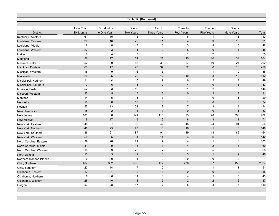|                          |                   |                   |                         | Table 12 (Continued) |                 |                   |                |              |
|--------------------------|-------------------|-------------------|-------------------------|----------------------|-----------------|-------------------|----------------|--------------|
|                          |                   |                   |                         |                      |                 |                   |                |              |
|                          | Less Than         | <b>Six Months</b> | One to                  | Two to               | Three to        | Four to           | Five or        |              |
| <b>District</b>          | <b>Six Months</b> | to One Year       | Two Years               | <b>Three Years</b>   | Four Years      | <b>Five Years</b> | More Years     | Total        |
| Kentucky, Western        | 61                | 15                | 15                      | 12                   | $\overline{5}$  | $\mathbf{1}$      | $\sqrt{3}$     | 112          |
| Louisiana, Eastern       | 20                | 16                | 22                      | 11                   | $\overline{4}$  | 3                 | 15             | 91           |
| Louisiana, Middle        | 8                 | 8                 | $\overline{7}$          | 8                    | 3               | 8                 | 6              | 48           |
| Louisiana, Western       | 27                | 3                 | $\overline{\mathbf{4}}$ | 2                    | 5               | $\mathbf{0}$      | $\overline{4}$ | 45           |
| Maine                    | 6                 | 4                 | $\overline{7}$          | 5                    | $\overline{1}$  | $\overline{c}$    | 0              | 25           |
| Maryland                 | 56                | 27                | 34                      | 28                   | 15              | 10                | 34             | 204          |
| Massachusetts            | 57                | 39                | 58                      | 38                   | 27              | 19                | 24             | 262          |
| Michigan, Eastern        | 69                | 47                | 70                      | 34                   | 22              | $\,8\,$           | 16             | 266          |
| Michigan, Western        | 15                | 9                 | 6                       | 3                    | $\overline{1}$  | $\overline{1}$    | $\mathbf 0$    | 35           |
| Minnesota                | 26                | 25                | 26                      | 12                   | 10              | $\mathbf{3}$      | $10$           | 112          |
| Mississippi, Northern    | 11                | 4                 | 10                      | 9                    | 6               | 2                 | $\overline{7}$ | 49           |
| Mississippi, Southern    | $\overline{7}$    | 6                 | $\bf 8$                 | 10                   | $\overline{4}$  | $\mathbf{0}$      | 8              | 43           |
| Missouri, Eastern        | 57                | 33                | 19                      | 8                    | 21              | 2                 | 6              | 146          |
| Missouri, Western        | 25                | $\sqrt{5}$        | 15                      | 16                   | $\mathbf 0$     | 2                 | 18             | 81           |
| Montana                  | 14                | $\,$ 5 $\,$       | 5                       | 3                    | $\overline{1}$  | $\mathbf 0$       | $\mathbf{1}$   | 29           |
| Nebraska                 | 10                | 8                 | 10                      | 5                    | $\mathbf{1}$    | $\mathbf 0$       | $\mathbf 0$    | 34           |
| Nevada                   | 55                | 13                | 24                      | 8                    | $\overline{7}$  | $\sqrt{3}$        | 4              | 114          |
| New Hampshire            | 15                | 2                 | 11                      | 3                    | $\mathbf 0$     | $\mathbf 0$       | $\mathbf{1}$   | 32           |
| New Jersey               | 101               | 66                | 141                     | 110                  | 93              | 78                | 393            | 982          |
| <b>New Mexico</b>        | $9\,$             | 17                | 19                      | $6\phantom{1}$       | $6\phantom{1}6$ | 3                 | 11             | 71           |
| New York, Eastern        | 48                | 37                | 69                      | 42                   | 45              | 24                | 91             | 356          |
| New York, Northern       | 46                | 25                | 28                      | 18                   | 16              | $\overline{1}$    | 6              | 140          |
| New York, Southern       | 86                | 61                | 87                      | 91                   | 39              | 18                | 82             | 464          |
| New York, Western        | 50                | 35                | 31                      | 14                   | $\overline{4}$  | $\,6\,$           | $\sqrt{2}$     | 142          |
| North Carolina, Eastern  | 39                | 28                | 21                      | $\overline{7}$       | $\overline{4}$  | $\overline{1}$    | 3              | 103          |
| North Carolina, Middle   | 31                | $\boldsymbol{9}$  | $\boldsymbol{8}$        | $\sqrt{3}$           | $\overline{4}$  | $\overline{2}$    | $\mathfrak{S}$ | 60           |
| North Carolina, Western  | 15                | 9                 | 22                      | $\overline{7}$       | $\overline{7}$  | 5                 | 3              | 68           |
| North Dakota             | 13                | $\sqrt{5}$        | 19                      | $\mathbf{3}$         | $\mathbf{3}$    | $\overline{1}$    | $\sqrt{2}$     | 46           |
| Northern Mariana Islands | 0                 | $\mathbf 0$       | $\mathbf{1}$            | $\mathbf 0$          | $\mathbf 0$     | $\mathbf 0$       | 0              | $\mathbf{1}$ |
| Ohio, Northern           | 467               | 332               | 590                     | 412                  | 276             | 97                | 153            | 2327         |
| Ohio, Southern           | 22                | 14                | $\overline{7}$          | $\,$ 5 $\,$          | $\overline{1}$  | $\overline{1}$    | $\mathbf{1}$   | 51           |
| Oklahoma, Eastern        | 12                | $\mathbf{1}$      | $\overline{2}$          | $\mathbf{1}$         | $\mathbf 0$     | $\mathbf 0$       | 2              | 18           |
| Oklahoma, Northern       | 8                 | $6\phantom{1}6$   | 11                      | 6                    | 4               | 5                 | 3              | 43           |
| Oklahoma, Western        | 28                | 40                | 8                       | 5                    | $\overline{2}$  | 2                 | $\overline{2}$ | 87           |
| Oregon                   | 53                | 28                | 17                      | $\overline{7}$       | 5               | $\overline{4}$    | 5              | 119          |
|                          |                   |                   |                         |                      |                 |                   |                |              |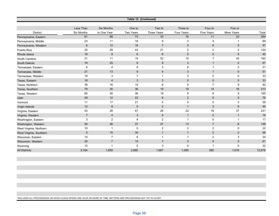| Table 12 (Continued)    |                |                          |                           |                    |                 |                   |                  |        |  |
|-------------------------|----------------|--------------------------|---------------------------|--------------------|-----------------|-------------------|------------------|--------|--|
|                         |                |                          |                           |                    |                 |                   |                  |        |  |
|                         | Less Than      | <b>Six Months</b>        | One to                    | Two to             | Three to        | Four to           | Five or          |        |  |
| <b>District</b>         | Six Months     | to One Year              | <b>Two Years</b>          | <b>Three Years</b> | Four Years      | <b>Five Years</b> | More Years       | Total  |  |
| Pennsylvania, Eastern   | 61             | 68                       | 73                        | 32                 | 16              | 11                | 23               | 284    |  |
| Pennsylvania, Middle    | 23             | 11                       | 18                        | 9                  | 3               | 4                 | $\mathbf 1$      | 69     |  |
| Pennsylvania, Western   | $6\phantom{1}$ | 12                       | 16                        | $\overline{7}$     | $5\phantom{.0}$ | $6\phantom{1}$    | 5                | 57     |  |
| Puerto Rico             | 25             | 29                       | 43                        | 21                 | 2               | 2                 | $\overline{2}$   | 124    |  |
| Rhode Island            | 19             | 9                        | $6\phantom{1}$            | $6\phantom{1}6$    | $\mathbf 0$     | $\mathbf 0$       | $\mathbf 0$      | 40     |  |
| South Carolina          | 21             | 11                       | 19                        | 52                 | 10              | $\overline{7}$    | 42               | 162    |  |
| South Dakota            | 19             | 25                       | 8                         | 9                  | 3               | $\mathbf{1}$      | 2                | 67     |  |
| Tennessee, Eastern      | 6              | 4                        | 9                         | 3                  | 6               | $\overline{1}$    | $\overline{2}$   | 31     |  |
| Tennessee, Middle       | 21             | 13                       | 9                         | $\overline{4}$     | 3               | $\mathbf{1}$      | $\mathbf 0$      | 51     |  |
| Tennessee, Western      | 19             | 3                        | $\overline{7}$            | $\mathbf{1}$       | 3               | $\mathbf 0$       | $\mathbf 0$      | 33     |  |
| Texas, Eastern          | 18             | 4                        | 3                         | 3                  | 5               | $\mathbf 0$       | $\mathbf 0$      | 33     |  |
| Texas, Northern         | 39             | 16                       | 10                        | 6                  | 5               | $\overline{7}$    | 9                | 92     |  |
| Texas, Southern         | 79             | 30                       | 36                        | 19                 | 19              | 14                | 16               | 213    |  |
| Texas, Western          | 65             | 50                       | 36                        | 19                 | 8               | 8                 | 9                | 195    |  |
| Utah                    | 29             | 12                       | 22                        | $6\phantom{1}$     | 2               | $\mathbf 0$       | 5                | 76     |  |
| Vermont                 | 11             | 17                       | 21                        | $\overline{4}$     | $\mathbf 0$     | 0                 | 3                | 56     |  |
| Virgin Islands          | 12             | 9                        | $\sqrt{5}$                | 2                  | $\overline{1}$  | 2                 | 9                | 40     |  |
| Virginia, Eastern       | 53             | 28                       | 47                        | 26                 | 22              | 18                | 37               | 231    |  |
| Virginia, Western       | $\overline{7}$ | $\overline{\mathcal{A}}$ | $\ensuremath{\mathsf{3}}$ | $\mathbf 0$        | $\mathbf{1}$    | $\mathbf 0$       | $\mathbf{1}$     | 16     |  |
| Washington, Eastern     | 3              | $\overline{2}$           | 8                         | $\overline{2}$     | $\mathbf{1}$    | $\mathbf 0$       | $\mathbf{1}$     | 17     |  |
| Washington, Western     | 30             | 26                       | 37                        | 27                 | 13              | $\overline{7}$    | $\boldsymbol{8}$ | 148    |  |
| West Virginia, Northern | 10             | $\mathbf{1}$             | 5                         | $\overline{2}$     | 2               | $\overline{2}$    | $\mathbf 0$      | 22     |  |
| West Virginia, Southern | 5              | 15                       | 30                        | $\mathbf{1}$       | $\mathbf{1}$    | $\overline{2}$    | 2                | 56     |  |
| Wisconsin, Eastern      | 14             | $\overline{7}$           | 6                         | $\mathbf{1}$       | $\mathbf 1$     | 2                 | 3                | 34     |  |
| Wisconsin, Western      | 24             | $\overline{7}$           | 10                        | $\overline{7}$     | 3               | 5                 | 5                | 61     |  |
| Wyoming                 | 12             | $\overline{1}$           | 5                         | 3                  | $\mathbf 0$     |                   | $\mathbf 0$      | 22     |  |
| <b>All Districts</b>    | 3,164          | 1,859                    | 2,680                     | 1,687              | 1,080           | 590               | 1,616            | 12,676 |  |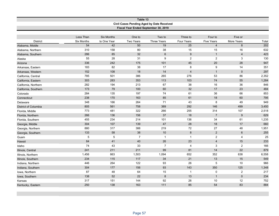| Table 13<br>Civil Cases Pending Aged by Date Received<br>Fiscal Year Ended September 30, 2019 |             |                   |                |                  |                  |                   |                 |       |  |
|-----------------------------------------------------------------------------------------------|-------------|-------------------|----------------|------------------|------------------|-------------------|-----------------|-------|--|
|                                                                                               |             |                   |                |                  |                  |                   |                 |       |  |
|                                                                                               | Less Than   | <b>Six Months</b> | One to         | Two to           | Three to         | Four to           | Five or         |       |  |
| <b>District</b>                                                                               | Six Months  | to One Year       | Two Years      | Three Years      | Four Years       | <b>Five Years</b> | More Years      | Total |  |
| Alabama, Middle                                                                               | 54          | 42                | 50             | 19               | 25               | $\overline{4}$    | $\bf 8$         | 202   |  |
| Alabama, Northern                                                                             | 310         | 158               | 80             | 38               | 15               | 15                | 16              | 632   |  |
| Alabama, Southern                                                                             | 286         | 85                | 32             | $\,6\,$          | $\boldsymbol{9}$ | $\mathbf{1}$      | $\overline{4}$  | 423   |  |
| Alaska                                                                                        | 55          | 28                | 31             | 9                | $\overline{2}$   | 2                 | 3               | 130   |  |
| Arizona                                                                                       | 336         | 242               | 175            | 101              | 45               | 20                | 28              | 947   |  |
| Arkansas, Eastern                                                                             | 183         | 82                | 38             | 17               | 8                | 9                 | 14              | 351   |  |
| Arkansas, Western                                                                             | 152         | 108               | 18             | 14               | $\overline{4}$   | $\mathbf{1}$      | $\mathbf 0$     | 297   |  |
| California, Central                                                                           | 785         | 501               | 386            | 265              | 276              | 53                | 86              | 2,352 |  |
| California, Eastern                                                                           | 303         | 283               | 353            | 113              | 103              | 74                | 55              | 1,284 |  |
| California, Northern                                                                          | 282         | 194               | 213            | 67               | 38               | 16                | 36              | 846   |  |
| California, Southern                                                                          | 173         | 79                | 100            | 60               | 32               | $17$              | 23              | 484   |  |
| Colorado                                                                                      | 284         | 135               | 197            | 74               | 61               | 36                | 66              | 853   |  |
| Connecticut                                                                                   | 238         | 170               | 163            | 85               | 61               | 18                | 60              | 795   |  |
| Delaware                                                                                      | 348         | 166               | 264            | 71               | 43               | 8                 | 49              | 949   |  |
| <b>District of Columbia</b>                                                                   | 805         | 561               | 758            | 389              | 292              | 146               | 499             | 3,450 |  |
| Florida, Middle                                                                               | 773         | 481               | 322            | 266              | 255              | 314               | 107             | 2,518 |  |
| Florida, Northern                                                                             | 266         | 136               | 156            | 37               | 18               | $\overline{7}$    | 9               | 629   |  |
| Florida, Southern                                                                             | 455         | 234               | 214            | 101              | 136              | 34                | 61              | 1,235 |  |
| Georgia, Middle                                                                               | 304         | 107               | 139            | 47               | 28               | 18                | 17              | 660   |  |
| Georgia, Northern                                                                             | 880         | 317               | 388            | 219              | 72               | 27                | 48              | 1,951 |  |
| Georgia, Southern                                                                             | 133         | 58                | 38             | 10               | $\bf 8$          | $\overline{2}$    | $6\phantom{1}6$ | 255   |  |
| Guam                                                                                          | $\,$ 5 $\,$ | $\,$ 5 $\,$       | $\overline{7}$ | $\mathbf{1}$     | $\mathbf{1}$     | $\sqrt{2}$        | 4               | 25    |  |
| Hawaii                                                                                        | 84          | 41                | 40             | 26               | 23               | $\overline{4}$    | 15              | 233   |  |
| Idaho                                                                                         | 74          | 43                | 33             | $\overline{7}$   | $\overline{4}$   | $\mathbf{3}$      | $\sqrt{2}$      | 166   |  |
| Illinois, Central                                                                             | 241         | 211               | 211            | 99               | 81               | 14                | 22              | 879   |  |
| Illinois, Northern                                                                            | 1,456       | 863               | 1,503          | 1,094            | 652              | 352               | 638             | 6,558 |  |
| Illinois, Southern                                                                            | 234         | 115               | 117            | 34               | 21               | 13                | 15              | 549   |  |
| Indiana, Northern                                                                             | 446         | 264               | 122            | 93               | 26               | $\sqrt{5}$        | 10              | 966   |  |
| Indiana, Southern                                                                             | 304         | 177               | 156            | 93               | 143              | 350               | 125             | 1,348 |  |
| Iowa, Northern                                                                                | 87          | 48                | 64             | 15               | $\mathbf{1}$     | $\mathbf 0$       | 2               | 217   |  |
| Iowa, Southern                                                                                | 138         | 52                | 22             | $\boldsymbol{8}$ | 13               | $\mathbf{1}$      | $\mathbf 0$     | 234   |  |
| Kansas                                                                                        | 317         | 151               | 144            | 92               | 26               | 10                | 12              | 752   |  |
| Kentucky, Eastern                                                                             | 250         | 138               | 163            | 111              | 85               | 54                | 83              | 884   |  |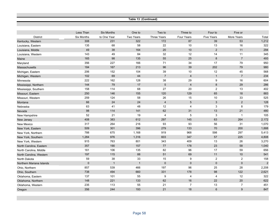## **Table 13 (Continued)**

|                          | Less Than  | <b>Six Months</b> | One to       | Two to         | Three to       | Four to                   | Five or        |       |
|--------------------------|------------|-------------------|--------------|----------------|----------------|---------------------------|----------------|-------|
| <b>District</b>          | Six Months | to One Year       | Two Years    | Three Years    | Four Years     | <b>Five Years</b>         | More Years     | Total |
| Kentucky, Western        | 308        | 231               | 322          | 172            | 87             | 39                        | 53             | 1,212 |
| Louisiana, Eastern       | 135        | 68                | 58           | 22             | 10             | 13                        | 16             | 322   |
| Louisiana, Middle        | 49         | 38                | 164          | 20             | $10$           | $\overline{2}$            | 11             | 294   |
| Louisiana, Western       | 143        | 49                | 84           | $32\,$         | 12             | 14                        | 11             | 345   |
| Maine                    | 165        | 98                | 135          | 55             | 25             | $\bf 8$                   | $\overline{7}$ | 493   |
| Maryland                 | 356        | 227               | 166          | $71$           | 34             | 17                        | 79             | 950   |
| <b>Massachusetts</b>     | 184        | 167               | 213          | 96             | 39             | 202                       | 79             | 980   |
| Michigan, Eastern        | 206        | 152               | 104          | 39             | 10             | 12                        | 45             | 568   |
| Michigan, Western        | 102        | 69                | 44           | $\overline{7}$ | $\overline{4}$ | $\mathbf{1}$              | $\overline{7}$ | 234   |
| Minnesota                | 222        | 162               | 128          | $38\,$         | 29             | 9                         | 16             | 604   |
| Mississippi, Northern    | 144        | 79                | 17           | 5              | $\overline{4}$ | 8                         | 29             | 286   |
| Mississippi, Southern    | 158        | 114               | 68           | 27             | 20             | $\sqrt{2}$                | 13             | 402   |
| Missouri, Eastern        | 250        | 146               | 155          | 120            | 129            | 65                        | 18             | 883   |
| Missouri, Western        | 259        | 124               | 58           | 26             | 15             | 10                        | 33             | 525   |
| Montana                  | 66         | 24                | 24           | $\sqrt{4}$     | $\sqrt{5}$     | $\mathfrak{S}$            | $\overline{2}$ | 128   |
| Nebraska                 | 63         | 41                | 48           | 12             | $\overline{4}$ | $\ensuremath{\mathsf{3}}$ | 8              | 179   |
| Nevada                   | 98         | 114               | 141          | 62             | 31             | 13                        | 21             | 480   |
| New Hampshire            | 52         | 21                | 19           | 4              | 5              | $\mathbf{3}$              | $\overline{1}$ | 105   |
| New Jersey               | 408        | 383               | 612          | 297            | 145            | 63                        | 264            | 2,172 |
| <b>New Mexico</b>        | 317        | 264               | 216          | 93             | 93             | 56                        | 31             | 1,070 |
| New York, Eastern        | 509        | 301               | 396          | 279            | 133            | 70                        | 200            | 1,888 |
| New York, Northern       | 788        | 675               | 1,168        | 919            | 968            | 598                       | 297            | 5,413 |
| New York, Southern       | 1,284      | 976               | 1,316        | 603            | 347            | 57                        | 225            | 4,808 |
| New York, Western        | 915        | 763               | 801          | 343            | 409            | 13                        | 26             | 3,270 |
| North Carolina, Eastern  | 357        | 190               | 157          | $77$           | 178            | 23                        | 58             | 1,040 |
| North Carolina, Middle   | 161        | 106               | 135          | 82             | 96             | 17                        | 59             | 656   |
| North Carolina, Western  | 197        | 115               | 88           | 51             | 69             | 11                        | 10             | 541   |
| North Dakota             | 59         | 38                | 33           | 15             | 9              | $\overline{c}$            | $\overline{2}$ | 158   |
| Northern Mariana Islands | $\pmb{0}$  | $\mathbf{1}$      | $\mathbf{1}$ | $\pmb{0}$      | $\overline{0}$ | $\pmb{0}$                 | $\mathbf 0$    | 2     |
| Ohio, Northern           | 857        | 539               | 466          | 197            | 96             | 25                        | 28             | 2,208 |
| Ohio, Southern           | 738        | 494               | 660          | 331            | 178            | 98                        | 122            | 2,621 |
| Oklahoma, Eastern        | 137        | 101               | 55           | 9              | $\overline{4}$ | 4                         | 12             | 322   |
| Oklahoma, Northern       | 148        | 221               | 133          | 62             | 16             | 22                        | 20             | 622   |
| Oklahoma, Western        | 235        | 113               | 55           | 21             | $\overline{7}$ | 13                        | $\overline{7}$ | 451   |
| Oregon                   | 356        | 244               | 193          | 21             | 18             | $6\phantom{1}6$           | 9              | 847   |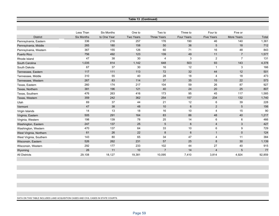|                         |                   |                   |                  | Table 13 (Continued) |            |                         |                   |        |
|-------------------------|-------------------|-------------------|------------------|----------------------|------------|-------------------------|-------------------|--------|
|                         |                   |                   |                  |                      |            |                         |                   |        |
|                         |                   |                   |                  |                      |            |                         |                   |        |
|                         | Less Than         | <b>Six Months</b> | One to           | Two to               | Three to   | Four to                 | Five or           |        |
| <b>District</b>         | <b>Six Months</b> | to One Year       | <b>Two Years</b> | <b>Three Years</b>   | Four Years | <b>Five Years</b>       | <b>More Years</b> | Total  |
| Pennsylvania, Eastern   | 336               | 216               | 257              | 176                  | 190        | 46                      | 140               | 1,361  |
| Pennsylvania, Middle    | 265               | 180               | 158              | 50                   | 36         | $\,$ 5 $\,$             | 18                | 712    |
| Pennsylvania, Western   | 367               | 155               | 126              | 60                   | 71         | 16                      | 48                | 843    |
| Puerto Rico             | 756               | 492               | 123              | 139                  | 49         | 11                      | $\overline{7}$    | 1,577  |
| Rhode Island            | 47                | 38                | 30               | 4                    | 3          | $\overline{c}$          | $\overline{7}$    | 131    |
| South Carolina          | 1,035             | 814               | 1,142            | 648                  | 503        | 93                      | 143               | 4,378  |
| South Dakota            | 67                | 37                | 30               | 16                   | 12         | $\mathbf{1}$            | 3                 | 166    |
| Tennessee, Eastern      | 117               | 111               | 113              | 72                   | 32         | 44                      | 12                | 501    |
| Tennessee, Middle       | 310               | 55                | 40               | 28                   | 18         | 4                       | 18                | 473    |
| Tennessee, Western      | 267               | 83                | 114              | 37                   | 35         | 15                      | 22                | 573    |
| Texas, Eastern          | 260               | 174               | 217              | 104                  | 59         | 26                      | 87                | 927    |
| Texas, Northern         | 381               | 196               | 121              | 40                   | 24         | 20                      | 25                | 807    |
| Texas, Southern         | 476               | 263               | 416              | 173                  | 95         | 45                      | 117               | 1,585  |
| Texas, Western          | 359               | 242               | 362              | 254                  | 157        | 234                     | 132               | 1,740  |
| Utah                    | 69                | 37                | 44               | 21                   | 12         | 6                       | 39                | 228    |
| Vermont                 | 47                | 38                | 48               | 10                   | 6          | $\overline{2}$          | 5                 | 156    |
| Virgin Islands          | 14                | 13                | 18               | 16                   | 10         | 4                       | 15                | 90     |
| Virginia, Eastern       | 505               | 291               | 164              | 83                   | 86         | 48                      | 40                | 1,217  |
| Virginia, Western       | 198               | 139               | 78               | 25                   | 14         | 6                       | 6                 | 466    |
| Washington, Eastern     | 247               | 137               | 25               | 5                    | 6          | $\overline{4}$          | 3                 | 427    |
| Washington, Western     | 470               | 137               | 64               | 33                   | 10         | 6                       | 9                 | 729    |
| West Virginia, Northern | 61                | 26                | 22               | 8                    | 6          | $\mathbf{1}$            | $\mathbf 0$       | 124    |
| West Virginia, Southern | 143               | 80                | 65               | 34                   | 47         | $\overline{4}$          | 11                | 384    |
| Wisconsin, Eastern      | 526               | 262               | 231              | 57                   | 25         | 8                       | 30                | 1,139  |
| Wisconsin, Western      | 292               | 177               | 233              | 102                  | 44         | 27                      | 40                | 915    |
| Wyoming                 | 26                | 11                | 10               | $\overline{7}$       | 14         | $\overline{\mathbf{4}}$ | 5                 | 77     |
| <b>All Districts</b>    | 29,108            | 18,127            | 19,381           | 10,095               | 7,410      | 3,814                   | 4,924             | 92,859 |

DATA ON THIS TABLE INCLUDES LAND ACQUISITION CASES AND CIVIL CASES IN STATE COURTS.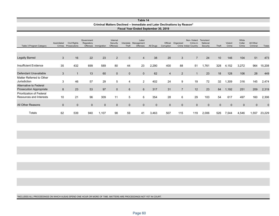|                                                             |                       |                                     |                          |                      |                                  |                     | Table 14                                                                 |              |                        |                |                                                 |                                    |              |                  |                          |                       |             |
|-------------------------------------------------------------|-----------------------|-------------------------------------|--------------------------|----------------------|----------------------------------|---------------------|--------------------------------------------------------------------------|--------------|------------------------|----------------|-------------------------------------------------|------------------------------------|--------------|------------------|--------------------------|-----------------------|-------------|
|                                                             |                       |                                     |                          |                      |                                  |                     | Criminal Matters Declined -- Immediate and Later Declinations by Reason* |              |                        |                |                                                 |                                    |              |                  |                          |                       |             |
|                                                             |                       |                                     |                          |                      |                                  |                     | Fiscal Year Ended September 30, 2019                                     |              |                        |                |                                                 |                                    |              |                  |                          |                       |             |
|                                                             |                       |                                     |                          |                      |                                  |                     |                                                                          |              |                        |                |                                                 |                                    |              |                  |                          |                       |             |
| Table 3 Program Category                                    | Assimilated<br>Crimes | <b>Civil Rights</b><br>Prosecutions | Government<br>Regulatory | Offenses Immigration | Internal<br>Security<br>Offenses | Interstate<br>Theft | Labor<br>Management<br>Offenses                                          | All Drugs    | Official<br>Corruption | Organized      | Non-Violent<br>Crime in<br>Crime Indian Country | Terrorism/<br>National<br>Security | Theft        | Violent<br>Crime | White<br>Collar<br>Crime | All Other<br>Criminal | Totals      |
|                                                             |                       |                                     |                          |                      |                                  |                     |                                                                          |              |                        |                |                                                 |                                    |              |                  |                          |                       |             |
| <b>Legally Barred</b>                                       | 3                     | 16                                  | 22                       | 23                   | 2                                | $\mathbf{0}$        | $\overline{4}$                                                           | 38           | 20                     | 3              | $\overline{7}$                                  | 24                                 | 10           | 146              | 104                      | 51                    | 473         |
| Insufficient Evidence                                       | 35                    | 432                                 | 699                      | 589                  | 80                               | 44                  | 23                                                                       | 2,290        | 400                    | 88             | 51                                              | 1,761                              | 328          | 4,152            | 3,272                    | 964                   | 15,208      |
| Defendant Unavailable                                       | 3                     | $\mathbf{1}$                        | 13                       | 60                   | $\mathbf{0}$                     | $\mathbf{0}$        | $\mathbf{0}$                                                             | 62           | $\overline{4}$         | 2              | $\overline{1}$                                  | 23                                 | 18           | 128              | 106                      | 28                    | 449         |
| Matter Referred to Other<br>Jurisdiction                    | 3                     | 46                                  | 57                       | 29                   | 5                                | 4                   | 2                                                                        | 402          | 24                     | 9              | 19                                              | 72                                 | 32           | 1,309            | 316                      | 145                   | 2,474       |
| Alternative to Federal<br><b>Prosecution Appropriate</b>    | 8                     | 23                                  | 53                       | 97                   | $\mathbf{0}$                     | $6\phantom{1}$      | 6                                                                        | 317          | 31                     | $\overline{7}$ | 12                                              | 23                                 | 84           | 1,192            | 251                      | 209                   | 2,319       |
| <b>Prioritization of Federal</b><br>Resources and Interests | 10                    | 21                                  | 96                       | 309                  | 11                               | 5                   | 6                                                                        | 354          | 28                     | 6              | 29                                              | 103                                | 54           | 617              | 497                      | 160                   | 2,306       |
| All Other Reasons                                           | $\mathbf{0}$          | $\mathbf 0$                         | $\mathbf 0$              | $\mathbf 0$          | $\mathbf{0}$                     | $\mathbf 0$         | $\mathbf{0}$                                                             | $\mathbf{0}$ | $\mathbf{0}$           | $\mathbf{0}$   | $\mathbf 0$                                     | $\mathbf{0}$                       | $\mathbf{0}$ | $\Omega$         | $\mathbf{0}$             | $\mathbf{0}$          | $\mathbf 0$ |
| Totals                                                      | 62                    | 539                                 | 940                      | 1,107                | 98                               | 59                  | 41                                                                       | 3,463        | 507                    | 115            | 119                                             | 2,006                              | 526          | 7,544            | 4,546                    | 1,557                 | 23,229      |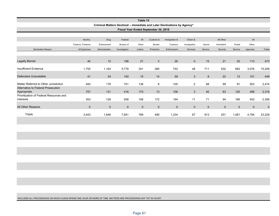|                                                      |                   |                                                                          |               | Table 15    |                                      |               |                |              |             |             |             |             |
|------------------------------------------------------|-------------------|--------------------------------------------------------------------------|---------------|-------------|--------------------------------------|---------------|----------------|--------------|-------------|-------------|-------------|-------------|
|                                                      |                   | Criminal Matters Declined -- Immediate and Later Declinations by Agency* |               |             |                                      |               |                |              |             |             |             |             |
|                                                      |                   |                                                                          |               |             | Fiscal Year Ended September 30, 2019 |               |                |              |             |             |             |             |
|                                                      |                   |                                                                          |               |             |                                      |               |                |              |             |             |             |             |
|                                                      | Alcohol,          | Drug                                                                     | Federal       | All         | Customs &                            | Immigration & | Citizen &      |              | All Other   |             | All         |             |
|                                                      | Tobacco, Firearms | Enforcement                                                              | Bureau of     | Other       | Border                               | Customs       | Immigration    | Secret       | Homeland    | Postal      | Other       |             |
| <b>Declination Reason</b>                            | & Explosives      | Administration                                                           | Investigation | Justice     | Protection                           | Enforcement   | Services       | Service      | Security    | Service     | Agencies    | Totals      |
|                                                      |                   |                                                                          |               |             |                                      |               |                |              |             |             |             |             |
| <b>Legally Barred</b>                                | 44                | 12                                                                       | 198           | 21          | 3                                    | 26            | $\mathbf{0}$   | 15           | 21          | 20          | 113         | 473         |
| Insufficient Evidence                                | 1,755             | 1,163                                                                    | 5,778         | 341         | 280                                  | 742           | 48             | 711          | 632         | 682         | 3,076       | 15,208      |
| Defendant Unavailable                                | 41                | 34                                                                       | 140           | 15          | 14                                   | 59            | 3              | 8            | 22          | 12          | 101         | 449         |
| Matter Referred to Other Jurisdiction                | 493               | 178                                                                      | 751           | 136         | 8                                    | 105           | 2              | 68           | 99          | 81          | 553         | 2,474       |
| Alternative to Federal Prosecution<br>Appropriate    | 757               | 131                                                                      | 416           | 170         | 13                                   | 108           | $\mathfrak{S}$ | 40           | 63          | 120         | 498         | 2,319       |
| Prioritization of Federal Resources and<br>Interests | 353               | 128                                                                      | 558           | 106         | 172                                  | 194           | 11             | 71           | 94          | 166         | 453         | 2,306       |
| All Other Reasons                                    | $\mathbf{0}$      | $\mathbf 0$                                                              | $\mathbf 0$   | $\mathbf 0$ | $\overline{0}$                       | $\mathbf 0$   | $\mathbf 0$    | $\mathbf{0}$ | $\mathbf 0$ | $\mathbf 0$ | $\mathbf 0$ | $\mathbf 0$ |
| Totals                                               | 3,443             | 1,646                                                                    | 7,841         | 789         | 490                                  | 1,234         | 67             | 913          | 931         | 1,081       | 4,794       | 23,229      |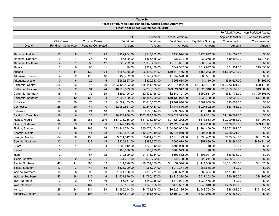|                             |                    |                   |                          |     |                  | Table 16                                                    |                         |                   |                         |                      |
|-----------------------------|--------------------|-------------------|--------------------------|-----|------------------|-------------------------------------------------------------|-------------------------|-------------------|-------------------------|----------------------|
|                             |                    |                   |                          |     |                  | Asset Forfeiture Actions Handled by United States Attorneys |                         |                   |                         |                      |
|                             |                    |                   |                          |     |                  | Fiscal Year Ended September 30, 2019                        |                         |                   |                         |                      |
|                             |                    |                   |                          |     |                  |                                                             |                         |                   | <b>Forfeited Assets</b> | Non-Forfeited Assets |
|                             |                    |                   |                          |     | Civil            | Criminal                                                    | <b>Asset Forfeiture</b> |                   | Applied to Victim       | Applied to Victim    |
|                             | <b>Civil Cases</b> |                   | <b>Criminal Cases</b>    |     | Forfeiture       | Forfeiture                                                  | <b>Fund Deposits</b>    | Equitable Sharing | Compensation            | Compensation         |
| <b>District</b>             |                    | Pending Completed | <b>Pending Completed</b> |     | Amount           | Amount                                                      | Amount                  | Amount            | Amount                  | Amount               |
|                             |                    |                   |                          |     |                  |                                                             |                         |                   |                         |                      |
| Alabama, Middle             | 12                 | 8                 | 26                       | 79  | \$139,934.00     | \$147,262.00                                                | \$450,074.00            | \$276,877.00      | \$24,502.00             | \$0.00               |
| Alabama, Northern           | 9                  | $\mathbf{1}$      | 37                       | 54  | \$6,500.00       | \$365,485.00                                                | \$37,324.00             | \$34,058.00       | \$10,593.00             | \$3,275.00           |
| Alabama, Southern           | $\overline{4}$     | $\mathbf{1}$      | 35                       | 12  | \$826,222.00     | \$1,062,433.00                                              | \$1,313,801.00          | \$306,734.00      | \$0.00                  | \$0.00               |
| Alaska                      | $\overline{2}$     | $\mathbf 0$       | 66                       | 41  | \$0.00           | \$332,180.00                                                | \$649,342.00            | \$819,847.00      | \$51,901.00             | \$19,630.00          |
| Arizona                     | $\overline{1}$     | 11                | 132                      | 174 | \$255,388.00     | \$6,398,361.00                                              | \$10,419,146.00         | \$454,233.00      | \$1,029,978.00          | \$0.00               |
| Arkansas, Eastern           | $\overline{4}$     | 2                 | 110                      | 16  | \$158,702.00     | \$1,973,470.00                                              | \$1,752,570.00          | \$660,591.00      | \$0.00                  | \$0.00               |
| Arkansas, Western           | $\overline{0}$     | $6\phantom{1}$    | 25                       | 45  | \$585,827.00     | \$320,313.00                                                | \$658,634.00            | \$4,110.00        | \$546,627.00            | \$4,396.00           |
| California, Central         | 226                | 63                | 46                       | 19  | \$193,122,403.00 | \$55,141,178.00                                             | \$221,074,962.00        | \$64,264,407.00   | \$152,373,491.00        | \$529,178.00         |
| California, Eastern         | 55                 | 32                | 94                       | 74  | \$16,316,629.00  | \$4,280,065.00                                              | \$23,624,947.00         | \$1,525,910.00    | \$17,689,582.00         | \$13,000.00          |
| California, Northern        | 15                 | 6                 | 75                       | 69  | \$392,196.00     | \$2,475,168.00                                              | \$2,340,121.00          | \$259,531.00      | \$683,778.00            | \$1,795,303.00       |
| California, Southern        | $9\,$              | 12                | 123                      | 93  | \$1,602,100.00   | \$10,387,290.00                                             | \$10,133,072.00         | \$236,780.00      | \$30,000.00             | \$14,300.00          |
| Colorado                    | 57                 | 30                | 73                       | 42  | \$4,589,403.00   | \$2,045,507.00                                              | \$5,467,610.00          | \$362,039.00      | \$13,604.00             | \$0.00               |
| Connecticut                 | 25                 | 20                | 44                       | 40  | \$2,050,851.00   | \$2,247,437.00                                              | \$3,447,816.00          | \$927,592.00      | \$83,758.00             | \$0.00               |
| Delaware                    | 12                 | $\mathbf 0$       | 21                       | 10  | \$0.00           | \$556,514.00                                                | \$235,925.00            | \$113,748.00      | \$0.00                  | \$0.00               |
| <b>District of Columbia</b> | 16                 | 6                 | 28                       | 27  | \$6,134,968.00   | \$362,587,579.00                                            | \$49,022,399.00         | \$47,361.00       | \$1,199,769.00          | \$0.00               |
| Florida, Middle             | 27                 | 18                | 251                      | 249 | \$17,076,256.00  | \$11,935,340.00                                             | \$27,624,272.00         | \$313,563.00      | \$9,090,658.00          | \$84,007.00          |
| Florida, Northern           | 15                 | 9                 | 74                       | 50  | \$147,015.00     | \$1,008,392.00                                              | \$2,729,734.00          | \$112,266.00      | \$870,819.00            | \$69,115.00          |
| Florida, Southern           | 31                 | 16                | 163                      | 168 | \$33,144,734.00  | \$85,077,454.00                                             | \$104,300,962.00        | \$1,294,466.00    | \$9,362,381.00          | \$0.00               |
| Georgia, Middle             | $\mathbf{3}$       | 8                 | 11                       | 13  | \$439,861.00     | \$12,597,049.00                                             | \$6,544,910.00          | \$204,938.00      | \$258,921.00            | \$0.00               |
| Georgia, Northern           | 64                 | 20                | 138                      | 74  | \$3,714,342.00   | \$3,454,271.00                                              | \$7,718,123.00          | \$1,738,492.00    | \$873,943.00            | \$651,829.00         |
| Georgia, Southern           | 13                 | $\overline{2}$    | 128                      | 15  | \$425,691.00     | \$896,307.00                                                | \$500,679.00            | \$57,896.00       | \$138,264.00            | \$839,214.00         |
| Guam                        | $\overline{1}$     | $\mathbf{1}$      | 6                        | 4   | \$200,812.00     | \$279,912.00                                                | \$791,900.00            | \$0.00            | \$0.00                  | \$0.00               |
| Hawaii                      | $\mathbf{3}$       | $\mathbf{1}$      | 23                       | 5   | \$190,000.00     | \$89,979.00                                                 | \$703,973.00            | \$0.00            | \$0.00                  | \$0.00               |
| Idaho                       | $\overline{2}$     | $\mathbf{1}$      | 87                       | 72  | \$19,809.00      | \$1,116,914.00                                              | \$693,632.00            | \$1,408,047.00    | \$16,636.00             | \$0.00               |
| Illinois, Central           | 9                  | $\overline{2}$    | 38                       | 61  | \$34,707.00      | \$85,702.00                                                 | \$41,738.00             | \$28,241.00       | \$725,272.00            | \$0.00               |
| Illinois, Northern          | 42                 | 11                | 385                      | 109 | \$711,826.00     | \$29,781,889.00                                             | \$31,637,544.00         | \$1,411,330.00    | \$7,601,665.00          | \$31,578.00          |
| Illinois, Southern          | 13                 | 3                 | 44                       | 63  | \$123,790.00     | \$68,704.00                                                 | \$219,374.00            | \$63,686.00       | \$0.00                  | \$0.00               |
| Indiana, Northern           | 19                 | 8                 | 95                       | 68  | \$1,074,956.00   | \$380,271.00                                                | \$280,522.00            | \$89,394.00       | \$177,405.00            | \$0.00               |
| Indiana, Southern           | 43                 | 38                | 215                      | 46  | \$1,631,879.00   | \$1,760,187.00                                              | \$3,216,384.00          | \$517,252.00      | \$30,996.00             | \$34,100.00          |
| Iowa, Northern              | 3                  | $\overline{2}$    | 46                       | 46  | \$6,951.00       | \$240,215.00                                                | \$319,094.00            | \$239,476.00      | \$0.00                  | \$0.00               |
| Iowa, Southern              | 9                  | $\overline{4}$    | 167                      | 137 | \$33,567.00      | \$648,585.00                                                | \$479,507.00            | \$248,849.00      | \$238,196.00            | \$0.00               |
| Kansas                      | 25                 | 34                | 134                      | 189 | \$3,965,244.00   | \$4,721,878.00                                              | \$6,229,185.00          | \$2,943,768.00    | \$28,093.00             | \$321,285.00         |
| Kentucky, Eastern           | 13                 | 8                 | 107                      | 87  | \$198,521.00     | \$1,851,579.00                                              | \$2,109,307.00          | \$539,056.00      | \$486,865.00            | \$0.00               |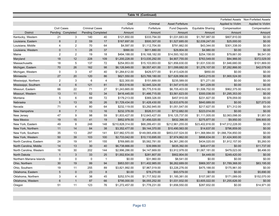|                          |                    |                |                          |                |                  | Table 16 (Continued) |                         |                   |                                    |                      |
|--------------------------|--------------------|----------------|--------------------------|----------------|------------------|----------------------|-------------------------|-------------------|------------------------------------|----------------------|
|                          |                    |                |                          |                |                  |                      |                         |                   | <b>Forfeited Assets</b>            | Non-Forfeited Assets |
|                          |                    |                |                          |                | Civil            | Criminal             | <b>Asset Forfeiture</b> |                   | Applied to Victim                  | Applied to Victim    |
|                          | <b>Civil Cases</b> |                | <b>Criminal Cases</b>    |                | Forfeiture       | Forfeiture           | <b>Fund Deposits</b>    | Equitable Sharing | Compensation                       | Compensation         |
| <b>District</b>          | Pending            | Completed      | <b>Pending Completed</b> |                | Amount           | Amount               | Amount                  | Amount            | Amount                             | Amount               |
| Kentucky, Western        | 21                 | 3              | 140                      | 40             | \$121,850.00     | \$333,794.00         | \$1,031,683.00          | \$1,787,987.00    | \$807,810.00                       | \$0.00               |
| Louisiana, Eastern       | 8                  | $\overline{2}$ | 59                       | 17             | \$167,697.00     | \$500,307.00         | \$1,527,685.00          | \$2,039,247.00    | \$25,000.00                        | \$0.00               |
| Louisiana, Middle        | $\overline{4}$     | $\overline{2}$ | 70                       | 64             | \$4,597.00       | \$1,112,704.00       | \$791,662.00            | \$43,344.00       | \$301,338.00                       | \$0.00               |
| Louisiana, Western       | $\mathbf 0$        | $\mathbf{1}$   | 28                       | 37             | \$990.00         | \$611,880.00         | \$29,804.00             | \$4,980.00        | \$0.00                             | \$0.00               |
| Maine                    | $\overline{2}$     | $\overline{2}$ | 19                       | 18             | \$494,188.00     | \$16,168,182.00      | \$14,593,162.00         | \$254,158.00      | \$79,661.00                        | \$6,541.00           |
| Maryland                 | 18                 | 12             | 228                      | 109            | \$1,200,228.00   | \$13,035,292.00      | \$4,907,755.00          | \$763,549.00      | \$84,966.00                        | \$372,029.00         |
| Massachusetts            | 18                 | 5              | 137                      | 72             | \$254,953.00     | \$15,103,953.00      | \$21,856,630.00         | \$1,631,530.00    | \$1,946,680.00                     | \$101,869.00         |
| Michigan, Eastern        | 70                 | 26             | 162                      | 98             | \$6,126,849.00   | \$8,557,401.00       | \$11,099,682.00         | \$1,276,107.00    | \$7,282,866.00                     | \$42,079.00          |
| Michigan, Western        | $\mathbf 0$        | $\sqrt{3}$     | 47                       | 40             | \$1,284,612.00   | \$429,577.00         | \$1,413,428.00          | \$850.00          | \$0.00                             | \$0.00               |
| Minnesota                | 27                 | 20             | 120                      | 86             | \$621,550.00     | \$23,769,180.00      | \$27,626,956.00         | \$453,215.00      | \$1,900,524.00                     | \$0.00               |
| Mississippi, Northern    | $\overline{2}$     | 3              | 6                        | $\overline{4}$ | \$22,300.00      | \$151,689.00         | \$235,589.00            | \$71,271.00       | \$0.00                             | \$0.00               |
| Mississippi, Southern    | $\overline{4}$     | $6\phantom{1}$ | 121                      | 81             | \$53,516.00      | \$2,645,324.00       | \$1,547,415.00          | \$41,229.00       | \$0.00                             | \$0.00               |
| Missouri, Eastern        | 66                 | 22             | 71                       | 27             | \$1,243,665.00   | \$5,775,516.00       | \$6,705,403.00          | \$1,506,702.00    | \$962,375.00                       | \$40,542.00          |
| Missouri, Western        | 13                 | 11             | 52                       | 34             | \$416,445.00     | \$1,486,715.00       | \$3,561,623.00          | \$300,038.00      | \$1,295,353.00                     | \$0.00               |
| Montana                  | $5\phantom{.0}$    | 6              | 69                       | 72             | \$179,213.00     | \$369,326.00         | \$457,910.00            | \$231,827.00      | \$78,059.00                        | \$0.00               |
| Nebraska                 | 5                  | 13             | 35                       | 26             | \$1,729,434.00   | \$1,428,430.00       | \$2,633,676.00          | \$840,689.00      | \$0.00                             | \$27,073.00          |
| Nevada                   | 71                 | $\overline{4}$ | 80                       | 64             | \$232,119.00     | \$3,292,945.00       | \$1,051,547.00          | \$217,627.00      | \$71,312.00                        | \$0.00               |
| New Hampshire            | 8                  | $\overline{7}$ | 13                       | 16             | \$232,378.00     | \$526,511.00         | \$712,682.00            | \$223,014.00      | \$0.00                             | \$0.00               |
| New Jersey               | 47                 | 9              | 98                       | 59             | \$1,833,427.00   | \$12,643,427.00      | \$16,125,737.00         | \$1,111,005.00    | \$2,063,098.00                     | \$1,951.00           |
| <b>New Mexico</b>        | 19                 | 15             | 41                       | 19             | \$852,978.00     | \$1,456,020.00       | \$832,398.00            | \$275,877.00      | \$9,950.00                         | \$99,900.00          |
| New York, Eastern        | 49                 | 8              | 248                      | 148            | \$210,828,314.00 | \$68,289,451.00      | \$212,961,255.00        | \$23,402,816.00   | \$147,012,228.00                   | \$0.00               |
| New York, Northern       | 11                 | 14             | 84                       | 38             | \$3,352,477.00   | \$9,144,370.00       | \$10,490,563.00         | \$14,637.00       | \$796,859.00                       | \$0.00               |
| New York, Southern       | 35                 | 13             | 297                      | 141            | \$37,982,570.00  | \$149,065,456.00     | \$853,037,524.00        |                   | \$11,368,984.00 \$1,066,704,850.00 | \$0.00               |
| New York, Western        | 50                 | 39             | 103                      | 100            | \$2,733,042.00   | \$10,110,695.00      | \$7,974,862.00          | \$898,634.00      | \$1,424,900.00                     | \$0.00               |
| North Carolina, Eastern  | 24                 | 19             | 91                       | 155            | \$769,885.00     | \$5,582,781.00       | \$4,361,280.00          | \$434,020.00      | \$1,912,157.00                     | \$5,260.00           |
| North Carolina, Middle   | 14                 | 13             | 30                       | 40             | \$6,738,666.00   | \$39,999.00          | \$635,392.00            | \$49,417.00       | \$0.00                             | \$11,737.00          |
| North Carolina, Western  | 16                 | 30             | 202                      | 144            | \$2,996,286.00   | \$4,147,669.00       | \$3,912,978.00          | \$1,067,181.00    | \$479,023.00                       | \$8,496.00           |
| North Dakota             | $\overline{1}$     | 3              | 33                       | 25             | \$1,002,834.00   | \$281,807.00         | \$902,804.00            | \$4,449.00        | \$249,420.00                       | \$0.00               |
| Northern Mariana Islands | $\mathbf 0$        | $\mathbf 0$    | $\mathbf 0$              | $\mathbf{1}$   | \$0.00           | \$31,960.00          | \$8,541.00              | \$0.00            | \$0.00                             | \$0.00               |
| Ohio, Northern           | 30                 | 19             | 99                       | 94             | \$953,551.00     | \$11,402,985.00      | \$6,262,689.00          | \$969,357.00      | \$1,789,368.00                     | \$83,195.00          |
| Ohio, Southern           | 19                 | 11             | 255                      | 89             | \$3,821,992.00   | \$7,967,019.00       | \$3,226,276.00          | \$475,188.00      | \$175,961.00                       | \$0.00               |
| Oklahoma, Eastern        | 5                  | $\mathbf{0}$   | 23                       | $\bf 8$        | \$0.00           | \$78,270.00          | \$93,579.00             | \$0.00            | \$0.00                             | \$5,690.00           |
| Oklahoma, Northern       | 3                  | 4              | 38                       | 45             | \$252,574.00     | \$1,717,502.00       | \$1,185,381.00          | \$107,087.00      | \$171,089.00                       | \$152,070.00         |
| Oklahoma, Western        | 6                  | $\mathbf{1}$   | 87                       | 66             | \$795,000.00     | \$6,055,252.00       | \$1,031,932.00          | \$3,605,022.00    | \$1,255,626.00                     | \$0.00               |
| Oregon                   | 51                 | 11             | 123                      | 76             | \$1,272,457.00   | \$1,778,231.00       | \$1,656,550.00          | \$287,932.00      | \$0.00                             | \$14,971.00          |
|                          |                    |                |                          |                |                  |                      |                         |                   |                                    |                      |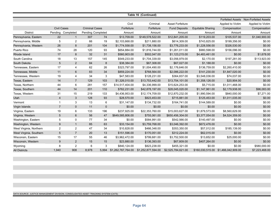|                         |                    |                   |                          |       |                    | Table 16 (Continued) |                      |                   |                   |                                       |
|-------------------------|--------------------|-------------------|--------------------------|-------|--------------------|----------------------|----------------------|-------------------|-------------------|---------------------------------------|
|                         |                    |                   |                          |       |                    |                      |                      |                   |                   | Forfeited Assets Non-Forfeited Assets |
|                         |                    |                   |                          |       | Civil              | Criminal             | Asset Forfeiture     |                   | Applied to Victim | Applied to Victim                     |
|                         | <b>Civil Cases</b> |                   | <b>Criminal Cases</b>    |       | Forfeiture         | Forfeiture           | <b>Fund Deposits</b> | Equitable Sharing | Compensation      | Compensation                          |
| <b>District</b>         |                    | Pending Completed | <b>Pending Completed</b> |       | Amount             | Amount               | Amount               | Amount            | Amount            | Amount                                |
| Pennsylvania, Eastern   | 22                 | $\mathbf{1}$      | 307                      | 74    | \$13,709.00        | \$149,578,522.00     | \$12,841,205.00      | \$119,203.00      | \$105,537.00      | \$1,040,900.00                        |
| Pennsylvania, Middle    | 5                  | 2                 | 66                       | 19    | \$2,103,668.00     | \$211,880.00         | \$614,309.00         | \$743,825.00      | \$199,356.00      | \$0.00                                |
| Pennsylvania, Western   | 26                 | 8                 | 201                      | 104   | \$1,774,558.00     | \$1,738,156.00       | \$3,776,233.00       | \$1,228,556.00    | \$326,530.00      | \$0.00                                |
| Puerto Rico             | 74                 | 28                | 120                      | 93    | \$654,884.00       | \$1,816,744.00       | \$1,261,011.00       | \$980,598.00      | \$156,096.00      | \$0.00                                |
| Rhode Island            | 17                 | 8                 | 32                       | 31    | \$560,903.00       | \$502,047.00         | \$1,123,215.00       | \$4,483,461.00    | \$0.00            | \$1,678.00                            |
| South Carolina          | 18                 | 13                | 157                      | 145   | \$549,233.00       | \$1,704,339.00       | \$3,056,979.00       | \$2,170.00        | \$197,281.00      | \$113,923.00                          |
| South Dakota            | 5                  | $\overline{2}$    | 84                       | 8     | \$38,384.00        | \$67,308.00          | \$67,027.00          | \$1,188.00        | \$0.00            | \$0.00                                |
| Tennessee, Eastern      | 17                 | 4                 | 62                       | 26    | \$323,797.00       | \$1,004,490.00       | \$2,176,646.00       | \$136,759.00      | \$2,260,410.00    | \$0.00                                |
| Tennessee, Middle       | 11                 | $6\phantom{1}$    | 83                       | 34    | \$859,224.00       | \$768,564.00         | \$2,086,222.00       | \$141,230.00      | \$1,847,020.00    | \$0.00                                |
| Tennessee, Western      | 19                 | 4                 | 34                       | 3     | \$47,583.00        | \$128,231.00         | \$364,837.00         | \$3,548,036.00    | \$74,037.00       | \$0.00                                |
| Texas, Eastern          | 14                 | $\overline{7}$    | 129                      | 103   | \$1,326,010.00     | \$13,753,442.00      | \$13,754,101.00      | \$1,358,126.00    | \$20,904.00       | \$0.00                                |
| Texas, Northern         | 44                 | 6                 | 281                      | 157   | \$14,517,404.00    | \$4,336,999.00       | \$15,624,253.00      | \$5,715.00        | \$1,011,468.00    | \$0.00                                |
| Texas, Southern         | 44                 | 14                | 201                      | 110   | \$762,231.00       | \$42,878,197.00      | \$28,045,020.00      | \$1,147,961.00    | \$2,179,938.00    | \$96,083.00                           |
| Texas, Western          | 31                 | 15                | 219                      | 133   | \$4,436,953.00     | \$12,174,709.00      | \$12,870,232.00      | \$1,990,594.00    | \$840,000.00      | \$7,271.00                            |
| Utah                    | $\overline{4}$     | 3                 | 128                      | 93    | \$28,570.00        | \$823,453.00         | \$715,881.00         | \$125,453.00      | \$1,011,035.00    | \$0.00                                |
| Vermont                 |                    | 3                 | 13                       | 6     | \$31,147.00        | \$134,732.00         | \$164,741.00         | \$144,589.00      | \$0.00            | \$0.00                                |
| Virgin Islands          | $\overline{7}$     | $\mathbf 0$       | 11                       | 0     | \$0.00             | \$0.00               | \$0.00               | \$0.00            | \$0.00            | \$0.00                                |
| Virginia, Eastern       | 19                 | 6                 | 133                      | 196   | \$237,925.00       | \$22,353,760.00      | \$15,003,627.00      | \$1,879,573.00    | \$8,560,629.00    | \$0.00                                |
| Virginia, Western       | 5                  | 6                 | 56                       | 47    | \$649,585,806.00   | \$755,061.00         | \$650,456,304.00     | \$3,377,054.00    | \$4,524,359.00    | \$0.00                                |
| Washington, Eastern     | 5                  | 0                 | 77                       | 34    | \$0.00             | \$584,991.00         | \$542,566.00         | \$140,497.00      | \$0.00            | \$0.00                                |
| Washington, Western     | 9                  | $\mathbf{1}$      | 85                       | 63    | \$33,154.00        | \$3,759,768.00       | \$3,046,392.00       | \$672,476.00      | \$0.00            | \$0.00                                |
| West Virginia, Northern | $\overline{2}$     | 2                 | 47                       | 34    | \$10,828.00        | \$466,348.00         | \$353,350.00         | \$57,012.00       | \$185,139.00      | \$0.00                                |
| West Virginia, Southern | 5                  | $\overline{7}$    | 20                       | 13    | \$151,596.00       | \$170,051.00         | \$312,224.00         | \$62,015.00       | \$0.00            | \$0.00                                |
| Wisconsin, Eastern      | 15                 | 17                | 55                       | 46    | \$3,962,472.00     | \$799,681.00         | \$3,752,500.00       | \$13,652.00       | \$25,000.00       | \$0.00                                |
| Wisconsin, Western      | 9                  | $\overline{2}$    | 15                       | 15    | \$23,880.00        | \$136,393.00         | \$67,809.00          | \$407,264.00      | \$0.00            | \$0.00                                |
| Wyoming                 | 8                  | 2                 | 6                        | 3     | \$840,124.00       | \$823,238.00         | \$455,321.00         | \$0.00            | \$0.00            | \$580,000.00                          |
| <b>All Districts</b>    | 1,940              | 908               | 8,978                    | 5,994 | \$1,262,767,764.00 | \$1,252,877,594.00   | \$2,525,784,621.00   |                   |                   | \$7,223,468.00                        |

DATA SOURCE: JUSTICE MANAGEMENT DIVISION, CONSOLIDATED ASSET TRACKING SYSTEM (CATS)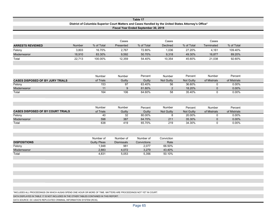|                                          |        |                              |                          | Table 17                                                                                                                                      |                |                   |              |              |  |
|------------------------------------------|--------|------------------------------|--------------------------|-----------------------------------------------------------------------------------------------------------------------------------------------|----------------|-------------------|--------------|--------------|--|
|                                          |        |                              |                          | District of Columbia Superior Court Matters and Cases Handled by the United States Attorney's Office*<br>Fiscal Year Ended September 30, 2019 |                |                   |              |              |  |
|                                          |        |                              |                          |                                                                                                                                               |                |                   |              |              |  |
|                                          |        |                              |                          |                                                                                                                                               |                |                   |              |              |  |
|                                          |        |                              | Cases                    |                                                                                                                                               | Cases          |                   | Cases        |              |  |
| <b>ARRESTS REVIEWED</b>                  | Number | % of Total                   | Presented                | % of Total                                                                                                                                    | Declined       | % of Total        | Terminated   | % of Total   |  |
| Felony                                   | 3,803  | 16.70%                       | 2,767                    | 72.80%                                                                                                                                        | 1,036          | 27.20%            | 4,161        | 109.40%      |  |
| Misdemeanor                              | 18,910 | 83.30%                       | 9,592                    | 50.70%                                                                                                                                        | 9,318          | 49.30%            | 16,877       | 89.20%       |  |
| Total                                    | 22,713 | 100.00%                      | 12,359                   | 54.40%                                                                                                                                        | 10,354         | 45.60%            | 21,038       | 92.60%       |  |
|                                          |        |                              |                          |                                                                                                                                               |                |                   |              |              |  |
|                                          |        |                              |                          |                                                                                                                                               |                |                   |              |              |  |
|                                          |        |                              |                          |                                                                                                                                               |                |                   |              |              |  |
|                                          |        | Number                       | Number                   | Percent                                                                                                                                       | Number         | Percent           | Number       | Percent      |  |
| <b>CASES DISPOSED OF BY JURY TRIALS</b>  |        | of Trials                    | Guilty                   | Guilty                                                                                                                                        | Not Guilty     | <b>Not Guilty</b> | of Mistrials | of Mistrials |  |
| Felony                                   |        | 153                          | 97                       | 63.40%                                                                                                                                        | 56             | 36.60%            | $\mathbf 0$  | 0.00%        |  |
| Misdemeanor                              |        | 11                           | $9\,$                    | 81.80%                                                                                                                                        | $\sqrt{2}$     | 18.20%            | $\mathbf{0}$ | 0.00%        |  |
| Total                                    |        | 164                          | 106                      | 64.60%                                                                                                                                        | 58             | 35.40%            | $\Omega$     | 0.00%        |  |
|                                          |        |                              |                          |                                                                                                                                               |                |                   |              |              |  |
|                                          |        |                              |                          |                                                                                                                                               |                |                   |              |              |  |
|                                          |        | Number                       | Number                   | Percent                                                                                                                                       | Number         | Percent           | Number       | Percent      |  |
| <b>CASES DISPOSED OF BY COURT TRIALS</b> |        | of Trials                    | Guilty                   | Guilty                                                                                                                                        | Not Guilty     | <b>Not Guilty</b> | of Mistrials | of Mistrials |  |
| Felony                                   |        | 40                           | 32                       | 80.00%                                                                                                                                        | 8              | 20.00%            | $\mathbf 0$  | 0.00%        |  |
| Misdemeanor                              |        | 598                          | 387                      | 64.70%                                                                                                                                        | 211            | 35.30%            | $\mathbf{0}$ | 0.00%        |  |
| Total                                    |        | 638                          | 419                      | 65.70%                                                                                                                                        | 219            | 34.30%            | $\mathbf 0$  | 0.00%        |  |
|                                          |        |                              |                          |                                                                                                                                               |                |                   |              |              |  |
|                                          |        |                              |                          |                                                                                                                                               |                |                   |              |              |  |
|                                          |        |                              |                          |                                                                                                                                               |                |                   |              |              |  |
|                                          |        | Number of                    | Number of                | Number of                                                                                                                                     | Conviction     |                   |              |              |  |
| <b>DISPOSITIONS</b><br>Felony            |        | <b>Guilty Pleas</b><br>1,948 | <b>Dismissals</b><br>981 | Convictions<br>2,077                                                                                                                          | Rate<br>66.50% |                   |              |              |  |
| Misdemeanor                              |        | 2,883                        | 4,072                    | 3,279                                                                                                                                         | 43.40%         |                   |              |              |  |
| Total                                    |        | 4,831                        | 5,053                    | 5,356                                                                                                                                         | 50.10%         |                   |              |              |  |
|                                          |        |                              |                          |                                                                                                                                               |                |                   |              |              |  |
|                                          |        |                              |                          |                                                                                                                                               |                |                   |              |              |  |

DATA DISPLAYED IN TABLE 17 IS NOT INCLUDED IN THE OTHER TABLES CONTAINED IN THIS REPORT.

DATA SOURCE: DC USAO'S REPLICATED CRIMINAL INFORMATION SYSTEM (RCIS).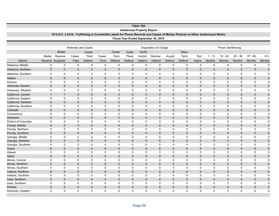|                                  |                   |                     |                            |                                                                                                                                 |                            |               |                                     | Table 18A      |                                      |                          |                          |                |                      |                          |                         |                   |                         |
|----------------------------------|-------------------|---------------------|----------------------------|---------------------------------------------------------------------------------------------------------------------------------|----------------------------|---------------|-------------------------------------|----------------|--------------------------------------|--------------------------|--------------------------|----------------|----------------------|--------------------------|-------------------------|-------------------|-------------------------|
|                                  |                   |                     |                            |                                                                                                                                 |                            |               | <b>Intellectual Property Report</b> |                |                                      |                          |                          |                |                      |                          |                         |                   |                         |
|                                  |                   |                     |                            | 18 U.S.C. § 2318 - Trafficking in Counterfeit Labels for Phono Records and Copies of Motion Pictures or Other Audiovisual Works |                            |               |                                     |                |                                      |                          |                          |                |                      |                          |                         |                   |                         |
|                                  |                   |                     |                            |                                                                                                                                 |                            |               |                                     |                | Fiscal Year Ended September 30, 2019 |                          |                          |                |                      |                          |                         |                   |                         |
|                                  |                   |                     |                            |                                                                                                                                 |                            |               |                                     |                |                                      |                          |                          |                |                      |                          |                         |                   |                         |
|                                  |                   |                     | <b>Referrals and Cases</b> |                                                                                                                                 |                            |               |                                     |                | Disposition of Charge                |                          |                          |                |                      | <b>Prison Sentencing</b> |                         |                   |                         |
|                                  |                   | <b>Matter</b>       |                            | Cases                                                                                                                           |                            | Cases         | Guilty                              | Guilty         |                                      |                          | Other                    |                |                      |                          |                         |                   |                         |
|                                  | Matter            | Receive             | Cases                      | Filed                                                                                                                           | Cases                      | Term          | Pleas                               | Verdict        | <b>Dismiss</b>                       | Acquit                   | Term                     | Not            | $1 - 12$             | $13 - 24$                | $25 - 36$               | $37 - 60$         | $61+$                   |
| <b>District</b>                  |                   | Receive Suspects    | Filed                      | Defend                                                                                                                          | Term                       | Defend        | Defend                              | Defend         | Defend                               | Defend                   | Defend                   | Impris         | <b>Months</b>        | <b>Months</b>            | Months                  | <b>Months</b>     | <b>Months</b>           |
| Alabama, Middle                  | $\mathbf 0$       | $\mathbf 0$         | $\mathbf 0$                | $\mathbf 0$                                                                                                                     | $\mathbf 0$                | $\Omega$      | $\mathbf 0$                         | $\mathbf 0$    | $\mathbf 0$                          | $\mathbf 0$              | $\mathbf 0$              | 0              | $\Omega$             | $\mathbf 0$              | $\mathbf 0$             | $\mathbf 0$       | $\mathbf 0$             |
| Alabama, Northern                | $\mathbf 0$       | $\mathsf{O}\xspace$ | $\mathbf 0$                | $\mathbf 0$                                                                                                                     | $\mathbf 0$                | $\mathbf 0$   | $\mathbf 0$                         | $\mathbf{0}$   | $\mathbf{0}$                         | $\mathbf{0}$             | $\mathbf{0}$             | $\mathbf{0}$   | $\mathbf{0}$         | $\mathbf{0}$             | $\bf 0$                 | $\mathbf 0$       | $\mathsf{O}\xspace$     |
| Alabama, Southern                | 0                 | $\mathbf 0$         | 0                          | 0                                                                                                                               | 0                          | $\Omega$      | 0                                   | $\Omega$       | $\Omega$                             | $\Omega$                 | $\Omega$                 | $\Omega$       | $\Omega$             | 0                        | 0                       | 0                 | $\mathbf 0$             |
| Alaska                           | $\overline{0}$    | $\mathbf 0$         | 0                          | $\mathbf{0}$                                                                                                                    | $\overline{0}$             | $\Omega$      | $\mathbf{0}$                        | $\Omega$       | $\Omega$                             | $\mathbf{0}$             | $\mathbf{0}$             | $\Omega$       | $\Omega$             | $\mathbf{0}$             | $\mathbf 0$             | $\mathbf{0}$      | $\mathbf 0$             |
| Arizona                          | 0                 | $\mathbf 0$         | 0                          | $\pmb{0}$                                                                                                                       | $\Omega$                   | $\Omega$      | $\Omega$                            | $\Omega$       | $\Omega$                             | $\Omega$                 | $\Omega$                 | $\Omega$       | $\Omega$             | $\Omega$                 | $\Omega$                | $\mathbf 0$       | $\Omega$                |
| Arkansas, Eastern                | $\mathbf 0$       | $\mathbf 0$         | 0                          | $\mathbf 0$                                                                                                                     | 0                          | $\mathbf{0}$  | $\mathbf 0$                         | $\mathbf{0}$   | $\mathbf{0}$                         | $\mathbf{0}$             | $\mathbf{0}$             | $\mathbf{0}$   | $\mathbf{0}$         | $\mathbf 0$              | $\bf 0$                 | $\mathbf 0$       | $\mathsf{O}\xspace$     |
| Arkansas, Western                | 0                 | $\mathbf 0$         | 0                          | $\mathbf 0$                                                                                                                     | $\mathbf 0$                | $\Omega$      | $\mathbf 0$                         | $\Omega$       | $\Omega$                             | $\Omega$                 | $\Omega$                 | 0              | $\Omega$             | 0                        | $\mathbf 0$             | $\mathbf 0$       | $\mathbf 0$             |
| California, Central              | $\mathbf{1}$      | $\mathbf{1}$        | 0                          | $\mathbf{0}$                                                                                                                    | $\overline{0}$             | $\mathbf{0}$  | $\mathbf 0$                         | $\mathbf{0}$   | $\mathbf{0}$                         | $\mathbf{0}$             | $\mathbf{0}$             | $\mathbf{0}$   | $\mathbf{0}$         | $\mathbf{0}$             | $\mathbf 0$             | $\mathbf 0$       | $\mathbf 0$             |
| California, Eastern              | $\mathbf 0$       | $\mathbf 0$         | 0                          | $\mathbf 0$                                                                                                                     | 0                          | $\mathbf 0$   | $\mathbf 0$                         | 0              | $\mathbf 0$                          | 0                        | $\mathbf 0$              | 0              | $\Omega$             | 0                        | $\mathbf 0$             | $\mathbf 0$       | $\mathbf 0$             |
| California, Northern             | $\mathbf 0$       | $\mathbf 0$         | $\mathbf 0$                | $\mathbf 0$                                                                                                                     | 0                          | $\mathbf 0$   | $\mathbf 0$                         | $\Omega$       | $\mathbf{0}$                         | $\mathbf{0}$             | $\mathbf{0}$             | $\mathbf 0$    | $\mathbf{0}$         | $\overline{0}$           | $\bf 0$                 | $\mathbf 0$       | $\mathsf{O}\xspace$     |
| California, Southern             | $\mathbf 0$       | $\mathbf 0$         | 0                          | $\mathbf 0$                                                                                                                     | 0                          | 0             | 0                                   | $\mathbf 0$    | $\mathbf 0$                          | 0                        | $\Omega$                 | 0              | $\Omega$             | 0                        | $\mathbf 0$             | 0                 | 0                       |
| Colorado                         | $\mathbf{0}$      | $\mathbf{0}$        | $\mathbf{0}$               | $\mathbf{0}$                                                                                                                    | $\overline{0}$             | $\mathbf{0}$  | $\mathbf 0$                         | $\Omega$       | $\mathbf{0}$                         | $\mathbf{0}$             | $\mathbf{0}$             | $\Omega$       | $\Omega$             | $\mathbf{0}$             | $\mathbf 0$             | $\mathbf{0}$      | $\mathbf{0}$            |
| Connecticut                      | 0                 | $\mathbf 0$         | 0                          | $\pmb{0}$                                                                                                                       | $\mathbf 0$                | 0             | $\mathbf 0$                         | $\mathbf 0$    | $\mathbf 0$                          | 0                        | 0                        | 0              | 0                    | 0                        | $\mathbf 0$             | $\mathbf 0$       | $\mathbf 0$             |
| Delaware                         | $\mathbf{0}$      | $\mathbf{0}$        | $\mathbf{0}$               | $\mathbf{0}$                                                                                                                    | 0                          | $\mathbf{0}$  | $\mathbf 0$                         | $\mathbf{0}$   | $\mathbf{0}$                         | $\mathbf{0}$             | $\mathbf{0}$             | $\mathbf{0}$   | $\mathbf{0}$         | $\mathbf{0}$             | $\mathbf 0$             | 0                 | $\mathbf 0$             |
| District of Columbia             | 0                 | $\mathbf 0$         | 0                          | $\Omega$                                                                                                                        | $\Omega$                   | $\Omega$      | $\mathbf 0$                         | 0              | $\mathbf 0$                          | $\Omega$                 | $\Omega$                 | $\Omega$       | $\Omega$             | 0                        | $\mathbf 0$             | $\mathbf 0$       | $\mathbf 0$             |
| Florida, Middle                  | $\mathbf 0$       | $\mathbf 0$         | $\mathbf 0$                | $\mathbf 0$                                                                                                                     | 0                          | $\mathbf 0$   | $\mathbf 0$                         | $\Omega$       | $\mathbf{0}$                         | $\mathbf{0}$             | $\mathbf{0}$             | $\mathbf 0$    | $\mathbf{0}$         | $\mathbf{0}$             | $\mathbf 0$             | $\mathbf 0$       | $\mathsf{O}\xspace$     |
| Florida, Northern                | 0                 | 0                   | 0                          | $\mathbf 0$                                                                                                                     | 0                          | 0             | 0                                   | $\mathbf 0$    | $\mathbf 0$                          | 0                        | $\mathbf 0$              | 0              | 0                    | 0                        | $\mathbf 0$             | 0                 | 0                       |
| Florida, Southern                | $\mathbf{0}$      | $\mathbf{0}$        | $\mathbf{0}$               | $\mathbf{0}$                                                                                                                    | $\overline{0}$             | $\Omega$      | $\mathbf 0$                         | $\Omega$       | $\mathbf{0}$                         | $\mathbf{0}$             | $\mathbf{0}$             | $\mathbf{0}$   | $\Omega$             | $\mathbf{0}$             | $\mathbf 0$             | $\mathbf{0}$      | $\mathbf{0}$            |
| Georgia, Middle                  | 0                 | 0                   | $\mathbf 0$                | $\mathbf 0$                                                                                                                     | 0                          | 0             | $\mathbf 0$                         | 0              | $\mathbf 0$                          | 0                        | $\mathbf 0$              | 0              | 0                    | 0                        | $\mathbf 0$             | $\mathbf 0$       | $\mathbf 0$             |
| Georgia, Northern                | $\pmb{0}$         | $\mathbf 0$         | 0                          | $\mathbf 0$                                                                                                                     | 0                          | $\mathbf{0}$  | $\mathbf 0$                         | $\Omega$       | $\mathbf{0}$                         | $\mathbf{0}$             | $\mathbf{0}$             | $\mathbf{0}$   | $\mathbf{0}$         | $\mathbf 0$              | $\mathbf 0$             | 0                 | $\pmb{0}$               |
| Georgia, Southern                | 0                 | $\mathbf 0$         | 0                          | $\Omega$                                                                                                                        | $\mathbf{0}$               | $\Omega$      | $\mathbf 0$                         | $\Omega$       | $\Omega$                             | $\Omega$                 | $\Omega$                 | $\Omega$       | $\Omega$             | $\Omega$                 | $\Omega$                | $\mathbf 0$       | $\mathbf 0$             |
| Guam                             | $\mathbf 0$       | $\mathbf 0$         | 0                          | $\mathbf 0$                                                                                                                     | 0                          | $\mathbf 0$   | $\mathbf 0$                         | $\mathbf 0$    | $\mathbf{0}$                         | $\mathbf{0}$             | $\mathbf 0$              | $\mathbf{0}$   | $\mathbf{0}$         | $\mathbf{0}$             | $\mathbf 0$             | $\mathbf 0$       | $\mathsf{O}\xspace$     |
| Hawaii                           | 0                 | 0                   | 0                          | 0                                                                                                                               | 0                          | 0             | 0                                   | $\mathbf 0$    | $\mathbf 0$                          | 0                        | $\mathbf 0$              | 0              | 0                    | 0                        | $\mathbf 0$             | 0                 | $\pmb{0}$               |
| Idaho                            | $\mathbf{0}$      | $\mathbf{0}$        | $\mathbf{0}$               | $\mathbf{0}$                                                                                                                    | $\overline{0}$             | $\Omega$      | $\mathbf 0$                         | $\Omega$       | $\Omega$                             | $\mathbf{0}$             | $\mathbf{0}$             | $\Omega$       | $\Omega$             | $\mathbf{0}$             | $\mathbf 0$             | $\mathbf{0}$      | $\mathbf{0}$            |
| Illinois, Central                | 0                 | 0                   | 0                          | $\Omega$                                                                                                                        | $\Omega$                   | $\Omega$      | $\Omega$                            | $\Omega$       | $\Omega$                             | $\Omega$                 | 0                        | $\Omega$       | $\Omega$             | $\Omega$                 | $\Omega$                | 0                 | $\Omega$                |
| Illinois, Northern               | $\mathbf 0$       | $\mathbf 0$         | $\mathbf 0$                | $\mathbf 0$                                                                                                                     | 0                          | $\mathbf 0$   | $\mathbf 0$                         | $\overline{0}$ | $\mathbf 0$                          | $\mathbf{0}$             | $\mathbf 0$              | $\mathbf 0$    | $\mathbf{0}$         | $\mathbf 0$              | $\mathbf 0$             | $\mathbf 0$       | $\mathsf{O}\xspace$     |
| Illinois, Southern               | 0                 | $\mathbf 0$         | 0                          | $\mathbf 0$                                                                                                                     | 0                          | $\Omega$      | 0                                   | 0              | $\mathbf 0$                          | 0                        | $\Omega$                 | $\Omega$       | $\Omega$             | 0                        | $\mathbf 0$             | $\mathbf 0$       | $\mathbf 0$             |
| Indiana, Northern                | $\mathbf 0$       | $\mathbf 0$         | $\mathbf 0$                | $\mathbf 0$                                                                                                                     | 0                          | $\mathbf 0$   | $\mathbf 0$                         | $\mathbf 0$    | $\mathbf{0}$                         | $\mathbf{0}$             | $\mathbf{0}$             | $\overline{0}$ | $\mathbf{0}$         | $\mathbf{0}$             | $\mathbf 0$             | $\mathbf{0}$      | $\mathsf{O}\xspace$     |
| Indiana, Southern                | 0                 | $\mathbf 0$         | 0                          | $\mathbf 0$                                                                                                                     | 0                          | 0<br>$\Omega$ | 0                                   | 0<br>$\Omega$  | 0                                    | 0                        | 0                        | 0<br>$\Omega$  | 0                    | 0                        | 0                       | 0                 | $\mathbf 0$             |
| Iowa, Northern<br>Iowa, Southern | $\mathbf{0}$<br>0 | $\mathbf{0}$<br>0   | $\mathbf{0}$<br>$\Omega$   | $\mathbf{0}$<br>$\Omega$                                                                                                        | $\overline{0}$<br>$\Omega$ | $\Omega$      | $\mathbf 0$<br>$\Omega$             | $\Omega$       | $\mathbf{0}$<br>$\Omega$             | $\mathbf{0}$<br>$\Omega$ | $\mathbf{0}$<br>$\Omega$ | $\Omega$       | $\Omega$<br>$\Omega$ | $\mathbf{0}$<br>$\Omega$ | $\mathbf 0$<br>$\Omega$ | $\mathbf{0}$<br>0 | $\mathbf 0$<br>$\Omega$ |
| Kansas                           | $\mathbf 0$       | $\mathbf 0$         | 0                          | $\mathbf{0}$                                                                                                                    | 0                          | $\mathbf 0$   | $\mathbf 0$                         | $\mathbf 0$    | $\mathbf 0$                          | $\mathbf{0}$             | $\mathbf 0$              | $\mathbf{0}$   | $\mathbf{0}$         | 0                        | $\mathbf 0$             | 0                 | $\pmb{0}$               |
| Kentucky, Eastern                | $\Omega$          | $\Omega$            | $\Omega$                   | $\Omega$                                                                                                                        | $\Omega$                   | $\Omega$      | $\Omega$                            | $\Omega$       | $\Omega$                             | $\Omega$                 | $\Omega$                 | $\Omega$       | $\Omega$             | 0                        | $\Omega$                | $\Omega$          | $\Omega$                |
|                                  |                   |                     |                            |                                                                                                                                 |                            |               |                                     |                |                                      |                          |                          |                |                      |                          |                         |                   |                         |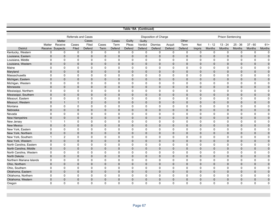|                          |              |                |                            |                |              |                |              | Table 18A (Continued) |                              |              |              |              |               |                          |               |               |             |
|--------------------------|--------------|----------------|----------------------------|----------------|--------------|----------------|--------------|-----------------------|------------------------------|--------------|--------------|--------------|---------------|--------------------------|---------------|---------------|-------------|
|                          |              |                |                            |                |              |                |              |                       |                              |              |              |              |               |                          |               |               |             |
|                          |              |                | <b>Referrals and Cases</b> |                |              |                |              |                       | <b>Disposition of Charge</b> |              |              |              |               | <b>Prison Sentencing</b> |               |               |             |
|                          |              | <b>Matter</b>  |                            | Cases          |              | Cases          | Guilty       | Guilty                |                              |              | Other        |              |               |                          |               |               |             |
|                          | Matter       | Receive        | Cases                      | Filed          | Cases        | Term           | Pleas        | Verdict               | <b>Dismiss</b>               | Acquit       | Term         | Not          | $1 - 12$      | $13 - 24$                | $25 - 36$     | $37 - 60$     | $61+$       |
| <b>District</b>          | Receive      | Suspects       | Filed                      | Defend         | Term         | Defend         | Defend       | Defend                | Defend                       | Defend       | Defend       | Impris       | <b>Months</b> | <b>Months</b>            | <b>Months</b> | <b>Months</b> | Months      |
| Kentucky, Western        | 0            | $\mathbf 0$    | 0                          | $\mathbf 0$    | $\mathbf 0$  | $\mathbf 0$    | $\mathbf 0$  | $\mathbf 0$           | $\mathbf 0$                  | $\mathbf 0$  | $\mathbf 0$  | $\mathbf 0$  | $\mathbf 0$   | $\mathbf 0$              | 0             | $\mathbf 0$   | $\mathbf 0$ |
| Louisiana, Eastern       | $\mathbf{0}$ | $\mathbf{0}$   | $\mathbf{0}$               | $\overline{0}$ | $\mathbf{0}$ | $\overline{0}$ | $\mathbf{0}$ | $\mathbf{0}$          | $\mathbf{0}$                 | $\mathbf{0}$ | $\Omega$     | $\Omega$     | $\mathbf{0}$  | $\mathbf{0}$             | $\mathbf{0}$  | $\mathbf{0}$  | $\mathbf 0$ |
| Louisiana, Middle        | $\mathbf 0$  | $\mathbf 0$    | $\mathbf 0$                | $\mathbf 0$    | 0            | $\mathbf 0$    | $\mathbf 0$  | $\mathbf 0$           | 0                            | $\mathbf 0$  | 0            | $\Omega$     | 0             | $\mathbf 0$              | $\mathbf 0$   | $\mathbf 0$   | $\mathbf 0$ |
| Louisiana, Western       | $\mathbf{0}$ | $\mathbf 0$    | $\overline{0}$             | $\overline{0}$ | $\mathbf{0}$ | $\Omega$       | $\mathbf 0$  | $\mathbf{0}$          | $\mathbf{0}$                 | $\mathbf 0$  | $\Omega$     | $\mathbf{0}$ | $\mathbf{0}$  | $\mathbf 0$              | $\mathbf{0}$  | $\mathbf 0$   | $\pmb{0}$   |
| Maine                    | 0            | $\mathsf 0$    | $\mathbf 0$                | $\mathbf 0$    | $\mathbf 0$  | $\mathbf 0$    | $\mathbf 0$  | $\mathbf 0$           | $\mathbf 0$                  | $\mathbf 0$  | 0            | 0            | 0             | 0                        | $\mathbf 0$   | 0             | $\mathbf 0$ |
| Maryland                 | $\mathbf{0}$ | $\mathbf{0}$   | $\Omega$                   | $\Omega$       | $\Omega$     | $\Omega$       | $\mathbf{0}$ | $\mathbf{0}$          | $\mathbf{0}$                 | $\mathbf{0}$ | $\Omega$     | $\Omega$     | $\mathbf{0}$  | $\mathbf{0}$             | $\mathbf{0}$  | $\mathbf 0$   | $\mathbf 0$ |
| Massachusetts            | $\mathbf{0}$ | $\mathbf 0$    | 0                          | $\mathbf 0$    | 0            | $\mathbf 0$    | $\mathbf 0$  | $\mathbf 0$           | 0                            | $\mathbf 0$  | 0            | $\Omega$     | 0             | 0                        | $\mathbf 0$   | $\mathbf 0$   | $\mathbf 0$ |
| Michigan, Eastern        | $\mathbf{0}$ | $\mathbf{0}$   | $\Omega$                   | 0              | $\Omega$     | $\mathbf 0$    | $\mathbf 0$  | $\mathbf{0}$          | $\mathbf{0}$                 | $\mathbf 0$  | $\mathbf{0}$ | $\mathbf 0$  | $\mathbf 0$   | $\mathbf 0$              | 0             | $\mathbf 0$   | $\mathbf 0$ |
| Michigan, Western        | $\mathbf 0$  | $\mathbf 0$    | 0                          | $\mathbf 0$    | $\mathbf 0$  | $\mathbf 0$    | $\mathbf 0$  | $\mathbf 0$           | $\mathbf 0$                  | $\mathbf 0$  | 0            | 0            | 0             | 0                        | 0             | 0             | 0           |
| Minnesota                | $\mathbf{0}$ | $\mathbf 0$    | $\mathbf{0}$               | 0              | $\mathbf 0$  | $\mathbf 0$    | $\mathbf{0}$ | $\mathbf{0}$          | $\mathbf 0$                  | $\mathbf 0$  | $\mathbf{0}$ | $\mathbf{0}$ | $\mathbf{0}$  | $\mathbf 0$              | $\mathbf{0}$  | $\mathbf 0$   | $\pmb{0}$   |
| Mississippi, Northern    | $\Omega$     | $\mathbf 0$    | $\Omega$                   | $\Omega$       | $\Omega$     | $\mathbf 0$    | $\Omega$     | $\Omega$              | $\Omega$                     | $\Omega$     | 0            | $\Omega$     | 0             | $\Omega$                 | $\mathbf 0$   | $\mathbf 0$   | $\mathbf 0$ |
| Mississippi, Southern    | $\mathbf{0}$ | $\mathbf 0$    | $\mathbf{0}$               | $\mathbf{0}$   | $\mathbf{0}$ | $\mathbf 0$    | $\mathbf{0}$ | $\mathbf{0}$          | $\mathbf{0}$                 | $\mathbf{0}$ | $\mathbf{0}$ | $\Omega$     | $\mathbf{0}$  | $\mathbf 0$              | $\mathbf{0}$  | $\mathbf 0$   | $\mathbf 0$ |
| Missouri, Eastern        | $\mathbf 0$  | $\mathbf 0$    | $\mathbf 0$                | $\mathbf 0$    | $\Omega$     | $\mathbf 0$    | $\Omega$     | $\mathbf 0$           | $\mathbf 0$                  | $\mathbf 0$  | $\Omega$     | $\Omega$     | $\mathbf 0$   | $\mathbf 0$              | $\mathbf 0$   | $\mathbf 0$   | $\mathbf 0$ |
| Missouri, Western        | $\mathbf 0$  | $\mathbf{1}$   | $\mathbf{1}$               | $\overline{2}$ | $\mathbf 0$  | $\mathbf 0$    | $\mathbf{0}$ | $\mathbf 0$           | $\mathbf{0}$                 | $\mathbf 0$  | $\mathbf{0}$ | $\mathbf{0}$ | $\mathbf{0}$  | $\mathbf 0$              | 0             | $\mathbf 0$   | $\pmb{0}$   |
| Montana                  | $\mathbf 0$  | $\mathbf 0$    | $\Omega$                   | $\Omega$       | $\Omega$     | $\mathbf 0$    | $\Omega$     | $\Omega$              | $\Omega$                     | $\Omega$     | $\Omega$     | $\Omega$     | 0             | $\mathbf 0$              | $\mathbf 0$   | $\mathbf 0$   | $\mathbf 0$ |
| Nebraska                 | $\mathbf{0}$ | $\mathbf{0}$   | $\mathbf{0}$               | 0              | $\mathbf 0$  | $\overline{0}$ | $\mathbf{0}$ | $\mathbf{0}$          | $\mathbf{0}$                 | $\mathbf{0}$ | $\mathbf{0}$ | $\mathbf{0}$ | $\mathbf{0}$  | $\mathbf 0$              | 0             | $\mathbf 0$   | $\mathbf 0$ |
| Nevada                   | $\mathbf 0$  | $\mathbf 0$    | $\mathbf 0$                | 0              | 0            | 0              | $\mathbf 0$  | 0                     | 0                            | 0            | 0            | $\Omega$     | 0             | 0                        | $\mathbf 0$   | $\mathbf 0$   | 0           |
| New Hampshire            | $\mathbf 0$  | $\mathbf 0$    | $\mathbf{0}$               | 0              | $\Omega$     | $\overline{0}$ | $\mathbf{0}$ | $\mathbf{0}$          | $\mathbf 0$                  | $\mathbf 0$  | $\mathbf{0}$ | $\mathbf 0$  | $\mathbf{0}$  | $\mathbf{0}$             | $\mathbf 0$   | $\mathbf 0$   | $\pmb{0}$   |
| New Jersey               | $\mathbf{1}$ | $\overline{1}$ | $\mathbf 0$                | $\mathbf 0$    | $\mathbf 0$  | $\mathbf 0$    | 0            | 0                     | 0                            | 0            | 0            | 0            | 0             | $\mathbf 0$              | 0             | 0             | $\mathbf 0$ |
| <b>New Mexico</b>        | $\mathbf{0}$ | $\mathbf{0}$   | $\mathbf{0}$               | $\mathbf{0}$   | $\mathbf{0}$ | $\overline{0}$ | $\mathbf{0}$ | $\mathbf{0}$          | $\Omega$                     | $\mathbf{0}$ | $\Omega$     | $\mathbf{0}$ | $\mathbf{0}$  | $\mathbf{0}$             | $\mathbf{0}$  | $\mathbf 0$   | $\pmb{0}$   |
| New York, Eastern        | $\Omega$     | $\mathbf 0$    | 0                          | 0              | 0            | 0              | $\mathbf 0$  | $\mathbf 0$           | $\Omega$                     | $\Omega$     | 0            | $\Omega$     | $\Omega$      | 0                        | $\mathbf 0$   | $\mathbf 0$   | $\mathbf 0$ |
| New York, Northern       | $\mathbf 0$  | $\mathbf 0$    | $\overline{0}$             | 0              | $\Omega$     | $\overline{0}$ | $\mathbf{0}$ | $\mathbf{0}$          | $\mathbf 0$                  | $\mathbf{0}$ | $\mathbf{0}$ | $\mathbf{0}$ | $\mathbf{0}$  | $\mathbf{0}$             | 0             | $\mathbf 0$   | $\pmb{0}$   |
| New York, Southern       | $\mathbf{1}$ | $\overline{2}$ | $\mathbf 0$                | $\mathbf 0$    | $\mathbf 0$  | $\mathbf 0$    | $\mathbf 0$  | $\mathbf 0$           | 0                            | $\mathbf 0$  | 0            | $\mathbf 0$  | 0             | $\mathbf 0$              | $\mathbf 0$   | $\mathbf 0$   | $\mathbf 0$ |
| New York, Western        | $\mathbf{0}$ | $\mathbf{0}$   | $\Omega$                   | $\Omega$       | $\Omega$     | $\overline{0}$ | $\Omega$     | $\mathbf{0}$          | $\Omega$                     | $\Omega$     | $\Omega$     | $\Omega$     | $\Omega$      | $\mathbf{0}$             | $\mathbf{0}$  | $\mathbf{0}$  | $\mathbf 0$ |
| North Carolina, Eastern  | $\mathbf 0$  | $\mathbf 0$    | $\Omega$                   | 0              | $\Omega$     | $\mathbf 0$    | $\Omega$     | $\mathbf 0$           | $\Omega$                     | $\Omega$     | 0            | $\Omega$     | 0             | 0                        | $\mathbf 0$   | $\mathbf 0$   | 0           |
| North Carolina, Middle   | $\mathbf{0}$ | $\mathbf 0$    | $\Omega$                   | 0              | $\Omega$     | $\mathbf 0$    | $\mathbf 0$  | $\mathbf{0}$          | $\mathbf{0}$                 | $\mathbf{0}$ | $\Omega$     | $\Omega$     | $\mathbf{0}$  | $\mathbf 0$              | $\mathbf{0}$  | $\mathbf 0$   | $\pmb{0}$   |
| North Carolina, Western  | 0            | $\mathbf 0$    | $\mathbf 0$                | $\mathbf 0$    | $\mathbf 0$  | $\mathbf 0$    | 0            | $\mathbf 0$           | $\mathbf 0$                  | $\mathbf 0$  | 0            | $\Omega$     | 0             | 0                        | $\mathbf 0$   | $\mathbf 0$   | $\mathbf 0$ |
| North Dakota             | $\mathbf 0$  | $\pmb{0}$      | $\overline{0}$             | 0              | $\Omega$     | $\overline{0}$ | $\mathbf{0}$ | $\mathbf 0$           | $\mathbf 0$                  | $\mathbf{0}$ | $\mathbf{0}$ | $\mathbf{0}$ | $\mathbf{0}$  | $\mathbf 0$              | $\mathbf 0$   | $\mathbf 0$   | $\mathbf 0$ |
| Northern Mariana Islands | $\mathbf 0$  | $\mathbf 0$    | 0                          | $\mathbf 0$    | 0            | $\mathbf 0$    | $\mathbf 0$  | $\mathbf 0$           | $\mathbf 0$                  | $\Omega$     | 0            | $\Omega$     | 0             | 0                        | $\mathbf 0$   | $\mathbf 0$   | $\mathbf 0$ |
| Ohio, Northern           | $\mathbf{0}$ | $\mathbf{0}$   | $\Omega$                   | 0              | $\mathbf 0$  | $\mathbf 0$    | $\mathbf{0}$ | $\mathbf{0}$          | $\mathbf{0}$                 | $\mathbf{0}$ | $\Omega$     | $\Omega$     | $\mathbf{0}$  | $\mathbf{0}$             | $\mathbf{0}$  | $\mathbf 0$   | $\pmb{0}$   |
| Ohio, Southern           | $\mathbf 0$  | $\mathbf 0$    | 0                          | $\mathbf 0$    | $\mathbf 0$  | $\mathbf 0$    | $\mathbf 0$  | $\mathbf 0$           | $\mathbf 0$                  | $\mathbf 0$  | 0            | 0            | 0             | 0                        | $\mathbf 0$   | $\mathbf 0$   | $\mathbf 0$ |
| Oklahoma, Eastern        | $\mathbf 0$  | $\mathbf 0$    | 0                          | 0              | $\mathbf 0$  | $\mathbf 0$    | $\mathbf 0$  | $\mathbf 0$           | $\mathbf 0$                  | $\mathbf 0$  | $\mathbf 0$  | $\mathbf{0}$ | $\mathbf 0$   | $\mathbf 0$              | 0             | $\mathbf 0$   | $\pmb{0}$   |
| Oklahoma, Northern       | $\Omega$     | $\Omega$       | $\mathbf{0}$               | $\Omega$       | $\Omega$     | 0              | 0            | 0                     | $\Omega$                     | $\Omega$     | 0            | $\Omega$     | $\Omega$      | 0                        | 0             | $\Omega$      | $\mathbf 0$ |
| Oklahoma, Western        | $\mathbf{0}$ | $\mathbf 0$    | $\mathbf{0}$               | 0              | $\mathbf 0$  | $\mathbf 0$    | $\mathbf{0}$ | $\mathbf{0}$          | $\mathbf{0}$                 | $\mathbf 0$  | $\mathbf{0}$ | $\mathbf{0}$ | $\mathbf{0}$  | $\mathbf 0$              | 0             | $\mathbf 0$   | $\pmb{0}$   |
| Oregon                   | $\Omega$     | 0              | $\Omega$                   | $\mathbf{0}$   | $\mathbf{0}$ | $\Omega$       | $\Omega$     | $\Omega$              | $\Omega$                     | $\Omega$     | 0            | $\Omega$     | $\Omega$      | $\Omega$                 | $\Omega$      | $\Omega$      | $\mathbf 0$ |
|                          |              |                |                            |                |              |                |              |                       |                              |              |              |              |               |                          |               |               |             |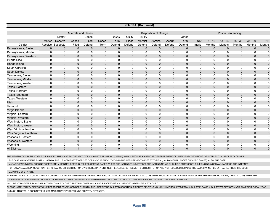|                         |              |             |                            |                |                |              |              | Table 18A (Continued) |                              |              |              |                |               |                          |              |               |                     |
|-------------------------|--------------|-------------|----------------------------|----------------|----------------|--------------|--------------|-----------------------|------------------------------|--------------|--------------|----------------|---------------|--------------------------|--------------|---------------|---------------------|
|                         |              |             | <b>Referrals and Cases</b> |                |                |              |              |                       | <b>Disposition of Charge</b> |              |              |                |               | <b>Prison Sentencing</b> |              |               |                     |
|                         |              | Matter      |                            | Cases          |                | Cases        | Guilty       | Guilty                |                              |              | Other        |                |               |                          |              |               |                     |
|                         | Matter       | Receive     | Cases                      | Filed          | Cases          | Term         | Pleas        | Verdict               | <b>Dismiss</b>               | Acquit       | Term         | Not            | $1 - 12$      | $13 - 24$                | $25 - 36$    | $37 - 60$     | $61+$               |
| <b>District</b>         | Receive      | Suspects    | Filed                      | Defend         | Term           | Defend       | Defend       | Defend                | Defend                       | Defend       | Defend       | Impris         | <b>Months</b> | <b>Months</b>            | Months       | <b>Months</b> | <b>Months</b>       |
| Pennsylvania, Eastern   | $\mathbf{0}$ | $\mathbf 0$ | $\mathbf 0$                | $\mathbf 0$    | $\mathbf{0}$   | $\Omega$     | $\mathbf{0}$ | $\mathbf{0}$          | $\mathbf{0}$                 | $\mathbf{0}$ | $\mathbf{0}$ | $\mathbf{0}$   | $\Omega$      | $\mathbf{0}$             | $\mathbf{0}$ | $\mathbf{0}$  | $\overline{0}$      |
| Pennsylvania, Middle    | 0            | $\mathbf 0$ | 0                          | $\mathbf{0}$   | 0              | $\Omega$     | 0            | 0                     | $\Omega$                     | $\Omega$     | $\Omega$     | 0              | $\Omega$      | 0                        | $\mathbf 0$  | 0             | $\mathbf 0$         |
| Pennsylvania, Western   | $\mathbf 0$  | $\mathbf 0$ | $\mathbf{0}$               | $\Omega$       | $\overline{0}$ | $\Omega$     | $\Omega$     | $\Omega$              | $\Omega$                     | $\Omega$     | $\Omega$     | $\Omega$       | $\Omega$      | $\mathbf{0}$             | $\mathbf 0$  | $\mathbf 0$   | $\mathbf 0$         |
| Puerto Rico             | 0            | 0           | $\mathbf 0$                | 0              | 0              | $\mathbf 0$  | $\mathbf 0$  | 0                     | $\mathbf 0$                  | $\Omega$     | $\Omega$     | $\Omega$       | 0             | $\mathbf 0$              | $\mathbf 0$  | 0             | 0                   |
| Rhode Island            | 0            | $\mathbf 0$ | $\mathbf 0$                | $\mathbf 0$    | $\mathbf 0$    | $\mathbf{0}$ | $\mathbf{0}$ | $\mathbf{0}$          | $\mathbf{0}$                 | $\mathbf{0}$ | $\mathbf{0}$ | $\mathbf{0}$   | $\mathbf{0}$  | $\mathbf{0}$             | $\mathbf 0$  | $\mathbf 0$   | $\mathbf 0$         |
| South Carolina          | 0            | $\mathbf 0$ | $\mathbf 0$                | $\Omega$       | 0              | $\Omega$     | $\mathbf 0$  | $\Omega$              | $\Omega$                     | $\Omega$     | $\Omega$     | 0              | 0             | 0                        | $\mathbf 0$  | 0             | 0                   |
| South Dakota            | $\mathbf{0}$ | $\mathbf 0$ | $\mathbf{0}$               | $\mathbf{0}$   | $\mathbf{0}$   | $\mathbf{0}$ | $\mathbf{0}$ | $\Omega$              | $\mathbf{0}$                 | $\mathbf{0}$ | $\mathbf{0}$ | $\mathbf{0}$   | $\Omega$      | $\mathbf{0}$             | $\mathbf{0}$ | $\mathbf 0$   | $\mathsf{O}\xspace$ |
| Tennessee, Eastern      | 0            | $\mathbf 0$ | 0                          | 0              | 0              | $\mathbf{0}$ | $\mathbf 0$  | 0                     | $\mathbf 0$                  | $\Omega$     | $\Omega$     | 0              | 0             | 0                        | $\mathbf 0$  | $\mathbf 0$   | 0                   |
| Tennessee, Middle       | $\mathbf{0}$ | $\mathbf 0$ | $\mathbf{0}$               | $\mathbf{0}$   | 0              | $\mathbf{0}$ | $\mathbf{0}$ | $\mathbf{0}$          | $\mathbf{0}$                 | $\mathbf{0}$ | $\mathbf{0}$ | $\mathbf{0}$   | $\mathbf{0}$  | $\mathbf{0}$             | $\mathbf 0$  | $\mathbf 0$   | $\mathbf 0$         |
| Tennessee, Western      | 0            | $\mathbf 0$ | $\mathbf 0$                | 0              | $\mathbf 0$    | $\Omega$     | 0            | 0                     | 0                            | $\Omega$     | $\Omega$     | 0              | 0             | 0                        | 0            | 0             | 0                   |
| Texas, Eastern          | 0            | $\mathbf 0$ | $\mathbf{0}$               | $\mathbf{0}$   | $\mathbf{0}$   | $\mathbf{0}$ | $\Omega$     | $\Omega$              | $\Omega$                     | $\Omega$     | $\Omega$     | $\mathbf{0}$   | $\Omega$      | $\mathbf{0}$             | $\mathbf 0$  | $\mathbf 0$   | $\pmb{0}$           |
| Texas, Northern         | 0            | $\mathbf 0$ | 0                          | 0              | 0              | $\Omega$     | $\mathbf 0$  | $\Omega$              | $\mathbf 0$                  | $\Omega$     | $\Omega$     | 0              | $\mathbf{0}$  | $\mathbf 0$              | $\mathbf 0$  | $\mathbf 0$   | $\mathbf 0$         |
| Texas, Southern         | $\mathbf{0}$ | $\mathbf 0$ | $\mathbf{0}$               | $\mathbf{0}$   | 0              | $\mathbf{0}$ | $\mathbf{0}$ | $\mathbf{0}$          | $\mathbf{0}$                 | $\mathbf{0}$ | $\mathbf 0$  | $\overline{0}$ | $\mathbf{0}$  | $\mathbf{0}$             | $\mathbf 0$  | $\mathbf 0$   | $\mathsf{O}\xspace$ |
| Texas, Western          | 0            | $\mathbf 0$ | $\mathbf 0$                | 0              | 0              | $\Omega$     | 0            | 0                     | 0                            | 0            | $\Omega$     | 0              | 0             | 0                        | $\mathbf 0$  | 0             | 0                   |
| Utah                    | $\mathbf{0}$ | $\mathbf 0$ | $\mathbf 0$                | $\mathbf{0}$   | $\mathbf 0$    | $\mathbf{0}$ | $\mathbf{0}$ | $\Omega$              | $\mathbf{0}$                 | $\mathbf{0}$ | $\mathbf 0$  | $\overline{0}$ | $\Omega$      | $\mathbf{0}$             | $\mathbf{0}$ | $\mathbf 0$   | $\pmb{0}$           |
| Vermont                 | 0            | $\mathbf 0$ | 0                          | 0              | 0              | 0            | $\mathbf 0$  | 0                     | $\mathbf 0$                  | 0            | $\Omega$     | 0              | 0             | $\mathbf 0$              | $\mathbf 0$  | $\mathbf 0$   | 0                   |
| Virgin Islands          | 0            | $\mathbf 0$ | $\mathbf 0$                | $\mathbf 0$    | 0              | $\mathbf{0}$ | $\mathbf 0$  | $\mathbf{0}$          | $\mathbf{0}$                 | $\mathbf{0}$ | $\mathbf 0$  | 0              | $\mathbf{0}$  | $\mathbf 0$              | $\mathbf 0$  | $\mathbf 0$   | $\pmb{0}$           |
| Virginia, Eastern       | $\Omega$     | $\mathbf 0$ | $\mathbf 0$                | $\Omega$       | $\Omega$       | $\Omega$     | $\Omega$     | $\Omega$              | $\Omega$                     | $\Omega$     | $\Omega$     | $\Omega$       | 0             | $\Omega$                 | $\Omega$     | $\mathbf 0$   | 0                   |
| Virginia, Western       | $\mathbf{0}$ | $\mathbf 0$ | $\mathbf{0}$               | $\mathbf{0}$   | $\overline{0}$ | $\mathbf{0}$ | $\mathbf{0}$ | $\mathbf{0}$          | $\mathbf{0}$                 | $\mathbf{0}$ | $\mathbf 0$  | $\overline{0}$ | $\mathbf{0}$  | $\mathbf{0}$             | $\mathbf{0}$ | $\mathbf 0$   | $\mathbf 0$         |
| Washington, Eastern     | 0            | 0           | 0                          | 0              | 0              | $\mathbf{0}$ | 0            | 0                     | 0                            | 0            | $\Omega$     | 0              | 0             | $\mathbf 0$              | $\mathbf 0$  | 0             | 0                   |
| Washington, Western     | $\mathbf 0$  | $\pmb{0}$   | $\mathbf 0$                | $\mathbf 0$    | $\mathbf 0$    | $\mathbf{0}$ | $\mathbf 0$  | $\mathbf{0}$          | $\mathbf 0$                  | $\mathbf{0}$ | $\mathbf 0$  | 0              | $\mathbf{0}$  | $\mathbf 0$              | $\mathbf 0$  | $\mathbf 0$   | $\pmb{0}$           |
| West Virginia, Northern | $\mathbf 0$  | $\mathbf 0$ | $\mathbf 0$                | 0              | $\mathbf 0$    | $\Omega$     | $\mathbf 0$  | 0                     | $\mathbf 0$                  | 0            | $\Omega$     | 0              | 0             | $\mathbf 0$              | $\mathbf 0$  | $\mathbf 0$   | 0                   |
| West Virginia, Southern | $\mathbf 0$  | $\mathbf 0$ | $\mathbf 0$                | $\mathbf 0$    | 0              | $\mathbf{0}$ | $\mathbf{0}$ | $\mathbf{0}$          | $\mathbf{0}$                 | $\mathbf{0}$ | $\mathbf{0}$ | $\mathbf{0}$   | $\mathbf{0}$  | $\mathbf 0$              | $\mathbf 0$  | $\mathbf 0$   | $\mathbf 0$         |
| Wisconsin, Eastern      | 0            | 0           | 0                          | 0              | 0              | $\Omega$     | $\mathbf 0$  | 0                     | $\mathbf 0$                  | $\Omega$     | $\Omega$     | 0              | 0             | $\mathbf 0$              | $\mathbf 0$  | $\mathbf 0$   | 0                   |
| Wisconsin, Western      | 0            | $\mathbf 0$ | $\mathbf 0$                | $\mathbf{0}$   | 0              | $\mathbf{0}$ | $\mathbf 0$  | $\mathbf{0}$          | $\mathbf{0}$                 | $\mathbf{0}$ | $\mathbf 0$  | $\overline{0}$ | $\mathbf{0}$  | $\mathbf{0}$             | $\mathbf{0}$ | $\mathbf 0$   | $\mathbf 0$         |
| Wyoming                 | 0            | 0           | 0                          | 0              | 0              | 0            | 0            | 0                     | 0                            | 0            | 0            | 0              | 0             | 0                        | 0            | 0             | 0                   |
| <b>All Districts</b>    | 3            | 5           | $\mathbf{1}$               | $\overline{2}$ | $\overline{0}$ | $\mathbf{0}$ | $\mathbf{0}$ | $\mathbf{0}$          | $\mathbf{0}$                 | $\mathbf{0}$ | $\mathbf{0}$ | $\overline{0}$ | $\mathbf{0}$  | $\mathbf{0}$             | $\mathbf{0}$ | $\mathbf 0$   | $\mathbf 0$         |

THE INFORMATION IN THIS TABLE IS PROVIDED PURSUANT TO THE STATUTORY MANDATE IN 18 U.S.C. § 2320(h), WHICH REQUIRES A REPORT OF DEPARTMENT OF JUSTICE PROSECUTIONS OF INTELLECTUAL PROPERTY CRIMES.

THE CASE MANAGEMENT SYSTEM USED BY THE U.S. ATTORNEYS' OFFICES DOES NOT BREAK OUT COPYRIGHT INFRINGEMENT CASES BY TYPE (e.g. AUDIOVISUAL, BOOKS OR VIDEO GAMES). ALSO, THE CASE

MANAGEMENT SYSTEM DOES NOT SEPARATELY IDENTIFY COPYRIGHT INFRINGEMENT CASES WHERE THE INFRINGER ADVERTISES THE INFRINGING WORK ONLINE OR MAKES THE INFRINGING WORK AVAILABLE ON THE INTERNET

 FOR DOWNLOAD, REPRODUCTION, PERFORMANCE OR DISTRIBUTION BY OTHERS. DATA ON FINES, PENALTIES, SETTLEMENTS OR RESTITUTION ARE NOT INCLUDED BECAUSE THE DATA CAN NOT BE EXTRACTED FROM THE CDCS DATABASE BY STATUTE.

TABLE INCLUDES DATA ON ANY AND ALL CRIMINAL CASES OR DEFENDANTS WHERE THE SELECTED INTELLECTUAL PROPERTY STATUTES WERE BROUGHT AS ANY CHARGE AGAINST THE DEFENDANT. HOWEVER, THE STATUTES WERE RUN

TOGETHER TO ELIMINATE ANY DOUBLE COUNTING OF CASES OR DEFENDANTS WHEN MORE THAN ONE OF THE STATUTES WAS BROUGHT AGAINST THE SAME DEFENDANT.

INCLUDES TRANSFERS, DISMISSALS OTHER THAN BY COURT, PRETRIAL DIVERSIONS, AND PROCEEDINGS SUSPENDED INDEFINITELY BY COURT.

PLEASE NOTE, "GUILTY DISPOSITIONS" REPRESENT SENTENCED DEFENDANTS. THE UNDERLYING GUILTY DISPOSITION, PRIOR TO SENTENCING, MAY HAVE RESULTED FROM A GUILTY PLEA OR A GUILTY VERDICT OBTAINED IN A PRIOR FISCAL YEAR. DATA ON THIS TABLE DOES NOT INCLUDE MAGISTRATE PROCEEDINGS OR PETTY OFFENSES.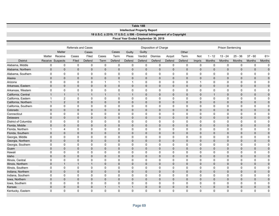|                      |                         |                            |                            |                             |                     |                   |                                     | Table 18B                  |                                                                          |                   |                             |                   |                             |                          |                             |                   |                          |
|----------------------|-------------------------|----------------------------|----------------------------|-----------------------------|---------------------|-------------------|-------------------------------------|----------------------------|--------------------------------------------------------------------------|-------------------|-----------------------------|-------------------|-----------------------------|--------------------------|-----------------------------|-------------------|--------------------------|
|                      |                         |                            |                            |                             |                     |                   | <b>Intellectual Property Report</b> |                            | 18 U.S.C. § 2319, 17 U.S.C. § 506 - Criminal Infringement of a Copyright |                   |                             |                   |                             |                          |                             |                   |                          |
|                      |                         |                            |                            |                             |                     |                   |                                     |                            | Fiscal Year Ended September 30, 2019                                     |                   |                             |                   |                             |                          |                             |                   |                          |
|                      |                         |                            |                            |                             |                     |                   |                                     |                            |                                                                          |                   |                             |                   |                             |                          |                             |                   |                          |
|                      |                         |                            | <b>Referrals and Cases</b> |                             |                     |                   |                                     |                            | Disposition of Charge                                                    |                   |                             |                   |                             | <b>Prison Sentencing</b> |                             |                   |                          |
|                      |                         | Matter                     |                            | Cases                       |                     | Cases             | Guilty                              | Guilty                     |                                                                          |                   | Other                       |                   |                             |                          |                             |                   |                          |
|                      | Matter                  | Receive                    | Cases                      | Filed                       | Cases               | Term              | Pleas                               | Verdict                    | <b>Dismiss</b>                                                           | Acquit            | Term                        | Not               | $1 - 12$                    | $13 - 24$                | $25 - 36$                   | $37 - 60$         | $61+$                    |
| <b>District</b>      |                         | Receive Suspects           | Filed                      | Defend                      | Term                | Defend            | Defend                              | Defend                     | Defend                                                                   | Defend            | Defend                      | Impris            | Months                      | <b>Months</b>            |                             | Months            | <b>Months</b>            |
| Alabama, Middle      | $\mathbf 0$             | $\mathbf 0$                | $\mathbf 0$                | $\mathbf 0$                 | $\mathbf 0$         | $\mathbf 0$       | $\mathbf 0$                         | $\mathbf 0$                | $\mathbf 0$                                                              | $\mathbf 0$       | $\mathbf 0$                 | $\mathbf 0$       | $\mathbf 0$                 | $\mathbf 0$              | Months<br>$\mathbf 0$       | $\mathbf 0$       | $\mathbf 0$              |
|                      |                         |                            |                            |                             |                     |                   |                                     |                            |                                                                          |                   |                             |                   |                             |                          |                             |                   |                          |
| Alabama, Northern    | $\pmb{0}$               | $\mathbf 0$                | $\mathbf 0$                | $\pmb{0}$                   | $\mathbf 0$         | $\mathbf 0$       | $\mathbf 0$                         | $\mathbf 0$                | $\mathbf 0$                                                              | $\mathbf 0$       | $\mathbf 0$                 | $\mathbf 0$       | $\mathbf{0}$                | $\mathbf 0$              | $\mathbf 0$                 | $\mathbf 0$       | $\pmb{0}$                |
| Alabama, Southern    | 0                       | $\mathbf 0$                | $\mathbf 0$                | 0                           | 0                   | 0                 | $\mathbf 0$                         | $\mathbf 0$                | $\mathbf 0$                                                              | 0                 | $\mathbf 0$                 | 0                 | $\mathbf 0$                 | 0                        | $\mathbf 0$                 | 0                 | $\mathbf 0$              |
| Alaska               | $\pmb{0}$               | $\pmb{0}$                  | $\mathbf 0$                | $\pmb{0}$                   | 0                   | $\mathbf 0$       | $\mathbf 0$                         | $\Omega$                   | $\mathbf{0}$                                                             | $\mathbf{0}$      | $\mathbf{0}$                | $\overline{0}$    | $\mathbf{0}$                | $\mathbf{0}$             | $\mathbf 0$                 | $\mathbf 0$       | $\mathbf 0$              |
| Arizona              | $\mathbf 0$             | $\mathbf 0$                | $\mathbf 0$                | $\mathbf 0$                 | $\mathbf{1}$        | $\mathbf{1}$      | $\overline{1}$                      | $\mathbf 0$                | $\mathbf 0$                                                              | 0                 | $\mathbf 0$                 | $\mathbf{1}$      | $\Omega$                    | 0                        | $\mathbf 0$                 | $\mathbf 0$       | $\mathbf 0$              |
| Arkansas, Eastern    | $\mathbf{0}$            | $\mathbf{0}$               | $\mathbf{0}$               | $\mathbf{0}$                | $\overline{0}$      | $\mathbf{0}$      | $\mathbf 0$                         | $\Omega$                   | $\mathbf{0}$                                                             | $\mathbf{0}$      | $\mathbf{0}$                | $\mathbf{0}$      | $\mathbf{0}$                | $\mathbf{0}$             | $\mathbf{0}$                | $\mathbf{0}$      | $\pmb{0}$                |
| Arkansas, Western    | 0                       | $\pmb{0}$                  | $\mathbf 0$                | 0                           | 0                   | 0                 | $\mathbf 0$                         | $\mathbf 0$                | $\mathbf 0$                                                              | 0                 | $\mathbf 0$                 | 0                 | 0                           | 0                        | 0                           | 0                 | 0                        |
| California, Central  | $\mathbf{1}$            | $\mathbf{1}$               | $\mathbf{1}$               | $\mathbf{1}$                | $\mathbf{1}$        | $\mathbf{1}$      | $\overline{1}$                      | $\mathbf 0$                | $\mathbf{0}$                                                             | $\mathbf 0$       | $\mathbf 0$                 | $\mathbf 0$       | $\mathbf{1}$                | $\mathbf 0$              | $\mathbf 0$                 | $\mathbf 0$       | $\mathbf 0$              |
| California, Eastern  | $\overline{\mathbf{1}}$ | $\overline{c}$             | $\mathbf 0$                | $\mathbf 0$                 | 0                   | 0                 | 0                                   | $\mathbf 0$                | $\mathbf 0$                                                              | 0                 | $\mathbf 0$                 | 0                 | 0                           | 0                        | $\mathbf 0$                 | 0                 | $\mathbf 0$              |
| California, Northern | $\mathbf{1}$            | 2                          | $\mathbf 0$                | $\mathbf{0}$                | 0                   | $\Omega$          | $\mathbf 0$                         | $\Omega$                   | $\mathbf{0}$                                                             | $\mathbf{0}$      | $\mathbf{0}$                | $\mathbf{0}$      | $\Omega$                    | $\mathbf{0}$             | $\mathbf 0$                 | $\mathbf 0$       | $\mathbf 0$              |
| California, Southern | $\mathbf 0$             | $\mathbf 0$                | $\mathbf 0$                | 0                           | 0                   | 0                 | 0                                   | 0                          | 0                                                                        | 0                 | $\mathbf 0$                 | 0                 | $\mathbf 0$                 | 0                        | 0                           | 0                 | $\mathbf 0$              |
| Colorado             | $\mathbf 0$             | $\mathbf 0$                | $\mathbf 0$                | $\mathbf{0}$                | $\overline{0}$      | $\mathbf{0}$      | $\Omega$                            | $\Omega$                   | $\mathbf{0}$                                                             | $\mathbf{0}$      | $\mathbf{0}$                | $\mathbf{0}$      | $\mathbf{0}$                | $\mathbf{0}$             | $\mathbf 0$                 | $\mathbf 0$       | $\pmb{0}$                |
| Connecticut          | $\mathbf 0$             | $\mathbf 0$                | $\mathbf 0$                | $\mathbf 0$                 | 0                   | 0                 | $\mathbf 0$                         | $\mathbf 0$                | $\mathbf 0$                                                              | 0                 | $\mathbf 0$                 | 0                 | $\mathbf 0$                 | 0                        | $\mathbf 0$                 | 0                 | $\mathbf 0$              |
| Delaware             | $\mathbf 0$             | $\mathbf 0$                | $\mathbf 0$                | $\pmb{0}$                   | 0                   | $\mathbf 0$       | $\mathbf 0$                         | $\mathbf 0$                | $\mathbf 0$                                                              | $\mathbf 0$       | $\mathbf 0$                 | $\mathbf 0$       | $\mathbf 0$                 | $\mathbf 0$              | $\mathbf 0$                 | $\mathbf 0$       | $\pmb{0}$                |
| District of Columbia | 0                       | $\mathbf 0$                | $\mathbf 0$                | $\mathbf 0$                 | $\mathbf 0$         | $\mathbf 0$       | $\mathbf 0$                         | $\mathbf 0$                | $\mathbf 0$                                                              | 0                 | $\mathbf 0$                 | $\mathbf 0$       | $\mathbf 0$                 | 0                        | $\mathbf 0$                 | 0                 | $\mathbf 0$              |
| Florida, Middle      | 0                       | $\mathbf{0}$               | $\mathbf 0$                | $\mathbf{0}$                | $\overline{0}$      | $\mathbf{0}$      | $\mathbf 0$                         | $\mathbf 0$                | $\mathbf{0}$                                                             | $\mathbf{0}$      | $\mathbf{0}$                | $\mathbf{0}$      | $\mathbf{0}$                | $\mathbf{0}$             | $\mathbf 0$                 | $\mathbf 0$       | $\mathbf 0$              |
| Florida, Northern    | $\overline{1}$          | 4                          | $\mathbf 0$                | 0                           | 0                   | 0                 | $\mathbf 0$                         | $\mathbf 0$                | $\mathbf 0$                                                              | 0                 | $\mathbf 0$                 | 0                 | $\mathbf 0$                 | 0                        | $\mathbf 0$                 | 0                 | $\mathbf 0$              |
| Florida, Southern    | $\mathbf 0$             | $\mathbf 0$                | $\mathbf 0$                | $\mathbf{0}$                | 0                   | $\mathbf{0}$      | $\Omega$                            | $\Omega$                   | $\mathbf{0}$                                                             | $\mathbf 0$       | $\mathbf{0}$                | $\mathbf{0}$      | $\mathbf{0}$                | $\mathbf{0}$             | $\mathbf 0$                 | $\mathbf 0$       | $\pmb{0}$                |
| Georgia, Middle      | $\mathbf 0$             | $\mathbf 0$                | $\mathbf 0$                | 0                           | 0                   | 0                 | $\mathbf 0$                         | $\mathbf 0$                | $\mathbf 0$                                                              | 0                 | $\mathbf 0$                 | 0                 | $\mathbf 0$                 | 0                        | $\mathbf 0$                 | 0                 | $\mathbf 0$              |
| Georgia, Northern    | $\mathbf{0}$            | $\mathbf{0}$               | $\mathbf{0}$               | $\mathbf{0}$                | $\overline{0}$      | $\mathbf{0}$      | $\mathbf 0$                         | $\Omega$                   | $\mathbf{0}$                                                             | $\mathbf{0}$      | $\mathbf{0}$                | $\mathbf{0}$      | $\mathbf{0}$                | $\mathbf{0}$             | $\mathbf 0$                 | $\mathbf 0$       | $\mathbf 0$              |
| Georgia, Southern    | 0                       | $\mathbf 0$                | $\mathbf 0$                | $\mathbf 0$                 | 0                   | 0                 | $\mathbf 0$                         | $\mathbf 0$                | $\mathbf 0$                                                              | $\mathbf 0$       | $\mathbf 0$                 | $\mathbf 0$       | $\mathbf 0$                 | 0                        | 0                           | 0                 | $\mathbf 0$              |
| Guam                 | 0<br>$\mathbf 0$        | $\mathbf 0$<br>$\mathbf 0$ | $\mathbf 0$<br>$\mathbf 0$ | $\mathbf{0}$<br>$\mathbf 0$ | $\overline{0}$<br>0 | $\mathbf{0}$<br>0 | $\mathbf 0$<br>$\mathbf 0$          | $\mathbf 0$<br>$\mathbf 0$ | $\mathbf{0}$<br>$\mathbf 0$                                              | $\mathbf{0}$<br>0 | $\mathbf{0}$<br>$\mathbf 0$ | $\mathbf{0}$<br>0 | $\mathbf{0}$<br>$\mathbf 0$ | $\mathbf{0}$             | $\mathbf{0}$<br>$\mathbf 0$ | $\mathbf{0}$<br>0 | $\pmb{0}$<br>$\mathbf 0$ |
| Hawaii<br>Idaho      | $\pmb{0}$               | $\mathbf 0$                | $\mathbf 0$                | $\pmb{0}$                   | $\Omega$            | $\Omega$          | $\mathbf 0$                         | $\Omega$                   | $\Omega$                                                                 | 0                 | $\mathbf 0$                 | $\Omega$          | $\Omega$                    | 0<br>$\Omega$            | $\mathbf 0$                 | $\mathbf 0$       | $\pmb{0}$                |
| Illinois, Central    | 0                       | $\mathbf 0$                | $\mathbf 0$                | 0                           | $\mathbf 0$         | 0                 | $\mathbf 0$                         | $\mathbf 0$                | $\mathbf 0$                                                              | $\mathbf 0$       | $\mathbf 0$                 | $\mathbf 0$       | $\mathbf 0$                 | 0                        | $\mathbf 0$                 | 0                 | $\mathbf 0$              |
| Illinois, Northern   | $\mathbf 0$             | $\mathbf{1}$               | $\mathbf{1}$               | $\mathbf{1}$                | 0                   | $\mathbf{0}$      | $\mathbf 0$                         | $\Omega$                   | $\mathbf{0}$                                                             | $\mathbf{0}$      | $\mathbf{0}$                | $\mathbf{0}$      | $\mathbf{0}$                | $\mathbf{0}$             | $\mathbf 0$                 | $\mathbf 0$       | $\mathbf 0$              |
| Illinois, Southern   | 0                       | $\mathbf 0$                | $\mathbf 0$                | $\mathbf 0$                 | $\mathbf 0$         | $\Omega$          | $\mathbf 0$                         | $\Omega$                   | $\Omega$                                                                 | $\Omega$          | $\mathbf 0$                 | $\Omega$          | $\Omega$                    | 0                        | $\mathbf 0$                 | $\mathbf 0$       | $\mathbf 0$              |
| Indiana, Northern    | $\pmb{0}$               | $\mathbf 0$                | $\mathbf 0$                | $\pmb{0}$                   | 0                   | $\mathbf 0$       | $\mathbf 0$                         | $\mathbf 0$                | $\mathbf 0$                                                              | $\mathbf{0}$      | $\mathbf{0}$                | $\mathbf{0}$      | $\mathbf{0}$                | $\mathbf{0}$             | $\mathbf 0$                 | $\mathbf 0$       | $\mathbf 0$              |
| Indiana, Southern    | $\mathbf 0$             | $\mathbf 0$                | $\mathbf 0$                | $\mathbf 0$                 | 0                   | 0                 | $\mathbf 0$                         | $\mathbf 0$                | $\mathbf 0$                                                              | 0                 | $\mathbf 0$                 | 0                 | $\mathbf 0$                 | 0                        | $\mathbf 0$                 | 0                 | $\mathbf 0$              |
| Iowa, Northern       | $\mathbf{0}$            | $\mathbf{0}$               | $\mathbf 0$                | $\mathbf{0}$                | $\overline{0}$      | $\mathbf{0}$      | $\mathbf 0$                         | $\mathbf 0$                | $\mathbf{0}$                                                             | $\mathbf{0}$      | $\mathbf{0}$                | $\Omega$          | $\Omega$                    | $\mathbf{0}$             | $\mathbf 0$                 | $\mathbf 0$       | $\mathbf 0$              |
| Iowa, Southern       | $\mathbf 0$             | $\mathbf 0$                | $\mathbf 0$                | $\mathbf 0$                 | 0                   | $\mathbf 0$       | 0                                   | $\mathbf 0$                | $\mathbf 0$                                                              | 0                 | 0                           | $\mathbf 0$       | $\mathbf 0$                 | 0                        | 0                           | $\mathbf 0$       | $\mathbf 0$              |
| Kansas               | 0                       | $\mathbf{0}$               | $\mathbf{0}$               | $\mathbf{0}$                | $\mathbf{1}$        | $\mathbf{1}$      | $\overline{1}$                      | $\mathbf 0$                | $\mathbf{0}$                                                             | $\mathbf{0}$      | $\mathbf{0}$                | $\mathbf{1}$      | $\mathbf{0}$                | $\mathbf{0}$             | $\mathbf 0$                 | $\mathbf 0$       | $\mathbf 0$              |
| Kentucky, Eastern    | $\Omega$                | $\Omega$                   | 0                          | $\Omega$                    | 0                   | $\Omega$          | $\Omega$                            | $\Omega$                   | $\Omega$                                                                 | $\Omega$          | $\Omega$                    | $\Omega$          | $\Omega$                    | $\Omega$                 | $\Omega$                    | $\Omega$          | $\mathbf 0$              |
|                      |                         |                            |                            |                             |                     |                   |                                     |                            |                                                                          |                   |                             |                   |                             |                          |                             |                   |                          |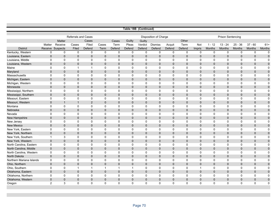|                          |                |               |                            |                |              |                |              | Table 18B (Continued) |                              |              |              |                         |               |                          |               |              |             |
|--------------------------|----------------|---------------|----------------------------|----------------|--------------|----------------|--------------|-----------------------|------------------------------|--------------|--------------|-------------------------|---------------|--------------------------|---------------|--------------|-------------|
|                          |                |               |                            |                |              |                |              |                       |                              |              |              |                         |               |                          |               |              |             |
|                          |                |               | <b>Referrals and Cases</b> |                |              |                |              |                       | <b>Disposition of Charge</b> |              |              |                         |               | <b>Prison Sentencing</b> |               |              |             |
|                          |                | <b>Matter</b> |                            | Cases          |              | Cases          | Guilty       | Guilty                |                              |              | Other        |                         |               |                          |               |              |             |
|                          | Matter         | Receive       | Cases                      | Filed          | Cases        | Term           | Pleas        | Verdict               | <b>Dismiss</b>               | Acquit       | Term         | Not                     | $1 - 12$      | $13 - 24$                | $25 - 36$     | $37 - 60$    | $61+$       |
| <b>District</b>          | Receive        | Suspects      | Filed                      | Defend         | Term         | Defend         | Defend       | Defend                | Defend                       | Defend       | Defend       | Impris                  | <b>Months</b> | <b>Months</b>            | <b>Months</b> | Months       | Months      |
| Kentucky, Western        | 0              | $\mathbf 0$   | 0                          | $\mathbf 0$    | $\mathbf 0$  | $\mathbf 0$    | $\mathbf 0$  | $\mathbf 0$           | $\mathbf 0$                  | $\mathbf 0$  | $\mathbf 0$  | $\mathbf 0$             | $\mathbf 0$   | $\mathbf 0$              | 0             | $\mathbf 0$  | $\mathbf 0$ |
| Louisiana, Eastern       | $\mathbf{0}$   | $\mathbf{0}$  | $\mathbf{0}$               | $\overline{0}$ | $\mathbf{0}$ | $\overline{0}$ | $\mathbf{0}$ | $\mathbf{0}$          | $\mathbf{0}$                 | $\mathbf{0}$ | $\Omega$     | $\Omega$                | $\mathbf{0}$  | $\mathbf{0}$             | $\mathbf{0}$  | $\mathbf{0}$ | $\mathbf 0$ |
| Louisiana, Middle        | $\mathbf 0$    | $\mathbf 0$   | $\mathbf 0$                | $\mathbf 0$    | 0            | $\mathbf 0$    | $\mathbf 0$  | $\mathbf 0$           | 0                            | $\mathbf 0$  | 0            | $\Omega$                | 0             | $\mathbf 0$              | $\mathbf 0$   | $\mathbf 0$  | $\mathbf 0$ |
| Louisiana, Western       | $\mathbf{0}$   | $\mathbf 0$   | $\overline{0}$             | $\overline{0}$ | $\mathbf{0}$ | $\Omega$       | $\mathbf 0$  | $\mathbf{0}$          | $\mathbf{0}$                 | $\mathbf 0$  | $\Omega$     | $\mathbf{0}$            | $\mathbf{0}$  | $\mathbf 0$              | $\mathbf{0}$  | $\mathbf 0$  | $\pmb{0}$   |
| Maine                    | 0              | $\mathsf 0$   | $\mathbf{1}$               | $\mathbf{1}$   | $\mathbf 0$  | $\mathbf 0$    | $\mathbf 0$  | $\mathbf 0$           | $\mathbf 0$                  | $\mathbf 0$  | 0            | 0                       | 0             | 0                        | $\mathbf 0$   | 0            | $\mathbf 0$ |
| Maryland                 | $\mathbf{0}$   | $\mathbf{0}$  | $\Omega$                   | $\Omega$       | $\Omega$     | $\Omega$       | $\mathbf{0}$ | $\mathbf{0}$          | $\mathbf{0}$                 | $\mathbf{0}$ | $\Omega$     | $\Omega$                | $\mathbf{0}$  | $\mathbf{0}$             | $\mathbf{0}$  | $\mathbf 0$  | $\mathbf 0$ |
| Massachusetts            | $\mathbf{0}$   | $\mathbf 0$   | 0                          | $\mathbf 0$    | 0            | $\mathbf 0$    | $\mathbf 0$  | $\mathbf 0$           | 0                            | $\mathbf 0$  | 0            | $\Omega$                | 0             | 0                        | $\mathbf 0$   | $\mathbf 0$  | $\mathbf 0$ |
| Michigan, Eastern        | $\mathbf{0}$   | $\mathbf{0}$  | $\Omega$                   | 0              | $\Omega$     | $\mathbf 0$    | $\mathbf 0$  | $\mathbf{0}$          | $\mathbf{0}$                 | $\mathbf 0$  | $\mathbf{0}$ | $\mathbf 0$             | $\mathbf 0$   | $\mathbf 0$              | 0             | $\mathbf 0$  | $\mathbf 0$ |
| Michigan, Western        | $\mathbf 0$    | $\mathbf 0$   | $\mathbf 0$                | $\mathbf 0$    | $\mathbf 0$  | $\mathbf 0$    | $\mathbf 0$  | $\mathbf 0$           | $\mathbf 0$                  | $\mathbf 0$  | 0            | 0                       | 0             | 0                        | 0             | 0            | 0           |
| Minnesota                | $\mathbf{0}$   | $\mathbf 0$   | $\mathbf{0}$               | 0              | $\mathbf 0$  | $\mathbf 0$    | $\mathbf{0}$ | $\mathbf{0}$          | $\mathbf 0$                  | $\mathbf 0$  | $\mathbf{0}$ | $\mathbf{0}$            | $\mathbf{0}$  | $\mathbf 0$              | $\mathbf{0}$  | $\mathbf 0$  | $\pmb{0}$   |
| Mississippi, Northern    | $\Omega$       | $\mathbf 0$   | $\Omega$                   | $\Omega$       | $\Omega$     | $\mathbf 0$    | $\Omega$     | $\Omega$              | $\Omega$                     | $\Omega$     | 0            | $\Omega$                | 0             | $\Omega$                 | $\mathbf 0$   | $\mathbf 0$  | $\mathbf 0$ |
| Mississippi, Southern    | $\mathbf{0}$   | $\mathbf 0$   | $\mathbf{0}$               | $\mathbf{0}$   | $\mathbf{0}$ | $\mathbf 0$    | $\mathbf{0}$ | $\mathbf{0}$          | $\mathbf{0}$                 | $\mathbf{0}$ | $\mathbf{0}$ | $\Omega$                | $\mathbf{0}$  | $\mathbf 0$              | $\mathbf{0}$  | $\mathbf 0$  | $\mathbf 0$ |
| Missouri, Eastern        | $\mathbf 0$    | $\mathbf 0$   | $\mathbf 0$                | $\mathbf 0$    | $\Omega$     | $\mathbf 0$    | $\Omega$     | $\mathbf 0$           | $\mathbf 0$                  | $\mathbf 0$  | $\Omega$     | $\Omega$                | $\mathbf 0$   | $\mathbf 0$              | $\mathbf 0$   | $\mathbf 0$  | $\mathbf 0$ |
| Missouri, Western        | $\mathbf 0$    | $\mathbf{1}$  | $\mathbf{1}$               | $\overline{2}$ | $\mathbf 0$  | $\mathbf 0$    | $\mathbf{0}$ | $\mathbf 0$           | $\mathbf{0}$                 | $\mathbf 0$  | $\mathbf{0}$ | $\mathbf{0}$            | $\mathbf{0}$  | $\mathbf 0$              | 0             | $\mathbf 0$  | $\pmb{0}$   |
| Montana                  | $\mathbf 0$    | $\mathbf 0$   | $\Omega$                   | $\Omega$       | $\Omega$     | $\mathbf 0$    | $\Omega$     | $\Omega$              | $\Omega$                     | $\Omega$     | $\Omega$     | $\Omega$                | 0             | $\mathbf 0$              | $\mathbf 0$   | $\mathbf 0$  | $\mathbf 0$ |
| Nebraska                 | $\mathbf{0}$   | $\mathbf{0}$  | $\mathbf{0}$               | 0              | $\mathbf 0$  | $\overline{0}$ | $\mathbf{0}$ | $\mathbf{0}$          | $\mathbf{0}$                 | $\mathbf{0}$ | $\mathbf{0}$ | $\mathbf{0}$            | $\mathbf{0}$  | $\mathbf 0$              | 0             | $\mathbf 0$  | $\mathbf 0$ |
| Nevada                   | $\mathbf 0$    | $\mathbf 0$   | $\mathbf 0$                | 0              | 0            | 0              | $\mathbf 0$  | 0                     | 0                            | 0            | 0            | $\Omega$                | 0             | 0                        | $\mathbf 0$   | $\mathbf 0$  | 0           |
| New Hampshire            | $\mathbf 0$    | $\mathbf 0$   | 0                          | 0              | $\Omega$     | $\overline{0}$ | $\mathbf{0}$ | $\mathbf{0}$          | $\mathbf 0$                  | $\mathbf 0$  | $\mathbf{0}$ | $\mathbf 0$             | $\mathbf{0}$  | $\mathbf{0}$             | $\mathbf 0$   | $\mathbf 0$  | $\pmb{0}$   |
| New Jersey               | 0              | 0             | $\mathbf 0$                | $\mathbf 0$    | $\mathbf 0$  | $\mathbf 0$    | 0            | 0                     | 0                            | 0            | 0            | 0                       | 0             | $\mathbf 0$              | 0             | 0            | $\mathbf 0$ |
| <b>New Mexico</b>        | $\mathbf{0}$   | $\mathbf{0}$  | $\mathbf{0}$               | $\mathbf{0}$   | $\mathbf{0}$ | $\overline{0}$ | $\mathbf{0}$ | $\mathbf{0}$          | $\Omega$                     | $\mathbf{0}$ | $\Omega$     | $\mathbf{0}$            | $\mathbf{0}$  | $\mathbf{0}$             | $\mathbf{0}$  | $\mathbf 0$  | $\pmb{0}$   |
| New York, Eastern        | $\Omega$       | $\mathbf 0$   | 0                          | 0              | 0            | 0              | $\mathbf 0$  | $\mathbf 0$           | $\Omega$                     | $\Omega$     | 0            | $\Omega$                | $\Omega$      | 0                        | $\mathbf 0$   | $\mathbf 0$  | $\mathbf 0$ |
| New York, Northern       | $\mathbf 0$    | $\mathbf 0$   | $\overline{0}$             | 0              | $\Omega$     | $\overline{0}$ | $\mathbf{0}$ | $\mathbf{0}$          | $\mathbf 0$                  | $\mathbf{0}$ | $\mathbf{0}$ | $\mathbf{0}$            | $\mathbf{0}$  | $\mathbf{0}$             | 0             | $\mathbf 0$  | $\pmb{0}$   |
| New York, Southern       | $\mathbf{1}$   | 3             | $\mathbf 0$                | $\mathbf 0$    | $\mathbf 0$  | $\mathbf 0$    | $\mathbf 0$  | $\mathbf 0$           | 0                            | $\mathbf 0$  | 0            | $\mathbf 0$             | 0             | $\mathbf 0$              | $\mathbf 0$   | $\mathbf 0$  | $\mathbf 0$ |
| New York, Western        | $\mathbf{0}$   | $\mathbf{0}$  | $\Omega$                   | $\Omega$       | $\Omega$     | $\overline{0}$ | $\Omega$     | $\mathbf{0}$          | $\Omega$                     | $\Omega$     | $\Omega$     | $\Omega$                | $\Omega$      | $\mathbf{0}$             | $\mathbf{0}$  | $\mathbf{0}$ | $\mathbf 0$ |
| North Carolina, Eastern  | $\mathbf 0$    | $\mathbf 0$   | $\Omega$                   | 0              | $\Omega$     | $\mathbf 0$    | $\Omega$     | $\mathbf 0$           | $\Omega$                     | $\Omega$     | 0            | $\Omega$                | 0             | 0                        | $\mathbf 0$   | $\mathbf 0$  | 0           |
| North Carolina, Middle   | $\mathbf{0}$   | $\mathbf 0$   | $\Omega$                   | 0              | $\Omega$     | $\mathbf 0$    | $\mathbf 0$  | $\mathbf{0}$          | $\mathbf{0}$                 | $\mathbf{0}$ | $\Omega$     | $\Omega$                | $\mathbf{0}$  | $\mathbf 0$              | $\mathbf{0}$  | $\mathbf 0$  | $\pmb{0}$   |
| North Carolina, Western  | 0              | $\mathbf 0$   | $\mathbf 0$                | $\mathbf 0$    | $\mathbf 0$  | $\mathbf 0$    | 0            | $\mathbf 0$           | $\mathbf 0$                  | $\mathbf 0$  | 0            | $\Omega$                | 0             | 0                        | $\mathbf 0$   | $\mathbf 0$  | $\mathbf 0$ |
| North Dakota             | $\mathbf 0$    | $\pmb{0}$     | $\overline{0}$             | 0              | $\Omega$     | $\overline{0}$ | $\mathbf{0}$ | $\mathbf 0$           | $\mathbf 0$                  | $\mathbf{0}$ | $\mathbf{0}$ | $\mathbf{0}$            | $\mathbf{0}$  | $\mathbf 0$              | $\mathbf 0$   | $\mathbf 0$  | $\mathbf 0$ |
| Northern Mariana Islands | $\mathbf 0$    | $\mathbf 0$   | 0                          | $\mathbf 0$    | 0            | $\mathbf 0$    | $\mathbf 0$  | $\mathbf 0$           | $\mathbf 0$                  | $\Omega$     | 0            | $\Omega$                | 0             | 0                        | $\mathbf 0$   | $\mathbf 0$  | $\mathbf 0$ |
| Ohio, Northern           | $\mathbf{0}$   | $\mathbf{0}$  | $\mathbf{0}$               | 0              | $\mathbf{0}$ | $\mathbf{0}$   | $\mathbf{0}$ | $\mathbf{0}$          | $\mathbf{0}$                 | $\mathbf{0}$ | $\Omega$     | $\mathbf{0}$            | $\mathbf{0}$  | $\mathbf{0}$             | $\mathbf{0}$  | $\mathbf 0$  | $\pmb{0}$   |
| Ohio, Southern           | $\mathbf 0$    | $\mathbf 0$   | $\mathbf{1}$               | 1              | 1            | -1             | $\mathbf 1$  | $\mathbf 0$           | $\mathbf 0$                  | $\mathbf 0$  | 0            | $\overline{\mathbf{1}}$ | 0             | 0                        | $\mathbf 0$   | $\mathbf 0$  | $\mathbf 0$ |
| Oklahoma, Eastern        | $\mathbf 0$    | $\mathbf 0$   | 0                          | $\mathbf 0$    | $\mathbf 0$  | $\mathbf 0$    | $\mathbf 0$  | $\mathbf 0$           | $\mathbf 0$                  | $\mathbf 0$  | $\mathbf 0$  | $\mathbf 0$             | $\mathbf 0$   | $\mathbf 0$              | 0             | $\mathbf 0$  | $\pmb{0}$   |
| Oklahoma, Northern       | $\Omega$       | $\Omega$      | $\mathbf{0}$               | $\Omega$       | $\Omega$     | 0              | $\mathbf 0$  | 0                     | $\Omega$                     | $\Omega$     | 0            | $\Omega$                | $\Omega$      | 0                        | 0             | $\Omega$     | $\mathbf 0$ |
| Oklahoma, Western        | $\mathbf{0}$   | $\mathbf 0$   | $\mathbf{0}$               | 0              | $\mathbf 0$  | $\mathbf 0$    | $\mathbf{0}$ | $\mathbf{0}$          | $\mathbf{0}$                 | $\mathbf 0$  | $\mathbf{0}$ | $\mathbf{0}$            | $\mathbf{0}$  | $\mathbf 0$              | 0             | $\mathbf 0$  | $\pmb{0}$   |
| Oregon                   | $\overline{2}$ | 3             | $\Omega$                   | $\mathbf{0}$   | $\mathbf{0}$ | $\Omega$       | $\Omega$     | $\Omega$              | $\Omega$                     | $\Omega$     | 0            | $\Omega$                | $\Omega$      | $\Omega$                 | $\Omega$      | $\Omega$     | $\mathbf 0$ |
|                          |                |               |                            |                |              |                |              |                       |                              |              |              |                         |               |                          |               |              |             |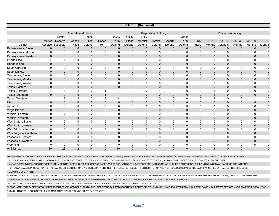|                             |                               |                            |                             |                             |                  |                      |                         | Table 18B (Continued)    |                         |                          |                          |                          |                      |                          |                  |                            |                  |
|-----------------------------|-------------------------------|----------------------------|-----------------------------|-----------------------------|------------------|----------------------|-------------------------|--------------------------|-------------------------|--------------------------|--------------------------|--------------------------|----------------------|--------------------------|------------------|----------------------------|------------------|
|                             |                               |                            |                             |                             |                  |                      |                         |                          |                         |                          |                          |                          |                      |                          |                  |                            |                  |
|                             |                               |                            | <b>Referrals and Cases</b>  |                             |                  |                      |                         |                          | Disposition of Charge   |                          |                          |                          |                      | <b>Prison Sentencing</b> |                  |                            |                  |
|                             |                               | Matter                     |                             | Cases                       |                  | Cases                | Guilty                  | Guilty                   |                         |                          | Other                    |                          |                      |                          |                  |                            |                  |
| <b>District</b>             | Matter                        | Receive                    | Cases                       | Filed                       | Cases            | Term                 | Pleas                   | Verdict                  | <b>Dismiss</b>          | Acquit                   | Term                     | Not                      | $1 - 12$             | $13 - 24$                | $25 - 36$        | $37 - 60$                  | $61+$            |
|                             | Receive                       | Suspects                   | Filed                       | Defend                      | Term             | Defend               | Defend                  | Defend                   | Defend                  | Defend                   | Defend                   | Impris                   | Months<br>$\Omega$   | <b>Months</b>            | Months           | <b>Months</b>              | <b>Months</b>    |
| Pennsylvania, Eastern       | $\mathbf{0}$                  | $\mathbf 0$                | $\mathbf 0$                 | $\mathbf{0}$                | $\mathbf{0}$     | $\mathbf{0}$         | $\mathbf{0}$            | $\mathbf{0}$             | $\mathbf{0}$            | $\mathbf{0}$             | $\mathbf{0}$             | $\mathbf{0}$             |                      | $\mathbf 0$              | $\mathbf{0}$     | $\mathbf 0$                | $\mathbf 0$      |
| Pennsylvania, Middle        | $\mathbf 0$                   | $\mathbf 0$                | $\mathbf 0$<br>$\mathbf{1}$ | $\mathbf 0$                 | 0<br>$\Omega$    | 0                    | $\Omega$<br>$\Omega$    | 0                        | 0<br>$\Omega$           | 0                        | $\Omega$                 | 0                        | $\mathbf 0$          | 0<br>$\Omega$            | 0                | 0                          | 0                |
| Pennsylvania, Western       | $\mathbf 0$<br>$\overline{1}$ | $\overline{0}$<br>1        |                             | $\mathbf{1}$                | $\mathbf{0}$     | $\Omega$             |                         | $\mathbf{0}$             |                         | $\Omega$                 | $\Omega$                 | $\Omega$<br>$\Omega$     | $\Omega$             |                          | $\mathbf 0$      | $\mathbf 0$                | $\mathbf 0$      |
| Puerto Rico<br>Rhode Island |                               |                            | 0                           | 0                           |                  | 0                    | $\mathbf 0$             | 0                        | $\mathbf 0$             | $\mathbf 0$              | 0                        |                          | $\mathbf 0$          | $\mathbf 0$              | 0                | $\mathbf 0$                | $\mathbf 0$      |
| South Carolina              | $\mathbf 0$<br>$\mathbf 0$    | $\mathbf 0$<br>$\mathbf 0$ | $\mathbf 0$<br>$\mathbf 0$  | $\mathbf{0}$<br>$\mathbf 0$ | $\mathbf 0$<br>0 | $\Omega$<br>$\Omega$ | $\mathbf 0$<br>$\Omega$ | $\mathbf{0}$<br>$\Omega$ | $\mathbf 0$<br>$\Omega$ | $\mathbf{0}$<br>$\Omega$ | $\mathbf{0}$<br>$\Omega$ | $\mathbf{0}$<br>$\Omega$ | $\Omega$<br>$\Omega$ | $\mathbf 0$<br>$\Omega$  | $\mathbf 0$<br>0 | $\mathbf 0$<br>$\mathbf 0$ | $\mathbf 0$<br>0 |
| South Dakota                | $\mathbf{0}$                  | $\mathbf 0$                | $\mathbf 0$                 | $\mathbf{0}$                | $\mathbf 0$      | $\Omega$             | $\mathbf 0$             | $\mathbf{0}$             | $\mathbf 0$             | $\mathbf{0}$             | $\mathbf{0}$             | $\mathbf{0}$             | $\Omega$             | $\mathbf 0$              | $\mathbf{0}$     | $\mathbf 0$                | $\mathbf 0$      |
| Tennessee, Eastern          | 0                             | 0                          | $\mathbf 0$                 | 0                           | $\mathbf{0}$     | 0                    | $\mathbf 0$             | 0                        | $\mathbf 0$             | 0                        | $\Omega$                 | $\Omega$                 | $\Omega$             | $\mathbf 0$              | 0                | $\mathbf 0$                | $\mathbf 0$      |
| Tennessee, Middle           | $\mathbf{0}$                  | $\mathbf 0$                | $\mathbf 0$                 | $\mathbf{0}$                | $\mathbf{0}$     | $\mathbf{0}$         | $\mathbf 0$             | $\mathbf{0}$             | $\mathbf 0$             | $\mathbf{0}$             | $\mathbf{0}$             | 0                        | $\mathbf{0}$         | $\mathbf 0$              | $\mathbf{0}$     | $\mathbf 0$                | $\mathbf 0$      |
| Tennessee, Western          | $\mathbf 0$                   | 0                          | 0                           | 0                           | 0                | 0                    | $\Omega$                | $\Omega$                 | 0                       | $\Omega$                 | $\Omega$                 | $\Omega$                 | $\Omega$             | 0                        | 0                | 0                          | 0                |
| Texas, Eastern              | $\mathbf 0$                   | $\mathbf 0$                | $\mathbf 0$                 | $\mathbf{0}$                | $\mathbf{0}$     | $\Omega$             | $\Omega$                | $\mathbf{0}$             | $\mathbf 0$             | $\Omega$                 | $\Omega$                 | $\mathbf{0}$             | $\Omega$             | $\mathbf 0$              | $\mathbf{0}$     | $\pmb{0}$                  | $\mathbf 0$      |
| Texas, Northern             |                               | 1                          | $\mathbf{2}$                | $\overline{2}$              |                  |                      | $\Omega$                | $\Omega$                 | $\overline{1}$          | $\Omega$                 | $\Omega$                 | $\Omega$                 | 0                    | $\mathbf 0$              | 0                | $\mathbf 0$                | $\Omega$         |
| Texas, Southern             | $\mathbf{0}$                  | $\mathbf 0$                | $\mathbf 0$                 | $\overline{0}$              | $\mathbf{1}$     | $\overline{1}$       | $\overline{1}$          | $\mathbf{0}$             | $\mathbf 0$             | $\mathbf{0}$             | $\mathbf{0}$             | $\overline{0}$           | $\overline{1}$       | $\mathbf 0$              | $\mathbf{0}$     | $\mathbf 0$                | $\mathbf 0$      |
| Texas, Western              | $\overline{\mathbf{1}}$       | 2                          | $\overline{2}$              | $\overline{2}$              | 3                | 4                    | $\overline{4}$          | $\Omega$                 | 0                       | 0                        | $\Omega$                 | 2                        | 1                    | 0                        | 0                | $\overline{1}$             | 0                |
| Utah                        | $\mathbf 0$                   | $\mathbf 0$                | $\mathbf 0$                 | $\mathbf{0}$                | $\mathbf 0$      | $\mathbf{0}$         | $\mathbf 0$             | $\mathbf{0}$             | $\mathbf{0}$            | $\mathbf{0}$             | $\Omega$                 | $\overline{0}$           | $\Omega$             | $\mathbf 0$              | $\mathbf{0}$     | $\mathbf 0$                | $\pmb{0}$        |
| Vermont                     | $\mathbf 0$                   | $\mathbf 0$                | $\mathbf 0$                 | $\mathbf 0$                 | 0                | 0                    | $\mathbf 0$             | 0                        | $\mathbf 0$             | 0                        | 0                        | $\Omega$                 | $\mathbf 0$          | $\mathbf 0$              | 0                | $\mathbf 0$                | $\mathbf 0$      |
| Virgin Islands              | $\mathbf 0$                   | $\mathbf 0$                | $\pmb{0}$                   | 0                           | $\mathbf 0$      | $\mathbf{0}$         | $\mathbf 0$             | 0                        | $\mathbf 0$             | $\mathbf{0}$             | $\mathbf{0}$             | 0                        | $\mathbf{0}$         | $\mathbf 0$              | $\mathbf 0$      | $\pmb{0}$                  | $\pmb{0}$        |
| Virginia, Eastern           | $\mathbf 0$                   | $\overline{7}$             | $\overline{1}$              | 2                           | $\Omega$         | $\Omega$             | $\Omega$                | $\Omega$                 | $\Omega$                | $\Omega$                 | $\Omega$                 | $\Omega$                 | $\Omega$             | $\Omega$                 | $\Omega$         | $\mathbf 0$                | $\Omega$         |
| Virginia, Western           | $\mathbf{0}$                  | $\mathbf{0}$               | $\mathbf{0}$                | $\mathbf{0}$                | $\mathbf{0}$     | $\mathbf{0}$         | $\mathbf 0$             | $\mathbf{0}$             | $\mathbf 0$             | $\mathbf{0}$             | $\mathbf{0}$             | $\mathbf{0}$             | $\mathbf{0}$         | $\mathbf 0$              | $\mathbf{0}$     | $\mathbf 0$                | $\pmb{0}$        |
| Washington, Eastern         | 0                             | 0                          | 0                           | $\mathbf 0$                 | 0                | 0                    | 0                       | 0                        | 0                       | 0                        | $\Omega$                 | $\Omega$                 | 0                    | $\mathbf 0$              | 0                | 0                          | $\mathbf 0$      |
| Washington, Western         | $\mathbf 0$                   | $\pmb{0}$                  | $\mathbf{1}$                | $\mathbf{1}$                | $\mathbf 0$      | $\mathbf{0}$         | $\mathbf 0$             | $\mathbf 0$              | $\mathbf 0$             | $\mathbf 0$              | $\mathbf{0}$             | 0                        | $\mathbf 0$          | $\mathbf 0$              | $\mathbf 0$      | $\pmb{0}$                  | $\pmb{0}$        |
| West Virginia, Northern     | $\mathbf 0$                   | $\mathbf 0$                | $\mathbf 0$                 | 0                           | $\mathbf 0$      | $\Omega$             | $\mathbf 0$             | 0                        | $\mathbf 0$             | $\mathbf 0$              | 0                        | $\Omega$                 | 0                    | $\mathbf 0$              | 0                | $\mathbf 0$                | $\mathbf 0$      |
| West Virginia, Southern     | $\mathbf 0$                   | $\mathbf 0$                | $\mathbf 0$                 | $\mathbf 0$                 | $\mathbf 0$      | $\mathbf{0}$         | $\mathbf 0$             | $\mathbf{0}$             | $\mathbf{0}$            | $\mathbf{0}$             | $\mathbf{0}$             | 0                        | $\mathbf{0}$         | $\mathbf 0$              | $\mathbf 0$      | $\mathbf 0$                | $\pmb{0}$        |
| Wisconsin, Eastern          | 0                             | 0                          | 0                           | $\mathbf 0$                 | 0                | $\Omega$             | $\mathbf 0$             | 0                        | $\mathbf 0$             | $\Omega$                 | $\Omega$                 | 0                        | $\Omega$             | $\mathbf 0$              | 0                | 0                          | $\mathbf 0$      |
| Wisconsin, Western          | $\mathbf 0$                   | 0                          | $\mathbf 0$                 | $\mathbf{0}$                | $\mathbf 0$      | $\mathbf{0}$         | $\mathbf 0$             | $\mathbf{0}$             | $\mathbf 0$             | $\mathbf{0}$             | $\mathbf{0}$             | $\mathbf{0}$             | $\mathbf{0}$         | $\mathbf 0$              | $\mathbf{0}$     | $\mathbf 0$                | $\mathbf 0$      |
| Wyoming                     | 0                             | $\mathbf 0$                | 0                           | 0                           | 0                | 0                    | 0                       | 0                        | 0                       | 0                        | 0                        | 0                        | 0                    | 0                        | 0                | 0                          | 0                |
| <b>All Districts</b>        | 10                            | 28                         | 12                          | 14                          | 9                | 10                   | 9                       | $\mathbf{0}$             | $\mathbf{1}$            | $\mathbf{0}$             | $\mathbf{0}$             | 5                        | 3                    | $\mathbf{0}$             | $\mathbf{0}$     | $\mathbf{1}$               | $\mathbf 0$      |

THE INFORMATION IN THIS TABLE IS PROVIDED PURSUANT TO THE STATUTORY MANDATE IN 18 U.S.C. § 2320(h), WHICH REQUIRES A REPORT OF DEPARTMENT OF JUSTICE PROSECUTIONS OF INTELLECTUAL PROPERTY CRIMES.

THE CASE MANAGEMENT SYSTEM USED BY THE U.S. ATTORNEYS' OFFICES DOES NOT BREAK OUT COPYRIGHT INFRINGEMENT CASES BY TYPE (e.g. AUDIOVISUAL, BOOKS OR VIDEO GAMES). ALSO, THE CASE

MANAGEMENT SYSTEM DOES NOT SEPARATELY IDENTIFY COPYRIGHT INFRINGEMENT CASES WHERE THE INFRINGER ADVERTISES THE INFRINGING WORK ONLINE OR MAKES THE INFRINGING WORK AVAILABLE ON THE INTERNET

 FOR DOWNLOAD, REPRODUCTION, PERFORMANCE OR DISTRIBUTION BY OTHERS. DATA ON FINES, PENALTIES, SETTLEMENTS OR RESTITUTION ARE NOT INCLUDED BECAUSE THE DATA CAN NOT BE EXTRACTED FROM THE CDCS DATABASE BY STATUTE.

TABLE INCLUDES DATA ON ANY AND ALL CRIMINAL CASES OR DEFENDANTS WHERE THE SELECTED INTELLECTUAL PROPERTY STATUTES WERE BROUGHT AS ANY CHARGE AGAINST THE DEFENDANT. HOWEVER, THE STATUTES WERE RUN

TOGETHER TO ELIMINATE ANY DOUBLE COUNTING OF CASES OR DEFENDANTS WHEN MORE THAN ONE OF THE STATUTES WAS BROUGHT AGAINST THE SAME DEFENDANT.

INCLUDES TRANSFERS, DISMISSALS OTHER THAN BY COURT, PRETRIAL DIVERSIONS, AND PROCEEDINGS SUSPENDED INDEFINITELY BY COURT.

PLEASE NOTE, "GUILTY DISPOSITIONS" REPRESENT SENTENCED DEFENDANTS. THE UNDERLYING GUILTY DISPOSITION, PRIOR TO SENTENCING, MAY HAVE RESULTED FROM A GUILTY PLEA OR A GUILTY VERDICT OBTAINED IN A PRIOR FISCAL YEAR. DATA ON THIS TABLE DOES NOT INCLUDE MAGISTRATE PROCEEDINGS OR PETTY OFFENSES.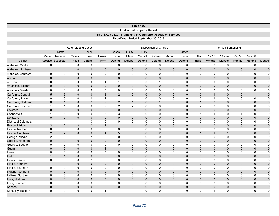| Table 18C            |                                                                                                        |                     |                            |              |                |                                    |                |                |                                      |              |              |                |              |                          |              |                |              |
|----------------------|--------------------------------------------------------------------------------------------------------|---------------------|----------------------------|--------------|----------------|------------------------------------|----------------|----------------|--------------------------------------|--------------|--------------|----------------|--------------|--------------------------|--------------|----------------|--------------|
|                      | <b>Intellectual Property Report</b><br>18 U.S.C. § 2320 - Trafficking in Counterfeit Goods or Services |                     |                            |              |                |                                    |                |                |                                      |              |              |                |              |                          |              |                |              |
|                      |                                                                                                        |                     |                            |              |                |                                    |                |                |                                      |              |              |                |              |                          |              |                |              |
|                      |                                                                                                        |                     |                            |              |                |                                    |                |                | Fiscal Year Ended September 30, 2019 |              |              |                |              |                          |              |                |              |
|                      |                                                                                                        |                     |                            |              |                |                                    |                |                |                                      |              |              |                |              |                          |              |                |              |
|                      |                                                                                                        |                     | <b>Referrals and Cases</b> |              |                |                                    |                |                | Disposition of Charge                |              |              |                |              | <b>Prison Sentencing</b> |              |                |              |
|                      |                                                                                                        | <b>Matter</b>       |                            | Cases        |                | Cases<br>Guilty<br>Guilty<br>Other |                |                |                                      |              |              |                |              |                          |              |                |              |
|                      | Matter                                                                                                 | Receive             | Cases                      | Filed        | Cases          | Term                               | Pleas          | Verdict        | <b>Dismiss</b>                       | Acquit       | Term         | Not            | $1 - 12$     | $13 - 24$                | $25 - 36$    | $37 - 60$      | $61+$        |
| <b>District</b>      |                                                                                                        | Receive Suspects    | Filed                      | Defend       | Term           | Defend                             | Defend         | Defend         | Defend                               | Defend       | Defend       | Impris         | Months       | <b>Months</b>            | Months       | <b>Months</b>  | Months       |
| Alabama, Middle      | 0                                                                                                      | 0                   | $\mathbf 0$                | $\pmb{0}$    | $\mathbf 0$    | $\mathbf 0$                        | $\mathbf 0$    | 0              | $\mathbf 0$                          | 0            | $\mathbf 0$  | 0              | $\mathbf 0$  | $\mathbf 0$              | $\mathbf 0$  | $\mathbf 0$    | $\mathbf 0$  |
| Alabama, Northern    | $\mathbf{1}$                                                                                           | $\mathbf{1}$        | $\mathbf 0$                | $\mathbf 0$  | $\mathbf{0}$   | $\mathbf 0$                        | $\mathbf{0}$   | $\mathbf 0$    | $\mathbf{0}$                         | $\mathbf{0}$ | $\mathbf 0$  | $\mathbf{0}$   | $\mathbf{0}$ | $\mathbf{0}$             | $\mathbf 0$  | $\mathbf{0}$   | $\mathbf 0$  |
| Alabama, Southern    | 0                                                                                                      | 0                   | 0                          | 0            | 0              | 0                                  | 0              | 0              | $\mathbf 0$                          | 0            | $\mathbf 0$  | 0              | 0            | $\mathbf 0$              | 0            | 0              | $\pmb{0}$    |
| Alaska               | $\mathbf 0$                                                                                            | $\mathsf{O}\xspace$ | $\mathbf 0$                | $\mathbf 0$  | 0              | $\mathbf 0$                        | $\mathbf 0$    | $\mathbf 0$    | $\mathbf{0}$                         | $\mathbf{0}$ | $\mathbf 0$  | $\mathbf 0$    | $\mathbf{0}$ | $\mathbf{0}$             | $\mathbf 0$  | $\mathbf 0$    | $\pmb{0}$    |
| Arizona              | 0                                                                                                      | 0                   | 0                          | $\pmb{0}$    | $\mathbf 1$    | 1                                  | $\mathbf 0$    | $\mathbf 0$    | $\mathbf{1}$                         | $\mathbf 0$  | $\mathbf 0$  | 0              | 0            | 0                        | 0            | 0              | $\mathbf 0$  |
| Arkansas, Eastern    | 0                                                                                                      | $\mathbf 0$         | $\mathbf 0$                | $\mathbf{0}$ | $\mathbf{0}$   | $\Omega$                           | $\mathbf 0$    | $\mathbf{0}$   | $\mathbf{0}$                         | $\mathbf{0}$ | $\mathbf{0}$ | $\mathbf{0}$   | $\mathbf{0}$ | $\mathbf{0}$             | $\mathbf 0$  | $\mathbf 0$    | $\mathbf 0$  |
| Arkansas, Western    | 0                                                                                                      | 0                   | 0                          | $\mathbf 0$  | 0              | 0                                  | 0              | 0              | 0                                    | 0            | 0            | 0              | 0            | 0                        | 0            | 0              | 0            |
| California, Central  | 5                                                                                                      | $6\phantom{1}$      | $\mathbf 0$                | $\mathbf 0$  | $\overline{2}$ | $\overline{2}$                     | $\overline{2}$ | $\mathbf 0$    | $\mathbf 0$                          | $\mathbf{0}$ | $\mathbf 0$  | $\mathbf 0$    | $\mathbf{1}$ | $\mathbf 0$              | $\mathbf 0$  | $\mathbf{1}$   | $\pmb{0}$    |
| California, Eastern  | 0                                                                                                      | $\mathbf 0$         | 0                          | $\mathbf 0$  | $\mathbf{1}$   | $\mathbf{1}$                       | $\overline{1}$ | 0              | 0                                    | 0            | $\mathbf 0$  | 0              | $\mathbf{1}$ | 0                        | $\mathbf 0$  | $\mathbf 0$    | $\mathbf 0$  |
| California, Northern | $\mathbf 0$                                                                                            | $\mathbf{1}$        | $\mathbf 0$                | $\mathbf{1}$ | $\overline{2}$ | 2                                  | $\overline{1}$ | $\mathbf{0}$   | $\overline{1}$                       | $\mathbf{0}$ | $\mathbf{0}$ | $\mathbf{1}$   | $\mathbf{0}$ | $\mathbf{0}$             | $\mathbf{0}$ | $\mathbf{0}$   | $\mathbf 0$  |
| California, Southern | $\mathbf{1}$                                                                                           | $\mathbf{1}$        | 0                          | $\pmb{0}$    | $\overline{2}$ | $\overline{2}$                     | $\overline{2}$ | $\mathbf 0$    | $\mathbf 0$                          | $\mathbf 0$  | 0            | $\overline{2}$ | $\mathbf 0$  | 0                        | 0            | 0              | $\mathbf 0$  |
| Colorado             | 0                                                                                                      | $\mathbf 0$         | 0                          | $\mathbf 0$  | $\overline{0}$ | $\mathbf{0}$                       | $\mathbf 0$    | $\Omega$       | $\mathbf{0}$                         | $\mathbf{0}$ | $\mathbf{0}$ | $\mathbf{0}$   | $\mathbf{0}$ | $\mathbf{0}$             | $\mathbf 0$  | $\mathbf{0}$   | $\mathbf 0$  |
| Connecticut          | $\mathbf{1}$                                                                                           | $\mathbf{1}$        | $\mathbf 0$                | $\mathbf 0$  | 3              | 3                                  | 3              | 0              | $\mathbf 0$                          | 0            | $\mathbf 0$  | $\mathbf{1}$   | $\mathbf{1}$ | 0                        | $\mathbf{1}$ | $\mathbf 0$    | $\Omega$     |
| Delaware             | $\pmb{0}$                                                                                              | $\mathbf 0$         | $\mathbf 0$                | $\mathbf 0$  | 0              | $\mathbf 0$                        | $\mathbf 0$    | $\overline{0}$ | $\mathbf 0$                          | $\mathbf{0}$ | $\mathbf 0$  | $\mathbf{0}$   | $\mathbf{0}$ | $\mathbf 0$              | $\mathbf 0$  | $\mathbf 0$    | $\mathbf 0$  |
| District of Columbia | $\mathbf{1}$                                                                                           | $\overline{4}$      | $\mathbf{1}$               | 3            | $\mathbf 0$    | $\mathbf 0$                        | 0              | 0              | $\mathbf 0$                          | 0            | $\mathbf 0$  | $\Omega$       | $\Omega$     | 0                        | $\mathbf 0$  | $\mathbf 0$    | $\mathbf 0$  |
| Florida, Middle      | $\overline{2}$                                                                                         | 2                   | 3                          | 3            | $\overline{1}$ | $\mathbf{1}$                       | $\overline{1}$ | $\mathbf{0}$   | $\mathbf{0}$                         | $\mathbf{0}$ | $\mathbf{0}$ | $\mathbf{1}$   | $\Omega$     | $\mathbf{0}$             | $\mathbf 0$  | $\overline{0}$ | $\mathbf{0}$ |
| Florida, Northern    | 0                                                                                                      | $\mathsf 0$         | 0                          | $\pmb{0}$    | 0              | $\mathbf 0$                        | 0              | 0              | 0                                    | $\mathbf 0$  | $\mathbf 0$  | 0              | $\mathbf 0$  | 0                        | 0            | 0              | $\mathbf 0$  |
| Florida, Southern    | $\overline{2}$                                                                                         | $\overline{2}$      | 0                          | $\mathbf 0$  | 4              | 5                                  | 3              | $\mathbf{0}$   | 2                                    | $\mathbf{0}$ | $\mathbf{0}$ | $\mathbf{1}$   | 1            | 1                        | $\mathbf 0$  | $\mathbf 0$    | $\mathbf 0$  |
| Georgia, Middle      | $\overline{c}$                                                                                         | 3                   | $\overline{1}$             | $\mathbf{1}$ | $\Omega$       | $\Omega$                           | $\mathbf 0$    | $\Omega$       | $\mathbf 0$                          | $\Omega$     | $\mathbf 0$  | $\Omega$       | $\Omega$     | $\Omega$                 | $\Omega$     | $\mathbf 0$    | $\Omega$     |
| Georgia, Northern    | $\mathbf 0$                                                                                            | $\mathbf 0$         | 0                          | $\mathbf 0$  | 0              | $\mathbf 0$                        | $\mathbf 0$    | $\mathbf 0$    | $\mathbf{0}$                         | $\mathbf{0}$ | $\mathbf 0$  | $\mathbf{0}$   | $\mathbf{0}$ | $\mathbf 0$              | $\mathbf 0$  | $\mathbf 0$    | $\pmb{0}$    |
| Georgia, Southern    | 0                                                                                                      | $\mathbf 0$         | 0                          | $\mathbf 0$  | 0              | 0                                  | $\mathbf 0$    | $\mathbf 0$    | $\mathbf 0$                          | 0            | $\mathbf 0$  | 0              | $\Omega$     | 0                        | $\mathbf 0$  | $\mathbf 0$    | $\mathbf 0$  |
| Guam                 | $\overline{0}$                                                                                         | $\mathbf{0}$        | $\mathbf{0}$               | $\mathbf{0}$ | $\mathbf{1}$   | $\mathbf{1}$                       | $\mathbf 0$    | $\mathbf{0}$   | $\mathbf{1}$                         | $\Omega$     | $\Omega$     | $\Omega$       | $\Omega$     | $\Omega$                 | $\mathbf 0$  | $\mathbf{0}$   | $\mathbf{0}$ |
| Hawaii               | 0                                                                                                      | $\mathbf 0$         | 0                          | $\mathbf 0$  | $\mathbf 0$    | $\mathbf 0$                        | 0              | $\mathbf 0$    | 0                                    | 0            | $\mathbf 0$  | 0              | 0            | 0                        | $\mathbf 0$  | 0              | $\mathbf 0$  |
| Idaho                | $\mathbf{1}$                                                                                           | $\mathbf{1}$        | 0                          | $\mathbf{0}$ | $\overline{0}$ | $\mathbf{0}$                       | $\mathbf 0$    | $\Omega$       | $\mathbf{0}$                         | $\mathbf{0}$ | $\mathbf{0}$ | $\overline{0}$ | $\Omega$     | $\mathbf{0}$             | $\mathbf 0$  | $\mathbf{0}$   | $\mathbf 0$  |
| Illinois, Central    | $\mathbf 0$                                                                                            | $\mathbf 0$         | 0                          | $\mathbf{1}$ | $\mathbf{0}$   | $\Omega$                           | $\mathbf 0$    | $\Omega$       | $\Omega$                             | $\Omega$     | $\Omega$     | $\Omega$       | $\Omega$     | $\Omega$                 | $\Omega$     | $\mathbf 0$    | $\Omega$     |
| Illinois, Northern   | $\mathbf{1}$                                                                                           | $\mathbf{1}$        | 0                          | $\mathbf 0$  | 0              | $\mathbf{0}$                       | $\mathbf 0$    | $\mathbf 0$    | $\mathbf 0$                          | $\mathbf{0}$ | $\mathbf 0$  | $\mathbf 0$    | $\mathbf 0$  | $\mathbf 0$              | $\mathbf 0$  | $\mathbf 0$    | $\mathbf 0$  |
| Illinois, Southern   | $\mathbf 0$                                                                                            | $\mathsf 0$         | 0                          | $\mathbf 0$  | 0              | 0                                  | $\mathbf 0$    | $\mathbf 0$    | $\mathbf 0$                          | 0            | $\mathbf 0$  | 0              | $\Omega$     | 0                        | $\mathbf 0$  | $\mathbf 0$    | $\mathbf 0$  |
| Indiana, Northern    | $\mathbf 0$                                                                                            | $\mathbf 0$         | $\mathbf 0$                | $\mathbf 0$  | 0              | $\Omega$                           | $\mathbf 0$    | $\mathbf 0$    | $\mathbf 0$                          | $\Omega$     | $\mathbf 0$  | $\Omega$       | $\Omega$     | $\Omega$                 | $\mathbf 0$  | $\mathbf 0$    | $\pmb{0}$    |
| Indiana, Southern    | $\mathsf 0$                                                                                            | $\mathbf 0$         | $\mathbf 0$                | $\mathbf 0$  | 0              | 0                                  | 0              | $\mathbf 0$    | $\mathbf 0$                          | 0            | $\mathbf 0$  | 0              | 0            | 0                        | $\mathbf 0$  | $\mathbf 0$    | $\mathbf 0$  |
| Iowa, Northern       | $\overline{0}$                                                                                         | $\mathbf 0$         | 0                          | $\mathbf 0$  | $\overline{0}$ | $\mathbf{0}$                       | $\mathbf 0$    | $\mathbf{0}$   | $\mathbf{0}$                         | $\mathbf 0$  | $\mathbf{0}$ | $\overline{0}$ | $\Omega$     | $\mathbf{0}$             | $\mathbf 0$  | $\mathbf{0}$   | $\mathbf 0$  |
| Iowa, Southern       | 0                                                                                                      | $\pmb{0}$           | 0                          | $\pmb{0}$    | 0              | $\Omega$                           | $\mathbf 0$    | 0              | 0                                    | $\Omega$     | 0            | $\Omega$       | $\Omega$     | $\Omega$                 | 0            | $\mathbf 0$    | 0            |
| Kansas               | $\mathbf 0$                                                                                            | $\mathbf 0$         | $\overline{0}$             | $\mathbf{0}$ | 0              | $\mathbf 0$                        | $\mathbf 0$    | $\mathbf 0$    | $\mathbf{0}$                         | $\mathbf{0}$ | $\mathbf 0$  | $\mathbf 0$    | $\mathbf{0}$ | $\mathbf{0}$             | $\mathbf 0$  | $\mathbf 0$    | $\pmb{0}$    |
| Kentucky, Eastern    | $\Omega$                                                                                               | $\mathbf 0$         | 0                          | $\Omega$     | 1              | $\mathbf{1}$                       | $\overline{1}$ | $\Omega$       | $\Omega$                             | $\Omega$     | $\Omega$     | $\Omega$       | $\mathbf 1$  | 0                        | $\Omega$     | $\mathbf 0$    | $\Omega$     |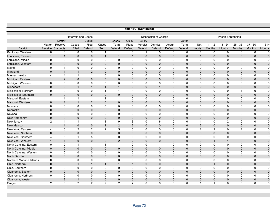| Table 18C (Continued)    |                                                            |                         |                      |                         |                          |                          |                 |                          |                       |                       |                          |                        |                              |                            |                            |                       |                 |  |  |  |  |
|--------------------------|------------------------------------------------------------|-------------------------|----------------------|-------------------------|--------------------------|--------------------------|-----------------|--------------------------|-----------------------|-----------------------|--------------------------|------------------------|------------------------------|----------------------------|----------------------------|-----------------------|-----------------|--|--|--|--|
|                          |                                                            |                         |                      |                         |                          |                          |                 |                          |                       |                       |                          |                        |                              |                            |                            |                       |                 |  |  |  |  |
|                          | <b>Referrals and Cases</b><br><b>Disposition of Charge</b> |                         |                      |                         |                          |                          |                 |                          |                       |                       |                          |                        |                              |                            |                            |                       |                 |  |  |  |  |
|                          |                                                            |                         |                      |                         |                          |                          |                 |                          |                       |                       | <b>Prison Sentencing</b> |                        |                              |                            |                            |                       |                 |  |  |  |  |
|                          |                                                            | <b>Matter</b>           |                      | Cases                   |                          | Cases                    | Guilty          | Guilty                   |                       |                       | Other                    |                        |                              |                            |                            |                       |                 |  |  |  |  |
| <b>District</b>          | Matter                                                     | Receive                 | Cases                | Filed                   | Cases                    | Term                     | Pleas<br>Defend | Verdict                  | <b>Dismiss</b>        | Acquit                | Term                     | Not                    | $1 - 12$                     | $13 - 24$<br><b>Months</b> | $25 - 36$<br><b>Months</b> | $37 - 60$             | $61+$<br>Months |  |  |  |  |
| Kentucky, Western        | Receive<br>$\mathbf 0$                                     | Suspects<br>$\mathbf 0$ | Filed<br>$\mathbf 0$ | Defend<br>$\mathbf 0$   | Term<br>$\overline{1}$   | Defend<br>$\overline{1}$ | $\mathbf 0$     | Defend<br>$\overline{1}$ | Defend<br>$\mathbf 0$ | Defend<br>$\mathbf 0$ | Defend<br>$\mathbf 0$    | Impris<br>$\mathbf{1}$ | <b>Months</b><br>$\mathbf 0$ | $\mathbf 0$                | $\mathbf 0$                | Months<br>$\mathbf 0$ | $\Omega$        |  |  |  |  |
| Louisiana, Eastern       | $\mathbf{1}$                                               | $\overline{1}$          | $\mathbf{0}$         | $\mathbf{0}$            | $\overline{\phantom{a}}$ | $\overline{1}$           | $\overline{1}$  | $\mathbf{0}$             | $\mathbf{0}$          | $\mathbf{0}$          | $\mathbf{0}$             | $\mathbf{1}$           | $\mathbf{0}$                 | $\mathbf{0}$               | $\mathbf 0$                | $\mathbf{0}$          | $\mathbf 0$     |  |  |  |  |
| Louisiana, Middle        | $\mathbf 0$                                                | $\mathbf 0$             | $\mathbf 0$          | $\mathbf 0$             | $\mathbf 0$              | $\mathbf 0$              | $\mathbf 0$     | $\mathbf 0$              | $\mathbf 0$           | $\mathbf 0$           | 0                        | $\mathbf 0$            | 0                            | $\mathbf 0$                | $\mathbf 0$                | $\pmb{0}$             | $\mathbf 0$     |  |  |  |  |
| Louisiana, Western       | $\mathbf{0}$                                               | $\mathbf 0$             | $\overline{0}$       | $\mathbf{0}$            | $\mathbf 0$              | $\Omega$                 | $\mathbf{0}$    | $\mathbf{0}$             | $\mathbf 0$           | $\mathbf 0$           | $\Omega$                 | $\mathbf{0}$           | $\mathbf{0}$                 | $\mathbf 0$                | $\mathbf 0$                | $\mathbf 0$           | $\pmb{0}$       |  |  |  |  |
| Maine                    | $\mathbf 0$                                                | $\mathbf{1}$            | $\mathbf 0$          | $\mathbf 0$             | $\mathbf 0$              | $\mathbf 0$              | $\mathbf 0$     | $\mathbf 0$              | $\mathbf 0$           | $\mathbf 0$           | 0                        | $\Omega$               | 0                            | 0                          | $\mathbf 0$                | $\mathbf 0$           | $\mathbf 0$     |  |  |  |  |
| Maryland                 | $\mathbf{0}$                                               | $\mathbf{1}$            | $\mathbf{1}$         | $\overline{2}$          | $\Omega$                 | $\mathbf 0$              | $\mathbf{0}$    | $\mathbf{0}$             | $\mathbf{0}$          | $\mathbf{0}$          | $\mathbf{0}$             | $\mathbf{0}$           | $\mathbf{0}$                 | $\mathbf 0$                | $\mathbf{0}$               | $\mathbf 0$           | $\pmb{0}$       |  |  |  |  |
| Massachusetts            | $\overline{4}$                                             | $\overline{4}$          | $\mathbf{1}$         | 1                       | $\mathbf 0$              | $\mathbf 0$              | $\mathbf 0$     | $\mathbf 0$              | $\mathbf 0$           | $\mathbf 0$           | 0                        | 0                      | 0                            | $\mathbf 0$                | $\mathbf 0$                | $\mathbf 0$           | $\mathbf 0$     |  |  |  |  |
| Michigan, Eastern        | $\mathbf{1}$                                               | $\overline{2}$          | 0                    | 0                       | $\mathbf 0$              | $\mathbf 0$              | $\mathbf 0$     | $\mathbf 0$              | $\mathbf{0}$          | $\mathbf 0$           | $\mathbf 0$              | $\mathbf 0$            | $\mathbf 0$                  | $\mathbf 0$                | 0                          | $\mathbf 0$           | $\pmb{0}$       |  |  |  |  |
| Michigan, Western        | 0                                                          | $\mathbf 0$             | $\mathbf 0$          | $\Omega$                | $\Omega$                 | 0                        | 0               | 0                        | $\Omega$              | $\mathbf 0$           | 0                        | $\Omega$               | $\Omega$                     | $\Omega$                   | 0                          | 0                     | $\mathbf 0$     |  |  |  |  |
| Minnesota                | $\mathbf{0}$                                               | $\mathbf 0$             | $\mathbf{1}$         | $\overline{1}$          | 1                        | $\mathbf{1}$             | $\mathbf{0}$    | $\mathbf{0}$             | $\mathbf{1}$          | $\mathbf{0}$          | $\mathbf{0}$             | $\Omega$               | $\mathbf{0}$                 | $\mathbf{0}$               | $\mathbf{0}$               | $\mathbf 0$           | $\pmb{0}$       |  |  |  |  |
| Mississippi, Northern    | $\mathbf 0$                                                | $\mathbf 0$             | $\mathbf 0$          | $\mathbf 0$             | -1                       | $\overline{1}$           | $\mathbf{1}$    | $\mathbf 0$              | 0                     | $\mathbf 0$           | $\Omega$                 | $\Omega$               | 0                            | $\mathbf 0$                | $\overline{1}$             | $\mathbf 0$           | $\mathbf 0$     |  |  |  |  |
| Mississippi, Southern    | $\mathbf 0$                                                | $\mathbf 0$             | $\mathbf 0$          | $\mathbf 0$             | $\mathbf 0$              | $\mathbf 0$              | $\mathbf 0$     | $\mathbf{0}$             | $\mathbf 0$           | $\mathbf{0}$          | $\mathbf{0}$             | $\mathbf{0}$           | $\mathbf{0}$                 | $\mathbf 0$                | $\mathbf 0$                | $\mathbf 0$           | $\pmb{0}$       |  |  |  |  |
| Missouri, Eastern        | $\mathbf{1}$                                               | $\mathbf{1}$            | $\mathbf 1$          | $\mathbf{1}$            | 1                        | -1                       | $\Omega$        | $\Omega$                 | $\mathbf{1}$          | $\Omega$              | $\Omega$                 | $\Omega$               | $\Omega$                     | $\Omega$                   | $\Omega$                   | $\mathbf 0$           | $\mathbf 0$     |  |  |  |  |
| Missouri, Western        | $\mathbf{0}$                                               | $\mathbf{1}$            | $\mathbf{1}$         | 2                       | $\mathbf{0}$             | $\mathbf 0$              | $\mathbf{0}$    | $\mathbf{0}$             | $\mathbf{0}$          | $\mathbf{0}$          | $\mathbf{0}$             | $\Omega$               | $\mathbf{0}$                 | $\mathbf{0}$               | $\mathbf{0}$               | $\mathbf 0$           | $\pmb{0}$       |  |  |  |  |
| Montana                  | $\pmb{0}$                                                  | $\mathbf 0$             | $\mathbf 0$          | $\mathbf 0$             | $\mathbf 0$              | $\mathbf 0$              | $\mathbf 0$     | $\mathbf 0$              | $\mathbf 0$           | $\mathbf 0$           | 0                        | 0                      | 0                            | $\mathbf 0$                | $\mathbf 0$                | $\pmb{0}$             | $\mathbf 0$     |  |  |  |  |
| Nebraska                 | $\mathbf 0$                                                | $\mathbf 0$             | 0                    | 0                       | $\mathbf 0$              | $\mathbf 0$              | $\mathbf 0$     | $\mathbf 0$              | $\mathbf 0$           | $\mathbf 0$           | $\mathbf{0}$             | $\mathbf{0}$           | $\mathbf 0$                  | $\mathbf 0$                | 0                          | $\mathbf 0$           | $\pmb{0}$       |  |  |  |  |
| Nevada                   | $\Omega$                                                   | $\mathbf 0$             | $\Omega$             | $\Omega$                | $\Omega$                 | $\mathbf 0$              | $\Omega$        | $\mathbf 0$              | 0                     | $\mathbf 0$           | $\Omega$                 | $\Omega$               | $\Omega$                     | $\mathbf 0$                | $\mathbf 0$                | $\mathbf 0$           | $\mathbf 0$     |  |  |  |  |
| New Hampshire            | $\mathbf{0}$                                               | $\Omega$                | $\Omega$             | 0                       | $\Omega$                 | $\mathbf 0$              | $\mathbf 0$     | $\mathbf 0$              | $\Omega$              | $\mathbf 0$           | $\mathbf{0}$             | $\mathbf{0}$           | $\mathbf{0}$                 | $\mathbf 0$                | $\mathbf{0}$               | $\mathbf 0$           | $\pmb{0}$       |  |  |  |  |
| New Jersey               | $\overline{2}$                                             | $\overline{4}$          | $\mathbf{1}$         | $\mathbf 1$             | $\mathbf 1$              | 9                        | 3               | $\mathbf 0$              | 6                     | $\mathbf 0$           | 0                        | $\mathbf{1}$           | 0                            | 2                          | $\mathbf 0$                | $\mathbf 0$           | $\mathbf 0$     |  |  |  |  |
| <b>New Mexico</b>        | $\overline{1}$                                             | $\overline{1}$          | $\overline{0}$       | $\mathbf{0}$            | $\mathbf{1}$             | $\overline{2}$           | $\overline{2}$  | $\mathbf{0}$             | $\mathbf 0$           | $\mathbf{0}$          | $\mathbf{0}$             | 2                      | $\mathbf{0}$                 | $\mathbf{0}$               | 0                          | $\mathbf 0$           | $\pmb{0}$       |  |  |  |  |
| New York, Eastern        | 4                                                          | 5                       | $\overline{2}$       | $\overline{2}$          | $\sqrt{2}$               | 5                        | 5               | $\Omega$                 | $\Omega$              | $\Omega$              | $\Omega$                 | 2                      | 2                            | $\mathbf 0$                | $\overline{1}$             | $\mathbf 0$           | $\mathbf 0$     |  |  |  |  |
| New York, Northern       | $\mathbf{0}$                                               | $\mathbf{0}$            | $\Omega$             | $\mathbf{0}$            | $\Omega$                 | $\overline{0}$           | $\mathbf{0}$    | $\mathbf{0}$             | $\mathbf{0}$          | $\mathbf{0}$          | $\mathbf{0}$             | $\Omega$               | $\mathbf{0}$                 | $\mathbf{0}$               | $\mathbf 0$                | $\mathbf 0$           | $\mathbf 0$     |  |  |  |  |
| New York, Southern       | 4                                                          | 5                       | $\mathbf{1}$         | 5                       | $\mathbf 0$              | $\mathbf 0$              | 0               | $\mathbf 0$              | 0                     | $\mathbf 0$           | 0                        | $\Omega$               | 0                            | $\mathbf 0$                | $\mathbf 0$                | 0                     | $\mathbf 0$     |  |  |  |  |
| New York, Western        | $\mathbf{1}$                                               | $\overline{1}$          | $\overline{0}$       | $\overline{0}$          | $\overline{2}$           | $\overline{2}$           | $\overline{2}$  | $\mathbf{0}$             | $\mathbf{0}$          | $\mathbf{0}$          | $\mathbf{0}$             | $\mathbf{0}$           | $\mathbf{1}$                 | $\mathbf{1}$               | $\mathbf 0$                | $\mathbf 0$           | $\mathbf{0}$    |  |  |  |  |
| North Carolina, Eastern  | 0                                                          | 0                       | $\mathbf{1}$         | $\overline{\mathbf{1}}$ | -1                       | -1                       | 0               | $\mathbf 0$              | $\mathbf 1$           | $\Omega$              | 0                        | $\Omega$               | 0                            | 0                          | 0                          | 0                     | 0               |  |  |  |  |
| North Carolina, Middle   | $\mathbf{0}$                                               | $\mathbf{0}$            | $\Omega$             | 0                       | $\mathbf{0}$             | $\mathbf{0}$             | $\mathbf{0}$    | $\mathbf{0}$             | $\mathbf{0}$          | $\mathbf{0}$          | $\Omega$                 | $\Omega$               | $\mathbf{0}$                 | $\mathbf{0}$               | $\mathbf{0}$               | $\mathbf 0$           | $\pmb{0}$       |  |  |  |  |
| North Carolina, Western  | 0                                                          | $\mathbf 0$             | 0                    | $\mathbf 0$             | 0                        | 0                        | $\mathbf 0$     | 0                        | 0                     | $\mathbf 0$           | 0                        | $\Omega$               | 0                            | 0                          | 0                          | 0                     | $\mathbf 0$     |  |  |  |  |
| North Dakota             | $\mathbf{0}$                                               | $\mathbf 0$             | $\mathbf{0}$         | $\overline{0}$          | $\Omega$                 | $\mathbf 0$              | $\mathbf{0}$    | $\mathbf{0}$             | $\mathbf 0$           | $\mathbf 0$           | $\mathbf{0}$             | $\mathbf{0}$           | $\mathbf{0}$                 | $\mathbf{0}$               | $\overline{0}$             | $\mathbf 0$           | $\pmb{0}$       |  |  |  |  |
| Northern Mariana Islands | $\mathbf 0$                                                | $\mathbf 0$             | $\mathbf 0$          | $\mathbf 0$             | $\mathbf 0$              | $\mathbf 0$              | $\mathbf 0$     | $\mathbf 0$              | 0                     | $\mathbf 0$           | 0                        | 0                      | 0                            | 0                          | 0                          | $\mathbf 0$           | 0               |  |  |  |  |
| Ohio, Northern           | $\mathbf{0}$                                               | $\mathbf{0}$            | $\mathbf{1}$         | $\mathbf{1}$            | 1                        | $\mathbf{1}$             | $\mathbf{1}$    | $\mathbf{0}$             | $\Omega$              | $\mathbf{0}$          | $\mathbf{0}$             | $\Omega$               | $\overline{1}$               | $\mathbf 0$                | $\mathbf{0}$               | $\mathbf 0$           | $\mathbf 0$     |  |  |  |  |
| Ohio, Southern           | 0                                                          | 0                       | $\mathbf 0$          | 0                       | 0                        | 0                        | 0               | 0                        | 0                     | 0                     | 0                        | $\Omega$               | 0                            | 0                          | 0                          | 0                     | $\mathbf 0$     |  |  |  |  |
| Oklahoma, Eastern        | $\mathbf{0}$                                               | $\mathbf 0$             | $\mathbf{0}$         | $\overline{0}$          | $\mathbf{0}$             | $\mathbf 0$              | $\mathbf{0}$    | $\mathbf{0}$             | $\mathbf{0}$          | $\mathbf 0$           | $\mathbf{0}$             | $\mathbf{0}$           | $\mathbf{0}$                 | $\mathbf 0$                | $\mathbf{0}$               | $\mathbf 0$           | $\pmb{0}$       |  |  |  |  |
| Oklahoma, Northern       | 0                                                          | 0                       | $\mathbf 0$          | 0                       | 0                        | 0                        | $\mathbf 0$     | 0                        | 0                     | 0                     | 0                        | 0                      | 0                            | $\mathbf 0$                | 0                          | $\mathbf 0$           | 0               |  |  |  |  |
| Oklahoma, Western        | $\mathbf{1}$                                               | $\overline{2}$          | $\mathbf{1}$         | $\overline{2}$          | $\mathbf{0}$             | $\mathbf 0$              | $\mathbf{0}$    | $\mathbf{0}$             | $\Omega$              | $\mathbf 0$           | $\mathbf{0}$             | $\Omega$               | $\mathbf{0}$                 | $\mathbf 0$                | $\mathbf{0}$               | $\mathbf 0$           | $\pmb{0}$       |  |  |  |  |
| Oregon                   | 2                                                          | 3                       | $\overline{2}$       | $\overline{2}$          | 2                        | 2                        | $\overline{2}$  | $\Omega$                 | $\Omega$              | $\Omega$              | $\Omega$                 | 1                      | -1                           | $\Omega$                   | $\Omega$                   | $\Omega$              | $\mathbf 0$     |  |  |  |  |
|                          |                                                            |                         |                      |                         |                          |                          |                 |                          |                       |                       |                          |                        |                              |                            |                            |                       |                 |  |  |  |  |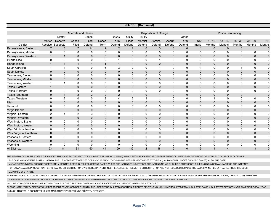| Table 18C (Continued)   |                                                            |                             |                |                 |              |                |                 |                   |                          |                  |                |                |              |                          |                     |              |                 |  |  |  |  |
|-------------------------|------------------------------------------------------------|-----------------------------|----------------|-----------------|--------------|----------------|-----------------|-------------------|--------------------------|------------------|----------------|----------------|--------------|--------------------------|---------------------|--------------|-----------------|--|--|--|--|
|                         | <b>Referrals and Cases</b><br><b>Disposition of Charge</b> |                             |                |                 |              |                |                 |                   |                          |                  |                |                |              | <b>Prison Sentencing</b> |                     |              |                 |  |  |  |  |
|                         |                                                            |                             |                | Cases           |              |                |                 |                   |                          |                  | Other          |                |              |                          |                     |              |                 |  |  |  |  |
|                         | <b>Matter</b>                                              | Matter                      | Cases          |                 | Cases        | Cases          | Guilty<br>Pleas | Guilty<br>Verdict |                          |                  |                |                | $1 - 12$     |                          |                     | $37 - 60$    |                 |  |  |  |  |
| <b>District</b>         |                                                            | Receive<br>Receive Suspects | Filed          | Filed<br>Defend | Term         | Term<br>Defend | Defend          | Defend            | <b>Dismiss</b><br>Defend | Acquit<br>Defend | Term<br>Defend | Not<br>Impris  | Months       | $13 - 24$<br>Months      | $25 - 36$<br>Months | Months       | $61+$<br>Months |  |  |  |  |
| Pennsylvania, Eastern   | $\overline{7}$                                             | 15                          | $\overline{7}$ | 14              | 2            | 2              | $\overline{2}$  | $\mathbf{0}$      | $\mathbf{0}$             | $\mathbf{0}$     | $\mathbf{0}$   |                | $\Omega$     | $\mathbf 0$              | $\mathbf{0}$        | $\mathbf 1$  | $\overline{0}$  |  |  |  |  |
| Pennsylvania, Middle    | $\mathbf 0$                                                | $\mathbf 0$                 | $\mathbf 0$    | $\mathbf 0$     | $\mathbf 0$  | 0              | $\Omega$        | 0                 | $\Omega$                 | 0                | $\Omega$       | $\Omega$       | $\Omega$     | 0                        | 0                   | $\mathbf 0$  | $\mathbf 0$     |  |  |  |  |
| Pennsylvania, Western   | $\mathbf{1}$                                               | $\mathbf{1}$                | $\mathbf 0$    | $\mathbf{0}$    | $\mathbf{0}$ | $\Omega$       | $\mathbf 0$     | $\mathbf{0}$      | $\mathbf 0$              | $\mathbf{0}$     | $\mathbf{0}$   | $\mathbf{0}$   | $\Omega$     | $\mathbf 0$              | $\mathbf 0$         | $\mathbf 0$  | $\mathbf 0$     |  |  |  |  |
| Puerto Rico             | $\mathbf 0$                                                | 0                           | $\mathbf 0$    | 0               | $\mathbf{0}$ |                | $\Omega$        | $\Omega$          | -1                       | $\Omega$         | $\Omega$       | $\Omega$       | $\Omega$     | $\Omega$                 | 0                   | $\mathbf 0$  | $\Omega$        |  |  |  |  |
| Rhode Island            | $\overline{1}$                                             | $\mathbf{1}$                | $\mathbf{1}$   | $\mathbf{1}$    | $\mathbf{1}$ | $\mathbf 1$    | -1              | $\mathbf{0}$      | $\mathbf 0$              | $\mathbf{0}$     | $\mathbf{0}$   |                | $\mathbf{0}$ | $\mathbf 0$              | $\mathbf{0}$        | $\mathbf 0$  | $\mathbf 0$     |  |  |  |  |
| South Carolina          | 1                                                          | 1                           | 0              | $\mathbf 0$     | 3            | 3              | $\overline{2}$  | $\Omega$          | $\overline{1}$           | 0                | 0              |                | 0            | 0                        | 1                   | 0            | 0               |  |  |  |  |
| South Dakota            | $\mathbf{0}$                                               | $\mathbf 0$                 | $\mathbf{0}$   | $\mathbf{0}$    | $\mathbf{0}$ | $\Omega$       | $\mathbf 0$     | $\Omega$          | $\mathbf{0}$             | $\Omega$         | $\Omega$       | $\overline{0}$ | $\Omega$     | $\mathbf 0$              | $\mathbf{0}$        | $\mathbf 0$  | $\pmb{0}$       |  |  |  |  |
| Tennessee, Eastern      | 0                                                          | 0                           | $\mathbf 0$    | $\mathbf 0$     | $\mathbf 0$  | 0              | $\mathbf 0$     | 0                 | $\mathbf 0$              | 0                | 0              | 0              | $\mathbf 0$  | $\mathbf 0$              | 0                   | $\mathbf 0$  | $\mathbf 0$     |  |  |  |  |
| Tennessee, Middle       | $\mathbf{0}$                                               | 0                           | $\mathbf 0$    | $\Omega$        | $\mathbf 0$  | $\mathbf{0}$   | $\mathbf 0$     | $\mathbf{0}$      | $\mathbf 0$              | $\mathbf{0}$     | $\mathbf{0}$   | $\overline{0}$ | $\mathbf{0}$ | $\mathbf 0$              | $\mathbf 0$         | $\mathbf 0$  | $\mathbf 0$     |  |  |  |  |
| Tennessee, Western      | $\overline{\mathbf{1}}$                                    | $\mathbf{1}$                | $\mathbf 0$    | $\Omega$        | $\Omega$     | $\Omega$       | $\Omega$        | $\Omega$          | $\Omega$                 | $\Omega$         | $\Omega$       | $\Omega$       | $\Omega$     | $\Omega$                 | $\mathbf 0$         | $\mathbf 0$  | $\mathbf 0$     |  |  |  |  |
| Texas, Eastern          | $\overline{1}$                                             | 3                           | $\mathbf{0}$   | $\overline{0}$  | $\mathbf{0}$ | $\mathbf 0$    | $\mathbf 0$     | $\mathbf{0}$      | $\mathbf 0$              | $\mathbf{0}$     | $\mathbf{0}$   | $\overline{0}$ | $\mathbf 0$  | $\mathbf 0$              | $\mathbf 0$         | $\mathbf 0$  | $\mathbf 0$     |  |  |  |  |
| Texas, Northern         | 0                                                          | 0                           | $\mathbf 0$    | $\Omega$        | $\mathbf{0}$ | 0              | $\Omega$        | 0                 | $\mathbf 0$              | 0                | $\Omega$       | 0              | 0            | $\mathbf 0$              | 0                   | $\mathbf 0$  | $\Omega$        |  |  |  |  |
| Texas, Southern         | $\mathbf 0$                                                | $\mathbf{1}$                | $\overline{2}$ | $\overline{2}$  | 2            | $\overline{2}$ | $\overline{1}$  | $\mathbf{0}$      | $\overline{1}$           | $\mathbf{0}$     | $\mathbf{0}$   | 0              | $\mathbf 0$  | $\mathbf 0$              | $\mathbf 0$         | $\mathbf{1}$ | $\pmb{0}$       |  |  |  |  |
| Texas, Western          | $\mathbf 0$                                                | 2                           | 0              | 0               | 3            | 4              | $\overline{2}$  |                   | $\overline{1}$           | 0                | 0              | 2              | 1            | $\mathbf 0$              | 0                   | 0            | 0               |  |  |  |  |
| Utah                    | $\mathbf 0$                                                | $\mathbf 0$                 | $\mathbf 0$    | $\mathbf{0}$    | $\mathbf 0$  | $\mathbf{0}$   | $\mathbf 0$     | $\mathbf{0}$      | $\mathbf{0}$             | $\mathbf{0}$     | $\mathbf{0}$   | $\overline{0}$ | $\mathbf{0}$ | $\mathbf 0$              | $\mathbf{0}$        | $\mathbf 0$  | $\pmb{0}$       |  |  |  |  |
| Vermont                 | 0                                                          | 0                           | $\mathsf 0$    | 0               | 0            | 0              | $\mathbf 0$     | 0                 | $\mathbf 0$              | 0                | 0              | 0              | $\mathbf 0$  | $\mathbf 0$              | 0                   | $\mathbf 0$  | $\mathbf 0$     |  |  |  |  |
| Virgin Islands          | $\mathbf 0$                                                | 0                           | $\mathbf 0$    | $\mathbf 0$     | $\mathbf 0$  | $\mathbf{0}$   | $\mathbf 0$     | 0                 | $\mathbf 0$              | $\mathbf 0$      | $\mathbf 0$    | 0              | $\mathbf{0}$ | $\mathbf 0$              | $\mathbf 0$         | $\mathbf 0$  | $\pmb{0}$       |  |  |  |  |
| Virginia, Eastern       | 2                                                          | 4                           | 2              | 3               | $\Omega$     | $\Omega$       | $\Omega$        | $\Omega$          | $\Omega$                 | $\Omega$         | $\Omega$       | $\Omega$       | $\Omega$     | $\Omega$                 | 0                   | $\mathbf 0$  | $\mathbf 0$     |  |  |  |  |
| Virginia, Western       | $\mathbf 0$                                                | $\mathbf{0}$                | $\mathbf 0$    | $\mathbf{0}$    | $\mathbf{0}$ | $\Omega$       | $\Omega$        | $\Omega$          | $\mathbf 0$              | $\Omega$         | $\Omega$       | $\mathbf{0}$   | $\Omega$     | $\mathbf 0$              | $\mathbf{0}$        | $\mathbf 0$  | $\pmb{0}$       |  |  |  |  |
| Washington, Eastern     | 0                                                          | 0                           | 0              | $\Omega$        | $\mathbf{0}$ | 0              | $\mathbf 0$     | 0                 | $\mathbf 0$              | 0                | 0              | 0              | $\mathbf 0$  | $\mathbf 0$              | 0                   | 0            | $\mathbf 0$     |  |  |  |  |
| Washington, Western     | $\mathbf 0$                                                | 0                           | $\pmb{0}$      | $\mathbf 0$     | $\mathbf 0$  | $\mathbf{0}$   | $\mathbf 0$     | $\mathbf{0}$      | $\mathbf 0$              | $\mathbf{0}$     | $\mathbf{0}$   | 0              | $\mathbf{0}$ | $\mathbf 0$              | $\mathbf 0$         | $\mathbf 0$  | $\pmb{0}$       |  |  |  |  |
| West Virginia, Northern | $\mathbf 0$                                                | $\mathbf 0$                 | $\mathbf 0$    | 0               | 0            | 0              | 0               | 0                 | $\mathbf 0$              | $\mathbf 0$      | 0              | $\Omega$       | 0            | 0                        | 0                   | $\mathbf 0$  | $\mathbf 0$     |  |  |  |  |
| West Virginia, Southern | $\mathbf 0$                                                | $\mathbf 0$                 | $\mathbf 0$    | $\mathbf 0$     | $\mathbf 0$  | $\mathbf{0}$   | $\mathbf 0$     | $\mathbf{0}$      | $\mathbf{0}$             | $\mathbf{0}$     | $\mathbf{0}$   | $\mathbf{0}$   | $\mathbf{0}$ | $\mathbf 0$              | $\mathbf 0$         | $\mathbf 0$  | $\pmb{0}$       |  |  |  |  |
| Wisconsin, Eastern      | $\mathbf 0$                                                | 0                           | $\mathbf 0$    | 0               | 0            | 0              | 0               | 0                 | $\Omega$                 | 0                | $\Omega$       | $\Omega$       | $\Omega$     | 0                        | 0                   | 0            | $\mathbf 0$     |  |  |  |  |
| Wisconsin, Western      | $\mathbf 0$                                                | $\mathbf{0}$                | $\mathbf 0$    | $\overline{0}$  | $\mathbf 0$  | $\mathbf{0}$   | $\mathbf 0$     | $\mathbf{0}$      | $\mathbf 0$              | $\mathbf{0}$     | $\mathbf{0}$   | $\mathbf{0}$   | $\mathbf{0}$ | $\mathbf 0$              | $\mathbf{0}$        | $\mathbf 0$  | $\pmb{0}$       |  |  |  |  |
| Wyoming                 | $\mathbf 0$                                                | $\mathbf 0$                 | 0              | 0               | $\mathbf{0}$ | 0              | 0               | 0                 | 0                        | 0                | 0              | 0              | 0            | 0                        | 0                   | 0            | 0               |  |  |  |  |
| <b>All Districts</b>    | 53                                                         | 84                          | 31             | 50              | 44           | 59             | 39              | 2                 | 18                       | $\mathbf{0}$     | $\mathbf{0}$   | 19             | 11           | $\overline{4}$           | $\overline{4}$      | $\mathbf{3}$ | $\mathbf 0$     |  |  |  |  |

THE INFORMATION IN THIS TABLE IS PROVIDED PURSUANT TO THE STATUTORY MANDATE IN 18 U.S.C. § 2320(h), WHICH REQUIRES A REPORT OF DEPARTMENT OF JUSTICE PROSECUTIONS OF INTELLECTUAL PROPERTY CRIMES.

THE CASE MANAGEMENT SYSTEM USED BY THE U.S. ATTORNEYS' OFFICES DOES NOT BREAK OUT COPYRIGHT INFRINGEMENT CASES BY TYPE (e.g. AUDIOVISUAL, BOOKS OR VIDEO GAMES). ALSO, THE CASE

MANAGEMENT SYSTEM DOES NOT SEPARATELY IDENTIFY COPYRIGHT INFRINGEMENT CASES WHERE THE INFRINGER ADVERTISES THE INFRINGING WORK ONLINE OR MAKES THE INFRINGING WORK AVAILABLE ON THE INTERNET

 FOR DOWNLOAD, REPRODUCTION, PERFORMANCE OR DISTRIBUTION BY OTHERS. DATA ON FINES, PENALTIES, SETTLEMENTS OR RESTITUTION ARE NOT INCLUDED BECAUSE THE DATA CAN NOT BE EXTRACTED FROM THE CDCS DATABASE BY STATUTE.

TABLE INCLUDES DATA ON ANY AND ALL CRIMINAL CASES OR DEFENDANTS WHERE THE SELECTED INTELLECTUAL PROPERTY STATUTES WERE BROUGHT AS ANY CHARGE AGAINST THE DEFENDANT. HOWEVER, THE STATUTES WERE RUN

TOGETHER TO ELIMINATE ANY DOUBLE COUNTING OF CASES OR DEFENDANTS WHEN MORE THAN ONE OF THE STATUTES WAS BROUGHT AGAINST THE SAME DEFENDANT.

INCLUDES TRANSFERS, DISMISSALS OTHER THAN BY COURT, PRETRIAL DIVERSIONS, AND PROCEEDINGS SUSPENDED INDEFINITELY BY COURT.

PLEASE NOTE, "GUILTY DISPOSITIONS" REPRESENT SENTENCED DEFENDANTS. THE UNDERLYING GUILTY DISPOSITION, PRIOR TO SENTENCING, MAY HAVE RESULTED FROM A GUILTY PLEA OR A GUILTY VERDICT OBTAINED IN A PRIOR FISCAL YEAR. DATA ON THIS TABLE DOES NOT INCLUDE MAGISTRATE PROCEEDINGS OR PETTY OFFENSES.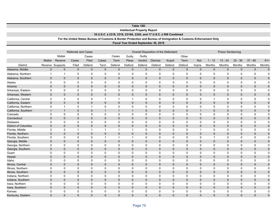|                      |                  |                  |                            |                                                                                                                  |                |                |                                     | Table 18D      |                                                                   |              |              |              |                |                          |              |                |                |
|----------------------|------------------|------------------|----------------------------|------------------------------------------------------------------------------------------------------------------|----------------|----------------|-------------------------------------|----------------|-------------------------------------------------------------------|--------------|--------------|--------------|----------------|--------------------------|--------------|----------------|----------------|
|                      |                  |                  |                            |                                                                                                                  |                |                | <b>Intellectual Property Report</b> |                |                                                                   |              |              |              |                |                          |              |                |                |
|                      |                  |                  |                            |                                                                                                                  |                |                |                                     |                | 18 U.S.C. § 2318, 2319, 2319A, 2320, and 17 U.S.C. § 506 Combined |              |              |              |                |                          |              |                |                |
|                      |                  |                  |                            | For the United States Bureau of Customs & Border Protection and Bureau of Immigration & Customs Enforcement Only |                |                |                                     |                |                                                                   |              |              |              |                |                          |              |                |                |
|                      |                  |                  |                            |                                                                                                                  |                |                |                                     |                | Fiscal Year Ended September 30, 2019                              |              |              |              |                |                          |              |                |                |
|                      |                  |                  |                            |                                                                                                                  |                |                |                                     |                |                                                                   |              |              |              |                |                          |              |                |                |
|                      |                  |                  | <b>Referrals and Cases</b> |                                                                                                                  |                |                |                                     |                | Overall Disposition of the Defendant                              |              |              |              |                | <b>Prison Sentencing</b> |              |                |                |
|                      |                  | Matter           |                            | Cases                                                                                                            |                | Cases          | Guilty                              | Guilty         |                                                                   |              |              |              |                |                          |              |                |                |
|                      | Matter           | Receive          | Cases                      | Filed                                                                                                            | Cases          | Term           | Pleas                               | Verdict        | <b>Dismiss</b>                                                    | Acquit       | Term         | <b>Not</b>   | $1 - 12$       | $13 - 24$                | $25 - 36$    | $37 - 60$      | $61+$          |
| <b>District</b>      |                  | Receive Suspects | Filed                      | Defend                                                                                                           | Term           | Defend         | Defend                              | Defend         | Defend                                                            | Defend       | Defend       | Impris       | Months         | Months                   | Months       | Months         | Months         |
| Alabama, Middle      | $\pmb{0}$        | $\mathbf 0$      | $\mathbf 0$                | $\mathbf 0$                                                                                                      | $\mathbf 0$    | $\mathbf 0$    | $\mathbf 0$                         | $\mathbf 0$    | $\mathbf 0$                                                       | $\mathbf 0$  | $\mathbf 0$  | $\mathbf 0$  | $\mathbf 0$    | $\mathbf 0$              | $\mathbf 0$  | $\mathbf 0$    | $\mathbf 0$    |
| Alabama, Northern    | 1                | $\mathbf{1}$     | 0                          | 0                                                                                                                | $\mathbf 0$    | 0              | $\mathbf 0$                         | $\mathbf 0$    | $\mathbf 0$                                                       | $\mathbf 0$  | $\mathbf 0$  | $\mathbf 0$  | 0              | $\mathbf 0$              | $\mathbf 0$  | $\mathbf 0$    | $\Omega$       |
| Alabama, Southern    | $\pmb{0}$        | $\mathbf 0$      | $\mathbf{0}$               | $\mathbf{0}$                                                                                                     | $\mathbf{0}$   | $\Omega$       | $\Omega$                            | $\Omega$       | $\mathbf 0$                                                       | $\mathbf 0$  | $\mathbf{0}$ | $\mathbf 0$  | $\mathbf{0}$   | $\mathbf 0$              | $\mathbf 0$  | $\overline{0}$ | $\Omega$       |
| Alaska               | 0                | 0                | $\mathbf 0$                | 0                                                                                                                | 0              | 0              | 0                                   | 0              | 0                                                                 | 0            | 0            | 0            | 0              | 0                        | 0            | 0              | 0              |
| Arizona              | $\mathbf 0$      | 0                | $\mathbf 0$                | $\overline{0}$                                                                                                   | $\mathbf{0}$   | $\Omega$       | $\Omega$                            | $\Omega$       | $\mathbf 0$                                                       | $\mathbf 0$  | 0            | $\mathbf 0$  | $\overline{0}$ | $\mathbf{0}$             | $\mathbf{0}$ | $\mathbf 0$    | $\mathbf 0$    |
| Arkansas, Eastern    | $\mathbf 0$      | $\mathbf 0$      | $\mathbf 0$                | 0                                                                                                                | $\mathbf 0$    | 0              | $\mathbf 0$                         | $\mathbf 0$    | $\mathbf 0$                                                       | $\mathbf 0$  | 0            | $\Omega$     | $\Omega$       | $\Omega$                 | 0            | $\mathbf 0$    | $\mathbf 0$    |
| Arkansas, Western    | $\mathbf{0}$     | $\mathbf{0}$     | $\mathbf{0}$               | $\mathbf{0}$                                                                                                     | $\mathbf{0}$   | $\Omega$       | $\Omega$                            | $\Omega$       | $\mathbf{0}$                                                      | $\mathbf 0$  | $\mathbf{0}$ | $\Omega$     | $\mathbf{0}$   | $\Omega$                 | $\mathbf{0}$ | $\overline{0}$ | $\overline{0}$ |
| California, Central  | $\boldsymbol{2}$ | 3                | $\mathbf 0$                | 0                                                                                                                | $\overline{1}$ | 1              | $\overline{1}$                      | $\mathbf 0$    | $\mathbf 0$                                                       | $\mathbf 0$  | 0            | $\Omega$     | $\mathbf 1$    | $\Omega$                 | 0            | $\mathbf 0$    | $\mathbf 0$    |
| California, Eastern  | $\mathbf 0$      | 0                | $\mathbf 0$                | $\pmb{0}$                                                                                                        | $\mathbf 0$    | $\mathbf 0$    | $\mathbf 0$                         | $\mathbf 0$    | 0                                                                 | $\mathbf{0}$ | 0            | $\mathbf 0$  | $\mathbf 0$    | $\mathbf{0}$             | $\mathbf 0$  | $\mathbf 0$    | $\overline{0}$ |
| California, Northern | 0                | $\overline{1}$   | $\mathsf 0$                | $\mathbf{1}$                                                                                                     | $\mathbf 0$    | 0              | $\mathbf 0$                         | $\mathbf 0$    | 0                                                                 | $\mathbf 0$  | 0            | $\mathbf 0$  | 0              | $\mathbf 0$              | 0            | 0              | $\mathbf 0$    |
| California, Southern | $\mathbf{1}$     | $\mathbf{1}$     | $\mathbf 0$                | $\mathbf 0$                                                                                                      | $\mathbf{1}$   |                | $\overline{1}$                      | $\Omega$       | $\mathbf 0$                                                       | $\Omega$     | $\Omega$     | $\mathbf{1}$ | $\Omega$       | $\Omega$                 | $\mathbf 0$  | $\mathbf 0$    | $\Omega$       |
| Colorado             | 0                | 0                | $\mathbf 0$                | 0                                                                                                                | $\mathbf 0$    | 0              | 0                                   | $\mathbf 0$    | $\mathbf 0$                                                       | 0            | 0            | 0            | 0              | 0                        | 0            | $\mathbf 0$    | 0              |
| Connecticut          | $\mathbf 0$      | $\mathbf 0$      | $\mathbf 0$                | $\mathbf 0$                                                                                                      | $\mathbf 0$    | $\overline{0}$ | $\mathbf 0$                         | $\Omega$       | $\mathbf 0$                                                       | $\mathbf 0$  | $\mathbf{0}$ | $\mathbf{0}$ | $\mathbf{0}$   | $\mathbf{0}$             | $\mathbf 0$  | $\mathbf 0$    | $\mathbf 0$    |
| Delaware             | $\mathbf 0$      | $\mathbf 0$      | $\mathbf 0$                | 0                                                                                                                | $\mathbf 0$    | 0              | $\Omega$                            | $\mathbf 0$    | $\mathbf 0$                                                       | $\Omega$     | $\Omega$     | $\Omega$     | $\Omega$       | $\Omega$                 | 0            | $\mathbf 0$    | $\Omega$       |
| District of Columbia | $\pmb{0}$        | 0                | $\mathbf 0$                | $\overline{0}$                                                                                                   | $\mathbf{0}$   | $\Omega$       | $\Omega$                            | $\Omega$       | $\mathbf{0}$                                                      | $\mathbf 0$  | $\mathbf{0}$ | $\mathbf 0$  | $\Omega$       | $\Omega$                 | $\Omega$     | $\mathbf 0$    | $\mathbf 0$    |
| Florida, Middle      | $\overline{2}$   | $\overline{c}$   | $\mathbf{1}$               | $\mathbf{1}$                                                                                                     | $\mathbf{1}$   | -1             | $\overline{1}$                      | $\mathbf 0$    | $\mathbf 0$                                                       | $\mathbf 0$  | 0            | $\mathbf{1}$ | 0              | $\mathbf 0$              | 0            | 0              | $\mathbf 0$    |
| Florida, Northern    | $\mathbf{0}$     | $\mathbf{0}$     | $\mathbf{0}$               | $\mathbf{0}$                                                                                                     | $\mathbf{0}$   | $\mathbf{0}$   | $\Omega$                            | $\Omega$       | $\mathbf{0}$                                                      | $\mathbf{0}$ | $\mathbf{0}$ | $\mathbf{0}$ | $\mathbf{0}$   | $\mathbf{0}$             | $\mathbf{0}$ | $\mathbf 0$    | $\overline{0}$ |
| Florida, Southern    | $\pmb{0}$        | 0                | $\mathbf 0$                | $\mathbf 0$                                                                                                      | $\mathbf{1}$   | 1              | $\overline{1}$                      | $\mathbf 0$    | $\mathbf 0$                                                       | $\mathbf 0$  | 0            | $\mathbf 0$  | $\mathbf{1}$   | $\Omega$                 | 0            | 0              | 0              |
| Georgia, Middle      | $\mathbf 0$      | $\mathbf 0$      | $\mathbf 0$                | $\mathbf 0$                                                                                                      | $\mathbf 0$    | $\mathbf{0}$   | $\mathbf 0$                         | $\mathbf 0$    | $\mathbf{0}$                                                      | $\mathbf 0$  | $\mathbf{0}$ | $\mathbf{0}$ | $\mathbf{0}$   | $\mathbf{0}$             | $\mathbf{0}$ | $\mathbf 0$    | $\overline{0}$ |
| Georgia, Northern    | 0                | 0                | 0                          | 0                                                                                                                | $\mathbf 0$    | 0              | $\Omega$                            | $\mathbf 0$    | 0                                                                 | 0            | 0            | $\Omega$     | 0              | $\Omega$                 | 0            | $\mathbf 0$    | $\Omega$       |
| Georgia, Southern    | $\mathbf 0$      | 0                | $\mathbf{0}$               | $\mathbf{0}$                                                                                                     | $\Omega$       | $\Omega$       | $\Omega$                            | $\Omega$       | $\mathbf{0}$                                                      | $\mathbf 0$  | $\mathbf{0}$ | $\mathbf 0$  | $\mathbf{0}$   | $\Omega$                 | $\Omega$     | $\mathbf 0$    | $\mathbf 0$    |
| Guam                 | 0                | 0                | 0                          | 0                                                                                                                | $\mathbf 0$    | 0              | $\mathbf 0$                         | $\mathbf 0$    | $\mathbf 0$                                                       | $\mathbf 0$  | 0            | $\mathbf 0$  | 0              | $\mathbf 0$              | 0            | 0              | $\overline{0}$ |
| Hawaii               | $\mathbf{0}$     | $\mathbf{0}$     | $\mathbf{0}$               | $\mathbf{0}$                                                                                                     | $\mathbf{0}$   | $\mathbf{0}$   | $\Omega$                            | $\Omega$       | $\mathbf{0}$                                                      | $\mathbf 0$  | $\mathbf{0}$ | $\Omega$     | $\mathbf{0}$   | $\Omega$                 | $\mathbf{0}$ | $\mathbf 0$    | $\overline{0}$ |
| Idaho                | 0                | $\mathbf 0$      | $\mathbf 0$                | 0                                                                                                                | 0              | 0              | 0                                   | 0              | 0                                                                 | 0            | 0            | $\Omega$     | 0              | $\Omega$                 | 0            | 0              | 0              |
| Illinois, Central    | $\mathbf 0$      | $\mathbf 0$      | $\mathbf 0$                | $\mathbf{0}$                                                                                                     | $\mathbf{0}$   | $\Omega$       | $\overline{0}$                      | $\overline{0}$ | $\mathbf{0}$                                                      | $\mathbf 0$  | $\mathbf{0}$ | $\mathbf{0}$ | $\mathbf{0}$   | $\mathbf{0}$             | $\mathbf{0}$ | $\mathbf 0$    | $\overline{0}$ |
| Illinois, Northern   | $\mathbf 0$      | $\mathbf 0$      | $\mathbf 0$                | 0                                                                                                                | $\mathbf 0$    | 0              | $\mathbf 0$                         | $\mathbf 0$    | $\mathbf 0$                                                       | $\mathbf 0$  | 0            | $\Omega$     | 0              | $\Omega$                 | 0            | $\mathbf 0$    | 0              |
| Illinois, Southern   | $\mathbf 0$      | 0                | $\mathbf 0$                | $\pmb{0}$                                                                                                        | $\mathbf 0$    | $\Omega$       | $\mathbf 0$                         | $\Omega$       | $\mathbf{0}$                                                      | $\mathbf{0}$ | $\mathbf{0}$ | $\mathbf 0$  | $\mathbf{0}$   | $\Omega$                 | $\mathbf{0}$ | $\mathbf 0$    | $\mathbf 0$    |
| Indiana, Northern    | 0                | 0                | 0                          | 0                                                                                                                | $\mathbf 0$    | 0              | $\mathbf 0$                         | $\mathbf 0$    | 0                                                                 | 0            | 0            | $\mathbf 0$  | 0              | $\mathbf 0$              | 0            | 0              | $\overline{0}$ |
| Indiana, Southern    | $\mathbf 0$      | 0                | $\mathbf 0$                | $\mathbf 0$                                                                                                      | $\mathbf 0$    | $\mathbf 0$    | $\mathbf 0$                         | $\mathbf 0$    | $\mathbf 0$                                                       | $\Omega$     | $\mathbf 0$  | $\Omega$     | $\mathbf 0$    | $\Omega$                 | $\mathbf 0$  | $\mathbf 0$    | $\Omega$       |
| Iowa, Northern       | 0                | 0                | $\mathbf 0$                | 0                                                                                                                | 0              | 0              | 0                                   | 0              | 0                                                                 | 0            | 0            | 0            | 0              | $\Omega$                 | 0            | 0              | $\mathbf 0$    |
| Iowa, Southern       | $\mathbf 0$      | 0                | $\mathbf 0$                | $\mathbf{0}$                                                                                                     | $\mathbf{0}$   | $\mathbf{0}$   | $\overline{0}$                      | $\Omega$       | $\mathbf 0$                                                       | $\mathbf 0$  | $\mathbf{0}$ | $\mathbf 0$  | $\mathbf{0}$   | $\Omega$                 | $\mathbf{0}$ | $\mathbf 0$    | $\overline{0}$ |
| Kansas               | $\Omega$         | $\Omega$         | $\Omega$                   | $\Omega$                                                                                                         | $\mathbf{0}$   | $\Omega$       | $\Omega$                            | $\Omega$       | $\Omega$                                                          | $\Omega$     | 0            | $\Omega$     | $\Omega$       | 0                        | $\Omega$     | $\Omega$       | $\Omega$       |
| Kentucky, Eastern    | $\Omega$         | $\Omega$         | $\Omega$                   | $\Omega$                                                                                                         | $\Omega$       | $\Omega$       | $\Omega$                            | $\Omega$       | $\Omega$                                                          | $\Omega$     | $\Omega$     | $\Omega$     | $\Omega$       | $\Omega$                 | $\Omega$     | $\Omega$       | $\Omega$       |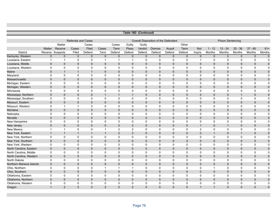|                          |                |                  |                            |                |                         |                |                | Table 18D (Continued) |                                      |              |              |                |                          |                |              |                |              |  |  |
|--------------------------|----------------|------------------|----------------------------|----------------|-------------------------|----------------|----------------|-----------------------|--------------------------------------|--------------|--------------|----------------|--------------------------|----------------|--------------|----------------|--------------|--|--|
|                          |                |                  |                            |                |                         |                |                |                       |                                      |              |              |                |                          |                |              |                |              |  |  |
|                          |                |                  | <b>Referrals and Cases</b> |                |                         |                |                |                       | Overall Disposition of the Defendant |              |              |                | <b>Prison Sentencing</b> |                |              |                |              |  |  |
|                          |                | Matter           |                            | Cases          |                         | Cases          | Guilty         | Guilty                |                                      |              | Other        |                |                          |                |              |                |              |  |  |
|                          | Matter         | Receive          | Cases                      | Filed          | Cases                   | Term           | Pleas          | Verdict               | <b>Dismiss</b>                       | Acquit       | Term         | <b>Not</b>     | $1 - 12$                 | $13 - 24$      | $25 - 36$    | $37 - 60$      | $61+$        |  |  |
| <b>District</b>          |                | Receive Suspects | Filed                      | Defend         | Term                    | Defend         | Defend         | Defend                | Defend                               | Defend       | Defend       | Impris         | Months                   | Months         | Months       | Months         | Months       |  |  |
| Kentucky, Western        | $\mathbf{0}$   | $\mathbf{0}$     | $\mathbf 0$                | $\overline{0}$ | $\mathbf{0}$            | $\mathbf{0}$   | $\mathbf{0}$   | $\mathbf{0}$          | $\mathbf{0}$                         | $\mathbf{0}$ | $\mathbf 0$  | $\mathbf{0}$   | $\mathbf 0$              | $\mathbf 0$    | $\mathbf{0}$ | $\mathbf 0$    | $\mathbf{0}$ |  |  |
| Louisiana, Eastern       | $\mathbf{1}$   | $\mathbf{1}$     | 0                          | 0              | $\overline{\mathbf{1}}$ | $\mathbf{1}$   | $\overline{1}$ | 0                     | $\mathbf 0$                          | $\mathbf 0$  | $\mathbf 0$  | $\mathbf{1}$   | $\mathbf 0$              | 0              | 0            | 0              | $\mathbf 0$  |  |  |
| Louisiana, Middle        | $\mathbf{0}$   | $\mathbf{0}$     | $\mathbf{0}$               | $\mathbf{0}$   | $\mathbf{0}$            | $\mathbf{0}$   | $\mathbf{0}$   | $\mathbf{0}$          | $\mathbf{0}$                         | $\mathbf{0}$ | $\Omega$     | $\Omega$       | $\Omega$                 | $\mathbf{0}$   | $\mathbf{0}$ | $\mathbf{0}$   | $\pmb{0}$    |  |  |
| Louisiana, Western       | 0              | $\mathbf 0$      | $\mathbf 0$                | 0              | $\mathbf 0$             | 0              | $\mathbf 0$    | 0                     | 0                                    | 0            | 0            | 0              | 0                        | 0              | $\mathbf 0$  | $\mathbf 0$    | $\mathbf 0$  |  |  |
| Maine                    | $\mathbf 0$    | $\mathbf{1}$     | $\mathbf{1}$               | $\mathbf{1}$   | $\mathbf{0}$            | $\mathbf{0}$   | $\mathbf{0}$   | $\mathbf{0}$          | $\mathbf{0}$                         | $\mathbf{0}$ | $\mathbf 0$  | $\Omega$       | $\mathbf{0}$             | $\mathbf 0$    | $\mathbf 0$  | $\mathbf 0$    | $\mathbf 0$  |  |  |
| Maryland                 | $\mathbf 0$    | $\mathbf 0$      | $\mathbf 0$                | 0              | $\Omega$                | $\mathbf 0$    | $\mathbf 0$    | 0                     | $\mathbf 0$                          | $\mathbf 0$  | $\mathbf 0$  | 0              | 0                        | $\mathbf 0$    | $\mathbf 0$  | $\mathbf 0$    | $\mathbf 0$  |  |  |
| Massachusetts            | $\mathbf 0$    | $\mathbf{0}$     | $\mathbf 0$                | $\mathbf{0}$   | $\mathbf{0}$            | $\mathbf{0}$   | $\mathbf 0$    | $\mathbf{0}$          | $\mathbf{0}$                         | $\mathbf{0}$ | $\mathbf{0}$ | $\overline{0}$ | $\mathbf{0}$             | $\mathbf 0$    | $\mathbf{0}$ | $\mathbf 0$    | $\mathbf 0$  |  |  |
| Michigan, Eastern        | $\mathbf 0$    | 0                | $\mathbf 0$                | 0              | $\mathbf 0$             | 0              | $\mathbf 0$    | 0                     | $\mathbf 0$                          | $\mathbf 0$  | $\mathbf 0$  | 0              | 0                        | $\mathbf 0$    | 0            | $\mathbf 0$    | $\mathbf 0$  |  |  |
| Michigan, Western        | $\mathbf{0}$   | $\mathbf{0}$     | $\mathbf{0}$               | $\mathbf{0}$   | $\mathbf{0}$            | $\mathbf{0}$   | $\mathbf 0$    | $\mathbf{0}$          | $\Omega$                             | $\mathbf{0}$ | $\mathbf{0}$ | $\Omega$       | $\mathbf{0}$             | $\mathbf{0}$   | $\mathbf{0}$ | $\mathbf{0}$   | $\mathbf 0$  |  |  |
| Minnesota                | $\mathbf 0$    | $\mathbf 0$      | $\mathbf 0$                | 0              | $\Omega$                | 0              | 0              | 0                     | $\Omega$                             | 0            | $\Omega$     | 0              | 0                        | 0              | 0            | $\mathbf 0$    | $\mathbf 0$  |  |  |
| Mississippi, Northern    | $\mathbf 0$    | $\mathbf 0$      | $\mathbf 0$                | $\overline{0}$ | $\mathbf{1}$            | $\overline{1}$ | $\overline{1}$ | $\mathbf{0}$          | $\mathbf{0}$                         | $\mathbf{0}$ | $\mathbf 0$  | $\overline{0}$ | $\mathbf{0}$             | $\mathbf 0$    | $\mathbf{1}$ | $\mathbf 0$    | $\mathbf 0$  |  |  |
| Mississippi, Southern    | $\mathbf 0$    | 0                | $\mathbf 0$                | $\Omega$       | $\Omega$                | $\Omega$       | $\Omega$       | $\Omega$              | $\Omega$                             | $\Omega$     | $\Omega$     | $\Omega$       | 0                        | $\mathbf 0$    | $\mathbf 0$  | $\mathbf 0$    | $\mathbf 0$  |  |  |
| Missouri, Eastern        | $\mathbf 0$    | $\mathbf{0}$     | $\mathbf{0}$               | $\mathbf{0}$   | $\mathbf{0}$            | $\mathbf{0}$   | $\mathbf{0}$   | $\mathbf{0}$          | $\Omega$                             | $\mathbf{0}$ | $\mathbf 0$  | $\overline{0}$ | $\mathbf{0}$             | $\mathbf{0}$   | $\mathbf{0}$ | $\mathbf 0$    | $\mathbf 0$  |  |  |
| Missouri, Western        | $\mathbf 0$    | $\mathbf{1}$     | $\mathbf{1}$               | 2              | $\mathbf 0$             | $\mathbf 0$    | $\mathbf 0$    | 0                     | $\mathbf 0$                          | $\mathbf 0$  | $\mathbf 0$  | 0              | 0                        | $\mathbf 0$    | $\mathbf 0$  | $\mathbf 0$    | $\mathbf 0$  |  |  |
| Montana                  | $\mathbf 0$    | $\mathbf{0}$     | $\mathbf{0}$               | $\overline{0}$ | $\mathbf{0}$            | $\Omega$       | $\mathbf{0}$   | $\mathbf{0}$          | $\mathbf{0}$                         | $\mathbf{0}$ | $\mathbf 0$  | $\overline{0}$ | $\mathbf{0}$             | $\mathbf{0}$   | $\mathbf{0}$ | $\pmb{0}$      | $\pmb{0}$    |  |  |
| Nebraska                 | $\mathbf 0$    | 0                | $\mathbf 0$                | 0              | $\Omega$                | 0              | $\mathbf 0$    | 0                     | $\mathbf 0$                          | 0            | 0            | 0              | 0                        | 0              | $\mathbf 0$  | $\mathbf 0$    | $\mathbf 0$  |  |  |
| Nevada                   | $\mathbf 0$    | $\mathbf{0}$     | $\mathbf 0$                | $\mathbf{0}$   | $\mathbf{0}$            | $\mathbf{0}$   | $\mathbf{0}$   | $\mathbf{0}$          | $\mathbf 0$                          | $\mathbf{0}$ | $\mathbf 0$  | $\overline{0}$ | $\mathbf{0}$             | $\mathbf 0$    | $\mathbf 0$  | $\mathbf 0$    | $\pmb{0}$    |  |  |
| New Hampshire            | $\mathbf 0$    | $\mathbf 0$      | $\mathsf 0$                | 0              | $\mathbf 0$             | 0              | $\mathbf 0$    | 0                     | $\mathbf 0$                          | $\mathbf 0$  | $\mathbf 0$  | 0              | 0                        | $\mathbf 0$    | $\mathbf 0$  | $\mathbf 0$    | $\mathbf 0$  |  |  |
| New Jersey               | $\mathbf{0}$   | $\mathbf{0}$     | $\mathbf{0}$               | $\mathbf{0}$   | $\Omega$                | $\overline{2}$ | $\overline{2}$ | $\mathbf{0}$          | $\mathbf 0$                          | $\mathbf{0}$ | $\Omega$     | 1              | $\Omega$                 | $\overline{1}$ | $\mathbf{0}$ | $\mathbf{0}$   | $\mathbf 0$  |  |  |
| New Mexico               | $\overline{1}$ | $\mathbf{1}$     | $\mathbf 0$                | 0              | $\mathbf{1}$            | $\overline{c}$ | $\overline{2}$ | 0                     | $\mathbf 0$                          | 0            | 0            | $\overline{2}$ | 0                        | 0              | $\mathbf 0$  | $\mathbf 0$    | $\mathbf 0$  |  |  |
| New York, Eastern        | $\mathbf{1}$   | $\mathbf{1}$     | $\mathbf{1}$               | $\mathbf{1}$   | $\mathbf{1}$            | $\overline{2}$ | $\overline{2}$ | $\mathbf{0}$          | $\mathbf{0}$                         | $\mathbf{0}$ | $\mathbf 0$  | $\overline{0}$ | $\mathbf{1}$             | $\mathbf 0$    | $\mathbf{1}$ | $\mathbf 0$    | $\pmb{0}$    |  |  |
| New York, Northern       | $\mathbf 0$    | 0                | $\mathbf 0$                | 0              | $\Omega$                | 0              | $\mathbf 0$    | $\Omega$              | $\Omega$                             | $\Omega$     | $\Omega$     | $\Omega$       | 0                        | $\mathbf 0$    | $\mathbf 0$  | $\mathbf 0$    | $\mathbf 0$  |  |  |
| New York, Southern       | $\mathbf 0$    | $\mathbf 0$      | $\mathbf 0$                | $\mathbf{0}$   | $\mathbf{0}$            | $\mathbf{0}$   | $\mathbf{0}$   | $\mathbf{0}$          | $\mathbf{0}$                         | $\mathbf{0}$ | $\mathbf{0}$ | $\Omega$       | $\Omega$                 | $\mathbf 0$    | $\mathbf 0$  | $\mathbf 0$    | $\mathbf 0$  |  |  |
| New York, Western        | 0              | 0                | 0                          | 0              | $\mathbf 0$             | $\mathbf 0$    | $\mathbf 0$    | 0                     | $\mathbf 0$                          | $\mathbf 0$  | $\mathbf 0$  | 0              | 0                        | $\mathbf 0$    | 0            | 0              | $\mathbf 0$  |  |  |
| North Carolina, Eastern  | $\mathbf{0}$   | $\mathbf{0}$     | $\mathbf{0}$               | $\mathbf{0}$   | $\mathbf{0}$            | $\mathbf{0}$   | $\mathbf{0}$   | $\mathbf{0}$          | $\Omega$                             | $\mathbf{0}$ | $\Omega$     | $\Omega$       | $\Omega$                 | $\mathbf{0}$   | $\mathbf{0}$ | $\mathbf{0}$   | $\mathbf 0$  |  |  |
| North Carolina, Middle   | $\mathbf 0$    | $\mathbf 0$      | $\mathbf 0$                | 0              | 0                       | 0              | 0              | 0                     | 0                                    | 0            | 0            | 0              | 0                        | 0              | $\mathbf 0$  | $\mathbf 0$    | $\mathbf 0$  |  |  |
| North Carolina, Western  | $\mathbf 0$    | $\mathbf{0}$     | $\mathbf 0$                | 0              | $\mathbf{0}$            | $\mathbf{0}$   | $\mathbf{0}$   | $\mathbf{0}$          | $\mathbf{0}$                         | $\mathbf{0}$ | $\mathbf 0$  | $\Omega$       | $\mathbf{0}$             | $\mathbf 0$    | $\mathbf{0}$ | $\mathbf 0$    | $\pmb{0}$    |  |  |
| North Dakota             | $\mathbf 0$    | $\mathbf 0$      | $\mathbf 0$                | 0              | $\Omega$                | 0              | 0              | 0                     | $\Omega$                             | $\mathbf{0}$ | $\Omega$     | 0              | $\Omega$                 | 0              | 0            | $\mathbf 0$    | $\mathbf 0$  |  |  |
| Northern Mariana Islands | $\mathbf{0}$   | $\mathbf{0}$     | $\mathbf 0$                | $\mathbf{0}$   | $\mathbf{0}$            | $\mathbf{0}$   | $\mathbf{0}$   | $\mathbf{0}$          | $\mathbf{0}$                         | $\mathbf{0}$ | $\mathbf{0}$ | $\mathbf{0}$   | $\mathbf{0}$             | $\mathbf{0}$   | $\mathbf{0}$ | $\mathbf{0}$   | $\mathbf 0$  |  |  |
| Ohio, Northern           | $\mathbf 0$    | $\mathbf 0$      | $\mathbf 0$                | 0              | $\mathbf{1}$            | $\mathbf{1}$   | $\mathbf{1}$   | 0                     | $\mathbf 0$                          | $\mathbf 0$  | $\mathbf 0$  | 0              | $\mathbf 1$              | $\mathbf 0$    | $\mathbf 0$  | $\mathbf 0$    | $\mathbf 0$  |  |  |
| Ohio, Southern           | $\mathbf{0}$   | $\mathbf{0}$     | $\mathbf{0}$               | $\mathbf{0}$   | $\mathbf{0}$            | $\mathbf{0}$   | $\mathbf{0}$   | $\mathbf{0}$          | $\Omega$                             | $\mathbf 0$  | $\mathbf 0$  | $\overline{0}$ | $\mathbf{0}$             | $\mathbf{0}$   | $\mathbf{0}$ | $\mathbf{0}$   | $\pmb{0}$    |  |  |
| Oklahoma, Eastern        | $\mathbf 0$    | 0                | $\mathbf 0$                | 0              | $\mathbf{0}$            | 0              | $\Omega$       | 0                     | 0                                    | 0            | $\Omega$     | 0              | $\Omega$                 | 0              | 0            | $\mathbf 0$    | $\mathbf 0$  |  |  |
| Oklahoma, Northern       | $\mathbf 0$    | $\mathbf 0$      | $\mathbf 0$                | $\overline{0}$ | $\mathbf{0}$            | $\mathbf{0}$   | $\mathbf 0$    | $\mathbf{0}$          | $\mathbf 0$                          | $\mathbf 0$  | $\mathbf 0$  | $\overline{0}$ | $\mathbf{0}$             | $\mathbf 0$    | $\mathbf 0$  | $\mathbf 0$    | $\mathbf 0$  |  |  |
| Oklahoma, Western        | $\pmb{0}$      | 0                | 0                          | 0              | $\mathbf 0$             | 0              | 0              | 0                     | 0                                    | 0            | 0            | 0              | 0                        | $\mathbf 0$    | 0            | $\mathbf 0$    | $\pmb{0}$    |  |  |
| Oregon                   | $\mathbf{1}$   | $\overline{2}$   | 2                          | $\overline{2}$ | 2                       | $\overline{2}$ | $\overline{2}$ | $\mathbf{0}$          | $\Omega$                             | $\Omega$     | $\mathbf 0$  | $\mathbf{1}$   |                          | $\mathbf{0}$   | $\mathbf 0$  | $\overline{0}$ | $\Omega$     |  |  |